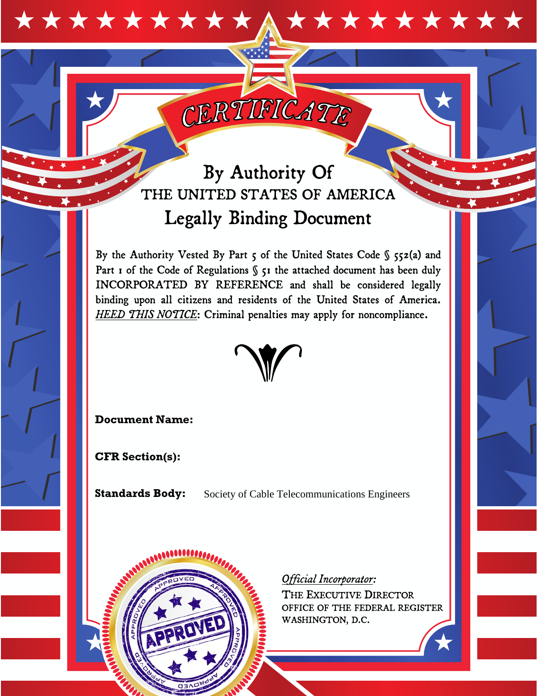# \*\*\*\*\*\*\*\*\*\* **\*\*\*\*\*\*\*\*\***

# By Authority Of THE UNITED STATES OF AMERICA Legally Binding Document

CERTIFICATE

By the Authority Vested By Part  $\varsigma$  of the United States Code §  $\varsigma$ 52(a) and Part 1 of the Code of Regulations § 51 the attached document has been duly INCORPORATED BY REFERENCE and shall be considered legally binding upon all citizens and residents of the United States of America. *HEED THIS NOTICE*: Criminal penalties may apply for noncompliance.



**Document Name:** 

**CFR Section(s):** 

**Standards Body:** 

Society of Cable Telecommunications Engineers



# *Official Incorporator:*

THE EXECUTIVE DIRECTOR OFFICE OF THE FEDERAL REGISTER WASHINGTON, D.C.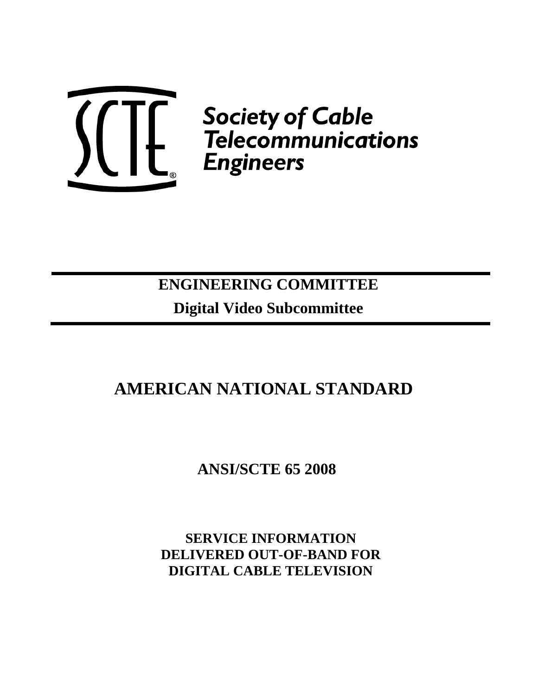

*Society of Cable*<br>| Felecommunications<br>| Engineers

# **ENGINEERING COMMITTEE Digital Video Subcommittee**

# **AMERICAN NATIONAL STANDARD**

 **ANSI/SCTE 65 2008** 

**SERVICE INFORMATION DELIVERED OUT-OF-BAND FOR DIGITAL CABLE TELEVISION**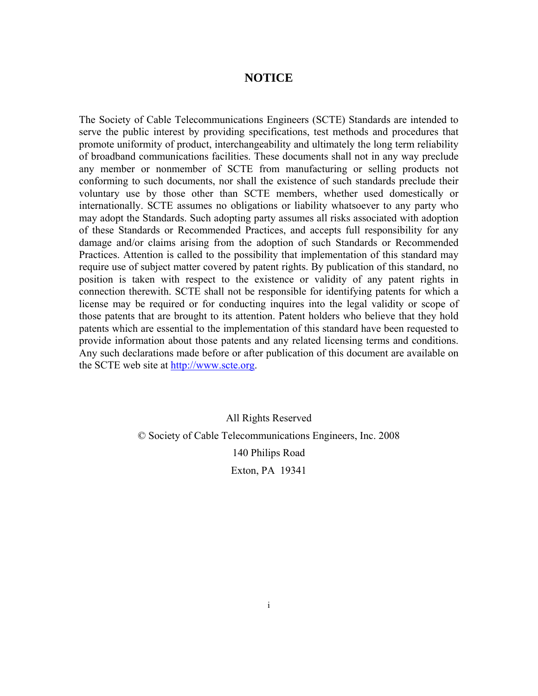# **NOTICE**

The Society of Cable Telecommunications Engineers (SCTE) Standards are intended to serve the public interest by providing specifications, test methods and procedures that promote uniformity of product, interchangeability and ultimately the long term reliability of broadband communications facilities. These documents shall not in any way preclude any member or nonmember of SCTE from manufacturing or selling products not conforming to such documents, nor shall the existence of such standards preclude their voluntary use by those other than SCTE members, whether used domestically or internationally. SCTE assumes no obligations or liability whatsoever to any party who may adopt the Standards. Such adopting party assumes all risks associated with adoption of these Standards or Recommended Practices, and accepts full responsibility for any damage and/or claims arising from the adoption of such Standards or Recommended Practices. Attention is called to the possibility that implementation of this standard may require use of subject matter covered by patent rights. By publication of this standard, no position is taken with respect to the existence or validity of any patent rights in connection therewith. SCTE shall not be responsible for identifying patents for which a license may be required or for conducting inquires into the legal validity or scope of those patents that are brought to its attention. Patent holders who believe that they hold patents which are essential to the implementation of this standard have been requested to provide information about those patents and any related licensing terms and conditions. Any such declarations made before or after publication of this document are available on the SCTE web site at http://www.scte.org.

> All Rights Reserved © Society of Cable Telecommunications Engineers, Inc. 2008 140 Philips Road Exton, PA 19341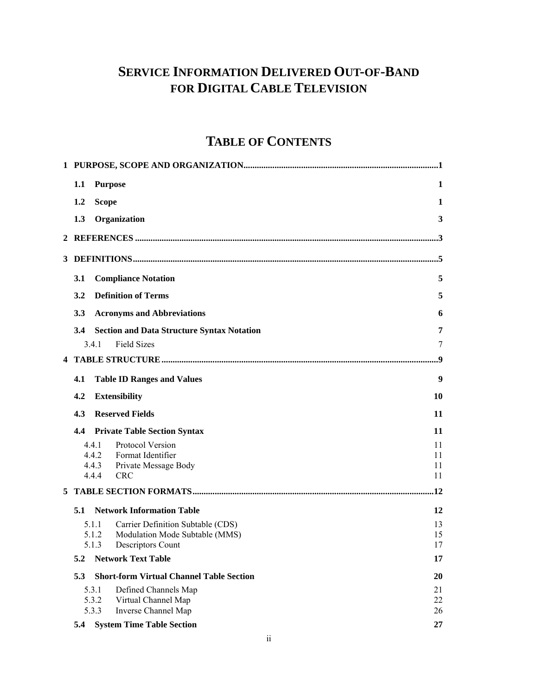# **SERVICE INFORMATION DELIVERED OUT-OF-BAND FOR DIGITAL CABLE TELEVISION**

# **TABLE OF CONTENTS**

|    | 1.1<br><b>Purpose</b>                                                 | 1            |
|----|-----------------------------------------------------------------------|--------------|
|    | 1.2<br><b>Scope</b>                                                   | $\mathbf{1}$ |
|    | Organization<br>1.3                                                   | 3            |
|    |                                                                       |              |
|    |                                                                       |              |
|    | <b>Compliance Notation</b><br>3.1                                     | 5            |
|    | <b>Definition of Terms</b><br>3.2                                     | 5            |
|    | 3.3<br><b>Acronyms and Abbreviations</b>                              | 6            |
|    | 3.4<br><b>Section and Data Structure Syntax Notation</b>              | 7            |
|    | <b>Field Sizes</b><br>341                                             | 7            |
|    |                                                                       | $\mathbf{Q}$ |
|    | 4.1<br><b>Table ID Ranges and Values</b>                              | 9            |
|    | 4.2<br><b>Extensibility</b>                                           | 10           |
|    | 4.3<br><b>Reserved Fields</b>                                         | 11           |
|    | 4.4<br><b>Private Table Section Syntax</b>                            | 11           |
|    | 4.4.1<br>Protocol Version<br>4.4.2<br>Format Identifier               | 11<br>11     |
|    | 4.4.3<br>Private Message Body                                         | 11           |
|    | 4.4.4<br><b>CRC</b>                                                   | 11           |
| 5. |                                                                       | .12          |
|    | 5.1<br><b>Network Information Table</b>                               | 12           |
|    | 5.1.1<br>Carrier Definition Subtable (CDS)                            | 13           |
|    | Modulation Mode Subtable (MMS)<br>5.1.2<br>Descriptors Count<br>5.1.3 | 15<br>17     |
|    | <b>Network Text Table</b><br>5.2                                      | 17           |
|    | 5.3<br><b>Short-form Virtual Channel Table Section</b>                | 20           |
|    | 5.3.1<br>Defined Channels Map                                         | 21           |
|    | 5.3.2<br>Virtual Channel Map                                          | 22           |
|    | 5.3.3<br>Inverse Channel Map                                          | 26           |
|    | <b>System Time Table Section</b><br>5.4                               | 27           |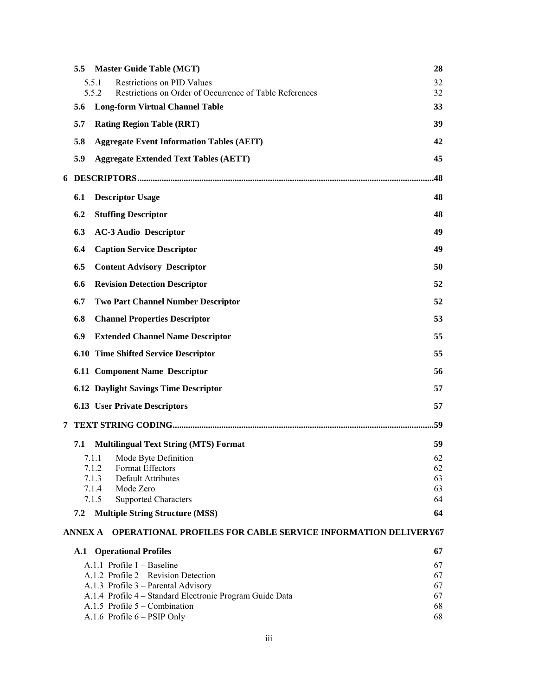|   | 5.5            | <b>Master Guide Table (MGT)</b>                                                             | 28       |
|---|----------------|---------------------------------------------------------------------------------------------|----------|
|   |                | 5.5.1<br>Restrictions on PID Values                                                         | 32       |
|   |                | 5.5.2<br>Restrictions on Order of Occurrence of Table References                            | 32       |
|   | 5.6            | <b>Long-form Virtual Channel Table</b>                                                      | 33       |
|   | 5.7            | <b>Rating Region Table (RRT)</b>                                                            | 39       |
|   | 5.8            | <b>Aggregate Event Information Tables (AEIT)</b>                                            | 42       |
|   | 5.9            | <b>Aggregate Extended Text Tables (AETT)</b>                                                | 45       |
|   |                |                                                                                             | .48      |
|   | 6.1            | <b>Descriptor Usage</b>                                                                     | 48       |
|   | 6.2            | <b>Stuffing Descriptor</b>                                                                  | 48       |
|   | 6.3            | <b>AC-3 Audio Descriptor</b>                                                                | 49       |
|   | 6.4            | <b>Caption Service Descriptor</b>                                                           | 49       |
|   | 6.5            | <b>Content Advisory Descriptor</b>                                                          | 50       |
|   | 6.6            | <b>Revision Detection Descriptor</b>                                                        | 52       |
|   | 6.7            | <b>Two Part Channel Number Descriptor</b>                                                   | 52       |
|   | 6.8            | <b>Channel Properties Descriptor</b>                                                        | 53       |
|   | 6.9            | <b>Extended Channel Name Descriptor</b>                                                     | 55       |
|   |                | <b>6.10 Time Shifted Service Descriptor</b>                                                 | 55       |
|   |                | <b>6.11 Component Name Descriptor</b>                                                       | 56       |
|   |                | <b>6.12 Daylight Savings Time Descriptor</b>                                                | 57       |
|   |                | <b>6.13 User Private Descriptors</b>                                                        | 57       |
| 7 |                |                                                                                             | .59      |
|   | 7.1            | <b>Multilingual Text String (MTS) Format</b>                                                | 59       |
|   |                | 7.1.1 Mode Byte Definition                                                                  | 62       |
|   |                | Format Effectors<br>7.1.2                                                                   | 62       |
|   |                | <b>Default Attributes</b><br>7.1.3                                                          | 63       |
|   |                | 7.1.4 Mode Zero<br>7.1.5                                                                    | 63<br>64 |
|   |                | <b>Supported Characters</b>                                                                 |          |
|   | 7.2            | <b>Multiple String Structure (MSS)</b>                                                      | 64       |
|   | <b>ANNEX A</b> | <b>OPERATIONAL PROFILES FOR CABLE SERVICE INFORMATION DELIVERY67</b>                        |          |
|   |                | <b>A.1</b> Operational Profiles                                                             | 67       |
|   |                | A.1.1 Profile 1 - Baseline                                                                  | 67       |
|   |                | A.1.2 Profile 2 – Revision Detection                                                        | 67       |
|   |                | A.1.3 Profile 3 - Parental Advisory                                                         | 67       |
|   |                | A.1.4 Profile 4 - Standard Electronic Program Guide Data<br>A.1.5 Profile $5 -$ Combination | 67<br>68 |
|   |                | A.1.6 Profile 6 - PSIP Only                                                                 | 68       |
|   |                |                                                                                             |          |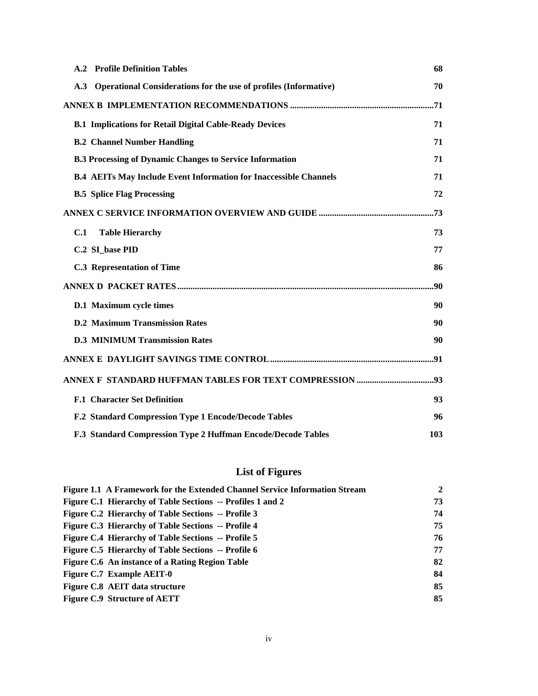| <b>A.2 Profile Definition Tables</b>                                     | 68  |
|--------------------------------------------------------------------------|-----|
| Operational Considerations for the use of profiles (Informative)<br>A.3  | 70  |
|                                                                          |     |
| <b>B.1 Implications for Retail Digital Cable-Ready Devices</b>           | 71  |
| <b>B.2 Channel Number Handling</b>                                       | 71  |
| <b>B.3 Processing of Dynamic Changes to Service Information</b>          | 71  |
| <b>B.4 AEITs May Include Event Information for Inaccessible Channels</b> | 71  |
| <b>B.5 Splice Flag Processing</b>                                        | 72  |
|                                                                          |     |
| <b>Table Hierarchy</b><br>C.1                                            | 73  |
| C.2 SI base PID                                                          | 77  |
| <b>C.3 Representation of Time</b>                                        | 86  |
|                                                                          | .90 |
| D.1 Maximum cycle times                                                  | 90  |
| <b>D.2 Maximum Transmission Rates</b>                                    | 90  |
| <b>D.3 MINIMUM Transmission Rates</b>                                    | 90  |
|                                                                          |     |
|                                                                          |     |
| <b>F.1 Character Set Definition</b>                                      | 93  |
| F.2 Standard Compression Type 1 Encode/Decode Tables                     | 96  |
| F.3 Standard Compression Type 2 Huffman Encode/Decode Tables             | 103 |

# **List of Figures**

| Figure 1.1 A Framework for the Extended Channel Service Information Stream | $\overline{2}$ |
|----------------------------------------------------------------------------|----------------|
| Figure C.1 Hierarchy of Table Sections -- Profiles 1 and 2                 | 73             |
| Figure C.2 Hierarchy of Table Sections -- Profile 3                        | 74             |
| <b>Figure C.3 Hierarchy of Table Sections -- Profile 4</b>                 | 75             |
| <b>Figure C.4 Hierarchy of Table Sections -- Profile 5</b>                 | 76             |
| Figure C.5 Hierarchy of Table Sections -- Profile 6                        | 77             |
| Figure C.6 An instance of a Rating Region Table                            | 82             |
| Figure C.7 Example AEIT-0                                                  | 84             |
| Figure C.8 AEIT data structure                                             | 85             |
| <b>Figure C.9 Structure of AETT</b>                                        | 85             |
|                                                                            |                |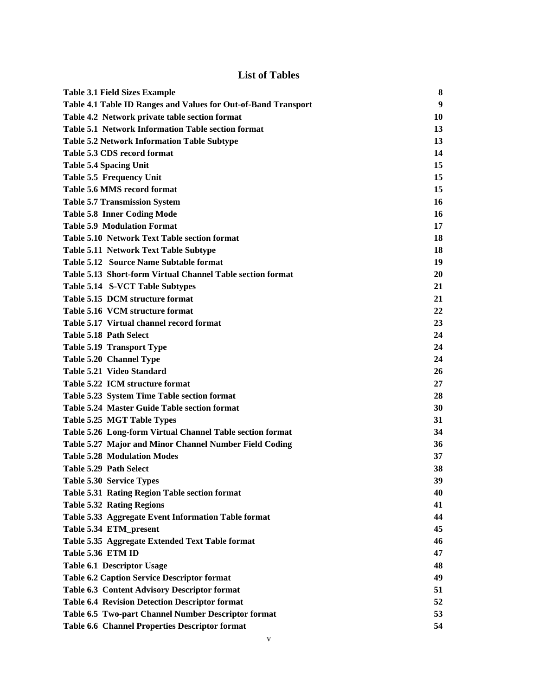# **List of Tables**

| <b>Table 3.1 Field Sizes Example</b>                           | 8  |
|----------------------------------------------------------------|----|
| Table 4.1 Table ID Ranges and Values for Out-of-Band Transport | 9  |
| Table 4.2 Network private table section format                 | 10 |
| Table 5.1 Network Information Table section format             | 13 |
| <b>Table 5.2 Network Information Table Subtype</b>             | 13 |
| Table 5.3 CDS record format                                    | 14 |
| <b>Table 5.4 Spacing Unit</b>                                  | 15 |
| Table 5.5 Frequency Unit                                       | 15 |
| Table 5.6 MMS record format                                    | 15 |
| <b>Table 5.7 Transmission System</b>                           | 16 |
| <b>Table 5.8 Inner Coding Mode</b>                             | 16 |
| <b>Table 5.9 Modulation Format</b>                             | 17 |
| Table 5.10 Network Text Table section format                   | 18 |
| Table 5.11 Network Text Table Subtype                          | 18 |
| Table 5.12 Source Name Subtable format                         | 19 |
| Table 5.13 Short-form Virtual Channel Table section format     | 20 |
| Table 5.14 S-VCT Table Subtypes                                | 21 |
| Table 5.15 DCM structure format                                | 21 |
| Table 5.16 VCM structure format                                | 22 |
| Table 5.17 Virtual channel record format                       | 23 |
| Table 5.18 Path Select                                         | 24 |
| <b>Table 5.19 Transport Type</b>                               | 24 |
| Table 5.20 Channel Type                                        | 24 |
| Table 5.21 Video Standard                                      | 26 |
| Table 5.22 ICM structure format                                | 27 |
| Table 5.23 System Time Table section format                    | 28 |
| Table 5.24 Master Guide Table section format                   | 30 |
| Table 5.25 MGT Table Types                                     | 31 |
| Table 5.26 Long-form Virtual Channel Table section format      | 34 |
| Table 5.27 Major and Minor Channel Number Field Coding         | 36 |
| <b>Table 5.28 Modulation Modes</b>                             | 37 |
| Table 5.29 Path Select                                         | 38 |
| <b>Table 5.30 Service Types</b>                                | 39 |
| Table 5.31 Rating Region Table section format                  | 40 |
| <b>Table 5.32 Rating Regions</b>                               | 41 |
| Table 5.33 Aggregate Event Information Table format            | 44 |
| Table 5.34 ETM_present                                         | 45 |
| Table 5.35 Aggregate Extended Text Table format                | 46 |
| Table 5.36 ETM ID                                              | 47 |
| Table 6.1 Descriptor Usage                                     | 48 |
| <b>Table 6.2 Caption Service Descriptor format</b>             | 49 |
| Table 6.3 Content Advisory Descriptor format                   | 51 |
| <b>Table 6.4 Revision Detection Descriptor format</b>          | 52 |
| Table 6.5 Two-part Channel Number Descriptor format            | 53 |
| Table 6.6 Channel Properties Descriptor format                 | 54 |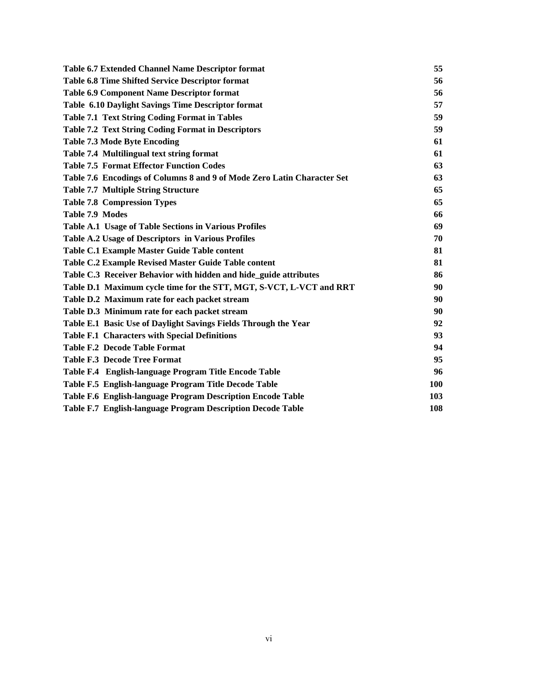| <b>Table 6.7 Extended Channel Name Descriptor format</b>                | 55  |
|-------------------------------------------------------------------------|-----|
| Table 6.8 Time Shifted Service Descriptor format                        | 56  |
| <b>Table 6.9 Component Name Descriptor format</b>                       | 56  |
| Table 6.10 Daylight Savings Time Descriptor format                      | 57  |
| <b>Table 7.1 Text String Coding Format in Tables</b>                    | 59  |
| <b>Table 7.2 Text String Coding Format in Descriptors</b>               | 59  |
| <b>Table 7.3 Mode Byte Encoding</b>                                     | 61  |
| Table 7.4 Multilingual text string format                               | 61  |
| <b>Table 7.5 Format Effector Function Codes</b>                         | 63  |
| Table 7.6 Encodings of Columns 8 and 9 of Mode Zero Latin Character Set | 63  |
| <b>Table 7.7 Multiple String Structure</b>                              | 65  |
| <b>Table 7.8 Compression Types</b>                                      | 65  |
| Table 7.9 Modes                                                         | 66  |
| Table A.1 Usage of Table Sections in Various Profiles                   | 69  |
| Table A.2 Usage of Descriptors in Various Profiles                      | 70  |
| Table C.1 Example Master Guide Table content                            | 81  |
| Table C.2 Example Revised Master Guide Table content                    | 81  |
| Table C.3 Receiver Behavior with hidden and hide_guide attributes       | 86  |
| Table D.1 Maximum cycle time for the STT, MGT, S-VCT, L-VCT and RRT     | 90  |
| Table D.2 Maximum rate for each packet stream                           | 90  |
| Table D.3 Minimum rate for each packet stream                           | 90  |
| Table E.1 Basic Use of Daylight Savings Fields Through the Year         | 92  |
| <b>Table F.1 Characters with Special Definitions</b>                    | 93  |
| <b>Table F.2 Decode Table Format</b>                                    | 94  |
| <b>Table F.3 Decode Tree Format</b>                                     | 95  |
| Table F.4 English-language Program Title Encode Table                   | 96  |
| Table F.5 English-language Program Title Decode Table                   | 100 |
| Table F.6 English-language Program Description Encode Table             | 103 |
| Table F.7 English-language Program Description Decode Table             | 108 |
|                                                                         |     |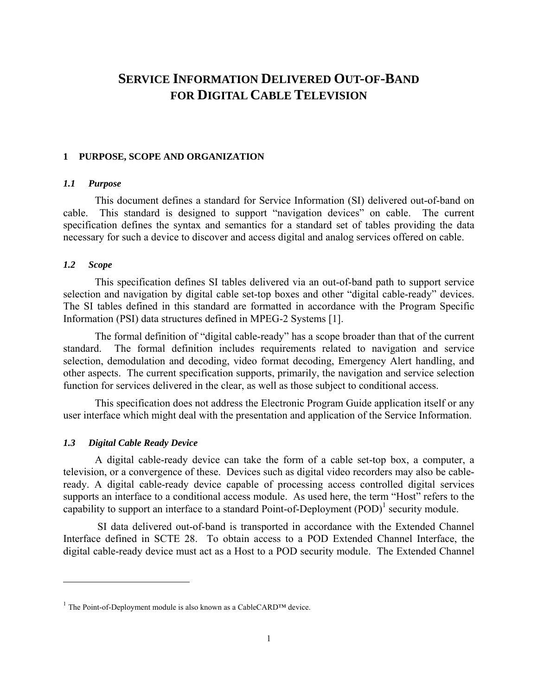# **SERVICE INFORMATION DELIVERED OUT-OF-BAND FOR DIGITAL CABLE TELEVISION**

#### **1 PURPOSE, SCOPE AND ORGANIZATION**

# *1.1 Purpose*

This document defines a standard for Service Information (SI) delivered out-of-band on cable. This standard is designed to support "navigation devices" on cable. The current specification defines the syntax and semantics for a standard set of tables providing the data necessary for such a device to discover and access digital and analog services offered on cable.

#### *1.2 Scope*

1

This specification defines SI tables delivered via an out-of-band path to support service selection and navigation by digital cable set-top boxes and other "digital cable-ready" devices. The SI tables defined in this standard are formatted in accordance with the Program Specific Information (PSI) data structures defined in MPEG-2 Systems [1].

The formal definition of "digital cable-ready" has a scope broader than that of the current standard. The formal definition includes requirements related to navigation and service selection, demodulation and decoding, video format decoding, Emergency Alert handling, and other aspects. The current specification supports, primarily, the navigation and service selection function for services delivered in the clear, as well as those subject to conditional access.

This specification does not address the Electronic Program Guide application itself or any user interface which might deal with the presentation and application of the Service Information.

#### *1.3 Digital Cable Ready Device*

A digital cable-ready device can take the form of a cable set-top box, a computer, a television, or a convergence of these. Devices such as digital video recorders may also be cableready. A digital cable-ready device capable of processing access controlled digital services supports an interface to a conditional access module. As used here, the term "Host" refers to the capability to support an interface to a standard Point-of-Deployment  $(POD)^1$  security module.

 SI data delivered out-of-band is transported in accordance with the Extended Channel Interface defined in SCTE 28. To obtain access to a POD Extended Channel Interface, the digital cable-ready device must act as a Host to a POD security module. The Extended Channel

<sup>&</sup>lt;sup>1</sup> The Point-of-Deployment module is also known as a CableCARD<sup>TM</sup> device.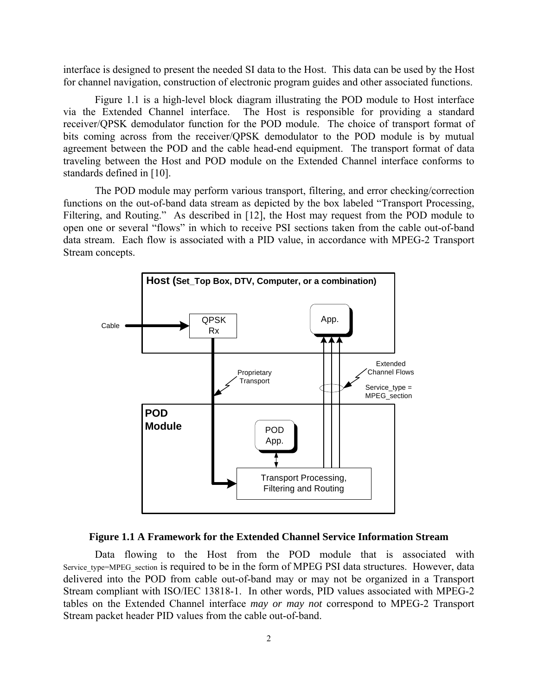interface is designed to present the needed SI data to the Host. This data can be used by the Host for channel navigation, construction of electronic program guides and other associated functions.

Figure 1.1 is a high-level block diagram illustrating the POD module to Host interface via the Extended Channel interface. The Host is responsible for providing a standard receiver/QPSK demodulator function for the POD module. The choice of transport format of bits coming across from the receiver/QPSK demodulator to the POD module is by mutual agreement between the POD and the cable head-end equipment. The transport format of data traveling between the Host and POD module on the Extended Channel interface conforms to standards defined in [10].

The POD module may perform various transport, filtering, and error checking/correction functions on the out-of-band data stream as depicted by the box labeled "Transport Processing, Filtering, and Routing." As described in [12], the Host may request from the POD module to open one or several "flows" in which to receive PSI sections taken from the cable out-of-band data stream. Each flow is associated with a PID value, in accordance with MPEG-2 Transport Stream concepts.



#### **Figure 1.1 A Framework for the Extended Channel Service Information Stream**

Data flowing to the Host from the POD module that is associated with Service type=MPEG section is required to be in the form of MPEG PSI data structures. However, data delivered into the POD from cable out-of-band may or may not be organized in a Transport Stream compliant with ISO/IEC 13818-1. In other words, PID values associated with MPEG-2 tables on the Extended Channel interface *may or may not* correspond to MPEG-2 Transport Stream packet header PID values from the cable out-of-band.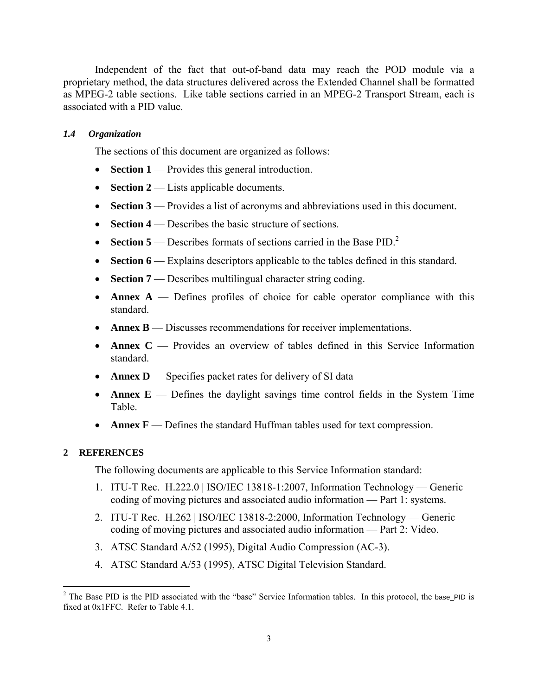Independent of the fact that out-of-band data may reach the POD module via a proprietary method, the data structures delivered across the Extended Channel shall be formatted as MPEG-2 table sections. Like table sections carried in an MPEG-2 Transport Stream, each is associated with a PID value.

#### *1.4 Organization*

The sections of this document are organized as follows:

- **Section 1** Provides this general introduction.
- **Section 2** Lists applicable documents.
- **Section 3** Provides a list of acronyms and abbreviations used in this document.
- **Section 4** Describes the basic structure of sections.
- **Section 5** Describes formats of sections carried in the Base PID.<sup>2</sup>
- **Section 6** Explains descriptors applicable to the tables defined in this standard.
- **Section 7** Describes multilingual character string coding.
- **Annex A** Defines profiles of choice for cable operator compliance with this standard.
- **Annex B** Discusses recommendations for receiver implementations.
- **Annex C** Provides an overview of tables defined in this Service Information standard.
- **Annex D** Specifies packet rates for delivery of SI data
- **Annex E** Defines the daylight savings time control fields in the System Time Table.
- **Annex F** Defines the standard Huffman tables used for text compression.

#### **2 REFERENCES**

The following documents are applicable to this Service Information standard:

- 1. ITU-T Rec. H.222.0 | ISO/IEC 13818-1:2007, Information Technology Generic coding of moving pictures and associated audio information — Part 1: systems.
- 2. ITU-T Rec. H.262 | ISO/IEC 13818-2:2000, Information Technology Generic coding of moving pictures and associated audio information — Part 2: Video.
- 3. ATSC Standard A/52 (1995), Digital Audio Compression (AC-3).
- 4. ATSC Standard A/53 (1995), ATSC Digital Television Standard.

<sup>&</sup>lt;sup>2</sup> The Base PID is the PID associated with the "base" Service Information tables. In this protocol, the base\_PID is fixed at 0x1FFC. Refer to Table 4.1.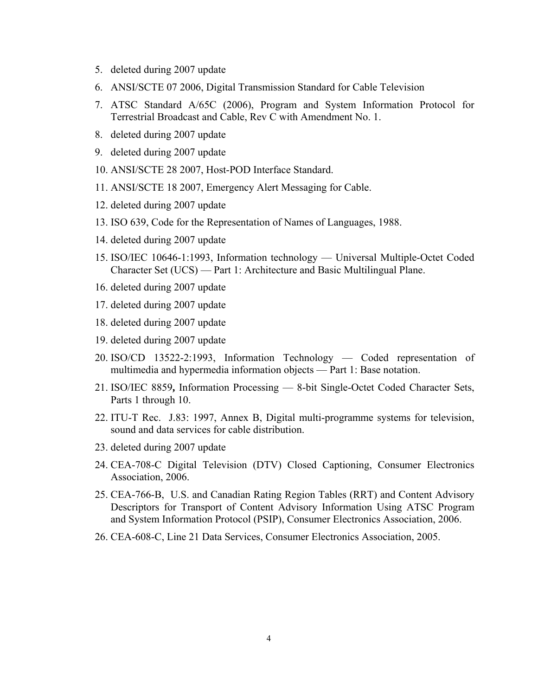- 5. deleted during 2007 update
- 6. ANSI/SCTE 07 2006, Digital Transmission Standard for Cable Television
- 7. ATSC Standard A/65C (2006), Program and System Information Protocol for Terrestrial Broadcast and Cable, Rev C with Amendment No. 1.
- 8. deleted during 2007 update
- 9. deleted during 2007 update
- 10. ANSI/SCTE 28 2007, Host-POD Interface Standard.
- 11. ANSI/SCTE 18 2007, Emergency Alert Messaging for Cable.
- 12. deleted during 2007 update
- 13. ISO 639, Code for the Representation of Names of Languages, 1988.
- 14. deleted during 2007 update
- 15. ISO/IEC 10646-1:1993, Information technology Universal Multiple-Octet Coded Character Set (UCS) — Part 1: Architecture and Basic Multilingual Plane.
- 16. deleted during 2007 update
- 17. deleted during 2007 update
- 18. deleted during 2007 update
- 19. deleted during 2007 update
- 20. ISO/CD 13522-2:1993, Information Technology Coded representation of multimedia and hypermedia information objects — Part 1: Base notation.
- 21. ISO/IEC 8859**,** Information Processing 8-bit Single-Octet Coded Character Sets, Parts 1 through 10.
- 22. ITU-T Rec. J.83: 1997, Annex B, Digital multi-programme systems for television, sound and data services for cable distribution.
- 23. deleted during 2007 update
- 24. CEA-708-C Digital Television (DTV) Closed Captioning, Consumer Electronics Association, 2006.
- 25. CEA-766-B, U.S. and Canadian Rating Region Tables (RRT) and Content Advisory Descriptors for Transport of Content Advisory Information Using ATSC Program and System Information Protocol (PSIP), Consumer Electronics Association, 2006.
- 26. CEA-608-C, Line 21 Data Services, Consumer Electronics Association, 2005.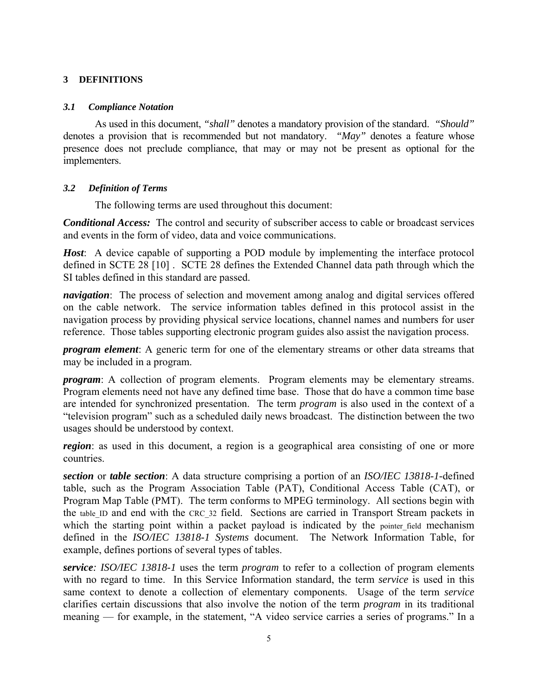# **3 DEFINITIONS**

### *3.1 Compliance Notation*

 As used in this document, *"shall"* denotes a mandatory provision of the standard. *"Should"* denotes a provision that is recommended but not mandatory. *"May"* denotes a feature whose presence does not preclude compliance, that may or may not be present as optional for the implementers.

# *3.2 Definition of Terms*

The following terms are used throughout this document:

*Conditional Access:* The control and security of subscriber access to cable or broadcast services and events in the form of video, data and voice communications.

*Host*: A device capable of supporting a POD module by implementing the interface protocol defined in SCTE 28 [10] . SCTE 28 defines the Extended Channel data path through which the SI tables defined in this standard are passed.

*navigation*: The process of selection and movement among analog and digital services offered on the cable network. The service information tables defined in this protocol assist in the navigation process by providing physical service locations, channel names and numbers for user reference. Those tables supporting electronic program guides also assist the navigation process.

*program element*: A generic term for one of the elementary streams or other data streams that may be included in a program.

*program*: A collection of program elements. Program elements may be elementary streams. Program elements need not have any defined time base. Those that do have a common time base are intended for synchronized presentation. The term *program* is also used in the context of a "television program" such as a scheduled daily news broadcast. The distinction between the two usages should be understood by context.

*region*: as used in this document, a region is a geographical area consisting of one or more countries.

*section* or *table section*: A data structure comprising a portion of an *ISO/IEC 13818-1-*defined table, such as the Program Association Table (PAT), Conditional Access Table (CAT), or Program Map Table (PMT). The term conforms to MPEG terminology. All sections begin with the table ID and end with the CRC 32 field. Sections are carried in Transport Stream packets in which the starting point within a packet payload is indicated by the pointer field mechanism defined in the *ISO/IEC 13818-1 Systems* document. The Network Information Table, for example, defines portions of several types of tables.

*service: ISO/IEC 13818-1* uses the term *program* to refer to a collection of program elements with no regard to time. In this Service Information standard, the term *service* is used in this same context to denote a collection of elementary components. Usage of the term *service* clarifies certain discussions that also involve the notion of the term *program* in its traditional meaning — for example, in the statement, "A video service carries a series of programs." In a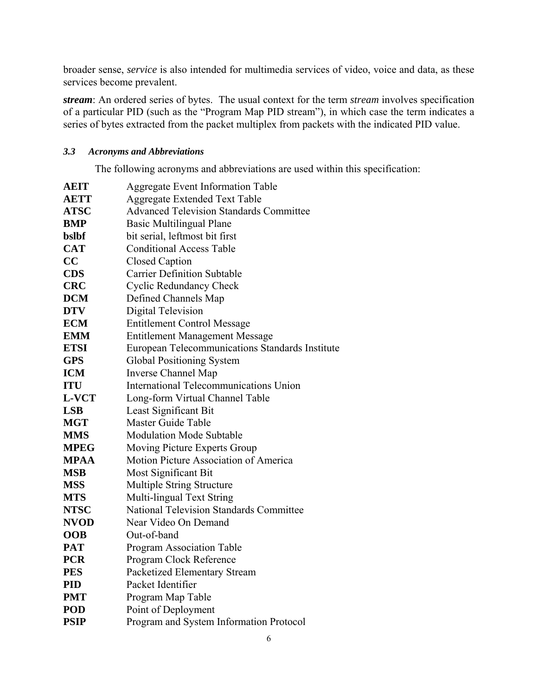broader sense, *service* is also intended for multimedia services of video, voice and data, as these services become prevalent.

*stream*: An ordered series of bytes. The usual context for the term *stream* involves specification of a particular PID (such as the "Program Map PID stream"), in which case the term indicates a series of bytes extracted from the packet multiplex from packets with the indicated PID value.

# *3.3 Acronyms and Abbreviations*

The following acronyms and abbreviations are used within this specification:

| <b>AEIT</b> | Aggregate Event Information Table               |  |  |  |  |
|-------------|-------------------------------------------------|--|--|--|--|
| <b>AETT</b> | <b>Aggregate Extended Text Table</b>            |  |  |  |  |
| <b>ATSC</b> | <b>Advanced Television Standards Committee</b>  |  |  |  |  |
| <b>BMP</b>  | <b>Basic Multilingual Plane</b>                 |  |  |  |  |
| bslbf       | bit serial, leftmost bit first                  |  |  |  |  |
| <b>CAT</b>  | <b>Conditional Access Table</b>                 |  |  |  |  |
| CC          | <b>Closed Caption</b>                           |  |  |  |  |
| <b>CDS</b>  | <b>Carrier Definition Subtable</b>              |  |  |  |  |
| <b>CRC</b>  | <b>Cyclic Redundancy Check</b>                  |  |  |  |  |
| <b>DCM</b>  | Defined Channels Map                            |  |  |  |  |
| <b>DTV</b>  | <b>Digital Television</b>                       |  |  |  |  |
| <b>ECM</b>  | <b>Entitlement Control Message</b>              |  |  |  |  |
| <b>EMM</b>  | <b>Entitlement Management Message</b>           |  |  |  |  |
| <b>ETSI</b> | European Telecommunications Standards Institute |  |  |  |  |
| <b>GPS</b>  | <b>Global Positioning System</b>                |  |  |  |  |
| <b>ICM</b>  | <b>Inverse Channel Map</b>                      |  |  |  |  |
| <b>ITU</b>  | International Telecommunications Union          |  |  |  |  |
| L-VCT       | Long-form Virtual Channel Table                 |  |  |  |  |
| <b>LSB</b>  | Least Significant Bit                           |  |  |  |  |
| <b>MGT</b>  | Master Guide Table                              |  |  |  |  |
| <b>MMS</b>  | <b>Modulation Mode Subtable</b>                 |  |  |  |  |
| <b>MPEG</b> | Moving Picture Experts Group                    |  |  |  |  |
| <b>MPAA</b> | Motion Picture Association of America           |  |  |  |  |
| <b>MSB</b>  | <b>Most Significant Bit</b>                     |  |  |  |  |
| <b>MSS</b>  | Multiple String Structure                       |  |  |  |  |
| <b>MTS</b>  | Multi-lingual Text String                       |  |  |  |  |
| <b>NTSC</b> | <b>National Television Standards Committee</b>  |  |  |  |  |
| <b>NVOD</b> | Near Video On Demand                            |  |  |  |  |
| <b>OOB</b>  | Out-of-band                                     |  |  |  |  |
| <b>PAT</b>  | <b>Program Association Table</b>                |  |  |  |  |
| <b>PCR</b>  | Program Clock Reference                         |  |  |  |  |
| <b>PES</b>  | Packetized Elementary Stream                    |  |  |  |  |
| <b>PID</b>  | Packet Identifier                               |  |  |  |  |
| <b>PMT</b>  | Program Map Table                               |  |  |  |  |
| <b>POD</b>  | Point of Deployment                             |  |  |  |  |
| <b>PSIP</b> | Program and System Information Protocol         |  |  |  |  |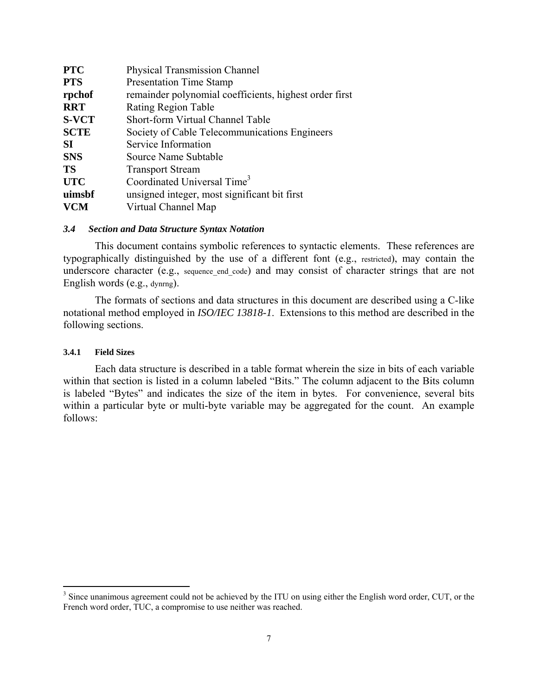| <b>PTC</b><br><b>Physical Transmission Channel</b> |                                                        |  |
|----------------------------------------------------|--------------------------------------------------------|--|
| <b>PTS</b>                                         | <b>Presentation Time Stamp</b>                         |  |
| rpchof                                             | remainder polynomial coefficients, highest order first |  |
| <b>RRT</b>                                         | Rating Region Table                                    |  |
| <b>S-VCT</b>                                       | Short-form Virtual Channel Table                       |  |
| <b>SCTE</b>                                        | Society of Cable Telecommunications Engineers          |  |
| <b>SI</b>                                          | Service Information                                    |  |
| <b>SNS</b>                                         | Source Name Subtable                                   |  |
| <b>TS</b>                                          | <b>Transport Stream</b>                                |  |
| <b>UTC</b>                                         | Coordinated Universal Time <sup>3</sup>                |  |
| uimsbf                                             | unsigned integer, most significant bit first           |  |
| <b>VCM</b>                                         | Virtual Channel Map                                    |  |

#### *3.4 Section and Data Structure Syntax Notation*

 This document contains symbolic references to syntactic elements. These references are typographically distinguished by the use of a different font (e.g., restricted), may contain the underscore character (e.g., sequence end code) and may consist of character strings that are not English words (e.g., dynrng).

The formats of sections and data structures in this document are described using a C-like notational method employed in *ISO/IEC 13818-1*. Extensions to this method are described in the following sections.

#### **3.4.1 Field Sizes**

 $\overline{a}$ 

Each data structure is described in a table format wherein the size in bits of each variable within that section is listed in a column labeled "Bits." The column adjacent to the Bits column is labeled "Bytes" and indicates the size of the item in bytes. For convenience, several bits within a particular byte or multi-byte variable may be aggregated for the count. An example follows:

 $3$  Since unanimous agreement could not be achieved by the ITU on using either the English word order, CUT, or the French word order, TUC, a compromise to use neither was reached.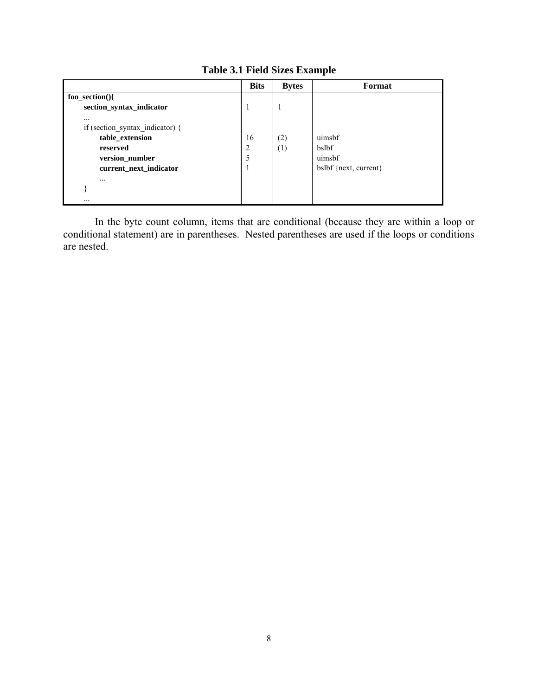|                                 | <b>Bits</b>    | <b>Bytes</b> | Format                  |
|---------------------------------|----------------|--------------|-------------------------|
| $foo\_section()$                |                |              |                         |
| section_syntax_indicator        | 1              | -1           |                         |
|                                 |                |              |                         |
| if (section_syntax_indicator) { |                |              |                         |
| table_extension                 | 16             | (2)          | uimsbf                  |
| reserved                        | $\overline{2}$ | (1)          | bslbf                   |
| version_number                  | 5              |              | uimsbf                  |
| current_next_indicator          | 1              |              | $bslbf$ {next, current} |
| $\cdots$                        |                |              |                         |
|                                 |                |              |                         |
|                                 |                |              |                         |

**Table 3.1 Field Sizes Example** 

In the byte count column, items that are conditional (because they are within a loop or conditional statement) are in parentheses. Nested parentheses are used if the loops or conditions are nested.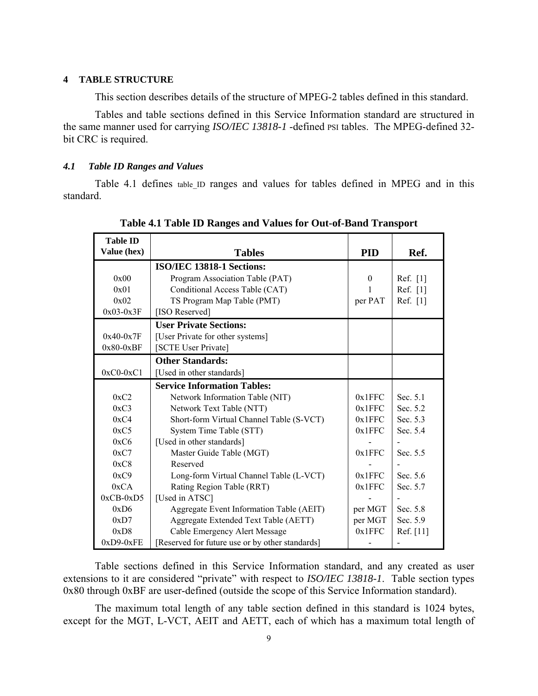#### **4 TABLE STRUCTURE**

This section describes details of the structure of MPEG-2 tables defined in this standard.

Tables and table sections defined in this Service Information standard are structured in the same manner used for carrying *ISO/IEC 13818-1* -defined PSI tables. The MPEG-defined 32 bit CRC is required.

#### *4.1 Table ID Ranges and Values*

Table 4.1 defines table ID ranges and values for tables defined in MPEG and in this standard.

| <b>Table ID</b><br>Value (hex)<br><b>Tables</b> |                                                 | <b>PID</b>   | Ref.       |
|-------------------------------------------------|-------------------------------------------------|--------------|------------|
|                                                 | ISO/IEC 13818-1 Sections:                       |              |            |
| 0x00                                            | Program Association Table (PAT)                 | $\mathbf{0}$ | Ref. [1]   |
| 0x01                                            | Conditional Access Table (CAT)                  |              | Ref. $[1]$ |
| 0x02                                            | TS Program Map Table (PMT)                      | per PAT      | Ref. [1]   |
| $0x03-0x3F$                                     | [ISO Reserved]                                  |              |            |
|                                                 | <b>User Private Sections:</b>                   |              |            |
| $0x40-0x7F$                                     | [User Private for other systems]                |              |            |
| $0x80-0xBF$                                     | [SCTE User Private]                             |              |            |
|                                                 | <b>Other Standards:</b>                         |              |            |
| $0xC0-0xC1$                                     | [Used in other standards]                       |              |            |
|                                                 | <b>Service Information Tables:</b>              |              |            |
| 0xC2                                            | Network Information Table (NIT)                 | 0x1FFC       | Sec. 5.1   |
| 0xC3                                            | Network Text Table (NTT)                        | 0x1FFC       | Sec. 5.2   |
| 0xC4                                            | Short-form Virtual Channel Table (S-VCT)        | 0x1FFC       | Sec. 5.3   |
| 0xC5                                            | System Time Table (STT)                         | 0x1FFC       | Sec. 5.4   |
| 0xC6                                            | [Used in other standards]                       |              |            |
| 0xC7                                            | Master Guide Table (MGT)                        | 0x1FFC       | Sec. 5.5   |
| 0xC8                                            | Reserved                                        |              |            |
| 0xC9                                            | Long-form Virtual Channel Table (L-VCT)         | 0x1FFC       | Sec. 5.6   |
| 0xCA                                            | Rating Region Table (RRT)                       | 0x1FFC       | Sec. 5.7   |
| $0xCB-0xD5$                                     | [Used in ATSC]                                  |              |            |
| 0xD6                                            | Aggregate Event Information Table (AEIT)        | per MGT      | Sec. 5.8   |
| Aggregate Extended Text Table (AETT)<br>0xD7    |                                                 | per MGT      | Sec. 5.9   |
| 0xD8                                            | Cable Emergency Alert Message                   | 0x1FFC       | Ref. [11]  |
| $0xD9-0xFE$                                     | [Reserved for future use or by other standards] |              |            |

#### **Table 4.1 Table ID Ranges and Values for Out-of-Band Transport**

Table sections defined in this Service Information standard, and any created as user extensions to it are considered "private" with respect to *ISO/IEC 13818-1*. Table section types 0x80 through 0xBF are user-defined (outside the scope of this Service Information standard).

The maximum total length of any table section defined in this standard is 1024 bytes, except for the MGT, L-VCT, AEIT and AETT, each of which has a maximum total length of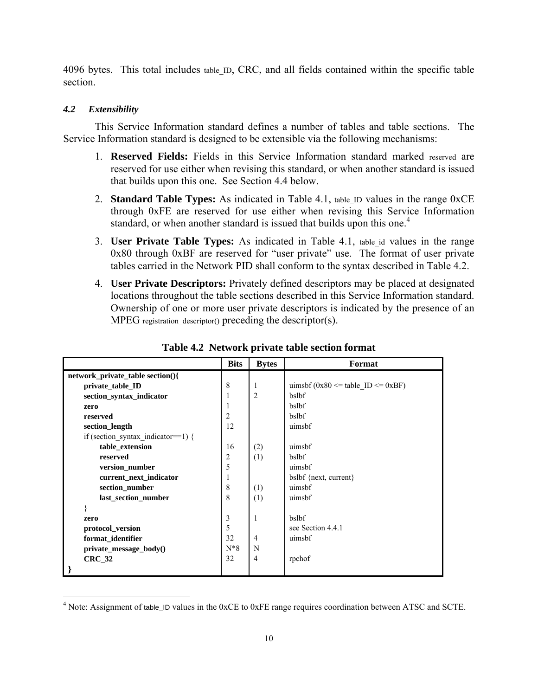4096 bytes. This total includes table\_ID, CRC, and all fields contained within the specific table section.

# *4.2 Extensibility*

 $\overline{a}$ 

This Service Information standard defines a number of tables and table sections. The Service Information standard is designed to be extensible via the following mechanisms:

- 1. **Reserved Fields:** Fields in this Service Information standard marked reserved are reserved for use either when revising this standard, or when another standard is issued that builds upon this one. See Section 4.4 below.
- 2. **Standard Table Types:** As indicated in Table 4.1, table\_ID values in the range 0xCE through 0xFE are reserved for use either when revising this Service Information standard, or when another standard is issued that builds upon this one.<sup>4</sup>
- 3. **User Private Table Types:** As indicated in Table 4.1, table id values in the range 0x80 through 0xBF are reserved for "user private" use. The format of user private tables carried in the Network PID shall conform to the syntax described in Table 4.2.
- 4. **User Private Descriptors:** Privately defined descriptors may be placed at designated locations throughout the table sections described in this Service Information standard. Ownership of one or more user private descriptors is indicated by the presence of an  $MPEG$  registration descriptor() preceding the descriptor(s).

|                                    | <b>Bits</b>    | <b>Bytes</b>   | Format                                    |
|------------------------------------|----------------|----------------|-------------------------------------------|
| network_private_table section(){   |                |                |                                           |
| private table ID                   | 8              | 1              | uimsbf (0x80 $\leq$ table ID $\leq$ 0xBF) |
| section_syntax_indicator           | 1              | $\overline{2}$ | bslbf                                     |
| zero                               |                |                | bslbf                                     |
| reserved                           | $\overline{2}$ |                | bslbf                                     |
| section_length                     | 12             |                | uimsbf                                    |
| if (section_syntax_indicator==1) { |                |                |                                           |
| table extension                    | 16             | (2)            | uimsbf                                    |
| reserved                           | $\overline{2}$ | (1)            | bslbf                                     |
| version_number                     | 5              |                | uimsbf                                    |
| current next indicator             | 1              |                | bslbf {next, current}                     |
| section_number                     | 8              | (1)            | uimsbf                                    |
| last section number                | 8              | (1)            | uimsbf                                    |
|                                    |                |                |                                           |
| zero                               | 3              | $\mathbf{1}$   | bslbf                                     |
| protocol_version                   | 5              |                | see Section 4.4.1                         |
| format_identifier                  | 32             | $\overline{4}$ | uimsbf                                    |
| private_message_body()             | $N*8$          | N              |                                           |
| <b>CRC 32</b>                      | 32             | $\overline{4}$ | rpchof                                    |
|                                    |                |                |                                           |

**Table 4.2 Network private table section format** 

 $4$  Note: Assignment of table\_ID values in the 0xCE to 0xFE range requires coordination between ATSC and SCTE.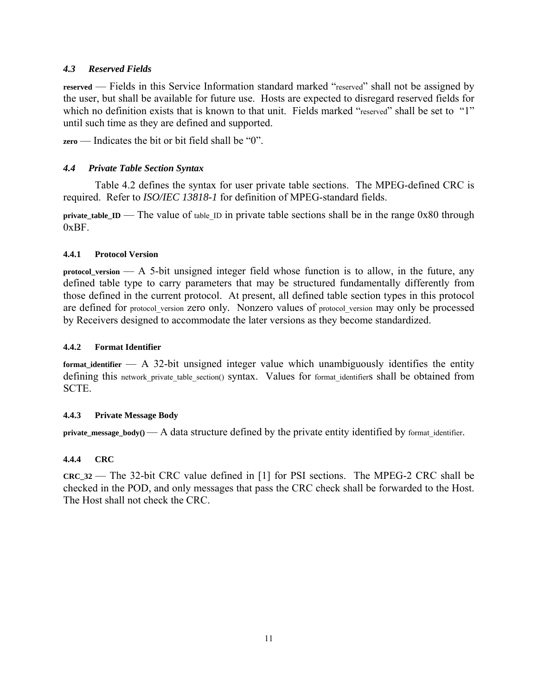# *4.3 Reserved Fields*

**reserved** — Fields in this Service Information standard marked "reserved" shall not be assigned by the user, but shall be available for future use. Hosts are expected to disregard reserved fields for which no definition exists that is known to that unit. Fields marked "reserved" shall be set to "1" until such time as they are defined and supported.

**zero** — Indicates the bit or bit field shall be "0".

# *4.4 Private Table Section Syntax*

Table 4.2 defines the syntax for user private table sections. The MPEG-defined CRC is required. Refer to *ISO/IEC 13818-1* for definition of MPEG-standard fields.

**private table ID** — The value of table ID in private table sections shall be in the range  $0x80$  through  $0xBF$ .

### **4.4.1 Protocol Version**

**protocol\_version** — A 5-bit unsigned integer field whose function is to allow, in the future, any defined table type to carry parameters that may be structured fundamentally differently from those defined in the current protocol. At present, all defined table section types in this protocol are defined for protocol version zero only. Nonzero values of protocol version may only be processed by Receivers designed to accommodate the later versions as they become standardized.

#### **4.4.2 Format Identifier**

**format\_identifier** — A 32-bit unsigned integer value which unambiguously identifies the entity defining this network private table section() syntax. Values for format identifiers shall be obtained from SCTE.

### **4.4.3 Private Message Body**

**private\_message\_body() — A data structure defined by the private entity identified by format identifier.** 

### **4.4.4 CRC**

**CRC\_32** — The 32-bit CRC value defined in [1] for PSI sections. The MPEG-2 CRC shall be checked in the POD, and only messages that pass the CRC check shall be forwarded to the Host. The Host shall not check the CRC.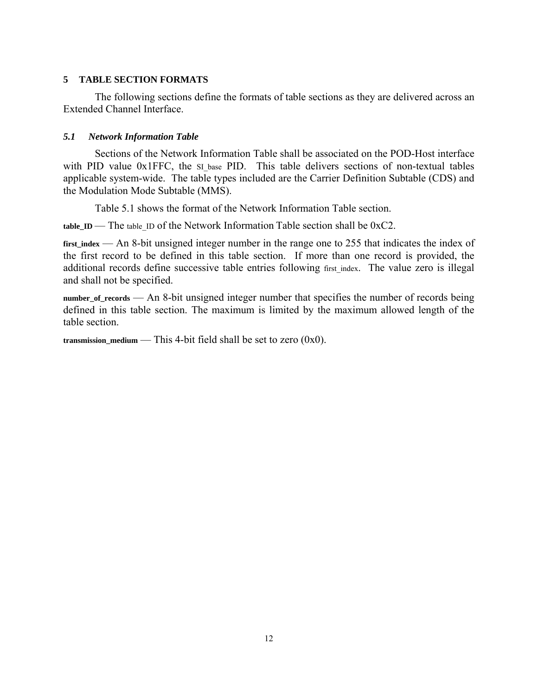# **5 TABLE SECTION FORMATS**

The following sections define the formats of table sections as they are delivered across an Extended Channel Interface.

# *5.1 Network Information Table*

Sections of the Network Information Table shall be associated on the POD-Host interface with PID value 0x1FFC, the SI base PID. This table delivers sections of non-textual tables applicable system-wide. The table types included are the Carrier Definition Subtable (CDS) and the Modulation Mode Subtable (MMS).

Table 5.1 shows the format of the Network Information Table section.

**table\_ID** — The table\_ID of the Network Information Table section shall be 0xC2.

first index — An 8-bit unsigned integer number in the range one to 255 that indicates the index of the first record to be defined in this table section. If more than one record is provided, the additional records define successive table entries following first index. The value zero is illegal and shall not be specified.

**number\_of\_records** — An 8-bit unsigned integer number that specifies the number of records being defined in this table section. The maximum is limited by the maximum allowed length of the table section.

**transmission\_medium** — This 4-bit field shall be set to zero  $(0x0)$ .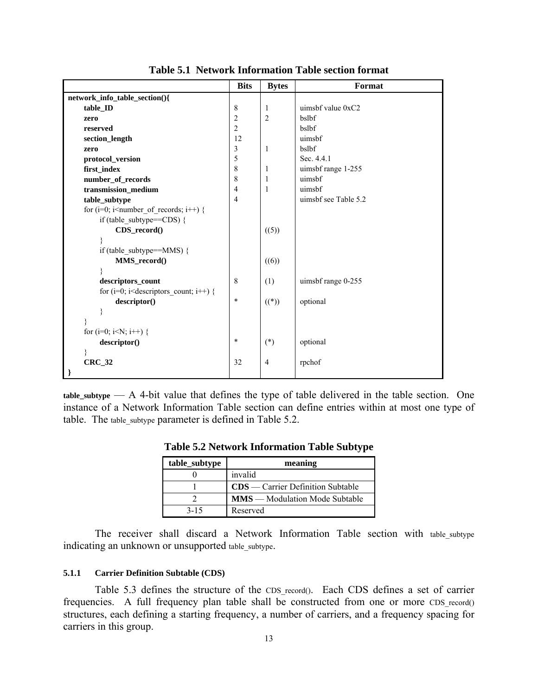|                                                                                                      | <b>Bits</b>    | <b>Bytes</b>   | Format               |
|------------------------------------------------------------------------------------------------------|----------------|----------------|----------------------|
| network_info_table_section(){                                                                        |                |                |                      |
| table ID                                                                                             | $\,$ 8 $\,$    | 1              | uimsbf value $0xC2$  |
| zero                                                                                                 | $\overline{c}$ | $\overline{2}$ | bslbf                |
| reserved                                                                                             | $\overline{c}$ |                | bslbf                |
| section_length                                                                                       | 12             |                | uimsbf               |
| zero                                                                                                 | $\mathfrak{Z}$ | 1              | bslbf                |
| protocol_version                                                                                     | 5              |                | Sec. 4.4.1           |
| first_index                                                                                          | $\,8\,$        | 1              | uimsbf range 1-255   |
| number_of_records                                                                                    | $\,8\,$        | 1              | uimsbf               |
| transmission_medium                                                                                  | $\overline{4}$ | 1              | uimsbf               |
| table_subtype                                                                                        | $\overline{4}$ |                | uimsbf see Table 5.2 |
| for $(i=0; i\leq number_of_recards; i++)$ {                                                          |                |                |                      |
| if (table subtype==CDS) {                                                                            |                |                |                      |
| CDS_record()                                                                                         |                | ((5))          |                      |
| ₹                                                                                                    |                |                |                      |
| if (table_subtype==MMS) {                                                                            |                |                |                      |
| MMS_record()                                                                                         |                | ((6))          |                      |
|                                                                                                      |                |                |                      |
| descriptors_count                                                                                    | 8              | (1)            | uimsbf range 0-255   |
| for (i=0; i <descriptors_count; i++)="" th="" {<=""><th></th><th></th><th></th></descriptors_count;> |                |                |                      |
| descriptor()                                                                                         | $\ast$         | $((*)$         | optional             |
| ₹                                                                                                    |                |                |                      |
|                                                                                                      |                |                |                      |
| for (i=0; i <n; i++)="" th="" {<=""><th></th><th></th><th></th></n;>                                 |                |                |                      |
| descriptor()                                                                                         | $\ast$         | $(*)$          | optional             |
|                                                                                                      |                |                |                      |
| $CRC_32$                                                                                             | 32             | $\overline{4}$ | rpchof               |
| }                                                                                                    |                |                |                      |

**Table 5.1 Network Information Table section format** 

**table\_subtype** — A 4-bit value that defines the type of table delivered in the table section. One instance of a Network Information Table section can define entries within at most one type of table. The table subtype parameter is defined in Table 5.2.

| table_subtype | meaning                               |
|---------------|---------------------------------------|
|               | invalid                               |
|               | $CDS$ — Carrier Definition Subtable   |
|               | <b>MMS</b> — Modulation Mode Subtable |
| $3 - 15$      | Reserved                              |

**Table 5.2 Network Information Table Subtype** 

The receiver shall discard a Network Information Table section with table\_subtype indicating an unknown or unsupported table\_subtype.

#### **5.1.1 Carrier Definition Subtable (CDS)**

Table 5.3 defines the structure of the CDS\_record(). Each CDS defines a set of carrier frequencies. A full frequency plan table shall be constructed from one or more CDS record() structures, each defining a starting frequency, a number of carriers, and a frequency spacing for carriers in this group.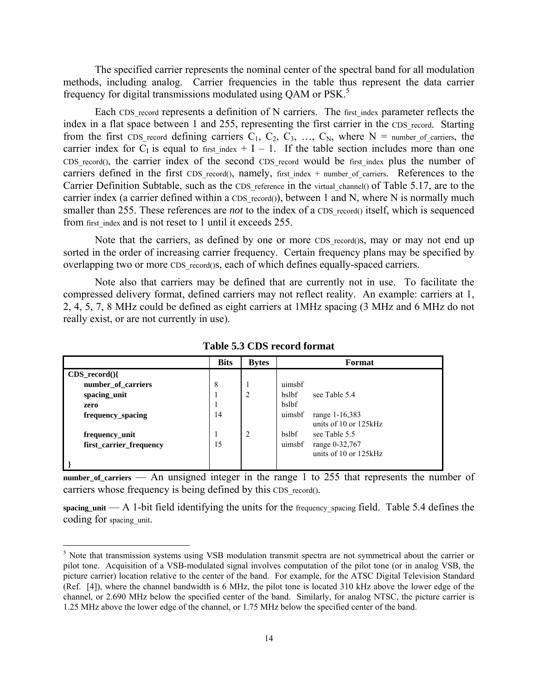The specified carrier represents the nominal center of the spectral band for all modulation methods, including analog. Carrier frequencies in the table thus represent the data carrier frequency for digital transmissions modulated using QAM or PSK.<sup>5</sup>

Each CDS record represents a definition of N carriers. The first index parameter reflects the index in a flat space between 1 and 255, representing the first carrier in the CDS\_record. Starting from the first CDS record defining carriers  $C_1$ ,  $C_2$ ,  $C_3$ , ...,  $C_N$ , where N = number\_of\_carriers, the carrier index for C<sub>I</sub> is equal to first index  $+ I - 1$ . If the table section includes more than one CDS record(), the carrier index of the second CDS record would be first index plus the number of carriers defined in the first CDS record(), namely, first index  $+$  number of carriers. References to the Carrier Definition Subtable, such as the CDS reference in the virtual channel() of Table 5.17, are to the carrier index (a carrier defined within a CDS record()), between 1 and N, where N is normally much smaller than 255. These references are *not* to the index of a CDS record() itself, which is sequenced from first\_index and is not reset to 1 until it exceeds 255.

Note that the carriers, as defined by one or more CDS record()s, may or may not end up sorted in the order of increasing carrier frequency. Certain frequency plans may be specified by overlapping two or more CDS record()s, each of which defines equally-spaced carriers.

Note also that carriers may be defined that are currently not in use. To facilitate the compressed delivery format, defined carriers may not reflect reality. An example: carriers at 1, 2, 4, 5, 7, 8 MHz could be defined as eight carriers at 1MHz spacing (3 MHz and 6 MHz do not really exist, or are not currently in use).

|                         | <b>Bits</b> | <b>Bytes</b> | Format                                            |
|-------------------------|-------------|--------------|---------------------------------------------------|
| $CDS\_record()$         |             |              |                                                   |
| number of carriers      | 8           |              | uimsbf                                            |
| spacing unit            |             | 2            | <b>bslbf</b><br>see Table 5.4                     |
| zero                    |             |              | bslbf                                             |
| frequency spacing       | 14          |              | uimsbf<br>range 1-16,383<br>units of 10 or 125kHz |
|                         |             |              |                                                   |
| frequency_unit          |             | 2            | bslbf<br>see Table 5.5                            |
| first carrier frequency | 15          |              | uimsbf<br>range 0-32,767                          |
|                         |             |              | units of 10 or 125kHz                             |
|                         |             |              |                                                   |

**Table 5.3 CDS record format** 

number of carriers — An unsigned integer in the range 1 to 255 that represents the number of carriers whose frequency is being defined by this CDS record().

**spacing\_unit** — A 1-bit field identifying the units for the frequency\_spacing field. Table 5.4 defines the coding for spacing unit.

 $\overline{a}$ 

<sup>&</sup>lt;sup>5</sup> Note that transmission systems using VSB modulation transmit spectra are not symmetrical about the carrier or pilot tone. Acquisition of a VSB-modulated signal involves computation of the pilot tone (or in analog VSB, the picture carrier) location relative to the center of the band. For example, for the ATSC Digital Television Standard (Ref. [4]), where the channel bandwidth is 6 MHz, the pilot tone is located 310 kHz above the lower edge of the channel, or 2.690 MHz below the specified center of the band. Similarly, for analog NTSC, the picture carrier is 1.25 MHz above the lower edge of the channel, or 1.75 MHz below the specified center of the band.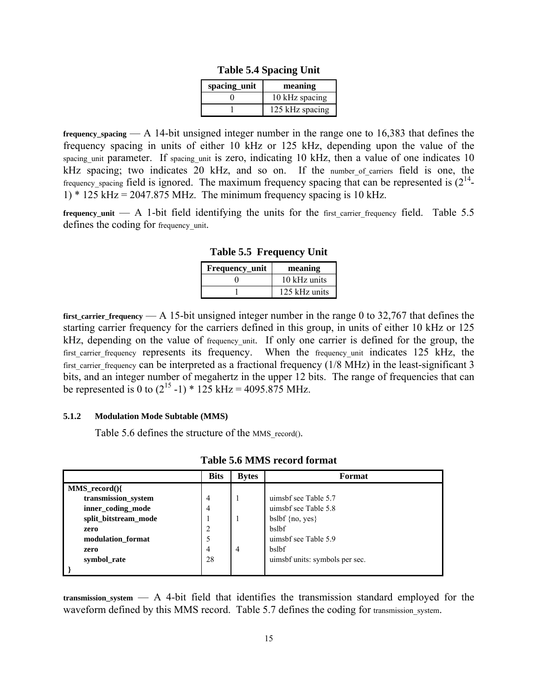| spacing unit | meaning         |
|--------------|-----------------|
|              | 10 kHz spacing  |
|              | 125 kHz spacing |

**Table 5.4 Spacing Unit** 

**frequency\_spacing** — A 14-bit unsigned integer number in the range one to 16,383 that defines the frequency spacing in units of either 10 kHz or 125 kHz, depending upon the value of the spacing\_unit parameter. If spacing\_unit is zero, indicating 10 kHz, then a value of one indicates 10 kHz spacing; two indicates 20 kHz, and so on. If the number of carriers field is one, the frequency\_spacing field is ignored. The maximum frequency spacing that can be represented is  $(2^{14}$ -1)  $*$  125 kHz = 2047.875 MHz. The minimum frequency spacing is 10 kHz.

**frequency\_unit** — A 1-bit field identifying the units for the first carrier frequency field. Table 5.5 defines the coding for frequency\_unit.

**Table 5.5 Frequency Unit** 

| Frequency_unit | meaning       |  |
|----------------|---------------|--|
|                | 10 kHz units  |  |
|                | 125 kHz units |  |

**first** carrier frequency — A 15-bit unsigned integer number in the range 0 to 32,767 that defines the starting carrier frequency for the carriers defined in this group, in units of either 10 kHz or 125 kHz, depending on the value of frequency unit. If only one carrier is defined for the group, the first carrier frequency represents its frequency. When the frequency unit indicates 125 kHz, the first carrier frequency can be interpreted as a fractional frequency (1/8 MHz) in the least-significant 3 bits, and an integer number of megahertz in the upper 12 bits. The range of frequencies that can be represented is 0 to  $(2^{15} - 1) * 125$  kHz = 4095.875 MHz.

#### **5.1.2 Modulation Mode Subtable (MMS)**

Table 5.6 defines the structure of the MMS\_record().

|                      | <b>Bits</b> | <b>Bytes</b> | Format                         |
|----------------------|-------------|--------------|--------------------------------|
| $MMS$ record $()$    |             |              |                                |
| transmission_system  | 4           |              | uimsbf see Table 5.7           |
| inner_coding_mode    | 4           |              | uimsbf see Table 5.8           |
| split_bitstream_mode |             |              | bslbf $\{no, yes\}$            |
| zero                 | 2           |              | bslbf                          |
| modulation format    | 5           |              | uimsbf see Table 5.9           |
| zero                 | 4           | 4            | bslbf                          |
| symbol_rate          | 28          |              | uimsbf units: symbols per sec. |
|                      |             |              |                                |

**Table 5.6 MMS record format** 

**transmission\_system** — A 4-bit field that identifies the transmission standard employed for the waveform defined by this MMS record. Table 5.7 defines the coding for transmission system.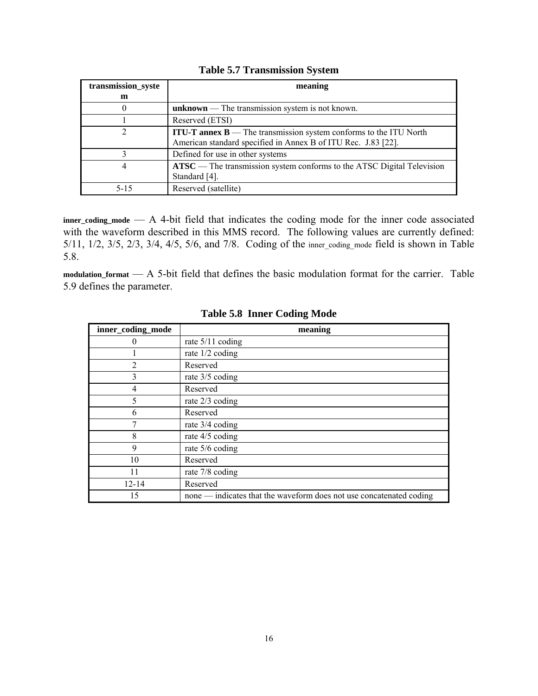| transmission_syste | meaning                                                                               |  |  |  |
|--------------------|---------------------------------------------------------------------------------------|--|--|--|
| m                  |                                                                                       |  |  |  |
| $\theta$           | unknown — The transmission system is not known.                                       |  |  |  |
|                    | Reserved (ETSI)                                                                       |  |  |  |
| 2                  | <b>ITU-T annex <math>B</math></b> — The transmission system conforms to the ITU North |  |  |  |
|                    | American standard specified in Annex B of ITU Rec. J.83 [22].                         |  |  |  |
| 3                  | Defined for use in other systems                                                      |  |  |  |
| 4                  | ATSC — The transmission system conforms to the ATSC Digital Television                |  |  |  |
|                    | Standard [4].                                                                         |  |  |  |
| $5-15$             | Reserved (satellite)                                                                  |  |  |  |

# **Table 5.7 Transmission System**

**inner\_coding\_mode** — A 4-bit field that indicates the coding mode for the inner code associated with the waveform described in this MMS record. The following values are currently defined: 5/11, 1/2, 3/5, 2/3, 3/4, 4/5, 5/6, and 7/8. Coding of the inner\_coding\_mode field is shown in Table 5.8.

**modulation\_format** — A 5-bit field that defines the basic modulation format for the carrier. Table 5.9 defines the parameter.

| inner_coding_mode | meaning                                                             |
|-------------------|---------------------------------------------------------------------|
| 0                 | rate $5/11$ coding                                                  |
|                   | rate 1/2 coding                                                     |
| 2                 | Reserved                                                            |
| 3                 | rate 3/5 coding                                                     |
| 4                 | Reserved                                                            |
| 5                 | rate $2/3$ coding                                                   |
| 6                 | Reserved                                                            |
| 7                 | rate 3/4 coding                                                     |
| 8                 | rate 4/5 coding                                                     |
| 9                 | rate 5/6 coding                                                     |
| 10                | Reserved                                                            |
| 11                | rate 7/8 coding                                                     |
| $12 - 14$         | Reserved                                                            |
| 15                | none — indicates that the waveform does not use concatenated coding |

**Table 5.8 Inner Coding Mode**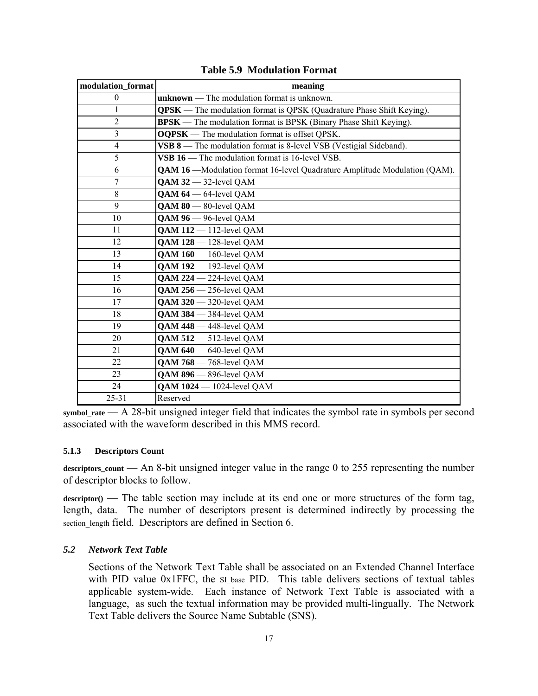| modulation format | meaning                                                                          |  |  |  |
|-------------------|----------------------------------------------------------------------------------|--|--|--|
| $\theta$          | $unknown$ – The modulation format is unknown.                                    |  |  |  |
| $\mathbf{1}$      | <b>QPSK</b> — The modulation format is QPSK (Quadrature Phase Shift Keying).     |  |  |  |
| $\overline{2}$    | <b>BPSK</b> — The modulation format is BPSK (Binary Phase Shift Keying).         |  |  |  |
| 3                 | <b>OQPSK</b> — The modulation format is offset QPSK.                             |  |  |  |
| $\overline{4}$    | VSB 8 — The modulation format is 8-level VSB (Vestigial Sideband).               |  |  |  |
| 5                 | VSB 16 — The modulation format is 16-level VSB.                                  |  |  |  |
| 6                 | <b>QAM 16</b> —Modulation format 16-level Quadrature Amplitude Modulation (QAM). |  |  |  |
| $\overline{7}$    | $QAM$ 32 $-$ 32-level $QAM$                                                      |  |  |  |
| 8                 | $QAM 64 - 64$ -level $QAM$                                                       |  |  |  |
| 9                 | $QAM 80 - 80$ -level $QAM$                                                       |  |  |  |
| 10                | QAM 96 - 96-level QAM                                                            |  |  |  |
| 11                | $QAM$ 112 $-$ 112-level $QAM$                                                    |  |  |  |
| 12                | <b>QAM 128</b> - 128-level QAM                                                   |  |  |  |
| 13                | $QAM160 - 160$ -level $QAM$                                                      |  |  |  |
| 14                | <b>QAM 192</b> - 192-level QAM                                                   |  |  |  |
| 15                | <b>QAM 224</b> - 224-level QAM                                                   |  |  |  |
| 16                | QAM 256 - 256-level QAM                                                          |  |  |  |
| 17                | $QAM$ 320 $-$ 320-level $QAM$                                                    |  |  |  |
| 18                | $QAM$ 384 $-$ 384-level $QAM$                                                    |  |  |  |
| 19                | QAM 448 - 448-level QAM                                                          |  |  |  |
| 20                | <b>QAM 512</b> - 512-level QAM                                                   |  |  |  |
| 21                | $QAM 640 - 640$ -level $QAM$                                                     |  |  |  |
| 22                | <b>QAM 768</b> - 768-level QAM                                                   |  |  |  |
| 23                | QAM 896 - 896-level QAM                                                          |  |  |  |
| 24                | <b>QAM 1024</b> - 1024-level QAM                                                 |  |  |  |
| $25 - 31$         | Reserved                                                                         |  |  |  |

**Table 5.9 Modulation Format** 

**symbol\_rate** — A 28-bit unsigned integer field that indicates the symbol rate in symbols per second associated with the waveform described in this MMS record.

#### **5.1.3 Descriptors Count**

**descriptors\_count** — An 8-bit unsigned integer value in the range 0 to 255 representing the number of descriptor blocks to follow.

 $\text{descriptor}($  — The table section may include at its end one or more structures of the form tag, length, data. The number of descriptors present is determined indirectly by processing the section length field. Descriptors are defined in Section 6.

#### *5.2 Network Text Table*

Sections of the Network Text Table shall be associated on an Extended Channel Interface with PID value 0x1FFC, the si base PID. This table delivers sections of textual tables applicable system-wide. Each instance of Network Text Table is associated with a language, as such the textual information may be provided multi-lingually. The Network Text Table delivers the Source Name Subtable (SNS).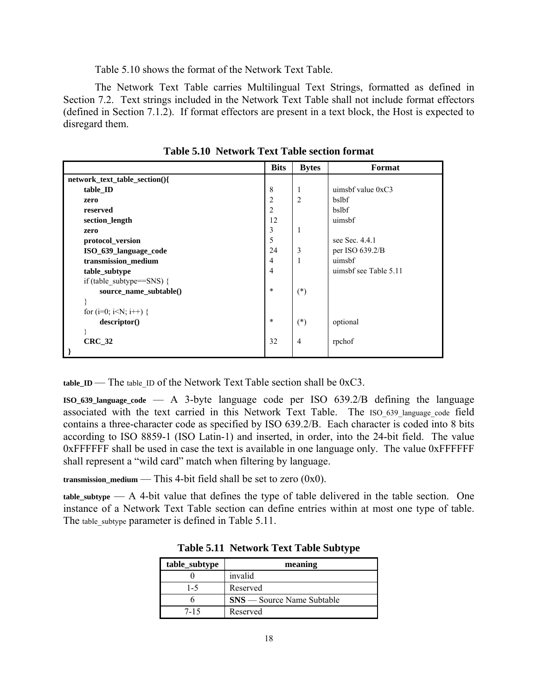Table 5.10 shows the format of the Network Text Table.

The Network Text Table carries Multilingual Text Strings, formatted as defined in Section 7.2. Text strings included in the Network Text Table shall not include format effectors (defined in Section 7.1.2). If format effectors are present in a text block, the Host is expected to disregard them.

|                               | <b>Bits</b>    | <b>Bytes</b>   | Format                |
|-------------------------------|----------------|----------------|-----------------------|
| network_text_table_section(){ |                |                |                       |
| table ID                      | 8              | 1              | uimsbf value $0xC3$   |
| zero                          | $\overline{c}$ | $\overline{c}$ | bslbf                 |
| reserved                      | $\overline{2}$ |                | bslbf                 |
| section_length                | 12             |                | uimsbf                |
| zero                          | 3              | 1              |                       |
| protocol_version              | 5              |                | see Sec. 4.4.1        |
| ISO_639_language_code         | 24             | 3              | per ISO 639.2/B       |
| transmission_medium           | $\overline{4}$ | 1              | uimsbf                |
| table_subtype                 | $\overline{4}$ |                | uimsbf see Table 5.11 |
| if (table subtype== $SNS$ ) { |                |                |                       |
| source_name_subtable()        | $\ast$         | $(*)$          |                       |
|                               |                |                |                       |
| for $(i=0; i< N; i++)$ {      |                |                |                       |
| descriptor()                  | $\ast$         | $(*)$          | optional              |
|                               |                |                |                       |
| $CRC_32$                      | 32             | 4              | rpchof                |
|                               |                |                |                       |

**Table 5.10 Network Text Table section format** 

**table ID** — The table ID of the Network Text Table section shall be 0xC3.

**ISO\_639\_language\_code** — A 3-byte language code per ISO 639.2/B defining the language associated with the text carried in this Network Text Table. The ISO 639 language code field contains a three-character code as specified by ISO 639.2/B. Each character is coded into 8 bits according to ISO 8859-1 (ISO Latin-1) and inserted, in order, into the 24-bit field. The value 0xFFFFFF shall be used in case the text is available in one language only. The value 0xFFFFFF shall represent a "wild card" match when filtering by language.

**transmission\_medium** — This 4-bit field shall be set to zero (0x0).

 $t$  table subtype  $- A 4$ -bit value that defines the type of table delivered in the table section. One instance of a Network Text Table section can define entries within at most one type of table. The table subtype parameter is defined in Table 5.11.

| table_subtype | meaning                           |
|---------------|-----------------------------------|
|               | invalid                           |
| $1-5$         | Reserved                          |
|               | <b>SNS</b> — Source Name Subtable |
| 7-15          | Reserved                          |

**Table 5.11 Network Text Table Subtype**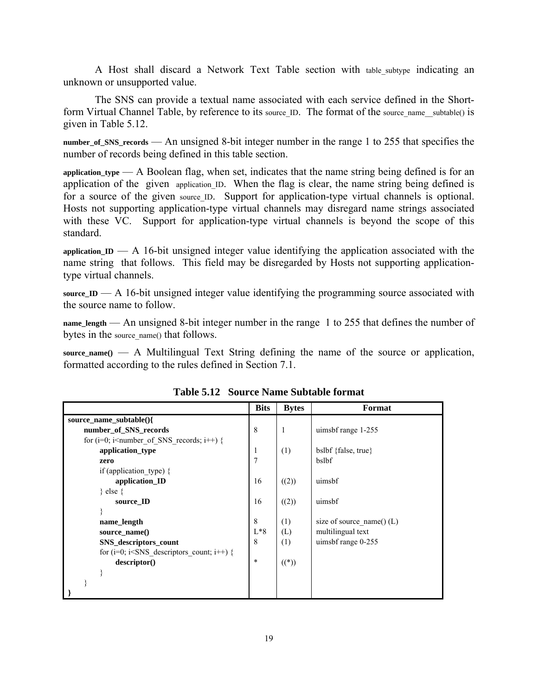A Host shall discard a Network Text Table section with table\_subtype indicating an unknown or unsupported value.

The SNS can provide a textual name associated with each service defined in the Shortform Virtual Channel Table, by reference to its source ID. The format of the source name subtable() is given in Table 5.12.

**number\_of\_SNS\_records** — An unsigned 8-bit integer number in the range 1 to 255 that specifies the number of records being defined in this table section.

**application\_type** — A Boolean flag, when set, indicates that the name string being defined is for an application of the given application ID. When the flag is clear, the name string being defined is for a source of the given source ID. Support for application-type virtual channels is optional. Hosts not supporting application-type virtual channels may disregard name strings associated with these VC. Support for application-type virtual channels is beyond the scope of this standard.

**application\_ID** — A 16-bit unsigned integer value identifying the application associated with the name string that follows. This field may be disregarded by Hosts not supporting applicationtype virtual channels.

**source\_ID** — A 16-bit unsigned integer value identifying the programming source associated with the source name to follow.

**name\_length** — An unsigned 8-bit integer number in the range 1 to 255 that defines the number of bytes in the source name() that follows.

**source\_name()** — A Multilingual Text String defining the name of the source or application, formatted according to the rules defined in Section 7.1.

|                                                                             | <b>Bits</b>    | <b>Bytes</b> | Format                      |
|-----------------------------------------------------------------------------|----------------|--------------|-----------------------------|
| source name subtable(){                                                     |                |              |                             |
| number of SNS records                                                       | 8              | 1            | uimsbf range 1-255          |
| for ( $i=0$ ; $i$ <number <math="" of="" records;="" sns="">i++) {</number> |                |              |                             |
| application type                                                            | 1              | (1)          | bslbf {false, true}         |
| zero                                                                        | $\overline{7}$ |              | bslbf                       |
| if (application type) $\{$                                                  |                |              |                             |
| application_ID                                                              | 16             | ((2))        | uimsbf                      |
| $\}$ else $\{$                                                              |                |              |                             |
| source ID                                                                   | 16             | ((2))        | uimsbf                      |
|                                                                             |                |              |                             |
| name_length                                                                 | 8              | (1)          | size of source name() $(L)$ |
| source_name()                                                               | $L*8$          | (L)          | multilingual text           |
| SNS_descriptors_count                                                       | 8              | (1)          | uimsbf range 0-255          |
| for ( $i=0$ ; $i<$ SNS descriptors count; $i++$ ) {                         |                |              |                             |
| descriptor()                                                                | $\ast$         | $((*)$       |                             |
|                                                                             |                |              |                             |
|                                                                             |                |              |                             |
|                                                                             |                |              |                             |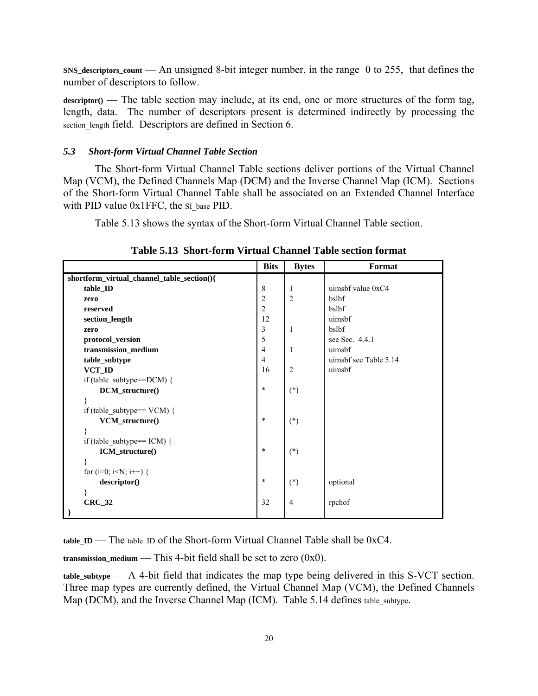**SNS\_descriptors\_count** — An unsigned 8-bit integer number, in the range 0 to 255, that defines the number of descriptors to follow.

descriptor() — The table section may include, at its end, one or more structures of the form tag, length, data. The number of descriptors present is determined indirectly by processing the section length field. Descriptors are defined in Section 6.

#### *5.3 Short-form Virtual Channel Table Section*

The Short-form Virtual Channel Table sections deliver portions of the Virtual Channel Map (VCM), the Defined Channels Map (DCM) and the Inverse Channel Map (ICM). Sections of the Short-form Virtual Channel Table shall be associated on an Extended Channel Interface with PID value 0x1FFC, the SI base PID.

Table 5.13 shows the syntax of the Short-form Virtual Channel Table section.

|                                                                      | <b>Bits</b>    | <b>Bytes</b>   | Format                |
|----------------------------------------------------------------------|----------------|----------------|-----------------------|
| shortform_virtual_channel_table_section(){                           |                |                |                       |
| table_ID                                                             | 8              | 1              | uimsbf value $0xC4$   |
| zero                                                                 | $\overline{c}$ | $\overline{2}$ | bslbf                 |
| reserved                                                             | $\overline{2}$ |                | bslbf                 |
| section_length                                                       | 12             |                | uimsbf                |
| zero                                                                 | 3              | 1              | bslbf                 |
| protocol_version                                                     | 5              |                | see Sec. 4.4.1        |
| transmission_medium                                                  | $\overline{4}$ | 1              | uimsbf                |
| table_subtype                                                        | $\overline{4}$ |                | uimsbf see Table 5.14 |
| VCT ID                                                               | 16             | $\overline{2}$ | uimsbf                |
| if (table subtype== $DCM$ ) {                                        |                |                |                       |
| DCM_structure()                                                      | $\ast$         | $(*)$          |                       |
| ∤                                                                    |                |                |                       |
| if (table subtype== $VCM$ ) {                                        |                |                |                       |
| VCM_structure()                                                      | $\ast$         | $(*)$          |                       |
| }                                                                    |                |                |                       |
| if (table subtype== ICM) {                                           |                |                |                       |
| ICM_structure()                                                      | $\ast$         | $(*)$          |                       |
| ₹                                                                    |                |                |                       |
| for (i=0; i <n; i++)="" th="" {<=""><th></th><th></th><th></th></n;> |                |                |                       |
| descriptor()                                                         | $\ast$         | $(*)$          | optional              |
|                                                                      |                |                |                       |
| $CRC_32$                                                             | 32             | $\overline{4}$ | rpchof                |
| -}                                                                   |                |                |                       |

**Table 5.13 Short-form Virtual Channel Table section format** 

**table ID** — The table ID of the Short-form Virtual Channel Table shall be  $0xC4$ .

**transmission\_medium** — This 4-bit field shall be set to zero (0x0).

**table\_subtype** — A 4-bit field that indicates the map type being delivered in this S-VCT section. Three map types are currently defined, the Virtual Channel Map (VCM), the Defined Channels Map (DCM), and the Inverse Channel Map (ICM). Table 5.14 defines table subtype.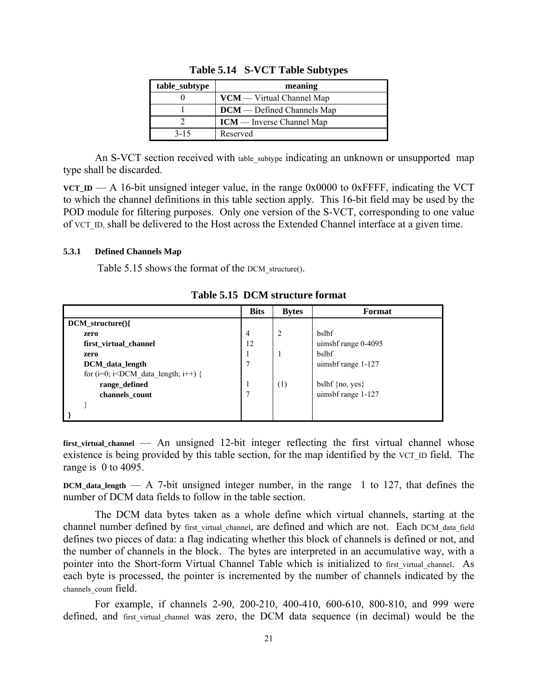| table_subtype | meaning                           |
|---------------|-----------------------------------|
|               | $VCM - Virtual Channel Map$       |
|               | <b>DCM</b> — Defined Channels Map |
|               | $ICM$ — Inverse Channel Map       |
| $3 - 15$      | Reserved                          |

**Table 5.14 S-VCT Table Subtypes** 

An S-VCT section received with table subtype indicating an unknown or unsupported map type shall be discarded.

**VCT\_ID** — A 16-bit unsigned integer value, in the range  $0x0000$  to  $0x$ FFFF, indicating the VCT to which the channel definitions in this table section apply. This 16-bit field may be used by the POD module for filtering purposes. Only one version of the S-VCT, corresponding to one value of VCT\_ID, shall be delivered to the Host across the Extended Channel interface at a given time.

### **5.3.1 Defined Channels Map**

Table 5.15 shows the format of the DCM structure().

|                                              | <b>Bits</b> | <b>Bytes</b>   | Format              |
|----------------------------------------------|-------------|----------------|---------------------|
| $DCM_structure()$                            |             |                |                     |
| zero                                         | 4           | $\overline{2}$ | bslbf               |
| first_virtual_channel                        | 12          |                | uimsbf range 0-4095 |
| zero                                         | 1           |                | bslbf               |
| DCM data length                              | 7           |                | uimsbf range 1-127  |
| for (i=0; i $\times$ DCM data length; i++) { |             |                |                     |
| range_defined                                | л           | (1)            | bslbf $\{no, yes\}$ |
| channels count                               | 7           |                | uimsbf range 1-127  |
|                                              |             |                |                     |
|                                              |             |                |                     |

**Table 5.15 DCM structure format** 

**first\_virtual\_channel** — An unsigned 12-bit integer reflecting the first virtual channel whose existence is being provided by this table section, for the map identified by the VCT ID field. The range is 0 to 4095.

**DCM\_data\_length** — A 7-bit unsigned integer number, in the range 1 to 127, that defines the number of DCM data fields to follow in the table section.

The DCM data bytes taken as a whole define which virtual channels, starting at the channel number defined by first virtual channel, are defined and which are not. Each DCM data field defines two pieces of data: a flag indicating whether this block of channels is defined or not, and the number of channels in the block. The bytes are interpreted in an accumulative way, with a pointer into the Short-form Virtual Channel Table which is initialized to first virtual channel. As each byte is processed, the pointer is incremented by the number of channels indicated by the channels count field.

For example, if channels 2-90, 200-210, 400-410, 600-610, 800-810, and 999 were defined, and first virtual channel was zero, the DCM data sequence (in decimal) would be the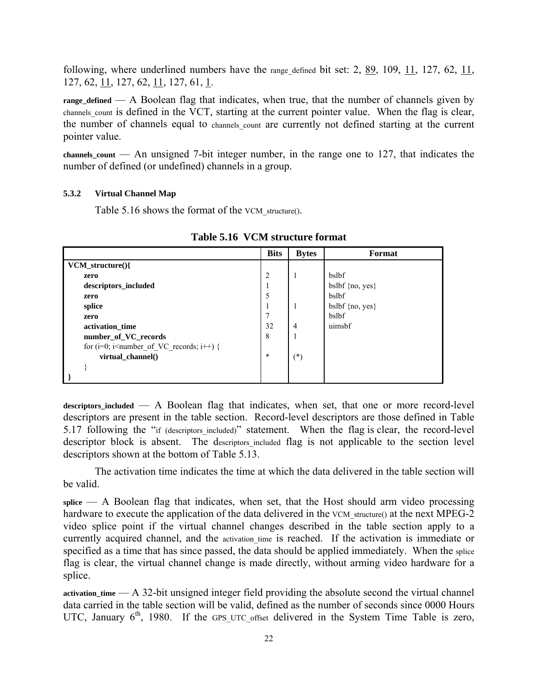following, where underlined numbers have the range defined bit set: 2,  $89$ , 109, 11, 127, 62, 11, 127, 62, 11, 127, 62, 11, 127, 61, 1.

**range\_defined** — A Boolean flag that indicates, when true, that the number of channels given by channels count is defined in the VCT, starting at the current pointer value. When the flag is clear, the number of channels equal to channels count are currently not defined starting at the current pointer value.

**channels\_count** — An unsigned 7-bit integer number, in the range one to 127, that indicates the number of defined (or undefined) channels in a group.

#### **5.3.2 Virtual Channel Map**

Table 5.16 shows the format of the VCM structure().

|                                                                                                      | <b>Bits</b>    | <b>Bytes</b>   | Format              |
|------------------------------------------------------------------------------------------------------|----------------|----------------|---------------------|
| $VCM_structure()$                                                                                    |                |                |                     |
| zero                                                                                                 | $\overline{2}$ | $\mathbf{1}$   | <b>bslbf</b>        |
| descriptors_included                                                                                 | 1              |                | bslbf $\{no, yes\}$ |
| zero                                                                                                 | 5              |                | bslbf               |
| splice                                                                                               | 1              |                | bslbf $\{no, yes\}$ |
| zero                                                                                                 | 7              |                | bslbf               |
| activation time                                                                                      | 32             | $\overline{4}$ | uimsbf              |
| number_of_VC_records                                                                                 | 8              |                |                     |
| for (i=0; i <number i++)="" of="" records;="" th="" vc="" {<=""><th></th><th></th><th></th></number> |                |                |                     |
| virtual_channel()                                                                                    | $\ast$         | $(*)$          |                     |
|                                                                                                      |                |                |                     |
|                                                                                                      |                |                |                     |

**Table 5.16 VCM structure format** 

**descriptors\_included** — A Boolean flag that indicates, when set, that one or more record-level descriptors are present in the table section. Record-level descriptors are those defined in Table 5.17 following the "if (descriptors included)" statement. When the flag is clear, the record-level descriptor block is absent. The descriptors included flag is not applicable to the section level descriptors shown at the bottom of Table 5.13.

The activation time indicates the time at which the data delivered in the table section will be valid.

**splice** — A Boolean flag that indicates, when set, that the Host should arm video processing hardware to execute the application of the data delivered in the VCM structure() at the next MPEG-2 video splice point if the virtual channel changes described in the table section apply to a currently acquired channel, and the activation time is reached. If the activation is immediate or specified as a time that has since passed, the data should be applied immediately. When the splice flag is clear, the virtual channel change is made directly, without arming video hardware for a splice.

**activation\_time** — A 32-bit unsigned integer field providing the absolute second the virtual channel data carried in the table section will be valid, defined as the number of seconds since 0000 Hours UTC, January  $6<sup>th</sup>$ , 1980. If the GPS\_UTC\_offset delivered in the System Time Table is zero,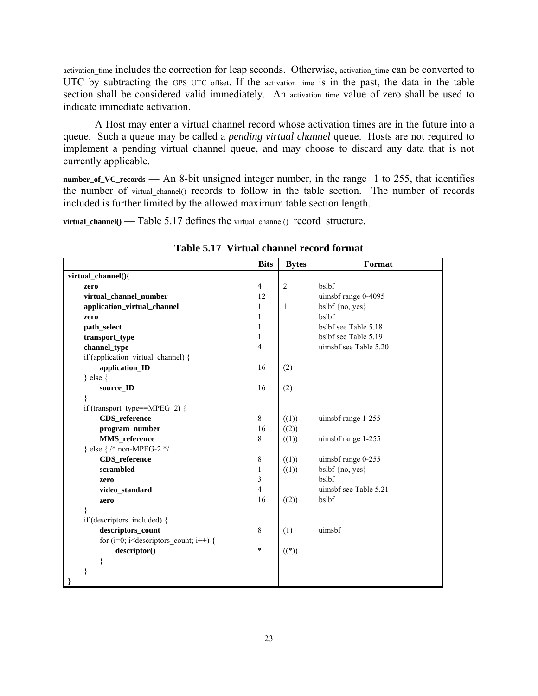activation time includes the correction for leap seconds. Otherwise, activation time can be converted to UTC by subtracting the GPS\_UTC\_offset. If the activation\_time is in the past, the data in the table section shall be considered valid immediately. An activation time value of zero shall be used to indicate immediate activation.

A Host may enter a virtual channel record whose activation times are in the future into a queue. Such a queue may be called a *pending virtual channel* queue. Hosts are not required to implement a pending virtual channel queue, and may choose to discard any data that is not currently applicable.

**number\_of\_VC\_records** — An 8-bit unsigned integer number, in the range 1 to 255, that identifies the number of virtual channel() records to follow in the table section. The number of records included is further limited by the allowed maximum table section length.

**virtual\_channel()** — Table 5.17 defines the virtual channel() record structure.

|                                                                                                  | <b>Bits</b>    | <b>Bytes</b>   | Format                |
|--------------------------------------------------------------------------------------------------|----------------|----------------|-----------------------|
| virtual_channel(){                                                                               |                |                |                       |
| zero                                                                                             | $\overline{4}$ | $\overline{2}$ | bslbf                 |
| virtual_channel_number                                                                           | 12             |                | uimsbf range 0-4095   |
| application_virtual_channel                                                                      | 1              | 1              | bslbf {no, yes}       |
| zero                                                                                             | 1              |                | bslbf                 |
| path_select                                                                                      | 1              |                | bslbf see Table 5.18  |
| transport_type                                                                                   | 1              |                | bslbf see Table 5.19  |
| channel_type                                                                                     | $\overline{4}$ |                | uimsbf see Table 5.20 |
| if (application virtual channel) {                                                               |                |                |                       |
| application_ID                                                                                   | 16             | (2)            |                       |
| $\}$ else $\{$                                                                                   |                |                |                       |
| source_ID                                                                                        | 16             | (2)            |                       |
| }                                                                                                |                |                |                       |
| if (transport_type==MPEG_2) {                                                                    |                |                |                       |
| CDS_reference                                                                                    | 8              | ((1))          | uimsbf range 1-255    |
| program_number                                                                                   | 16             | ((2))          |                       |
| MMS_reference                                                                                    | 8              | ((1))          | uimsbf range 1-255    |
| } else { /* non-MPEG-2 */                                                                        |                |                |                       |
| CDS_reference                                                                                    | 8              | ((1))          | uimsbf range 0-255    |
| scrambled                                                                                        | $\mathbf{1}$   | ((1))          | bslbf ${no, yes}$     |
| zero                                                                                             | $\mathfrak{Z}$ |                | bslbf                 |
| video_standard                                                                                   | $\overline{4}$ |                | uimsbf see Table 5.21 |
| zero                                                                                             | 16             | ((2))          | bslbf                 |
|                                                                                                  |                |                |                       |
| if (descriptors included) {                                                                      |                |                |                       |
| descriptors_count                                                                                | 8              | (1)            | uimsbf                |
| for (i=0; i <descriptors count;="" i++)="" th="" {<=""><th></th><th></th><th></th></descriptors> |                |                |                       |
| descriptor()                                                                                     | $\ast$         | $((*)$         |                       |
| ₹                                                                                                |                |                |                       |
| }                                                                                                |                |                |                       |
|                                                                                                  |                |                |                       |

**Table 5.17 Virtual channel record format**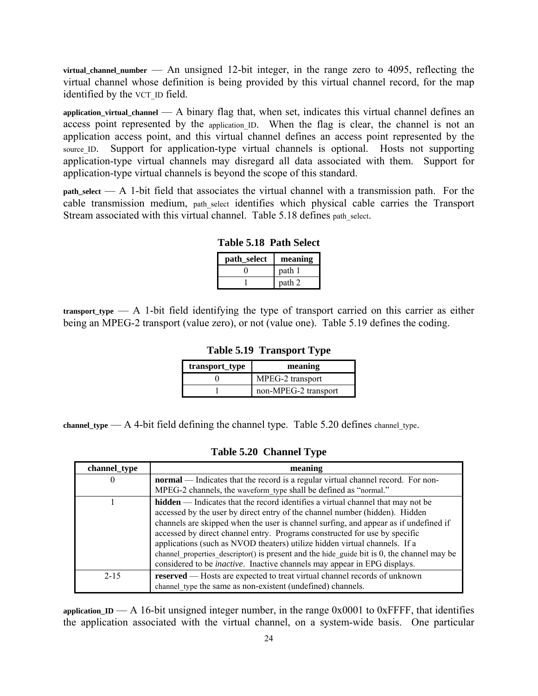**virtual\_channel\_number** — An unsigned 12-bit integer, in the range zero to 4095, reflecting the virtual channel whose definition is being provided by this virtual channel record, for the map identified by the VCT\_ID field.

**application\_virtual\_channel** — A binary flag that, when set, indicates this virtual channel defines an access point represented by the application ID. When the flag is clear, the channel is not an application access point, and this virtual channel defines an access point represented by the source ID. Support for application-type virtual channels is optional. Hosts not supporting application-type virtual channels may disregard all data associated with them. Support for application-type virtual channels is beyond the scope of this standard.

**path\_select** — A 1-bit field that associates the virtual channel with a transmission path. For the cable transmission medium, path\_select identifies which physical cable carries the Transport Stream associated with this virtual channel. Table 5.18 defines path select.

| path_select | meaning |
|-------------|---------|
|             | path 1  |
|             | path 2  |

**Table 5.18 Path Select** 

**transport\_type** — A 1-bit field identifying the type of transport carried on this carrier as either being an MPEG-2 transport (value zero), or not (value one). Table 5.19 defines the coding.

**Table 5.19 Transport Type** 

| transport_type | meaning              |
|----------------|----------------------|
|                | MPEG-2 transport     |
|                | non-MPEG-2 transport |

**channel\_type** — A 4-bit field defining the channel type. Table  $5.20$  defines channel type.

**Table 5.20 Channel Type** 

| channel_type | meaning                                                                                                                                                                                                                                                                                                                                                                                                                                                                                                                                                                                                        |
|--------------|----------------------------------------------------------------------------------------------------------------------------------------------------------------------------------------------------------------------------------------------------------------------------------------------------------------------------------------------------------------------------------------------------------------------------------------------------------------------------------------------------------------------------------------------------------------------------------------------------------------|
| $\theta$     | <b>normal</b> — Indicates that the record is a regular virtual channel record. For non-                                                                                                                                                                                                                                                                                                                                                                                                                                                                                                                        |
|              | MPEG-2 channels, the waveform type shall be defined as "normal."                                                                                                                                                                                                                                                                                                                                                                                                                                                                                                                                               |
|              | <b>hidden</b> — Indicates that the record identifies a virtual channel that may not be<br>accessed by the user by direct entry of the channel number (hidden). Hidden<br>channels are skipped when the user is channel surfing, and appear as if undefined if<br>accessed by direct channel entry. Programs constructed for use by specific<br>applications (such as NVOD theaters) utilize hidden virtual channels. If a<br>channel properties descriptor() is present and the hide guide bit is $0$ , the channel may be<br>considered to be <i>inactive</i> . Inactive channels may appear in EPG displays. |
| $2 - 15$     | <b>reserved</b> — Hosts are expected to treat virtual channel records of unknown<br>channel type the same as non-existent (undefined) channels.                                                                                                                                                                                                                                                                                                                                                                                                                                                                |

**application ID** — A 16-bit unsigned integer number, in the range  $0x0001$  to  $0x$ FFFF, that identifies the application associated with the virtual channel, on a system-wide basis. One particular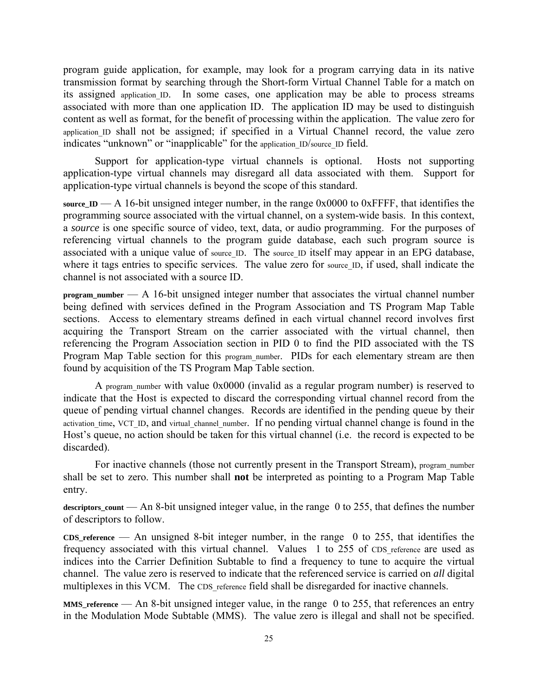program guide application, for example, may look for a program carrying data in its native transmission format by searching through the Short-form Virtual Channel Table for a match on its assigned application ID. In some cases, one application may be able to process streams associated with more than one application ID. The application ID may be used to distinguish content as well as format, for the benefit of processing within the application. The value zero for application ID shall not be assigned; if specified in a Virtual Channel record, the value zero indicates "unknown" or "inapplicable" for the application ID/source ID field.

Support for application-type virtual channels is optional. Hosts not supporting application-type virtual channels may disregard all data associated with them. Support for application-type virtual channels is beyond the scope of this standard.

source<sub>\_ID</sub> — A 16-bit unsigned integer number, in the range  $0x0000$  to  $0xFFFF$ , that identifies the programming source associated with the virtual channel, on a system-wide basis. In this context, a *source* is one specific source of video, text, data, or audio programming. For the purposes of referencing virtual channels to the program guide database, each such program source is associated with a unique value of source ID. The source ID itself may appear in an EPG database, where it tags entries to specific services. The value zero for source<sub>\_ID</sub>, if used, shall indicate the channel is not associated with a source ID.

**program\_number** — A 16-bit unsigned integer number that associates the virtual channel number being defined with services defined in the Program Association and TS Program Map Table sections. Access to elementary streams defined in each virtual channel record involves first acquiring the Transport Stream on the carrier associated with the virtual channel, then referencing the Program Association section in PID 0 to find the PID associated with the TS Program Map Table section for this program number. PIDs for each elementary stream are then found by acquisition of the TS Program Map Table section.

A program number with value 0x0000 (invalid as a regular program number) is reserved to indicate that the Host is expected to discard the corresponding virtual channel record from the queue of pending virtual channel changes. Records are identified in the pending queue by their activation time, VCT\_ID, and virtual channel number. If no pending virtual channel change is found in the Host's queue, no action should be taken for this virtual channel (i.e. the record is expected to be discarded).

For inactive channels (those not currently present in the Transport Stream), program number shall be set to zero. This number shall **not** be interpreted as pointing to a Program Map Table entry.

**descriptors\_count** — An 8-bit unsigned integer value, in the range 0 to 255, that defines the number of descriptors to follow.

**CDS\_reference** — An unsigned 8-bit integer number, in the range 0 to 255, that identifies the frequency associated with this virtual channel. Values 1 to 255 of CDS reference are used as indices into the Carrier Definition Subtable to find a frequency to tune to acquire the virtual channel. The value zero is reserved to indicate that the referenced service is carried on *all* digital multiplexes in this VCM. The CDS reference field shall be disregarded for inactive channels.

**MMS\_reference** — An 8-bit unsigned integer value, in the range 0 to 255, that references an entry in the Modulation Mode Subtable (MMS). The value zero is illegal and shall not be specified.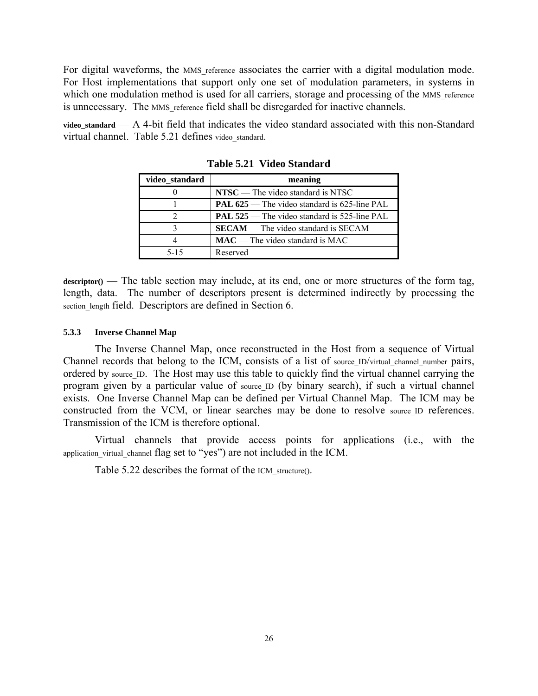For digital waveforms, the MMS reference associates the carrier with a digital modulation mode. For Host implementations that support only one set of modulation parameters, in systems in which one modulation method is used for all carriers, storage and processing of the MMS reference is unnecessary. The MMS reference field shall be disregarded for inactive channels.

**video\_standard** — A 4-bit field that indicates the video standard associated with this non-Standard virtual channel. Table 5.21 defines video standard.

| video standard | meaning                                             |
|----------------|-----------------------------------------------------|
|                | $NTSC$ — The video standard is NTSC                 |
|                | <b>PAL 625</b> — The video standard is 625-line PAL |
|                | <b>PAL 525</b> — The video standard is 525-line PAL |
|                | <b>SECAM</b> — The video standard is SECAM          |
|                | $MAC$ — The video standard is MAC                   |
| $5 - 15$       | Reserved                                            |

**Table 5.21 Video Standard** 

 $\text{descriptor}()$  — The table section may include, at its end, one or more structures of the form tag, length, data. The number of descriptors present is determined indirectly by processing the section length field. Descriptors are defined in Section 6.

#### **5.3.3 Inverse Channel Map**

The Inverse Channel Map, once reconstructed in the Host from a sequence of Virtual Channel records that belong to the ICM, consists of a list of source ID/virtual channel number pairs, ordered by source ID. The Host may use this table to quickly find the virtual channel carrying the program given by a particular value of source ID (by binary search), if such a virtual channel exists. One Inverse Channel Map can be defined per Virtual Channel Map. The ICM may be constructed from the VCM, or linear searches may be done to resolve source ID references. Transmission of the ICM is therefore optional.

Virtual channels that provide access points for applications (i.e., with the application\_virtual\_channel flag set to "yes") are not included in the ICM.

Table 5.22 describes the format of the ICM structure().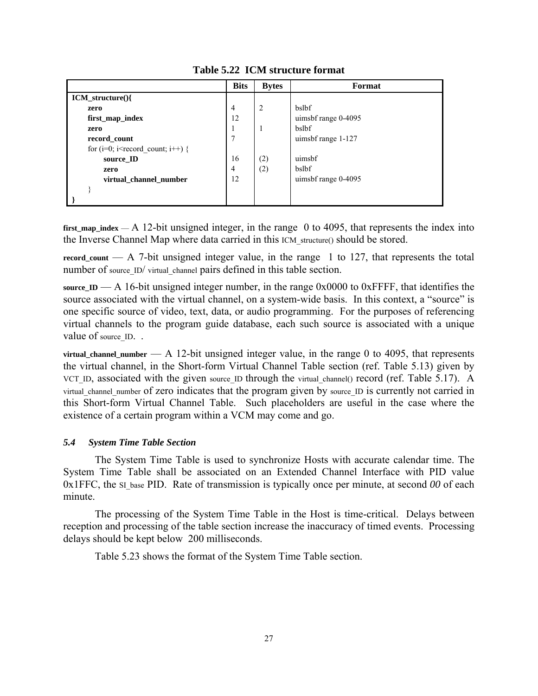|                                                              | <b>Bits</b>    | <b>Bytes</b>   | Format              |
|--------------------------------------------------------------|----------------|----------------|---------------------|
| $ICM_$ structure() $\{$                                      |                |                |                     |
| zero                                                         | 4              | 2              | bslbf               |
| first_map_index                                              | 12             |                | uimsbf range 0-4095 |
| zero                                                         |                | $\overline{1}$ | bslbf               |
| record_count                                                 | 7              |                | uimsbf range 1-127  |
| for ( $i=0$ ; $i$ <record <math="" count;="">i++) {</record> |                |                |                     |
| source ID                                                    | 16             | (2)            | uimsbf              |
| zero                                                         | $\overline{4}$ | (2)            | bslbf               |
| virtual channel number                                       | 12             |                | uimsbf range 0-4095 |
|                                                              |                |                |                     |
|                                                              |                |                |                     |

**Table 5.22 ICM structure format** 

**first\_map\_index** — A 12-bit unsigned integer, in the range 0 to 4095, that represents the index into the Inverse Channel Map where data carried in this ICM\_structure() should be stored.

record count  $-$  A 7-bit unsigned integer value, in the range 1 to 127, that represents the total number of source ID/ virtual channel pairs defined in this table section.

source<sub>-ID</sub> — A 16-bit unsigned integer number, in the range  $0x0000$  to  $0x$ FFFF, that identifies the source associated with the virtual channel, on a system-wide basis. In this context, a "source" is one specific source of video, text, data, or audio programming. For the purposes of referencing virtual channels to the program guide database, each such source is associated with a unique value of source ID. .

 $virual channel number - A 12-bit unsigned integer value, in the range 0 to 4095, that represents$ the virtual channel, in the Short-form Virtual Channel Table section (ref. Table 5.13) given by VCT\_ID, associated with the given source ID through the virtual channel() record (ref. Table 5.17). A virtual\_channel\_number of zero indicates that the program given by source\_ID is currently not carried in this Short-form Virtual Channel Table. Such placeholders are useful in the case where the existence of a certain program within a VCM may come and go.

# *5.4 System Time Table Section*

The System Time Table is used to synchronize Hosts with accurate calendar time. The System Time Table shall be associated on an Extended Channel Interface with PID value  $0x1FFC$ , the SI base PID. Rate of transmission is typically once per minute, at second  $00$  of each minute.

The processing of the System Time Table in the Host is time-critical. Delays between reception and processing of the table section increase the inaccuracy of timed events. Processing delays should be kept below 200 milliseconds.

Table 5.23 shows the format of the System Time Table section.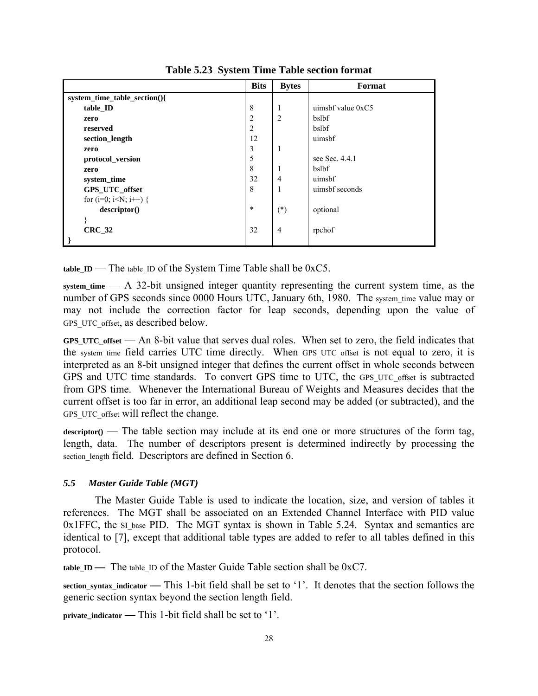|                                                                      | <b>Bits</b>    | <b>Bytes</b>   | Format              |
|----------------------------------------------------------------------|----------------|----------------|---------------------|
| system_time_table_section(){                                         |                |                |                     |
| table_ID                                                             | 8              | 1              | uimsbf value $0xC5$ |
| zero                                                                 | $\overline{c}$ | $\overline{2}$ | bslbf               |
| reserved                                                             | $\overline{2}$ |                | bslbf               |
| section_length                                                       | 12             |                | uimsbf              |
| zero                                                                 | 3              | 1              |                     |
| protocol_version                                                     | 5              |                | see Sec. 4.4.1      |
| zero                                                                 | 8              | 1              | bslbf               |
| system_time                                                          | 32             | $\overline{4}$ | uimsbf              |
| GPS_UTC_offset                                                       | $\,8\,$        | 1              | uimsbf seconds      |
| for (i=0; i <n; i++)="" th="" {<=""><th></th><th></th><th></th></n;> |                |                |                     |
| descriptor()                                                         | $\ast$         | $(*)$          | optional            |
|                                                                      |                |                |                     |
| <b>CRC 32</b>                                                        | 32             | $\overline{4}$ | rpchof              |
|                                                                      |                |                |                     |

**Table 5.23 System Time Table section format** 

**table ID** — The table ID of the System Time Table shall be  $0xC5$ .

**system\_time** — A 32-bit unsigned integer quantity representing the current system time, as the number of GPS seconds since 0000 Hours UTC, January 6th, 1980. The system time value may or may not include the correction factor for leap seconds, depending upon the value of GPS UTC offset, as described below.

**GPS\_UTC\_offset** — An 8-bit value that serves dual roles. When set to zero, the field indicates that the system\_time field carries UTC time directly. When GPS\_UTC\_offset is not equal to zero, it is interpreted as an 8-bit unsigned integer that defines the current offset in whole seconds between GPS and UTC time standards. To convert GPS time to UTC, the GPS UTC offset is subtracted from GPS time. Whenever the International Bureau of Weights and Measures decides that the current offset is too far in error, an additional leap second may be added (or subtracted), and the GPS UTC offset will reflect the change.

 $\alpha$  descriptor( $\beta$ ) — The table section may include at its end one or more structures of the form tag, length, data. The number of descriptors present is determined indirectly by processing the section length field. Descriptors are defined in Section 6.

## *5.5 Master Guide Table (MGT)*

The Master Guide Table is used to indicate the location, size, and version of tables it references. The MGT shall be associated on an Extended Channel Interface with PID value  $0x1FFC$ , the SI base PID. The MGT syntax is shown in Table 5.24. Syntax and semantics are identical to [7], except that additional table types are added to refer to all tables defined in this protocol.

**table\_ID —** The table ID of the Master Guide Table section shall be 0xC7.

**section\_syntax\_indicator —** This 1-bit field shall be set to '1'. It denotes that the section follows the generic section syntax beyond the section length field.

**private** indicator — This 1-bit field shall be set to '1'.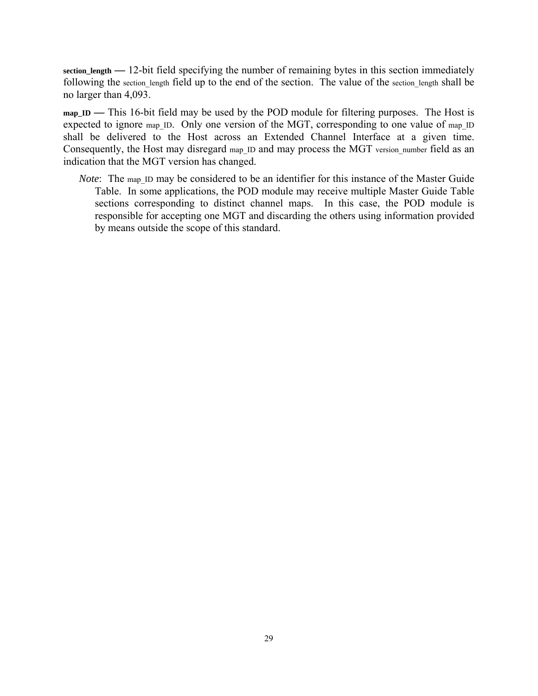**section\_length —** 12-bit field specifying the number of remaining bytes in this section immediately following the section length field up to the end of the section. The value of the section length shall be no larger than 4,093.

map ID — This 16-bit field may be used by the POD module for filtering purposes. The Host is expected to ignore map ID. Only one version of the MGT, corresponding to one value of map ID shall be delivered to the Host across an Extended Channel Interface at a given time. Consequently, the Host may disregard map ID and may process the MGT version number field as an indication that the MGT version has changed.

*Note*: The map ID may be considered to be an identifier for this instance of the Master Guide Table. In some applications, the POD module may receive multiple Master Guide Table sections corresponding to distinct channel maps. In this case, the POD module is responsible for accepting one MGT and discarding the others using information provided by means outside the scope of this standard.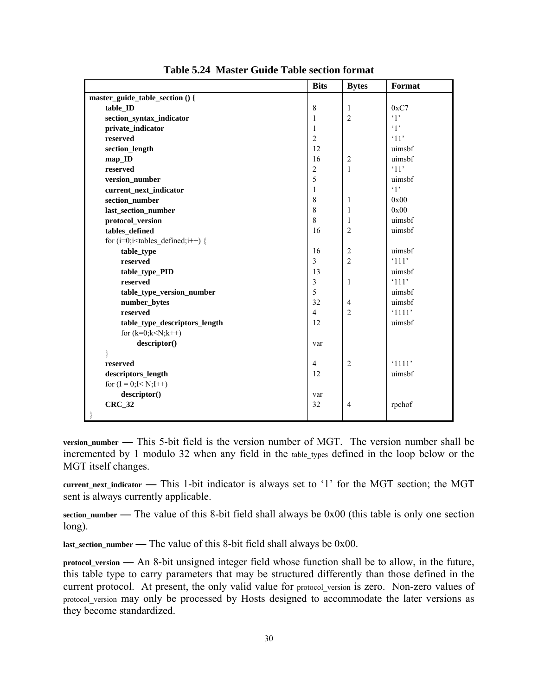|                                             | <b>Bits</b>    | <b>Bytes</b>   | Format      |
|---------------------------------------------|----------------|----------------|-------------|
| master_guide_table_section () {             |                |                |             |
| table_ID                                    | 8              | $\mathbf{1}$   | 0xC7        |
| section_syntax_indicator                    | 1              | $\overline{2}$ | $\cdot$ 1'  |
| private_indicator                           | 1              |                | $\cdot_1$ , |
| reserved                                    | $\overline{2}$ |                | '11'        |
| section_length                              | 12             |                | uimsbf      |
| map_ID                                      | 16             | $\overline{2}$ | uimsbf      |
| reserved                                    | $\overline{2}$ | $\mathbf{1}$   | '11'        |
| version_number                              | 5              |                | uimsbf      |
| current_next_indicator                      | 1              |                | $\cdot_1$   |
| section_number                              | 8              | 1              | 0x00        |
| last_section_number                         | 8              | 1              | 0x00        |
| protocol_version                            | 8              | 1              | uimsbf      |
| tables_defined                              | 16             | $\overline{2}$ | uimsbf      |
| for $(i=0; i \leq tables$ defined; $i++)$ { |                |                |             |
| table_type                                  | 16             | $\overline{2}$ | uimsbf      |
| reserved                                    | $\overline{3}$ | $\overline{2}$ | '111'       |
| table_type_PID                              | 13             |                | uimsbf      |
| reserved                                    | $\mathfrak{Z}$ | $\mathbf{1}$   | '111'       |
| table_type_version_number                   | 5              |                | uimsbf      |
| number_bytes                                | 32             | $\overline{4}$ | uimsbf      |
| reserved                                    | $\overline{4}$ | $\overline{2}$ | '1111'      |
| table_type_descriptors_length               | 12             |                | uimsbf      |
| for $(k=0; k< N; k++)$                      |                |                |             |
| descriptor()                                | var            |                |             |
| }                                           |                |                |             |
| reserved                                    | $\overline{4}$ | $\overline{2}$ | '1111'      |
| descriptors_length                          | 12             |                | uimsbf      |
| for $(I = 0; I < N; I++)$                   |                |                |             |
| descriptor()                                | var            |                |             |
| <b>CRC_32</b>                               | 32             | $\overline{4}$ | rpchof      |
|                                             |                |                |             |

**Table 5.24 Master Guide Table section format** 

**version\_number —** This 5-bit field is the version number of MGT. The version number shall be incremented by 1 modulo 32 when any field in the table types defined in the loop below or the MGT itself changes.

**current\_next\_indicator —** This 1-bit indicator is always set to '1' for the MGT section; the MGT sent is always currently applicable.

**section\_number —** The value of this 8-bit field shall always be 0x00 (this table is only one section long).

**last\_section\_number —** The value of this 8-bit field shall always be 0x00.

**protocol\_version —** An 8-bit unsigned integer field whose function shall be to allow, in the future, this table type to carry parameters that may be structured differently than those defined in the current protocol. At present, the only valid value for protocol version is zero. Non-zero values of protocol\_version may only be processed by Hosts designed to accommodate the later versions as they become standardized.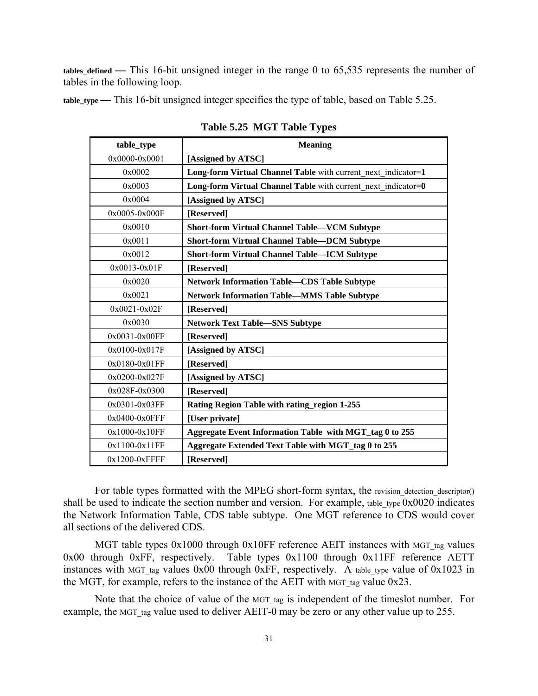**tables\_defined —** This 16-bit unsigned integer in the range 0 to 65,535 represents the number of tables in the following loop.

**table\_type —** This 16-bit unsigned integer specifies the type of table, based on Table 5.25.

| table_type         | <b>Meaning</b>                                                |
|--------------------|---------------------------------------------------------------|
| $0x0000 - 0x0001$  | [Assigned by ATSC]                                            |
| 0x0002             | Long-form Virtual Channel Table with current next indicator=1 |
| 0x0003             | Long-form Virtual Channel Table with current_next_indicator=0 |
| 0x0004             | [Assigned by ATSC]                                            |
| 0x0005-0x000F      | [Reserved]                                                    |
| 0x0010             | <b>Short-form Virtual Channel Table—VCM Subtype</b>           |
| 0x0011             | <b>Short-form Virtual Channel Table—DCM Subtype</b>           |
| 0x0012             | <b>Short-form Virtual Channel Table—ICM Subtype</b>           |
| $0x0013 - 0x01F$   | [Reserved]                                                    |
| 0x0020             | <b>Network Information Table—CDS Table Subtype</b>            |
| 0x0021             | <b>Network Information Table—MMS Table Subtype</b>            |
| $0x0021 - 0x02F$   | [Reserved]                                                    |
| 0x0030             | <b>Network Text Table-SNS Subtype</b>                         |
| $0x0031 - 0x00FF$  | [Reserved]                                                    |
| $0x0100 - 0x017F$  | [Assigned by ATSC]                                            |
| 0x0180-0x01FF      | [Reserved]                                                    |
| $0x0200 - 0x027F$  | [Assigned by ATSC]                                            |
| 0x028F-0x0300      | [Reserved]                                                    |
| 0x0301-0x03FF      | Rating Region Table with rating region 1-255                  |
| $0x0400 - 0x0$ FFF | [User private]                                                |
| $0x1000-0x10FF$    | Aggregate Event Information Table with MGT_tag 0 to 255       |
| $0x1100-0x11FF$    | Aggregate Extended Text Table with MGT_tag 0 to 255           |
| $0x1200-0xFFFF$    | [Reserved]                                                    |

**Table 5.25 MGT Table Types** 

For table types formatted with the MPEG short-form syntax, the revision detection descriptor() shall be used to indicate the section number and version. For example, table type  $0x0020$  indicates the Network Information Table, CDS table subtype. One MGT reference to CDS would cover all sections of the delivered CDS.

MGT table types  $0x1000$  through  $0x10FF$  reference AEIT instances with MGT tag values 0x00 through 0xFF, respectively. Table types 0x1100 through 0x11FF reference AETT instances with MGT tag values  $0x00$  through  $0xFF$ , respectively. A table type value of  $0x1023$  in the MGT, for example, refers to the instance of the AEIT with MGT tag value  $0x23$ .

Note that the choice of value of the MGT tag is independent of the timeslot number. For example, the MGT tag value used to deliver AEIT-0 may be zero or any other value up to 255.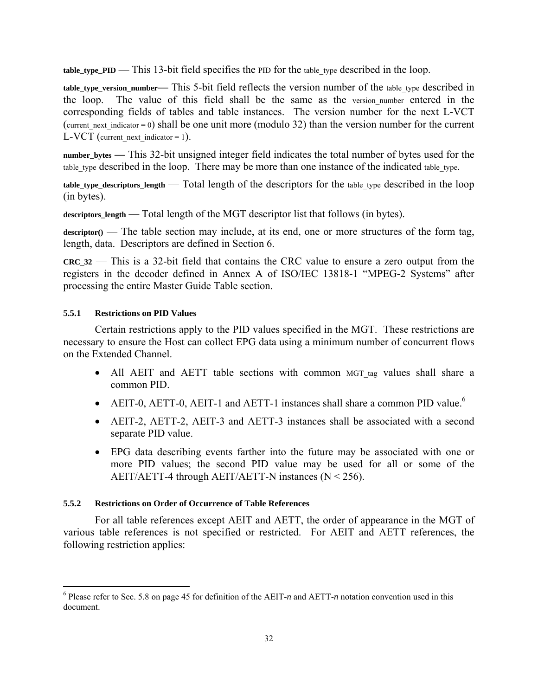**table type**  $PID$  **— This 13-bit field specifies the PID for the table type described in the loop.** 

**table\_type\_version\_number—** This 5-bit field reflects the version number of the table type described in the loop. The value of this field shall be the same as the version number entered in the corresponding fields of tables and table instances. The version number for the next L-VCT (current next indicator = 0) shall be one unit more (modulo 32) than the version number for the current L-VCT (current next indicator = 1).

**number\_bytes —** This 32-bit unsigned integer field indicates the total number of bytes used for the table type described in the loop. There may be more than one instance of the indicated table type.

**table\_type\_descriptors\_length** — Total length of the descriptors for the table\_type described in the loop (in bytes).

descriptors length — Total length of the MGT descriptor list that follows (in bytes).

descriptor() — The table section may include, at its end, one or more structures of the form tag, length, data. Descriptors are defined in Section 6.

**CRC\_32** — This is a 32-bit field that contains the CRC value to ensure a zero output from the registers in the decoder defined in Annex A of ISO/IEC 13818-1 "MPEG-2 Systems" after processing the entire Master Guide Table section.

## **5.5.1 Restrictions on PID Values**

 $\overline{a}$ 

Certain restrictions apply to the PID values specified in the MGT. These restrictions are necessary to ensure the Host can collect EPG data using a minimum number of concurrent flows on the Extended Channel.

- All AEIT and AETT table sections with common MGT tag values shall share a common PID.
- AEIT-0, AETT-0, AEIT-1 and AETT-1 instances shall share a common PID value.<sup>6</sup>
- AEIT-2, AETT-2, AEIT-3 and AETT-3 instances shall be associated with a second separate PID value.
- EPG data describing events farther into the future may be associated with one or more PID values; the second PID value may be used for all or some of the AEIT/AETT-4 through AEIT/AETT-N instances ( $N < 256$ ).

## **5.5.2 Restrictions on Order of Occurrence of Table References**

For all table references except AEIT and AETT, the order of appearance in the MGT of various table references is not specified or restricted. For AEIT and AETT references, the following restriction applies:

<sup>&</sup>lt;sup>6</sup> Please refer to Sec. 5.8 on page 45 for definition of the AEIT-*n* and AETT-*n* notation convention used in this document.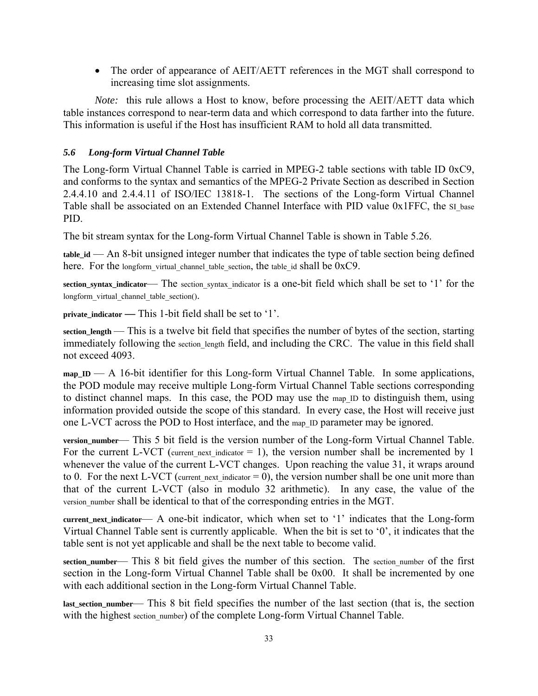• The order of appearance of AEIT/AETT references in the MGT shall correspond to increasing time slot assignments.

*Note:* this rule allows a Host to know, before processing the AEIT/AETT data which table instances correspond to near-term data and which correspond to data farther into the future. This information is useful if the Host has insufficient RAM to hold all data transmitted.

# *5.6 Long-form Virtual Channel Table*

The Long-form Virtual Channel Table is carried in MPEG-2 table sections with table ID 0xC9, and conforms to the syntax and semantics of the MPEG-2 Private Section as described in Section 2.4.4.10 and 2.4.4.11 of ISO/IEC 13818*-*1. The sections of the Long-form Virtual Channel Table shall be associated on an Extended Channel Interface with PID value 0x1FFC, the SI\_base PID.

The bit stream syntax for the Long-form Virtual Channel Table is shown in Table 5.26.

**table\_id** — An 8-bit unsigned integer number that indicates the type of table section being defined here. For the longform virtual channel table section, the table id shall be 0xC9.

**section syntax indicator—** The section syntax indicator is a one-bit field which shall be set to '1' for the longform\_virtual\_channel\_table\_section().

**private\_indicator —** This 1-bit field shall be set to '1'.

**section\_length** — This is a twelve bit field that specifies the number of bytes of the section, starting immediately following the section length field, and including the CRC. The value in this field shall not exceed 4093.

**map\_ID** — A 16-bit identifier for this Long-form Virtual Channel Table. In some applications, the POD module may receive multiple Long-form Virtual Channel Table sections corresponding to distinct channel maps. In this case, the POD may use the map\_ID to distinguish them, using information provided outside the scope of this standard. In every case, the Host will receive just one L-VCT across the POD to Host interface, and the map\_ID parameter may be ignored.

**version\_number**— This 5 bit field is the version number of the Long-form Virtual Channel Table. For the current L-VCT (current next indicator  $= 1$ ), the version number shall be incremented by 1 whenever the value of the current L-VCT changes. Upon reaching the value 31, it wraps around to 0. For the next L-VCT (current next indicator  $= 0$ ), the version number shall be one unit more than that of the current L-VCT (also in modulo 32 arithmetic). In any case, the value of the version number shall be identical to that of the corresponding entries in the MGT.

**current\_next\_indicator**— A one-bit indicator, which when set to '1' indicates that the Long-form Virtual Channel Table sent is currently applicable. When the bit is set to '0', it indicates that the table sent is not yet applicable and shall be the next table to become valid.

section\_number— This 8 bit field gives the number of this section. The section number of the first section in the Long-form Virtual Channel Table shall be 0x00. It shall be incremented by one with each additional section in the Long-form Virtual Channel Table.

**last\_section\_number**— This 8 bit field specifies the number of the last section (that is, the section with the highest section number) of the complete Long-form Virtual Channel Table.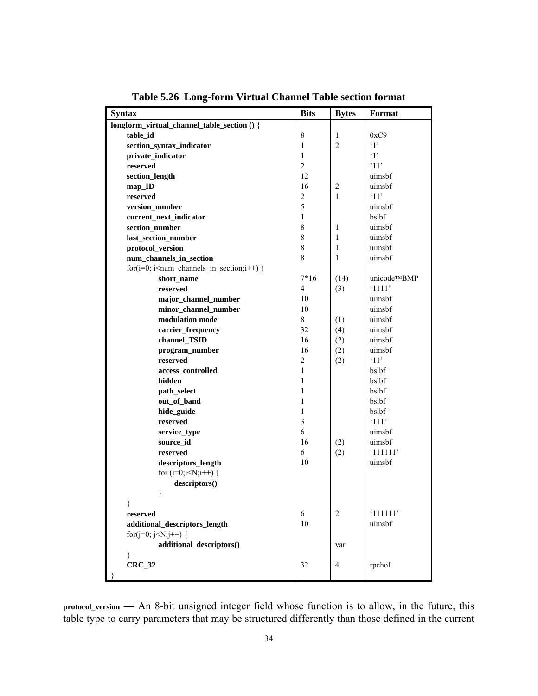| <b>Syntax</b>                                                                          | <b>Bits</b>    | <b>Bytes</b>   | Format         |
|----------------------------------------------------------------------------------------|----------------|----------------|----------------|
| longform_virtual_channel_table_section () {                                            |                |                |                |
| table id                                                                               | $\,$ 8 $\,$    | 1              | 0xC9           |
| section_syntax_indicator                                                               | 1              | $\overline{2}$ | $\cdot_1$      |
| private_indicator                                                                      | 1              |                | $\cdot_1$ ,    |
| reserved                                                                               | $\overline{c}$ |                | '11'           |
| section_length                                                                         | 12             |                | uimsbf         |
| $map$ <sub>ID</sub>                                                                    | 16             | $\overline{c}$ | uimsbf         |
| reserved                                                                               | $\mathbf{2}$   | 1              | '11'           |
| version_number                                                                         | 5              |                | uimsbf         |
| current_next_indicator                                                                 | $\mathbf{1}$   |                | bslbf          |
| section_number                                                                         | $\,$ $\,$      | 1              | uimsbf         |
| last_section_number                                                                    | $\,$ $\,$      | 1              | uimsbf         |
| protocol_version                                                                       | 8              | 1              | uimsbf         |
| num_channels_in_section                                                                | 8              | 1              | uimsbf         |
| for( $i=0$ ; $i$ <num_channels_in_section;<math>i++) {</num_channels_in_section;<math> |                |                |                |
| short_name                                                                             | $7*16$         | (14)           | unicode™BMP    |
| reserved                                                                               | $\overline{4}$ | (3)            | '1111'         |
| major_channel_number                                                                   | 10             |                | uimsbf         |
| minor_channel_number                                                                   | 10             |                | uimsbf         |
| modulation mode                                                                        | 8              | (1)            | uimsbf         |
| carrier_frequency                                                                      | 32             | (4)            | uimsbf         |
| channel_TSID                                                                           | 16             | (2)            | uimsbf         |
| program_number                                                                         | 16             | (2)            | uimsbf         |
| reserved                                                                               | $\overline{c}$ | (2)            | '11'           |
| access_controlled                                                                      | 1              |                | bslbf          |
| hidden                                                                                 | 1              |                | bslbf          |
| path_select                                                                            | 1              |                | bslbf          |
| out_of_band                                                                            | 1              |                | bslbf          |
| hide_guide                                                                             | 1              |                | bslbf          |
| reserved                                                                               | 3              |                | $^{\circ}111'$ |
| service_type                                                                           | 6              |                | uimsbf         |
| source_id                                                                              | 16             | (2)            | uimsbf         |
| reserved                                                                               | 6              | (2)            | '111111'       |
| descriptors_length                                                                     | 10             |                | uimsbf         |
| for $(i=0; i< N; i++)$ {                                                               |                |                |                |
| descriptors()                                                                          |                |                |                |
| }                                                                                      |                |                |                |
|                                                                                        |                |                |                |
| reserved                                                                               | 6              | 2              | '111111'       |
| additional_descriptors_length                                                          | 10             |                | uimsbf         |
| for(j=0; j <n;j++) th="" {<=""><th></th><th></th><th></th></n;j++)>                    |                |                |                |
| additional_descriptors()                                                               |                | var            |                |
| ∤                                                                                      |                |                |                |
| $CRC_32$                                                                               | 32             | 4              | rpchof         |
|                                                                                        |                |                |                |

**Table 5.26 Long-form Virtual Channel Table section format** 

**protocol\_version —** An 8-bit unsigned integer field whose function is to allow, in the future, this table type to carry parameters that may be structured differently than those defined in the current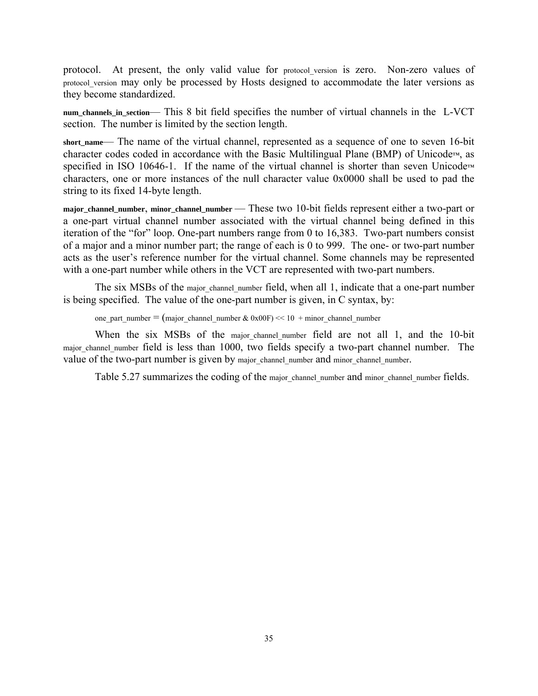protocol. At present, the only valid value for protocol version is zero. Non-zero values of protocol\_version may only be processed by Hosts designed to accommodate the later versions as they become standardized.

num channels in section— This 8 bit field specifies the number of virtual channels in the L-VCT section. The number is limited by the section length.

short name— The name of the virtual channel, represented as a sequence of one to seven 16-bit character codes coded in accordance with the Basic Multilingual Plane (BMP) of Unicode™, as specified in ISO 10646-1. If the name of the virtual channel is shorter than seven Unicode™ characters, one or more instances of the null character value 0x0000 shall be used to pad the string to its fixed 14-byte length.

major channel number, minor channel number — These two 10-bit fields represent either a two-part or a one-part virtual channel number associated with the virtual channel being defined in this iteration of the "for" loop. One-part numbers range from 0 to 16,383. Two-part numbers consist of a major and a minor number part; the range of each is 0 to 999. The one- or two-part number acts as the user's reference number for the virtual channel. Some channels may be represented with a one-part number while others in the VCT are represented with two-part numbers.

The six MSBs of the major channel number field, when all 1, indicate that a one-part number is being specified. The value of the one-part number is given, in C syntax, by:

one\_part\_number =  $(major\_channel\_number \& 0x00F) \ll 10 + minor\_channel\_number$ 

When the six MSBs of the major channel number field are not all 1, and the 10-bit major channel number field is less than 1000, two fields specify a two-part channel number. The value of the two-part number is given by major channel number and minor channel number.

Table 5.27 summarizes the coding of the major channel number and minor channel number fields.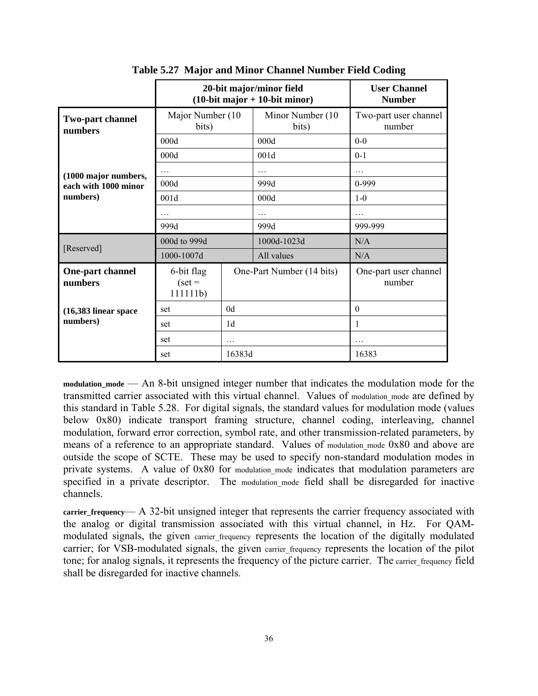|                             |                                             | 20-bit major/minor field<br>$(10-bit major + 10-bit minor)$ | <b>User Channel</b><br><b>Number</b> |                                 |
|-----------------------------|---------------------------------------------|-------------------------------------------------------------|--------------------------------------|---------------------------------|
| Two-part channel<br>numbers | Major Number (10<br>bits)                   |                                                             | Minor Number (10)<br>bits)           | Two-part user channel<br>number |
|                             | 000d                                        |                                                             | 000d                                 | $0 - 0$                         |
|                             | 000d                                        |                                                             | 001d                                 | $0-1$                           |
| (1000 major numbers,        | $\cdots$                                    |                                                             | .                                    | .                               |
| each with 1000 minor        | 000d                                        |                                                             | 999d                                 | $0-999$                         |
| numbers)                    | 001d                                        |                                                             | 000d                                 | $1-0$                           |
|                             | $\cdots$                                    |                                                             | .                                    |                                 |
|                             | 999d                                        |                                                             | 999d                                 | 999-999                         |
|                             | 000d to 999d                                | 1000d-1023d                                                 |                                      | N/A                             |
|                             | [Reserved]<br>1000-1007d<br>All values      |                                                             | N/A                                  |                                 |
| One-part channel<br>numbers | 6-bit flag<br>$\text{ (set } =$<br>111111b) | One-Part Number (14 bits)                                   |                                      | One-part user channel<br>number |
| $(16,383)$ linear space     | set                                         | 0 <sub>d</sub>                                              |                                      | $\theta$                        |
| numbers)                    | set                                         | 1d                                                          |                                      | 1                               |
|                             | set                                         | .                                                           |                                      | .                               |
|                             | set                                         | 16383d                                                      |                                      | 16383                           |

**Table 5.27 Major and Minor Channel Number Field Coding** 

modulation mode — An 8-bit unsigned integer number that indicates the modulation mode for the transmitted carrier associated with this virtual channel. Values of modulation mode are defined by this standard in Table 5.28. For digital signals, the standard values for modulation mode (values below 0x80) indicate transport framing structure, channel coding, interleaving, channel modulation, forward error correction, symbol rate, and other transmission-related parameters, by means of a reference to an appropriate standard. Values of modulation mode 0x80 and above are outside the scope of SCTE. These may be used to specify non-standard modulation modes in private systems. A value of 0x80 for modulation mode indicates that modulation parameters are specified in a private descriptor. The modulation mode field shall be disregarded for inactive channels.

**carrier\_frequency**— A 32-bit unsigned integer that represents the carrier frequency associated with the analog or digital transmission associated with this virtual channel, in Hz. For QAMmodulated signals, the given carrier frequency represents the location of the digitally modulated carrier; for VSB-modulated signals, the given carrier frequency represents the location of the pilot tone; for analog signals, it represents the frequency of the picture carrier. The carrier frequency field shall be disregarded for inactive channels.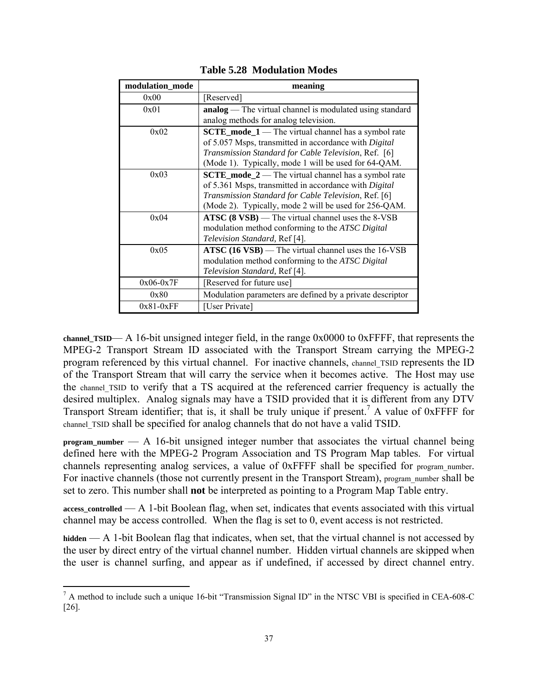| modulation_mode | meaning                                                                                                                                                                                                                           |
|-----------------|-----------------------------------------------------------------------------------------------------------------------------------------------------------------------------------------------------------------------------------|
| 0x00            | [Reserved]                                                                                                                                                                                                                        |
| 0x01            | <b>analog</b> — The virtual channel is modulated using standard<br>analog methods for analog television.                                                                                                                          |
| 0x02            | $SCTE$ mode $1$ — The virtual channel has a symbol rate<br>of 5.057 Msps, transmitted in accordance with Digital<br>Transmission Standard for Cable Television, Ref. [6]<br>(Mode 1). Typically, mode 1 will be used for 64-QAM.  |
| 0x03            | $SCTE$ mode $2$ — The virtual channel has a symbol rate<br>of 5.361 Msps, transmitted in accordance with Digital<br>Transmission Standard for Cable Television, Ref. [6]<br>(Mode 2). Typically, mode 2 will be used for 256-QAM. |
| 0x04            | ATSC (8 VSB) — The virtual channel uses the 8-VSB<br>modulation method conforming to the ATSC Digital<br>Television Standard, Ref [4].                                                                                            |
| 0x05            | $\text{ATSC}$ (16 VSB) — The virtual channel uses the 16-VSB<br>modulation method conforming to the ATSC Digital<br>Television Standard, Ref [4].                                                                                 |
| $0x06-0x7F$     | [Reserved for future use]                                                                                                                                                                                                         |
| 0x80            | Modulation parameters are defined by a private descriptor                                                                                                                                                                         |
| $0x81-0xFF$     | [User Private]                                                                                                                                                                                                                    |

**Table 5.28 Modulation Modes** 

**channel\_TSID**— A 16-bit unsigned integer field, in the range 0x0000 to 0xFFFF, that represents the MPEG-2 Transport Stream ID associated with the Transport Stream carrying the MPEG-2 program referenced by this virtual channel. For inactive channels, channel TSID represents the ID of the Transport Stream that will carry the service when it becomes active. The Host may use the channel TSID to verify that a TS acquired at the referenced carrier frequency is actually the desired multiplex. Analog signals may have a TSID provided that it is different from any DTV Transport Stream identifier; that is, it shall be truly unique if present.<sup>7</sup> A value of  $0x$ FFFF for channel TSID shall be specified for analog channels that do not have a valid TSID.

**program\_number** — A 16-bit unsigned integer number that associates the virtual channel being defined here with the MPEG-2 Program Association and TS Program Map tables. For virtual channels representing analog services, a value of 0xFFFF shall be specified for program\_number. For inactive channels (those not currently present in the Transport Stream), program\_number shall be set to zero. This number shall **not** be interpreted as pointing to a Program Map Table entry.

**access\_controlled** — A 1-bit Boolean flag, when set, indicates that events associated with this virtual channel may be access controlled. When the flag is set to 0, event access is not restricted.

**hidden** — A 1-bit Boolean flag that indicates, when set, that the virtual channel is not accessed by the user by direct entry of the virtual channel number. Hidden virtual channels are skipped when the user is channel surfing, and appear as if undefined, if accessed by direct channel entry.

 $\overline{a}$ 

 $^7$  A method to include such a unique 16-bit "Transmission Signal ID" in the NTSC VBI is specified in CEA-608-C [26].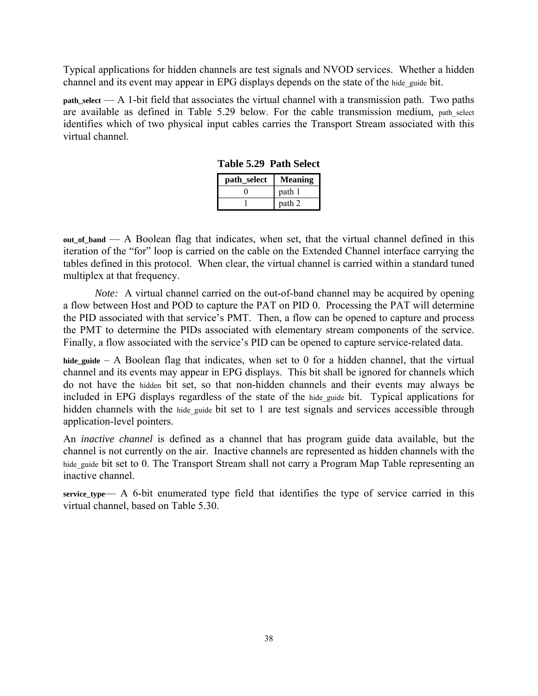Typical applications for hidden channels are test signals and NVOD services. Whether a hidden channel and its event may appear in EPG displays depends on the state of the hide\_guide bit.

**path\_select** — A 1-bit field that associates the virtual channel with a transmission path. Two paths are available as defined in Table 5.29 below. For the cable transmission medium, path select identifies which of two physical input cables carries the Transport Stream associated with this virtual channel.

| path_select | <b>Meaning</b> |
|-------------|----------------|
|             | path 1         |
|             | path 2         |

**Table 5.29 Path Select** 

**out\_of\_band** — A Boolean flag that indicates, when set, that the virtual channel defined in this iteration of the "for" loop is carried on the cable on the Extended Channel interface carrying the tables defined in this protocol. When clear, the virtual channel is carried within a standard tuned multiplex at that frequency.

*Note:* A virtual channel carried on the out-of-band channel may be acquired by opening a flow between Host and POD to capture the PAT on PID 0. Processing the PAT will determine the PID associated with that service's PMT. Then, a flow can be opened to capture and process the PMT to determine the PIDs associated with elementary stream components of the service. Finally, a flow associated with the service's PID can be opened to capture service-related data.

**hide\_guide** – A Boolean flag that indicates, when set to 0 for a hidden channel, that the virtual channel and its events may appear in EPG displays. This bit shall be ignored for channels which do not have the hidden bit set, so that non-hidden channels and their events may always be included in EPG displays regardless of the state of the hide guide bit. Typical applications for hidden channels with the hide guide bit set to 1 are test signals and services accessible through application-level pointers.

An *inactive channel* is defined as a channel that has program guide data available, but the channel is not currently on the air. Inactive channels are represented as hidden channels with the hide guide bit set to 0. The Transport Stream shall not carry a Program Map Table representing an inactive channel.

**service\_type**— A 6-bit enumerated type field that identifies the type of service carried in this virtual channel, based on Table 5.30.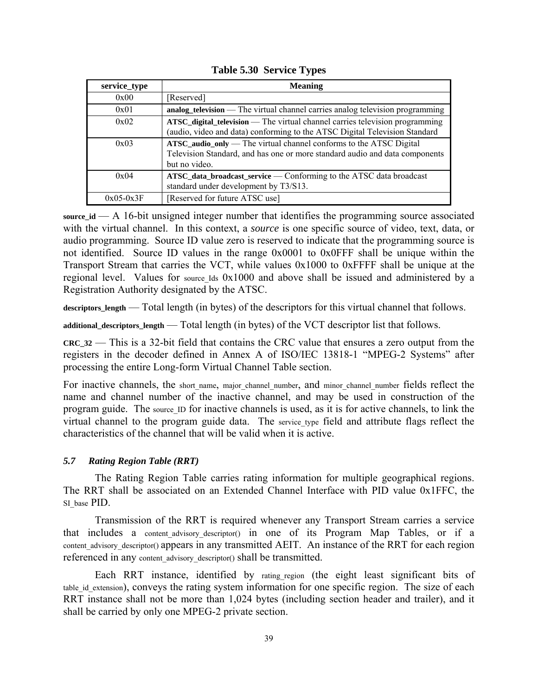| service_type | <b>Meaning</b>                                                                                                                                                     |
|--------------|--------------------------------------------------------------------------------------------------------------------------------------------------------------------|
| 0x00         | [Reserved]                                                                                                                                                         |
| 0x01         | analog_television — The virtual channel carries analog television programming                                                                                      |
| 0x02         | ATSC_digital_television — The virtual channel carries television programming<br>(audio, video and data) conforming to the ATSC Digital Television Standard         |
| 0x03         | ATSC_audio_only — The virtual channel conforms to the ATSC Digital<br>Television Standard, and has one or more standard audio and data components<br>but no video. |
| 0x04         | ATSC_data_broadcast_service — Conforming to the ATSC data broadcast<br>standard under development by T3/S13.                                                       |
| $0x05-0x3F$  | [Reserved for future ATSC use]                                                                                                                                     |

**Table 5.30 Service Types** 

**source\_id** — A 16-bit unsigned integer number that identifies the programming source associated with the virtual channel. In this context, a *source* is one specific source of video, text, data, or audio programming. Source ID value zero is reserved to indicate that the programming source is not identified. Source ID values in the range 0x0001 to 0x0FFF shall be unique within the Transport Stream that carries the VCT, while values 0x1000 to 0xFFFF shall be unique at the regional level. Values for source Ids 0x1000 and above shall be issued and administered by a Registration Authority designated by the ATSC.

**descriptors\_length** — Total length (in bytes) of the descriptors for this virtual channel that follows.

**additional\_descriptors\_length** — Total length (in bytes) of the VCT descriptor list that follows.

**CRC\_32** — This is a 32-bit field that contains the CRC value that ensures a zero output from the registers in the decoder defined in Annex A of ISO/IEC 13818*-*1 "MPEG-2 Systems" after processing the entire Long-form Virtual Channel Table section.

For inactive channels, the short name, major channel number, and minor channel number fields reflect the name and channel number of the inactive channel, and may be used in construction of the program guide. The source ID for inactive channels is used, as it is for active channels, to link the virtual channel to the program guide data. The service type field and attribute flags reflect the characteristics of the channel that will be valid when it is active.

## *5.7 Rating Region Table (RRT)*

The Rating Region Table carries rating information for multiple geographical regions. The RRT shall be associated on an Extended Channel Interface with PID value 0x1FFC, the SI base PID.

Transmission of the RRT is required whenever any Transport Stream carries a service that includes a content advisory descriptor() in one of its Program Map Tables, or if a content advisory descriptor() appears in any transmitted AEIT. An instance of the RRT for each region referenced in any content advisory descriptor() shall be transmitted.

Each RRT instance, identified by rating region (the eight least significant bits of table id extension), conveys the rating system information for one specific region. The size of each RRT instance shall not be more than 1,024 bytes (including section header and trailer), and it shall be carried by only one MPEG-2 private section.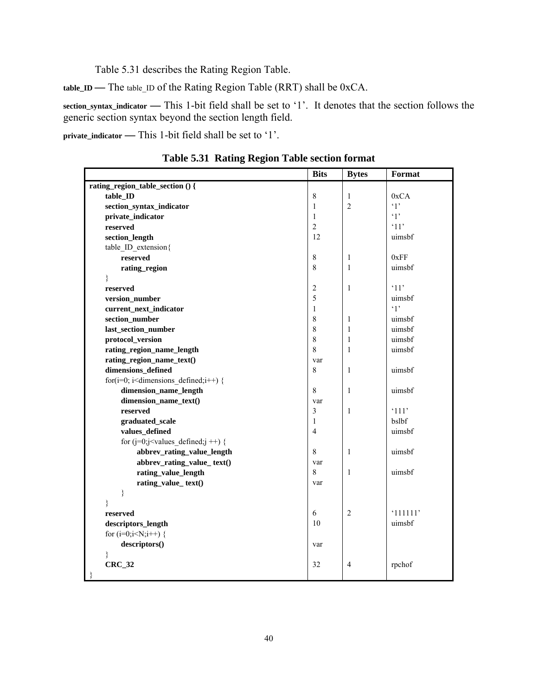Table 5.31 describes the Rating Region Table.

**table\_ID —** The table\_ID of the Rating Region Table (RRT) shall be 0xCA.

**section\_syntax\_indicator —** This 1-bit field shall be set to '1'. It denotes that the section follows the generic section syntax beyond the section length field.

**private\_indicator —** This 1-bit field shall be set to '1'.

|                                                                   | <b>Bits</b>    | <b>Bytes</b>   | Format               |
|-------------------------------------------------------------------|----------------|----------------|----------------------|
| rating_region_table_section () {                                  |                |                |                      |
| table_ID                                                          | $\,8\,$        | $\mathbf{1}$   | 0xCA                 |
| section_syntax_indicator                                          | $\mathbf{1}$   | $\overline{2}$ | $\cdot_1$ ,          |
| private_indicator                                                 | $\mathbf{1}$   |                | $\cdot_1$            |
| reserved                                                          | $\overline{c}$ |                | $^{\circ}11^{\circ}$ |
| section_length                                                    | 12             |                | uimsbf               |
| table ID extension{                                               |                |                |                      |
| reserved                                                          | $\,8\,$        | 1              | 0xFF                 |
| rating_region                                                     | 8              | $\mathbf{1}$   | uimsbf               |
| }                                                                 |                |                |                      |
| reserved                                                          | $\overline{c}$ | $\mathbf{1}$   | $^{\circ}11^{\circ}$ |
| version_number                                                    | 5              |                | uimsbf               |
| current_next_indicator                                            | $\mathbf{1}$   |                | $\cdot_1$ ,          |
| section_number                                                    | 8              | $\mathbf{1}$   | uimsbf               |
| last_section_number                                               | $\,8\,$        | $\mathbf{1}$   | uimsbf               |
| protocol_version                                                  | $\,8\,$        | $\mathbf{1}$   | uimsbf               |
| rating_region_name_length                                         | 8              | $\mathbf{1}$   | uimsbf               |
| rating_region_name_text()                                         | var            |                |                      |
| dimensions_defined                                                | 8              | 1              | uimsbf               |
| for( $i=0$ ; $i$ <dimensions defined;<math="">i++) {</dimensions> |                |                |                      |
| dimension_name_length                                             | $\,8\,$        | $\mathbf{1}$   | uimsbf               |
| dimension_name_text()                                             | var            |                |                      |
| reserved                                                          | $\mathfrak{Z}$ | $\mathbf{1}$   | '111'                |
| graduated_scale                                                   | $\mathbf{1}$   |                | bslbf                |
| values_defined                                                    | $\overline{4}$ |                | uimsbf               |
| for $(j=0;j<$ values_defined; $j++)$ {                            |                |                |                      |
| abbrev_rating_value_length                                        | 8              | $\mathbf{1}$   | uimsbf               |
| abbrev_rating_value_text()                                        | var            |                |                      |
| rating_value_length                                               | 8              | 1              | uimsbf               |
| rating_value_text()                                               | var            |                |                      |
| $\}$                                                              |                |                |                      |
| ∤                                                                 |                |                |                      |
| reserved                                                          | 6              | $\overline{2}$ | '111111'             |
| descriptors_length                                                | 10             |                | uimsbf               |
| for $(i=0; i< N; i++)$ {                                          |                |                |                      |
| descriptors()                                                     | var            |                |                      |
| ł                                                                 |                |                |                      |
| $CRC_32$                                                          | 32             | 4              | rpchof               |
| $\}$                                                              |                |                |                      |

**Table 5.31 Rating Region Table section format**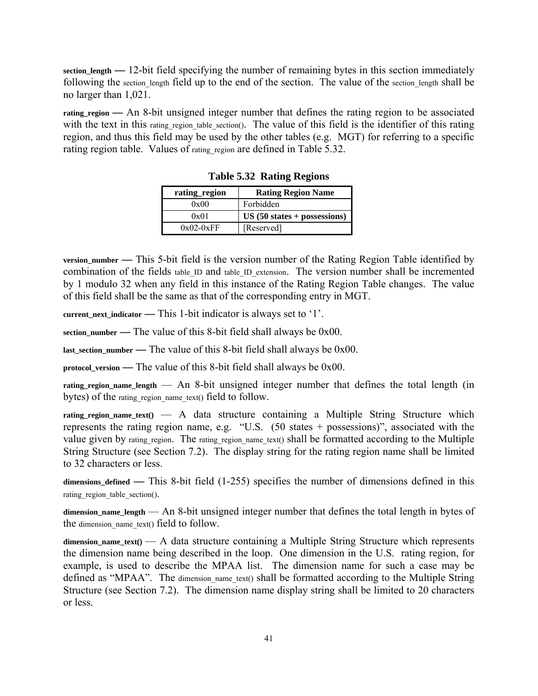**section\_length —** 12-bit field specifying the number of remaining bytes in this section immediately following the section length field up to the end of the section. The value of the section length shall be no larger than 1,021.

rating region — An 8-bit unsigned integer number that defines the rating region to be associated with the text in this rating region table section(). The value of this field is the identifier of this rating region, and thus this field may be used by the other tables (e.g. MGT) for referring to a specific rating region table. Values of rating region are defined in Table 5.32.

| rating_region | <b>Rating Region Name</b>   |
|---------------|-----------------------------|
| 0x00          | Forbidden                   |
| 0x01          | $US(50 states + possesses)$ |
| $0x02-0xFF$   | [Reserved]                  |

**Table 5.32 Rating Regions** 

**version\_number —** This 5-bit field is the version number of the Rating Region Table identified by combination of the fields table ID and table ID extension. The version number shall be incremented by 1 modulo 32 when any field in this instance of the Rating Region Table changes. The value of this field shall be the same as that of the corresponding entry in MGT.

**current\_next\_indicator —** This 1-bit indicator is always set to '1'.

**section** number — The value of this 8-bit field shall always be  $0x00$ .

**last section number — The value of this 8-bit field shall always be**  $0x00$ **.** 

**protocol\_version —** The value of this 8-bit field shall always be 0x00.

**rating\_region\_name\_length** — An 8-bit unsigned integer number that defines the total length (in bytes) of the rating region name text() field to follow.

**rating\_region\_name\_text()** — A data structure containing a Multiple String Structure which represents the rating region name, e.g. "U.S. (50 states + possessions)", associated with the value given by rating region. The rating region name text() shall be formatted according to the Multiple String Structure (see Section 7.2). The display string for the rating region name shall be limited to 32 characters or less.

**dimensions\_defined —** This 8-bit field (1-255) specifies the number of dimensions defined in this rating region table section().

**dimension\_name\_length** — An 8-bit unsigned integer number that defines the total length in bytes of the dimension name text() field to follow.

**dimension\_name\_text()** — A data structure containing a Multiple String Structure which represents the dimension name being described in the loop. One dimension in the U.S. rating region, for example, is used to describe the MPAA list. The dimension name for such a case may be defined as "MPAA". The dimension name text() shall be formatted according to the Multiple String Structure (see Section 7.2). The dimension name display string shall be limited to 20 characters or less.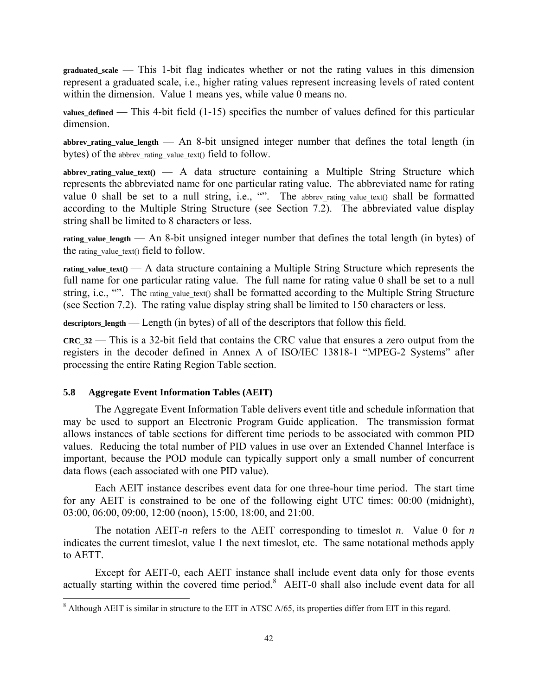**graduated\_scale** — This 1-bit flag indicates whether or not the rating values in this dimension represent a graduated scale, i.e., higher rating values represent increasing levels of rated content within the dimension. Value 1 means yes, while value 0 means no.

**values\_defined** — This 4-bit field (1-15) specifies the number of values defined for this particular dimension.

abbrev rating value length  $-$  An 8-bit unsigned integer number that defines the total length (in bytes) of the abbrev rating value text() field to follow.

**abbrev\_rating\_value\_text()** — A data structure containing a Multiple String Structure which represents the abbreviated name for one particular rating value. The abbreviated name for rating value 0 shall be set to a null string, i.e., "". The abbrev\_rating\_value\_text() shall be formatted according to the Multiple String Structure (see Section 7.2). The abbreviated value display string shall be limited to 8 characters or less.

**rating\_value\_length** — An 8-bit unsigned integer number that defines the total length (in bytes) of the rating value text() field to follow.

**rating\_value\_text()** — A data structure containing a Multiple String Structure which represents the full name for one particular rating value. The full name for rating value 0 shall be set to a null string, i.e., "". The rating value text() shall be formatted according to the Multiple String Structure (see Section 7.2). The rating value display string shall be limited to 150 characters or less.

**descriptors\_length** — Length (in bytes) of all of the descriptors that follow this field.

**CRC\_32** — This is a 32-bit field that contains the CRC value that ensures a zero output from the registers in the decoder defined in Annex A of ISO/IEC 13818-1 "MPEG-2 Systems" after processing the entire Rating Region Table section.

### **5.8 Aggregate Event Information Tables (AEIT)**

 $\overline{a}$ 

The Aggregate Event Information Table delivers event title and schedule information that may be used to support an Electronic Program Guide application. The transmission format allows instances of table sections for different time periods to be associated with common PID values. Reducing the total number of PID values in use over an Extended Channel Interface is important, because the POD module can typically support only a small number of concurrent data flows (each associated with one PID value).

Each AEIT instance describes event data for one three-hour time period. The start time for any AEIT is constrained to be one of the following eight UTC times: 00:00 (midnight), 03:00, 06:00, 09:00, 12:00 (noon), 15:00, 18:00, and 21:00.

The notation AEIT-*n* refers to the AEIT corresponding to timeslot *n*. Value 0 for *n* indicates the current timeslot, value 1 the next timeslot, etc. The same notational methods apply to AETT.

Except for AEIT-0, each AEIT instance shall include event data only for those events actually starting within the covered time period.<sup>8</sup> AEIT-0 shall also include event data for all

 $8$  Although AEIT is similar in structure to the EIT in ATSC A/65, its properties differ from EIT in this regard.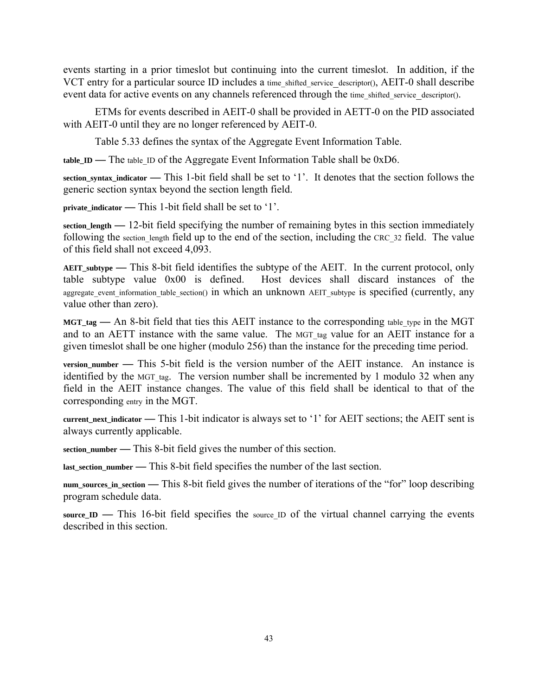events starting in a prior timeslot but continuing into the current timeslot. In addition, if the VCT entry for a particular source ID includes a time shifted service descriptor(), AEIT-0 shall describe event data for active events on any channels referenced through the time shifted service descriptor().

ETMs for events described in AEIT-0 shall be provided in AETT-0 on the PID associated with AEIT-0 until they are no longer referenced by AEIT-0.

Table 5.33 defines the syntax of the Aggregate Event Information Table.

**table\_ID —** The table\_ID of the Aggregate Event Information Table shall be 0xD6.

**section\_syntax\_indicator —** This 1-bit field shall be set to '1'. It denotes that the section follows the generic section syntax beyond the section length field.

**private\_indicator —** This 1-bit field shall be set to '1'.

**section\_length —** 12-bit field specifying the number of remaining bytes in this section immediately following the section length field up to the end of the section, including the CRC 32 field. The value of this field shall not exceed 4,093.

**AEIT\_subtype —** This 8-bit field identifies the subtype of the AEIT. In the current protocol, only table subtype value 0x00 is defined. Host devices shall discard instances of the aggregate event information table section() in which an unknown AEIT subtype is specified (currently, any value other than zero).

**MGT\_tag —** An 8-bit field that ties this AEIT instance to the corresponding table\_type in the MGT and to an AETT instance with the same value. The MGT tag value for an AEIT instance for a given timeslot shall be one higher (modulo 256) than the instance for the preceding time period.

**version\_number —** This 5-bit field is the version number of the AEIT instance. An instance is identified by the MGT tag. The version number shall be incremented by 1 modulo 32 when any field in the AEIT instance changes. The value of this field shall be identical to that of the corresponding entry in the MGT.

**current\_next\_indicator —** This 1-bit indicator is always set to '1' for AEIT sections; the AEIT sent is always currently applicable.

**section\_number —** This 8-bit field gives the number of this section.

**last\_section\_number —** This 8-bit field specifies the number of the last section.

**num\_sources\_in\_section —** This 8-bit field gives the number of iterations of the "for" loop describing program schedule data.

source **ID** — This 16-bit field specifies the source ID of the virtual channel carrying the events described in this section.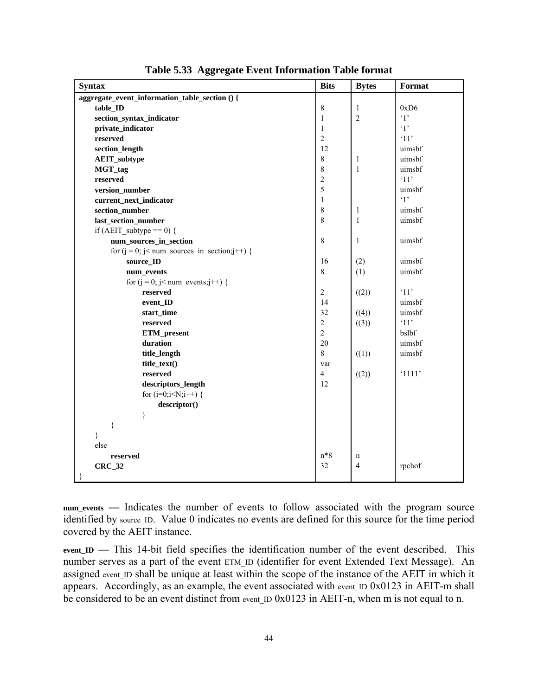| <b>Syntax</b>                                      | <b>Bits</b>    | <b>Bytes</b>   | Format      |
|----------------------------------------------------|----------------|----------------|-------------|
| aggregate_event_information_table_section () {     |                |                |             |
| table_ID                                           | 8              | $\mathbf{1}$   | 0xD6        |
| section_syntax_indicator                           | 1              | $\overline{2}$ | $\cdot_1$ , |
| private_indicator                                  | $\mathbf{1}$   |                | $\cdot_1$ , |
| reserved                                           | $\overline{c}$ |                | '11'        |
| section_length                                     | 12             |                | uimsbf      |
| <b>AEIT_subtype</b>                                | 8              | 1              | uimsbf      |
| MGT_tag                                            | 8              | $\mathbf{1}$   | uimsbf      |
| reserved                                           | $\sqrt{2}$     |                | '11'        |
| version_number                                     | 5              |                | uimsbf      |
| current_next_indicator                             | $\mathbf{1}$   |                | $\cdot_1$ , |
| section_number                                     | $\,8\,$        | $\mathbf{1}$   | uimsbf      |
| last_section_number                                | 8              | $\mathbf{1}$   | uimsbf      |
| if (AEIT subtype $== 0$ ) {                        |                |                |             |
| num_sources_in_section                             | 8              | 1              | uimsbf      |
| for $(j = 0; j <$ num sources in section; $j++)$ { |                |                |             |
| source_ID                                          | 16             | (2)            | uimsbf      |
| num_events                                         | 8              | (1)            | uimsbf      |
| for ( $j = 0$ ; $j <$ num events; $j++)$ {         |                |                |             |
| reserved                                           | $\overline{2}$ | ((2))          | '11'        |
| event_ID                                           | 14             |                | uimsbf      |
| start_time                                         | 32             | ((4))          | uimsbf      |
| reserved                                           | $\overline{c}$ | ((3))          | '11'        |
| ETM_present                                        | $\overline{2}$ |                | bslbf       |
| duration                                           | 20             |                | uimsbf      |
| title_length                                       | 8              | ((1))          | uimsbf      |
| title_text()                                       | var            |                |             |
| reserved                                           | $\overline{4}$ | ((2))          | '1111'      |
| descriptors_length                                 | 12             |                |             |
| for $(i=0; i< N; i++)$ {                           |                |                |             |
| descriptor()                                       |                |                |             |
| $\}$                                               |                |                |             |
| ∤                                                  |                |                |             |
| $\}$                                               |                |                |             |
| else                                               |                |                |             |
| reserved                                           | $n*8$          | $\mathbf n$    |             |
| <b>CRC_32</b>                                      | 32             | $\overline{4}$ | rpchof      |
|                                                    |                |                |             |

**Table 5.33 Aggregate Event Information Table format** 

**num\_events —** Indicates the number of events to follow associated with the program source identified by source ID. Value 0 indicates no events are defined for this source for the time period covered by the AEIT instance.

**event\_ID —** This 14-bit field specifies the identification number of the event described. This number serves as a part of the event ETM ID (identifier for event Extended Text Message). An assigned event ID shall be unique at least within the scope of the instance of the AEIT in which it appears. Accordingly, as an example, the event associated with event  $ID$  0x0123 in AEIT-m shall be considered to be an event distinct from event\_ID 0x0123 in AEIT-n, when m is not equal to n.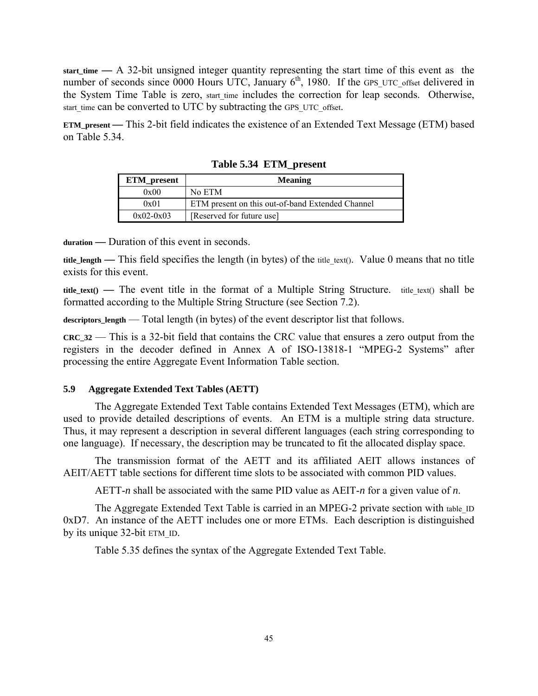**start\_time —** A 32-bit unsigned integer quantity representing the start time of this event as the number of seconds since 0000 Hours UTC, January  $6<sup>th</sup>$ , 1980. If the GPS UTC offset delivered in the System Time Table is zero, start time includes the correction for leap seconds. Otherwise, start time can be converted to UTC by subtracting the GPS UTC offset.

**ETM\_present —** This 2-bit field indicates the existence of an Extended Text Message (ETM) based on Table 5.34.

| <b>ETM_present</b> | <b>Meaning</b>                                   |
|--------------------|--------------------------------------------------|
| 0x00               | No ETM                                           |
| 0x01               | ETM present on this out-of-band Extended Channel |
| $0x02-0x03$        | [Reserved for future use]                        |

**Table 5.34 ETM\_present** 

**duration —** Duration of this event in seconds.

**title\_length — This field specifies the length (in bytes) of the title text(). Value 0 means that no title** exists for this event.

**title\_text() —** The event title in the format of a Multiple String Structure. title\_text() shall be formatted according to the Multiple String Structure (see Section 7.2).

descriptors\_length — Total length (in bytes) of the event descriptor list that follows.

**CRC\_32** — This is a 32-bit field that contains the CRC value that ensures a zero output from the registers in the decoder defined in Annex A of ISO-13818-1 "MPEG-2 Systems" after processing the entire Aggregate Event Information Table section.

# **5.9 Aggregate Extended Text Tables (AETT)**

The Aggregate Extended Text Table contains Extended Text Messages (ETM), which are used to provide detailed descriptions of events. An ETM is a multiple string data structure. Thus, it may represent a description in several different languages (each string corresponding to one language). If necessary, the description may be truncated to fit the allocated display space.

The transmission format of the AETT and its affiliated AEIT allows instances of AEIT/AETT table sections for different time slots to be associated with common PID values.

AETT-*n* shall be associated with the same PID value as AEIT-*n* for a given value of *n*.

The Aggregate Extended Text Table is carried in an MPEG-2 private section with table\_ID 0xD7. An instance of the AETT includes one or more ETMs. Each description is distinguished by its unique 32-bit ETM\_ID.

Table 5.35 defines the syntax of the Aggregate Extended Text Table.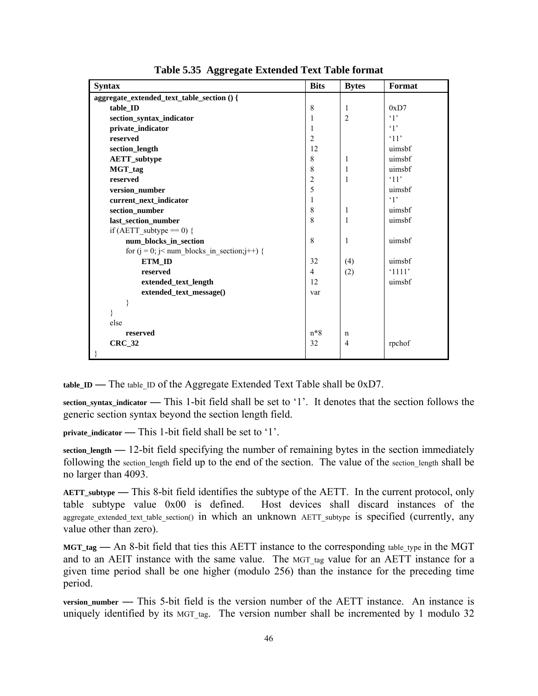| <b>Syntax</b>                                   | <b>Bits</b>    | <b>Bytes</b>   | Format     |
|-------------------------------------------------|----------------|----------------|------------|
| aggregate_extended_text_table_section () {      |                |                |            |
| table_ID                                        | 8              | $\mathbf{1}$   | 0xD7       |
| section_syntax_indicator                        | 1              | $\overline{2}$ | $\cdot$ 1' |
| private_indicator                               | 1              |                | $\cdot$ 1' |
| reserved                                        | $\overline{2}$ |                | '11'       |
| section_length                                  | 12             |                | uimsbf     |
| <b>AETT_subtype</b>                             | 8              | 1              | uimsbf     |
| MGT_tag                                         | 8              | 1              | uimsbf     |
| reserved                                        | $\overline{2}$ | $\mathbf{1}$   | '11'       |
| version_number                                  | 5              |                | uimsbf     |
| current next indicator                          | 1              |                | $\cdot$ 1' |
| section_number                                  | 8              | 1              | uimsbf     |
| last_section_number                             | 8              | $\mathbf{1}$   | uimsbf     |
| if (AETT subtype == 0) {                        |                |                |            |
| num_blocks_in_section                           | 8              | 1              | uimsbf     |
| for $(j = 0; j < num_blocks_in_section; j++)$ { |                |                |            |
| ETM ID                                          | 32             | (4)            | uimsbf     |
| reserved                                        | $\overline{4}$ | (2)            | '1111'     |
| extended_text_length                            | 12             |                | uimsbf     |
| extended_text_message()                         | var            |                |            |
| }                                               |                |                |            |
| $\}$                                            |                |                |            |
| else                                            |                |                |            |
| reserved                                        | $n*8$          | $\mathbf n$    |            |
| <b>CRC_32</b>                                   | 32             | $\overline{4}$ | rpchof     |
| ₹                                               |                |                |            |

**Table 5.35 Aggregate Extended Text Table format** 

**table\_ID** — The table ID of the Aggregate Extended Text Table shall be 0xD7.

**section\_syntax\_indicator —** This 1-bit field shall be set to '1'. It denotes that the section follows the generic section syntax beyond the section length field.

**private** indicator — This 1-bit field shall be set to '1'.

**section\_length —** 12-bit field specifying the number of remaining bytes in the section immediately following the section length field up to the end of the section. The value of the section\_length shall be no larger than 4093.

**AETT\_subtype —** This 8-bit field identifies the subtype of the AETT. In the current protocol, only table subtype value 0x00 is defined. Host devices shall discard instances of the aggregate extended text table section() in which an unknown AETT subtype is specified (currently, any value other than zero).

**MGT\_tag —** An 8-bit field that ties this AETT instance to the corresponding table\_type in the MGT and to an AEIT instance with the same value. The MGT tag value for an AETT instance for a given time period shall be one higher (modulo 256) than the instance for the preceding time period.

**version number — This 5-bit field is the version number of the AETT instance. An instance is** uniquely identified by its MGT tag. The version number shall be incremented by 1 modulo 32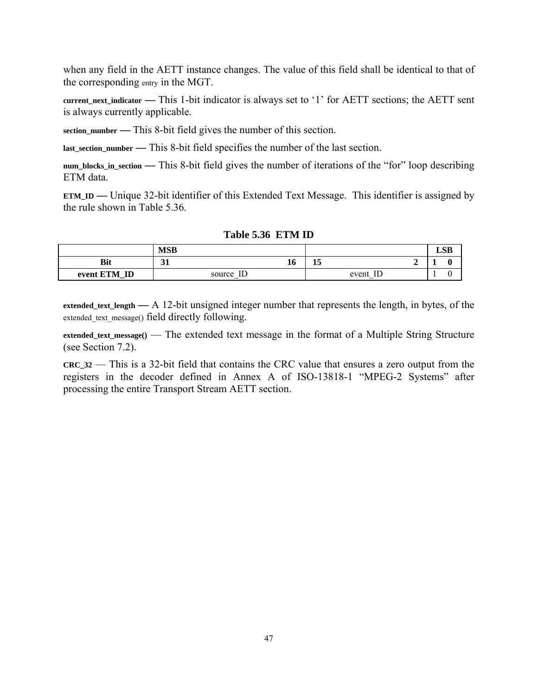when any field in the AETT instance changes. The value of this field shall be identical to that of the corresponding entry in the MGT.

**current\_next\_indicator —** This 1-bit indicator is always set to '1' for AETT sections; the AETT sent is always currently applicable.

**section\_number —** This 8-bit field gives the number of this section.

**last\_section\_number —** This 8-bit field specifies the number of the last section.

**num\_blocks\_in\_section —** This 8-bit field gives the number of iterations of the "for" loop describing ETM data.

**ETM\_ID —** Unique 32-bit identifier of this Extended Text Message. This identifier is assigned by the rule shown in Table 5.36.

|              | <b>MSB</b>  |    |           |             |  | <b>LSB</b> |
|--------------|-------------|----|-----------|-------------|--|------------|
| Bit          | $\sim$<br>◡ | 10 | - -<br>15 |             |  |            |
| event ETM_ID | source ID   |    |           | IE<br>event |  |            |

**Table 5.36 ETM ID** 

**extended\_text\_length —** A 12-bit unsigned integer number that represents the length, in bytes, of the extended text message() field directly following.

**extended\_text\_message()** — The extended text message in the format of a Multiple String Structure (see Section 7.2).

**CRC\_32** — This is a 32-bit field that contains the CRC value that ensures a zero output from the registers in the decoder defined in Annex A of ISO-13818-1 "MPEG-2 Systems" after processing the entire Transport Stream AETT section.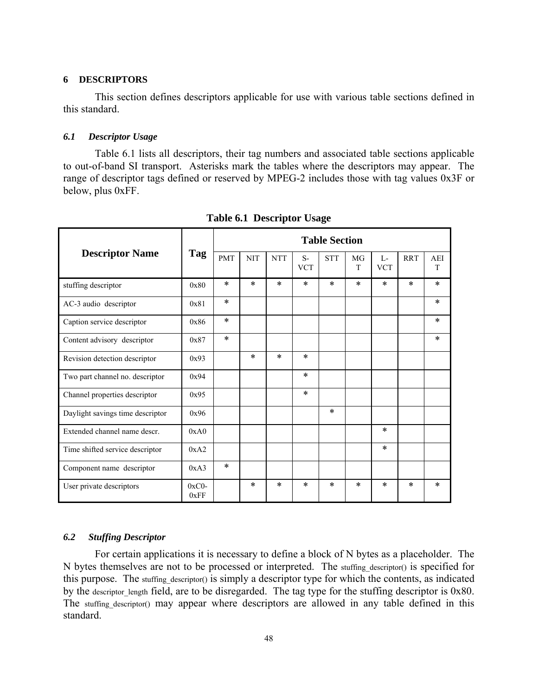### **6 DESCRIPTORS**

This section defines descriptors applicable for use with various table sections defined in this standard.

### *6.1 Descriptor Usage*

Table 6.1 lists all descriptors, their tag numbers and associated table sections applicable to out-of-band SI transport. Asterisks mark the tables where the descriptors may appear. The range of descriptor tags defined or reserved by MPEG-2 includes those with tag values 0x3F or below, plus 0xFF.

|                                  |                 |            |            |            |                    | <b>Table Section</b> |         |                     |            |          |
|----------------------------------|-----------------|------------|------------|------------|--------------------|----------------------|---------|---------------------|------------|----------|
| <b>Descriptor Name</b>           | Tag             | <b>PMT</b> | <b>NIT</b> | <b>NTT</b> | $S-$<br><b>VCT</b> | <b>STT</b>           | MG<br>T | $L -$<br><b>VCT</b> | <b>RRT</b> | AEI<br>T |
| stuffing descriptor              | 0x80            | $\ast$     | $\ast$     | $\ast$     | $\ast$             | $\ast$               | $\ast$  | $\ast$              | $\ast$     | $\ast$   |
| AC-3 audio descriptor            | 0x81            | $\ast$     |            |            |                    |                      |         |                     |            | $\ast$   |
| Caption service descriptor       | 0x86            | $\ast$     |            |            |                    |                      |         |                     |            | $\ast$   |
| Content advisory descriptor      | 0x87            | $\ast$     |            |            |                    |                      |         |                     |            | $\ast$   |
| Revision detection descriptor    | 0x93            |            | $\ast$     | $\ast$     | $\ast$             |                      |         |                     |            |          |
| Two part channel no. descriptor  | 0x94            |            |            |            | $\ast$             |                      |         |                     |            |          |
| Channel properties descriptor    | 0x95            |            |            |            | $\ast$             |                      |         |                     |            |          |
| Daylight savings time descriptor | 0x96            |            |            |            |                    | $\ast$               |         |                     |            |          |
| Extended channel name descr.     | 0xA0            |            |            |            |                    |                      |         | $\ast$              |            |          |
| Time shifted service descriptor  | 0xA2            |            |            |            |                    |                      |         | $\ast$              |            |          |
| Component name descriptor        | 0xA3            | $\ast$     |            |            |                    |                      |         |                     |            |          |
| User private descriptors         | $0xC0-$<br>0xFF |            | *          | $\ast$     | $\ast$             | $\ast$               | $\ast$  | $\ast$              | $\ast$     | $\ast$   |

**Table 6.1 Descriptor Usage** 

## *6.2 Stuffing Descriptor*

For certain applications it is necessary to define a block of N bytes as a placeholder. The N bytes themselves are not to be processed or interpreted. The stuffing descriptor() is specified for this purpose. The stuffing descriptor() is simply a descriptor type for which the contents, as indicated by the descriptor length field, are to be disregarded. The tag type for the stuffing descriptor is  $0x80$ . The stuffing\_descriptor() may appear where descriptors are allowed in any table defined in this standard.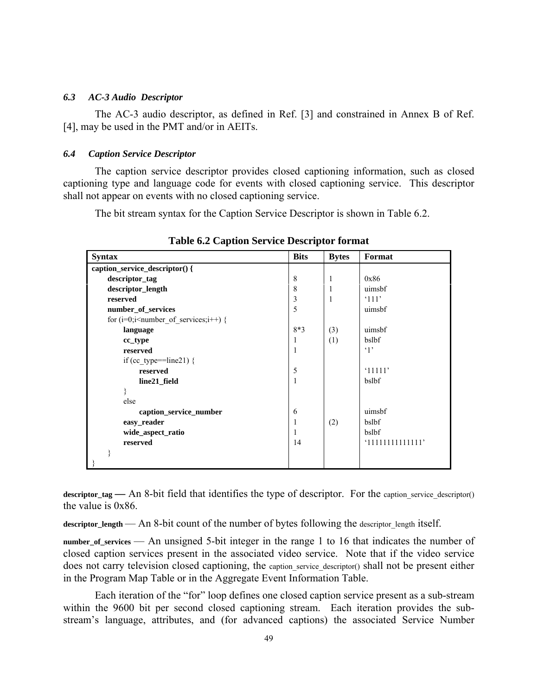### *6.3 AC-3 Audio Descriptor*

The AC-3 audio descriptor, as defined in Ref. [3] and constrained in Annex B of Ref. [4], may be used in the PMT and/or in AEITs.

### *6.4 Caption Service Descriptor*

The caption service descriptor provides closed captioning information, such as closed captioning type and language code for events with closed captioning service. This descriptor shall not appear on events with no closed captioning service.

The bit stream syntax for the Caption Service Descriptor is shown in Table 6.2.

| <b>Syntax</b>                                 | <b>Bits</b> | <b>Bytes</b> | Format          |
|-----------------------------------------------|-------------|--------------|-----------------|
| caption_service_descriptor() {                |             |              |                 |
| descriptor_tag                                | 8           | 1            | 0x86            |
| descriptor_length                             | 8           | 1            | uimsbf          |
| reserved                                      | 3           | 1            | $^{\circ}111'$  |
| number_of_services                            | 5           |              | uimsbf          |
| for $(i=0; i \leq number of services; i++)$ { |             |              |                 |
| language                                      | $8*3$       | (3)          | uimsbf          |
| cc_type                                       | 1           | (1)          | bslbf           |
| reserved                                      | 1           |              | $\cdot$ 1'      |
| if (cc type==line21) {                        |             |              |                 |
| reserved                                      | 5           |              | '11111'         |
| line21_field                                  |             |              | bslbf           |
| ł                                             |             |              |                 |
| else                                          |             |              |                 |
| caption_service_number                        | 6           |              | uimsbf          |
| easy_reader                                   | 1           | (2)          | bslbf           |
| wide_aspect_ratio                             | L           |              | bslbf           |
| reserved                                      | 14          |              | '1111111111111' |
|                                               |             |              |                 |
|                                               |             |              |                 |

**Table 6.2 Caption Service Descriptor format** 

descriptor tag — An 8-bit field that identifies the type of descriptor. For the caption service descriptor() the value is 0x86.

descriptor\_length — An 8-bit count of the number of bytes following the descriptor length itself.

**number\_of\_services** — An unsigned 5-bit integer in the range 1 to 16 that indicates the number of closed caption services present in the associated video service. Note that if the video service does not carry television closed captioning, the caption service descriptor() shall not be present either in the Program Map Table or in the Aggregate Event Information Table.

Each iteration of the "for" loop defines one closed caption service present as a sub-stream within the 9600 bit per second closed captioning stream. Each iteration provides the substream's language, attributes, and (for advanced captions) the associated Service Number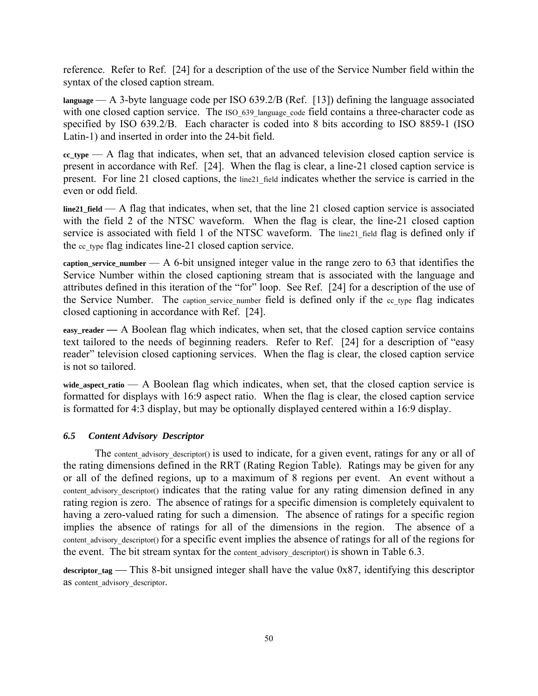reference. Refer to Ref. [24] for a description of the use of the Service Number field within the syntax of the closed caption stream.

**language** — A 3-byte language code per ISO 639.2/B (Ref. [13]) defining the language associated with one closed caption service. The ISO 639 language code field contains a three-character code as specified by ISO 639.2/B. Each character is coded into 8 bits according to ISO 8859-1 (ISO Latin-1) and inserted in order into the 24-bit field.

**cc\_type** — A flag that indicates, when set, that an advanced television closed caption service is present in accordance with Ref. [24]. When the flag is clear, a line-21 closed caption service is present. For line 21 closed captions, the line21 field indicates whether the service is carried in the even or odd field.

**line21\_field** — A flag that indicates, when set, that the line 21 closed caption service is associated with the field 2 of the NTSC waveform. When the flag is clear, the line-21 closed caption service is associated with field 1 of the NTSC waveform. The line21 field flag is defined only if the cc type flag indicates line-21 closed caption service.

**caption\_service\_number** — A 6-bit unsigned integer value in the range zero to 63 that identifies the Service Number within the closed captioning stream that is associated with the language and attributes defined in this iteration of the "for" loop. See Ref. [24] for a description of the use of the Service Number. The caption service number field is defined only if the cc type flag indicates closed captioning in accordance with Ref. [24].

**easy reader — A Boolean flag which indicates, when set, that the closed caption service contains** text tailored to the needs of beginning readers. Refer to Ref. [24] for a description of "easy reader" television closed captioning services. When the flag is clear, the closed caption service is not so tailored.

wide aspect ratio — A Boolean flag which indicates, when set, that the closed caption service is formatted for displays with 16:9 aspect ratio. When the flag is clear, the closed caption service is formatted for 4:3 display, but may be optionally displayed centered within a 16:9 display.

## *6.5 Content Advisory Descriptor*

The content advisory descriptor() is used to indicate, for a given event, ratings for any or all of the rating dimensions defined in the RRT (Rating Region Table). Ratings may be given for any or all of the defined regions, up to a maximum of 8 regions per event. An event without a content advisory descriptor() indicates that the rating value for any rating dimension defined in any rating region is zero. The absence of ratings for a specific dimension is completely equivalent to having a zero-valued rating for such a dimension. The absence of ratings for a specific region implies the absence of ratings for all of the dimensions in the region. The absence of a content advisory descriptor() for a specific event implies the absence of ratings for all of the regions for the event. The bit stream syntax for the content advisory descriptor() is shown in Table 6.3.

descriptor\_tag — This 8-bit unsigned integer shall have the value 0x87, identifying this descriptor as content advisory descriptor.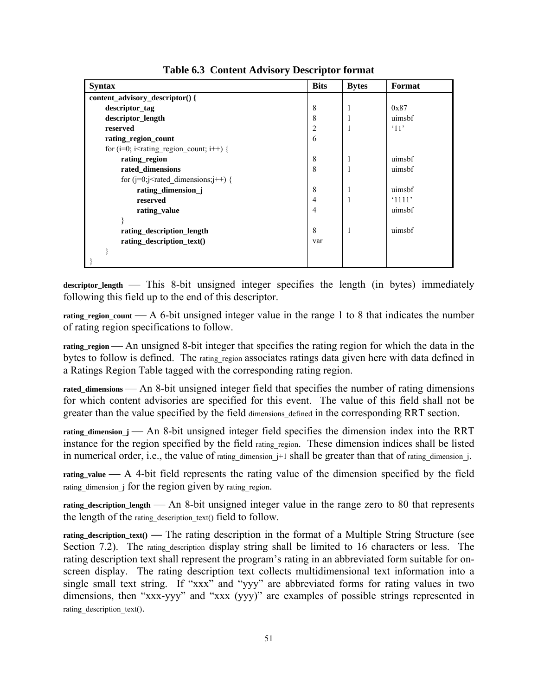| <b>Syntax</b>                                                                                    | <b>Bits</b>    | <b>Bytes</b> | Format               |
|--------------------------------------------------------------------------------------------------|----------------|--------------|----------------------|
| content_advisory_descriptor() {                                                                  |                |              |                      |
| descriptor_tag                                                                                   | 8              |              | 0x87                 |
| descriptor_length                                                                                | 8              |              | uimsbf               |
| reserved                                                                                         | 2              |              | $^{\circ}11^{\circ}$ |
| rating_region_count                                                                              | 6              |              |                      |
| for (i=0; i <rating count;="" i++)="" region="" td="" {<=""><td></td><td></td><td></td></rating> |                |              |                      |
| rating_region                                                                                    | 8              |              | uimsbf               |
| rated dimensions                                                                                 | 8              |              | uimsbf               |
| for $(j=0; j<$ rated dimensions; $j++)$ {                                                        |                |              |                      |
| rating_dimension_j                                                                               | 8              |              | uimsbf               |
| reserved                                                                                         | $\overline{4}$ |              | $^{\circ}1111'$      |
| rating value                                                                                     | 4              |              | uimsbf               |
|                                                                                                  |                |              |                      |
| rating_description_length                                                                        | 8              |              | uimsbf               |
| rating_description_text()                                                                        | var            |              |                      |
|                                                                                                  |                |              |                      |
|                                                                                                  |                |              |                      |

**Table 6.3 Content Advisory Descriptor format** 

descriptor\_length — This 8-bit unsigned integer specifies the length (in bytes) immediately following this field up to the end of this descriptor.

**rating region\_count**  $\longrightarrow$  A 6-bit unsigned integer value in the range 1 to 8 that indicates the number of rating region specifications to follow.

rating region — An unsigned 8-bit integer that specifies the rating region for which the data in the bytes to follow is defined. The rating region associates ratings data given here with data defined in a Ratings Region Table tagged with the corresponding rating region.

rated dimensions — An 8-bit unsigned integer field that specifies the number of rating dimensions for which content advisories are specified for this event. The value of this field shall not be greater than the value specified by the field dimensions defined in the corresponding RRT section.

rating dimension  $j$  — An 8-bit unsigned integer field specifies the dimension index into the RRT instance for the region specified by the field rating region. These dimension indices shall be listed in numerical order, i.e., the value of rating dimension  $j+1$  shall be greater than that of rating dimension  $j$ .

rating\_value — A 4-bit field represents the rating value of the dimension specified by the field rating dimension  $\overline{z}$  for the region given by rating region.

rating description length — An 8-bit unsigned integer value in the range zero to 80 that represents the length of the rating description text() field to follow.

**rating\_description\_text() —** The rating description in the format of a Multiple String Structure (see Section 7.2). The rating description display string shall be limited to 16 characters or less. The rating description text shall represent the program's rating in an abbreviated form suitable for onscreen display. The rating description text collects multidimensional text information into a single small text string. If "xxx" and "yyy" are abbreviated forms for rating values in two dimensions, then "xxx-yyy" and "xxx (yyy)" are examples of possible strings represented in rating\_description\_text().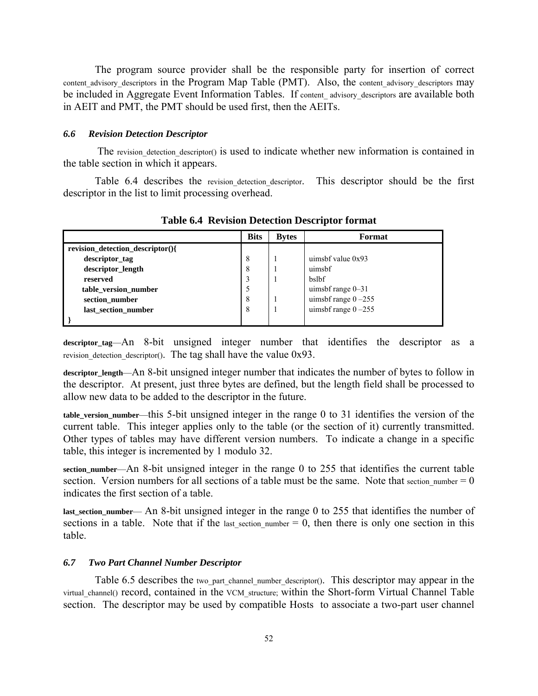The program source provider shall be the responsible party for insertion of correct content\_advisory\_descriptors in the Program Map Table (PMT). Also, the content\_advisory\_descriptors may be included in Aggregate Event Information Tables. If content advisory descriptors are available both in AEIT and PMT, the PMT should be used first, then the AEITs.

#### *6.6 Revision Detection Descriptor*

The revision detection descriptor() is used to indicate whether new information is contained in the table section in which it appears.

Table 6.4 describes the revision detection descriptor. This descriptor should be the first descriptor in the list to limit processing overhead.

|                                  | <b>Bits</b> | <b>Bytes</b> | Format                 |
|----------------------------------|-------------|--------------|------------------------|
| revision detection descriptor(){ |             |              |                        |
| descriptor_tag                   | 8           |              | uimsbf value $0x93$    |
| descriptor_length                | 8           |              | uimsbf                 |
| reserved                         | 3           |              | <b>bslbf</b>           |
| table version number             | 5           |              | uimsbf range 0-31      |
| section number                   | 8           |              | uimsbf range $0 - 255$ |
| last section number              | 8           |              | uimsbf range $0 - 255$ |
|                                  |             |              |                        |

**Table 6.4 Revision Detection Descriptor format** 

**descriptor\_tag**—An 8-bit unsigned integer number that identifies the descriptor as a revision detection descriptor(). The tag shall have the value  $0x93$ .

**descriptor\_length**—An 8-bit unsigned integer number that indicates the number of bytes to follow in the descriptor. At present, just three bytes are defined, but the length field shall be processed to allow new data to be added to the descriptor in the future.

**table\_version\_number**—this 5-bit unsigned integer in the range 0 to 31 identifies the version of the current table. This integer applies only to the table (or the section of it) currently transmitted. Other types of tables may have different version numbers. To indicate a change in a specific table, this integer is incremented by 1 modulo 32.

**section\_number**—An 8-bit unsigned integer in the range 0 to 255 that identifies the current table section. Version numbers for all sections of a table must be the same. Note that section number  $= 0$ indicates the first section of a table.

**last\_section\_number**— An 8-bit unsigned integer in the range 0 to 255 that identifies the number of sections in a table. Note that if the last section number  $= 0$ , then there is only one section in this table.

### *6.7 Two Part Channel Number Descriptor*

Table 6.5 describes the two part channel number descriptor(). This descriptor may appear in the virtual channel() record, contained in the VCM structure; within the Short-form Virtual Channel Table section. The descriptor may be used by compatible Hosts to associate a two-part user channel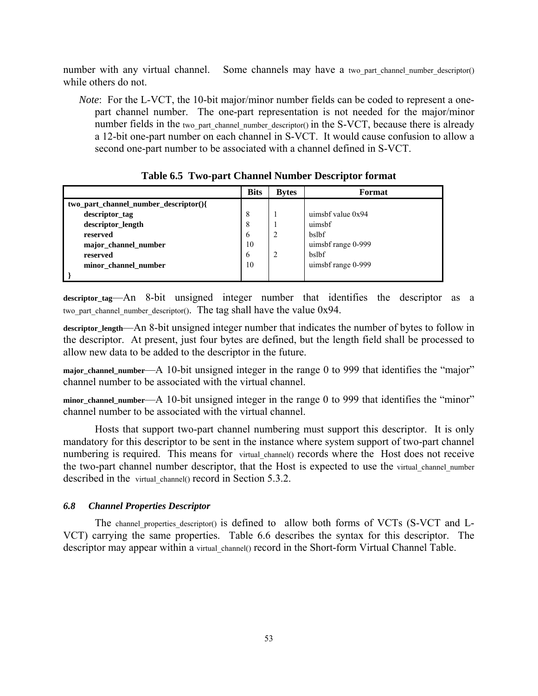number with any virtual channel. Some channels may have a two part channel number descriptor() while others do not.

*Note*: For the L-VCT, the 10-bit major/minor number fields can be coded to represent a onepart channel number. The one-part representation is not needed for the major/minor number fields in the two part channel number descriptor() in the S-VCT, because there is already a 12-bit one-part number on each channel in S-VCT. It would cause confusion to allow a second one-part number to be associated with a channel defined in S-VCT.

|                                       | <b>Bits</b> | <b>Bytes</b> | Format              |
|---------------------------------------|-------------|--------------|---------------------|
| two part channel number descriptor(){ |             |              |                     |
| descriptor_tag                        | 8           |              | uimsbf value $0x94$ |
| descriptor_length                     | 8           |              | uimsbf              |
| reserved                              | 6           | 2            | bslbf               |
| major_channel_number                  | 10          |              | uimsbf range 0-999  |
| reserved                              | 6           | 2            | bslbf               |
| minor channel number                  | 10          |              | uimsbf range 0-999  |
|                                       |             |              |                     |

**Table 6.5 Two-part Channel Number Descriptor format** 

**descriptor\_tag**—An 8-bit unsigned integer number that identifies the descriptor as a two part channel number descriptor(). The tag shall have the value 0x94.

**descriptor\_length**—An 8-bit unsigned integer number that indicates the number of bytes to follow in the descriptor. At present, just four bytes are defined, but the length field shall be processed to allow new data to be added to the descriptor in the future.

**major\_channel\_number**—A 10-bit unsigned integer in the range 0 to 999 that identifies the "major" channel number to be associated with the virtual channel.

**minor\_channel\_number**—A 10-bit unsigned integer in the range 0 to 999 that identifies the "minor" channel number to be associated with the virtual channel.

Hosts that support two-part channel numbering must support this descriptor. It is only mandatory for this descriptor to be sent in the instance where system support of two-part channel numbering is required. This means for virtual\_channel() records where the Host does not receive the two-part channel number descriptor, that the Host is expected to use the virtual channel number described in the virtual channel() record in Section 5.3.2.

#### *6.8 Channel Properties Descriptor*

The channel properties descriptor() is defined to allow both forms of VCTs (S-VCT and L-VCT) carrying the same properties. Table 6.6 describes the syntax for this descriptor. The descriptor may appear within a virtual channel() record in the Short-form Virtual Channel Table.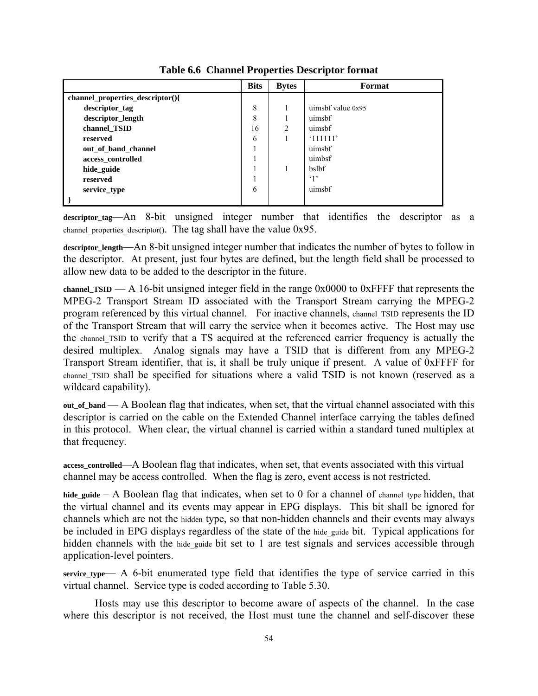|                                  | <b>Bits</b> | <b>Bytes</b> | Format              |
|----------------------------------|-------------|--------------|---------------------|
| channel_properties_descriptor(){ |             |              |                     |
| descriptor_tag                   | 8           |              | uimsbf value $0x95$ |
| descriptor_length                | 8           |              | uimsbf              |
| channel_TSID                     | 16          | 2            | uimsbf              |
| reserved                         | 6           |              | '111111'            |
| out_of_band_channel              |             |              | uimsbf              |
| access_controlled                |             |              | uimbsf              |
| hide guide                       |             |              | bslbf               |
| reserved                         |             |              | $\cdot_1$           |
| service_type                     | 6           |              | uimsbf              |
|                                  |             |              |                     |

**Table 6.6 Channel Properties Descriptor format** 

**descriptor\_tag**—An 8-bit unsigned integer number that identifies the descriptor as a channel properties descriptor(). The tag shall have the value  $0x95$ .

**descriptor\_length**—An 8-bit unsigned integer number that indicates the number of bytes to follow in the descriptor. At present, just four bytes are defined, but the length field shall be processed to allow new data to be added to the descriptor in the future.

**channel\_TSID** — A 16-bit unsigned integer field in the range 0x0000 to 0xFFFF that represents the MPEG-2 Transport Stream ID associated with the Transport Stream carrying the MPEG-2 program referenced by this virtual channel. For inactive channels, channel\_TSID represents the ID of the Transport Stream that will carry the service when it becomes active. The Host may use the channel\_TSID to verify that a TS acquired at the referenced carrier frequency is actually the desired multiplex. Analog signals may have a TSID that is different from any MPEG-2 Transport Stream identifier, that is, it shall be truly unique if present. A value of 0xFFFF for channel TSID shall be specified for situations where a valid TSID is not known (reserved as a wildcard capability).

**out\_of\_band** — A Boolean flag that indicates, when set, that the virtual channel associated with this descriptor is carried on the cable on the Extended Channel interface carrying the tables defined in this protocol. When clear, the virtual channel is carried within a standard tuned multiplex at that frequency.

**access\_controlled**—A Boolean flag that indicates, when set, that events associated with this virtual channel may be access controlled. When the flag is zero, event access is not restricted.

hide guide – A Boolean flag that indicates, when set to 0 for a channel of channel type hidden, that the virtual channel and its events may appear in EPG displays. This bit shall be ignored for channels which are not the hidden type, so that non-hidden channels and their events may always be included in EPG displays regardless of the state of the hide guide bit. Typical applications for hidden channels with the hide guide bit set to 1 are test signals and services accessible through application-level pointers.

**service\_type**— A 6-bit enumerated type field that identifies the type of service carried in this virtual channel. Service type is coded according to Table 5.30.

Hosts may use this descriptor to become aware of aspects of the channel. In the case where this descriptor is not received, the Host must tune the channel and self-discover these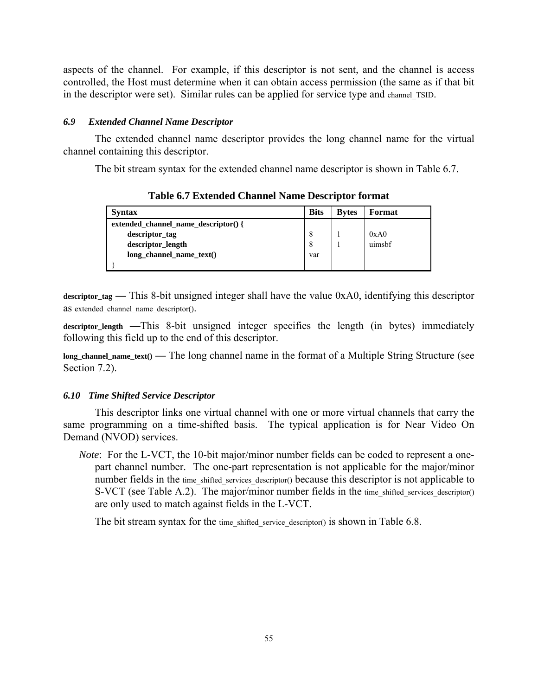aspects of the channel. For example, if this descriptor is not sent, and the channel is access controlled, the Host must determine when it can obtain access permission (the same as if that bit in the descriptor were set). Similar rules can be applied for service type and channel\_TSID.

### *6.9 Extended Channel Name Descriptor*

The extended channel name descriptor provides the long channel name for the virtual channel containing this descriptor.

The bit stream syntax for the extended channel name descriptor is shown in Table 6.7.

| <b>Syntax</b>                        | <b>Bits</b> | <b>Bytes</b> | Format |
|--------------------------------------|-------------|--------------|--------|
| extended channel name descriptor() { |             |              |        |
| descriptor_tag                       | 8           |              | 0xA0   |
| descriptor_length                    | 8           |              | uimsbf |
| long channel name $text()$           | var         |              |        |
|                                      |             |              |        |

**Table 6.7 Extended Channel Name Descriptor format** 

**descriptor\_tag —** This 8-bit unsigned integer shall have the value 0xA0, identifying this descriptor as extended channel name descriptor().

**descriptor\_length —**This 8-bit unsigned integer specifies the length (in bytes) immediately following this field up to the end of this descriptor.

**long\_channel\_name\_text() —** The long channel name in the format of a Multiple String Structure (see Section 7.2).

#### *6.10 Time Shifted Service Descriptor*

This descriptor links one virtual channel with one or more virtual channels that carry the same programming on a time-shifted basis. The typical application is for Near Video On Demand (NVOD) services.

*Note*: For the L-VCT, the 10-bit major/minor number fields can be coded to represent a onepart channel number. The one-part representation is not applicable for the major/minor number fields in the time shifted services descriptor() because this descriptor is not applicable to S-VCT (see Table A.2). The major/minor number fields in the time shifted services descriptor() are only used to match against fields in the L-VCT.

The bit stream syntax for the time shifted service descriptor() is shown in Table 6.8.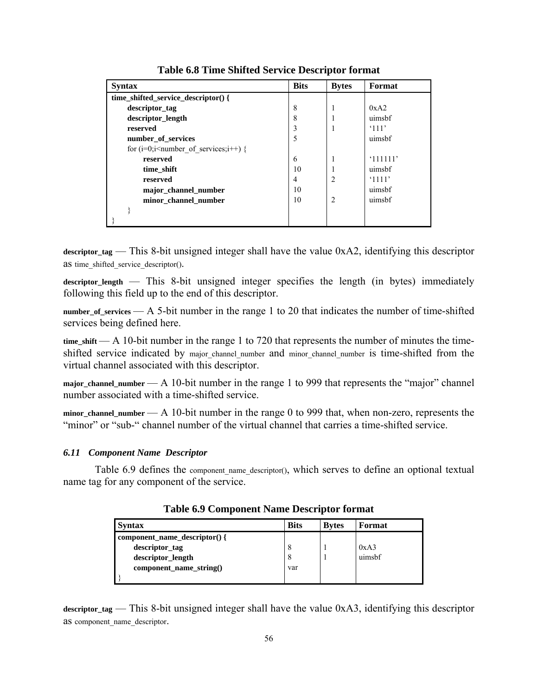| <b>Syntax</b>                                 | <b>Bits</b> | <b>Bytes</b>   | Format         |
|-----------------------------------------------|-------------|----------------|----------------|
| time_shifted_service_descriptor() {           |             |                |                |
| descriptor_tag                                | 8           |                | 0xA2           |
| descriptor_length                             | 8           |                | uimsbf         |
| reserved                                      | ٩           |                | $^{\circ}111'$ |
| number of services                            | 5           |                | uimsbf         |
| for $(i=0; i \leq number of services; i++)$ { |             |                |                |
| reserved                                      | 6           |                | '111111'       |
| time shift                                    | 10          |                | uimshf         |
| reserved                                      | 4           | $\overline{c}$ | '1111'         |
| major_channel_number                          | 10          |                | uimsbf         |
| minor_channel_number                          | 10          | $\overline{c}$ | uimsbf         |
|                                               |             |                |                |
|                                               |             |                |                |

**Table 6.8 Time Shifted Service Descriptor format** 

**descriptor\_tag** — This 8-bit unsigned integer shall have the value 0xA2, identifying this descriptor as time shifted service descriptor().

**descriptor\_length** — This 8-bit unsigned integer specifies the length (in bytes) immediately following this field up to the end of this descriptor.

**number\_of\_services** — A 5-bit number in the range 1 to 20 that indicates the number of time-shifted services being defined here.

**time\_shift** — A 10-bit number in the range 1 to 720 that represents the number of minutes the timeshifted service indicated by major channel number and minor channel number is time-shifted from the virtual channel associated with this descriptor.

major\_channel\_number — A 10-bit number in the range 1 to 999 that represents the "major" channel number associated with a time-shifted service.

minor channel number — A 10-bit number in the range 0 to 999 that, when non-zero, represents the "minor" or "sub-" channel number of the virtual channel that carries a time-shifted service.

#### *6.11 Component Name Descriptor*

Table 6.9 defines the component name descriptor(), which serves to define an optional textual name tag for any component of the service.

| <b>Syntax</b>                 | <b>Bits</b> | <b>Bytes</b> | Format |
|-------------------------------|-------------|--------------|--------|
| component_name_descriptor() { |             |              |        |
| descriptor_tag                | 8           |              | 0xA3   |
| descriptor_length             | 8           |              | uimsbf |
| $component$ name $string()$   | var         |              |        |
|                               |             |              |        |

**Table 6.9 Component Name Descriptor format** 

**descriptor\_tag** — This 8-bit unsigned integer shall have the value 0xA3, identifying this descriptor as component name descriptor.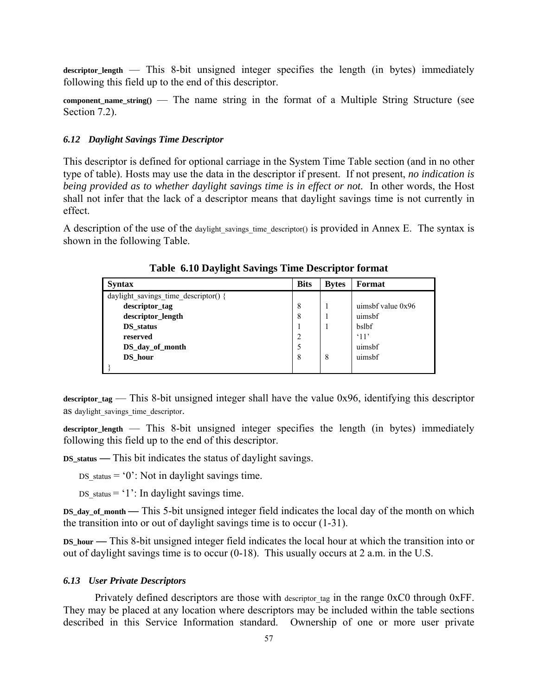descriptor length — This 8-bit unsigned integer specifies the length (in bytes) immediately following this field up to the end of this descriptor.

**component name string()** — The name string in the format of a Multiple String Structure (see Section 7.2).

#### *6.12 Daylight Savings Time Descriptor*

This descriptor is defined for optional carriage in the System Time Table section (and in no other type of table). Hosts may use the data in the descriptor if present. If not present, *no indication is being provided as to whether daylight savings time is in effect or not.* In other words, the Host shall not infer that the lack of a descriptor means that daylight savings time is not currently in effect.

A description of the use of the daylight savings time descriptor() is provided in Annex E. The syntax is shown in the following Table.

| <b>Syntax</b>                        | <b>Bits</b>    | <b>Bytes</b> | Format              |
|--------------------------------------|----------------|--------------|---------------------|
| daylight savings time descriptor() { |                |              |                     |
| descriptor_tag                       | 8              |              | uimsbf value $0x96$ |
| descriptor_length                    | 8              |              | uimsbf              |
| DS status                            |                |              | bslbf               |
| reserved                             | $\overline{2}$ |              | $^{\circ}11$        |
| DS day of month                      | 5              |              | uimsbf              |
| DS hour                              | 8              | 8            | uimsbf              |
|                                      |                |              |                     |

**Table 6.10 Daylight Savings Time Descriptor format** 

descriptor tag — This 8-bit unsigned integer shall have the value 0x96, identifying this descriptor as daylight savings time descriptor.

**descriptor\_length** — This 8-bit unsigned integer specifies the length (in bytes) immediately following this field up to the end of this descriptor.

**DS\_status —** This bit indicates the status of daylight savings.

DS status  $= '0'$ : Not in daylight savings time.

DS status  $= '1$ : In daylight savings time.

**DS\_day\_of\_month —** This 5-bit unsigned integer field indicates the local day of the month on which the transition into or out of daylight savings time is to occur (1-31).

**DS\_hour —** This 8-bit unsigned integer field indicates the local hour at which the transition into or out of daylight savings time is to occur (0-18). This usually occurs at 2 a.m. in the U.S.

### *6.13 User Private Descriptors*

Privately defined descriptors are those with descriptor tag in the range 0xC0 through 0xFF. They may be placed at any location where descriptors may be included within the table sections described in this Service Information standard. Ownership of one or more user private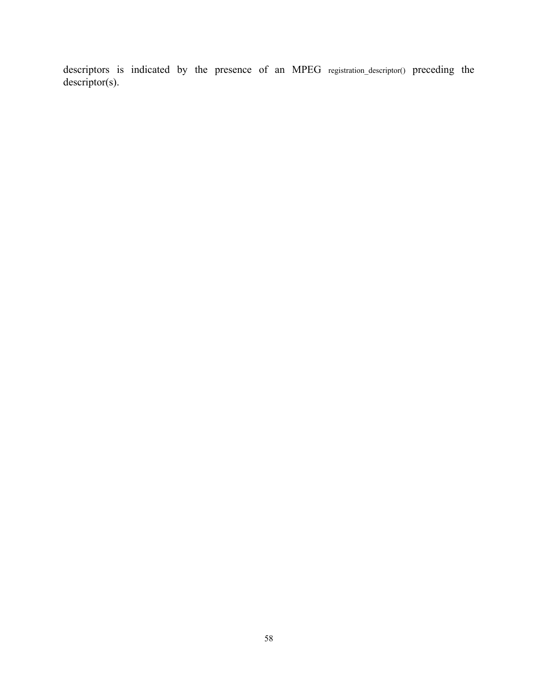descriptors is indicated by the presence of an MPEG registration\_descriptor() preceding the descriptor(s).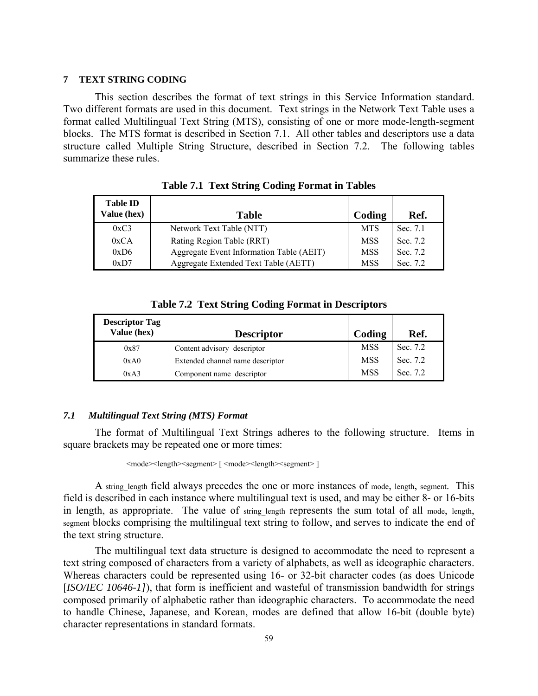### **7 TEXT STRING CODING**

This section describes the format of text strings in this Service Information standard. Two different formats are used in this document. Text strings in the Network Text Table uses a format called Multilingual Text String (MTS), consisting of one or more mode-length-segment blocks. The MTS format is described in Section 7.1. All other tables and descriptors use a data structure called Multiple String Structure, described in Section 7.2. The following tables summarize these rules.

| <b>Table ID</b><br>Value (hex) | <b>Table</b>                             | Coding     | Ref.     |
|--------------------------------|------------------------------------------|------------|----------|
| 0xC3                           | Network Text Table (NTT)                 | MTS        | Sec. 7.1 |
| 0xCA                           | Rating Region Table (RRT)                | <b>MSS</b> | Sec. 7.2 |
| 0xD6                           | Aggregate Event Information Table (AEIT) | <b>MSS</b> | Sec. 7.2 |
| 0xD7                           | Aggregate Extended Text Table (AETT)     | <b>MSS</b> | Sec. 7.2 |

| <b>Table 7.1 Text String Coding Format in Tables</b> |  |  |  |  |  |
|------------------------------------------------------|--|--|--|--|--|
|------------------------------------------------------|--|--|--|--|--|

| <b>Table 7.2 Text String Coding Format in Descriptors</b> |  |  |  |  |  |
|-----------------------------------------------------------|--|--|--|--|--|
|-----------------------------------------------------------|--|--|--|--|--|

| <b>Descriptor Tag</b><br>Value (hex) | <b>Descriptor</b>                | Coding     | Ref.     |
|--------------------------------------|----------------------------------|------------|----------|
| 0x87                                 | Content advisory descriptor      | <b>MSS</b> | Sec. 7.2 |
| 0xA0                                 | Extended channel name descriptor | <b>MSS</b> | Sec. 7.2 |
| 0xA3                                 | Component name descriptor        | <b>MSS</b> | Sec. 7.2 |

## *7.1 Multilingual Text String (MTS) Format*

The format of Multilingual Text Strings adheres to the following structure. Items in square brackets may be repeated one or more times:

 $\leq$ mode> $\leq$ length> $\leq$ segment> [  $\leq$ mode> $\leq$ length> $\leq$ segment> ]

A string length field always precedes the one or more instances of mode, length, segment. This field is described in each instance where multilingual text is used, and may be either 8- or 16-bits in length, as appropriate. The value of string length represents the sum total of all mode, length, segment blocks comprising the multilingual text string to follow, and serves to indicate the end of the text string structure.

The multilingual text data structure is designed to accommodate the need to represent a text string composed of characters from a variety of alphabets, as well as ideographic characters. Whereas characters could be represented using 16- or 32-bit character codes (as does Unicode [*ISO/IEC 10646-1]*), that form is inefficient and wasteful of transmission bandwidth for strings composed primarily of alphabetic rather than ideographic characters. To accommodate the need to handle Chinese, Japanese, and Korean, modes are defined that allow 16-bit (double byte) character representations in standard formats.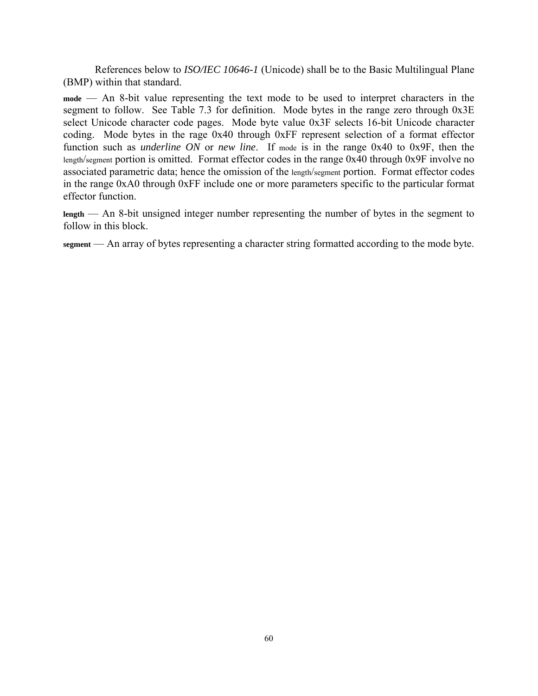References below to *ISO/IEC 10646-1* (Unicode) shall be to the Basic Multilingual Plane (BMP) within that standard.

**mode** — An 8-bit value representing the text mode to be used to interpret characters in the segment to follow. See Table 7.3 for definition. Mode bytes in the range zero through 0x3E select Unicode character code pages. Mode byte value 0x3F selects 16-bit Unicode character coding. Mode bytes in the rage 0x40 through 0xFF represent selection of a format effector function such as *underline ON* or *new line*. If mode is in the range 0x40 to 0x9F, then the length/segment portion is omitted. Format effector codes in the range 0x40 through 0x9F involve no associated parametric data; hence the omission of the length/segment portion. Format effector codes in the range 0xA0 through 0xFF include one or more parameters specific to the particular format effector function.

**length** — An 8-bit unsigned integer number representing the number of bytes in the segment to follow in this block.

**segment** — An array of bytes representing a character string formatted according to the mode byte.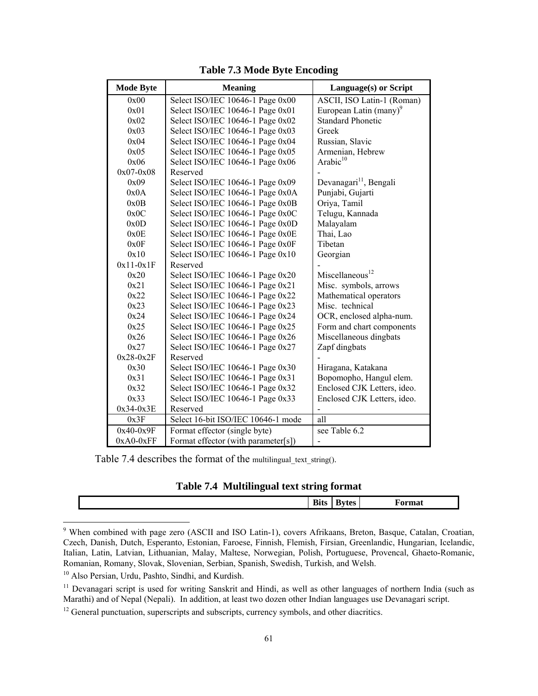| <b>Mode Byte</b> | <b>Meaning</b>                      | Language(s) or Script              |  |
|------------------|-------------------------------------|------------------------------------|--|
| 0x00             | Select ISO/IEC 10646-1 Page 0x00    | ASCII, ISO Latin-1 (Roman)         |  |
| 0x01             | Select ISO/IEC 10646-1 Page 0x01    | European Latin (many) <sup>9</sup> |  |
| 0x02             | Select ISO/IEC 10646-1 Page 0x02    | <b>Standard Phonetic</b>           |  |
| 0x03             | Select ISO/IEC 10646-1 Page 0x03    | Greek                              |  |
| 0x04             | Select ISO/IEC 10646-1 Page 0x04    | Russian, Slavic                    |  |
| 0x05             | Select ISO/IEC 10646-1 Page 0x05    | Armenian, Hebrew                   |  |
| 0x06             | Select ISO/IEC 10646-1 Page 0x06    | Arabic <sup>10</sup>               |  |
| $0x07 - 0x08$    | Reserved                            |                                    |  |
| 0x09             | Select ISO/IEC 10646-1 Page 0x09    | Devanagari <sup>11</sup> , Bengali |  |
| 0x0A             | Select ISO/IEC 10646-1 Page 0x0A    | Punjabi, Gujarti                   |  |
| 0x0B             | Select ISO/IEC 10646-1 Page 0x0B    | Oriya, Tamil                       |  |
| 0x0C             | Select ISO/IEC 10646-1 Page 0x0C    | Telugu, Kannada                    |  |
| 0x0D             | Select ISO/IEC 10646-1 Page 0x0D    | Malayalam                          |  |
| 0x0E             | Select ISO/IEC 10646-1 Page 0x0E    | Thai, Lao                          |  |
| 0x0F             | Select ISO/IEC 10646-1 Page 0x0F    | Tibetan                            |  |
| 0x10             | Select ISO/IEC 10646-1 Page 0x10    | Georgian                           |  |
| $0x11-0x1F$      | Reserved                            |                                    |  |
| 0x20             | Select ISO/IEC 10646-1 Page 0x20    | Miscellaneous <sup>12</sup>        |  |
| 0x21             | Select ISO/IEC 10646-1 Page 0x21    | Misc. symbols, arrows              |  |
| 0x22             | Select ISO/IEC 10646-1 Page 0x22    | Mathematical operators             |  |
| 0x23             | Select ISO/IEC 10646-1 Page 0x23    | Misc. technical                    |  |
| 0x24             | Select ISO/IEC 10646-1 Page 0x24    | OCR, enclosed alpha-num.           |  |
| 0x25             | Select ISO/IEC 10646-1 Page 0x25    | Form and chart components          |  |
| 0x26             | Select ISO/IEC 10646-1 Page 0x26    | Miscellaneous dingbats             |  |
| 0x27             | Select ISO/IEC 10646-1 Page 0x27    | Zapf dingbats                      |  |
| $0x28-0x2F$      | Reserved                            |                                    |  |
| 0x30             | Select ISO/IEC 10646-1 Page 0x30    | Hiragana, Katakana                 |  |
| 0x31             | Select ISO/IEC 10646-1 Page 0x31    | Bopomopho, Hangul elem.            |  |
| 0x32             | Select ISO/IEC 10646-1 Page 0x32    | Enclosed CJK Letters, ideo.        |  |
| 0x33             | Select ISO/IEC 10646-1 Page 0x33    | Enclosed CJK Letters, ideo.        |  |
| $0x34-0x3E$      | Reserved                            |                                    |  |
| 0x3F             | Select 16-bit ISO/IEC 10646-1 mode  | all                                |  |
| $0x40-0x9F$      | Format effector (single byte)       | see Table 6.2                      |  |
| $0xA0-0xFF$      | Format effector (with parameter[s]) |                                    |  |

## **Table 7.3 Mode Byte Encoding**

Table 7.4 describes the format of the multilingual\_text\_string().

## **Table 7.4 Multilingual text string format**

| DIIS | - -<br>∼<br>-- | ______ |
|------|----------------|--------|
|      |                |        |

<sup>&</sup>lt;sup>9</sup> When combined with page zero (ASCII and ISO Latin-1), covers Afrikaans, Breton, Basque, Catalan, Croatian, Czech, Danish, Dutch, Esperanto, Estonian, Faroese, Finnish, Flemish, Firsian, Greenlandic, Hungarian, Icelandic, Italian, Latin, Latvian, Lithuanian, Malay, Maltese, Norwegian, Polish, Portuguese, Provencal, Ghaeto-Romanic, Romanian, Romany, Slovak, Slovenian, Serbian, Spanish, Swedish, Turkish, and Welsh.

<sup>10</sup> Also Persian, Urdu, Pashto, Sindhi, and Kurdish.

 $\overline{a}$ 

<sup>&</sup>lt;sup>11</sup> Devanagari script is used for writing Sanskrit and Hindi, as well as other languages of northern India (such as Marathi) and of Nepal (Nepali). In addition, at least two dozen other Indian languages use Devanagari script.

 $12$  General punctuation, superscripts and subscripts, currency symbols, and other diacritics.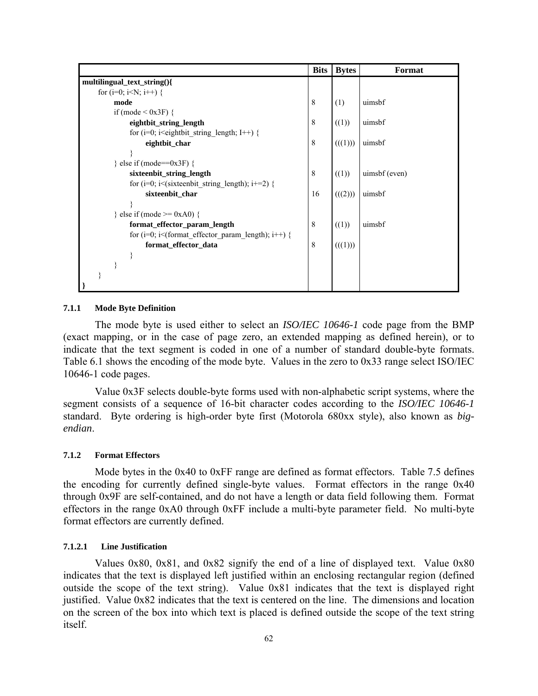|                                                                                                       | <b>Bits</b> | <b>Bytes</b> | Format        |
|-------------------------------------------------------------------------------------------------------|-------------|--------------|---------------|
| multilingual_text_string(){                                                                           |             |              |               |
| for (i=0; i <n; i++)="" td="" {<=""><td></td><td></td><td></td></n;>                                  |             |              |               |
| mode                                                                                                  | 8           | (1)          | uimsbf        |
| if (mode $\leq$ 0x3F) {                                                                               |             |              |               |
| eightbit_string_length                                                                                | 8           | ((1))        | uimsbf        |
| for (i=0; i <eightbit i++)="" length;="" string="" td="" {<=""><td></td><td></td><td></td></eightbit> |             |              |               |
| eightbit_char                                                                                         | 8           | (((1)))      | uimsbf        |
|                                                                                                       |             |              |               |
| $\}$ else if (mode==0x3F) {                                                                           |             |              |               |
| sixteenbit string length                                                                              | 8           | ((1))        | uimsbf (even) |
| for (i=0; i<(sixteenbit string length); i+=2) {                                                       |             |              |               |
| sixteenbit_char                                                                                       | 16          | (((2)))      | uimsbf        |
|                                                                                                       |             |              |               |
| } else if (mode $\ge$ = 0xA0) {                                                                       |             |              |               |
| format_effector_param_length                                                                          | 8           | ((1))        | uimsbf        |
| for (i=0; i< (format effector param length); i++) {                                                   |             |              |               |
| format_effector_data                                                                                  | 8           | (((1)))      |               |
|                                                                                                       |             |              |               |
|                                                                                                       |             |              |               |
|                                                                                                       |             |              |               |
|                                                                                                       |             |              |               |

#### **7.1.1 Mode Byte Definition**

The mode byte is used either to select an *ISO/IEC 10646-1* code page from the BMP (exact mapping, or in the case of page zero, an extended mapping as defined herein), or to indicate that the text segment is coded in one of a number of standard double-byte formats. Table 6.1 shows the encoding of the mode byte. Values in the zero to 0x33 range select ISO/IEC 10646-1 code pages.

Value 0x3F selects double-byte forms used with non-alphabetic script systems, where the segment consists of a sequence of 16-bit character codes according to the *ISO/IEC 10646-1*  standard. Byte ordering is high-order byte first (Motorola 680xx style), also known as *bigendian*.

#### **7.1.2 Format Effectors**

Mode bytes in the 0x40 to 0xFF range are defined as format effectors. Table 7.5 defines the encoding for currently defined single-byte values. Format effectors in the range 0x40 through 0x9F are self-contained, and do not have a length or data field following them. Format effectors in the range 0xA0 through 0xFF include a multi-byte parameter field. No multi-byte format effectors are currently defined.

## **7.1.2.1 Line Justification**

Values 0x80, 0x81, and 0x82 signify the end of a line of displayed text. Value 0x80 indicates that the text is displayed left justified within an enclosing rectangular region (defined outside the scope of the text string). Value 0x81 indicates that the text is displayed right justified. Value 0x82 indicates that the text is centered on the line. The dimensions and location on the screen of the box into which text is placed is defined outside the scope of the text string itself.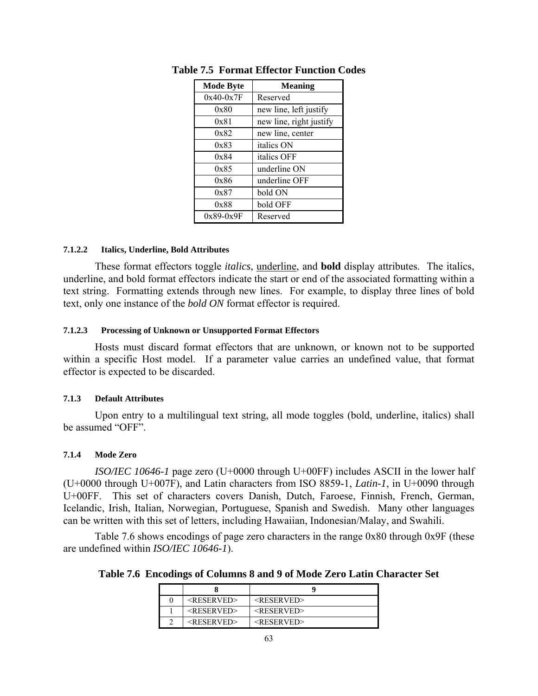| <b>Mode Byte</b> | <b>Meaning</b>          |
|------------------|-------------------------|
| $0x40-0x7F$      | Reserved                |
| 0x80             | new line, left justify  |
| 0x81             | new line, right justify |
| 0x82             | new line, center        |
| 0x83             | italics ON              |
| 0x84             | italics OFF             |
| 0x85             | underline ON            |
| 0x86             | underline OFF           |
| 0x87             | bold ON                 |
| 0x88             | bold OFF                |
| $0x89-0x9F$      | Reserved                |

**Table 7.5 Format Effector Function Codes** 

### **7.1.2.2 Italics, Underline, Bold Attributes**

These format effectors toggle *italics*, underline, and **bold** display attributes. The italics, underline, and bold format effectors indicate the start or end of the associated formatting within a text string. Formatting extends through new lines. For example, to display three lines of bold text, only one instance of the *bold ON* format effector is required.

### **7.1.2.3 Processing of Unknown or Unsupported Format Effectors**

Hosts must discard format effectors that are unknown, or known not to be supported within a specific Host model. If a parameter value carries an undefined value, that format effector is expected to be discarded.

### **7.1.3 Default Attributes**

Upon entry to a multilingual text string, all mode toggles (bold, underline, italics) shall be assumed "OFF".

## **7.1.4 Mode Zero**

*ISO/IEC 10646-1* page zero (U+0000 through U+00FF) includes ASCII in the lower half (U+0000 through U+007F), and Latin characters from ISO 8859-1, *Latin-1*, in U+0090 through U+00FF. This set of characters covers Danish, Dutch, Faroese, Finnish, French, German, Icelandic, Irish, Italian, Norwegian, Portuguese, Spanish and Swedish. Many other languages can be written with this set of letters, including Hawaiian, Indonesian/Malay, and Swahili.

Table 7.6 shows encodings of page zero characters in the range 0x80 through 0x9F (these are undefined within *ISO/IEC 10646-1*).

**Table 7.6 Encodings of Columns 8 and 9 of Mode Zero Latin Character Set** 

| $<$ RESERVED> | $<$ RESERVED> |
|---------------|---------------|
| $<$ RESERVED> | $<$ RESERVED> |
| $<$ RESERVED> | $<$ RESERVED> |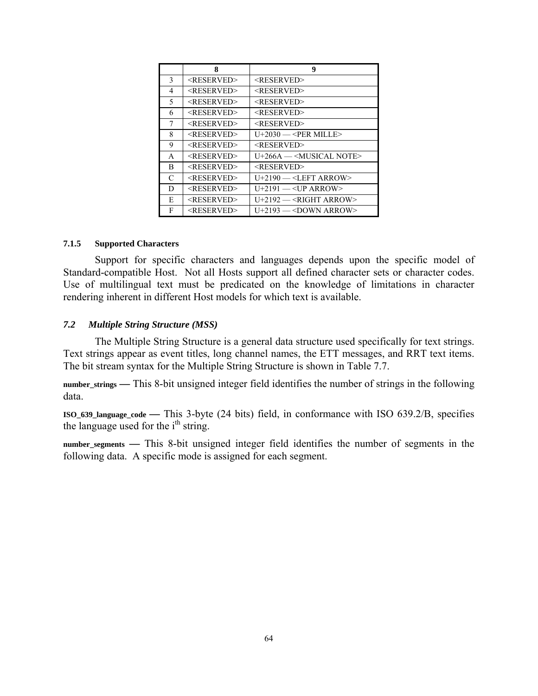|    | 8                     | 9                                    |
|----|-----------------------|--------------------------------------|
| 3  | <reserved></reserved> | <reserved></reserved>                |
| 4  | <reserved></reserved> | <reserved></reserved>                |
| 5. | <reserved></reserved> | $<$ RESERVED>                        |
| 6  | <reserved></reserved> | <reserved></reserved>                |
| 7  | <reserved></reserved> | <reserved></reserved>                |
| 8  | <reserved></reserved> | $U+2030$ — <per mille=""></per>      |
| 9  | <reserved></reserved> | <reserved></reserved>                |
| A  | <reserved></reserved> | U+266A — <musical note=""></musical> |
| B  | <reserved></reserved> | <reserved></reserved>                |
| C  | <reserved></reserved> | $U+2190 = < L$ EFT ARROW>            |
| D  | <reserved></reserved> | $U+2191 = < UP$ ARROW>               |
| E  | <reserved></reserved> | $U+2192$ — <right arrow=""></right>  |
| F  | <reserved></reserved> | $U+2193$ — <down arrow=""></down>    |

### **7.1.5 Supported Characters**

Support for specific characters and languages depends upon the specific model of Standard-compatible Host. Not all Hosts support all defined character sets or character codes. Use of multilingual text must be predicated on the knowledge of limitations in character rendering inherent in different Host models for which text is available.

## *7.2 Multiple String Structure (MSS)*

The Multiple String Structure is a general data structure used specifically for text strings. Text strings appear as event titles, long channel names, the ETT messages, and RRT text items. The bit stream syntax for the Multiple String Structure is shown in Table 7.7.

**number\_strings —** This 8-bit unsigned integer field identifies the number of strings in the following data.

**ISO\_639\_language\_code —** This 3-byte (24 bits) field, in conformance with ISO 639.2/B, specifies the language used for the  $i<sup>th</sup>$  string.

**number\_segments —** This 8-bit unsigned integer field identifies the number of segments in the following data. A specific mode is assigned for each segment.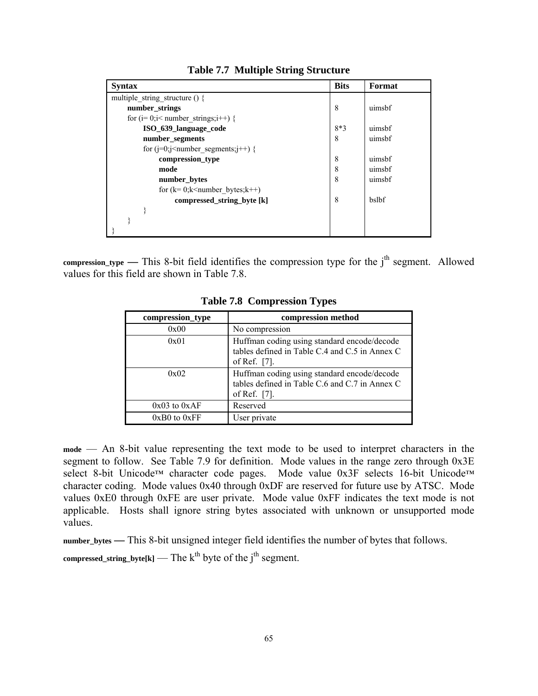| <b>Syntax</b>                            | <b>Bits</b> | Format |
|------------------------------------------|-------------|--------|
| multiple string structure $()$ {         |             |        |
| number_strings                           | 8           | uimsbf |
| for $(i=0;i1number strings;i++)$ {       |             |        |
| ISO 639 language code                    | $8*3$       | uimsbf |
| number_segments                          | 8           | uimsbf |
| for $(i=0; j<$ number segments; $j++)$ { |             |        |
| compression_type                         | 8           | uimsbf |
| mode                                     | 8           | uimsbf |
| number_bytes                             | 8           | uimsbf |
| for $(k=0; k<$ number bytes; $k++$ )     |             |        |
| compressed_string_byte [k]               | 8           | bslbf  |
|                                          |             |        |
|                                          |             |        |
|                                          |             |        |

**Table 7.7 Multiple String Structure** 

compression\_type — This 8-bit field identifies the compression type for the j<sup>th</sup> segment. Allowed values for this field are shown in Table 7.8.

| compression_type | compression method                                                                                            |
|------------------|---------------------------------------------------------------------------------------------------------------|
| 0x00             | No compression                                                                                                |
| 0x01             | Huffman coding using standard encode/decode<br>tables defined in Table C.4 and C.5 in Annex C<br>of Ref. [7]. |
| 0x02             | Huffman coding using standard encode/decode<br>tables defined in Table C.6 and C.7 in Annex C<br>of Ref. [7]. |
| $0x03$ to $0xAF$ | Reserved                                                                                                      |
| $0xB0$ to $0xFF$ | User private                                                                                                  |

**Table 7.8 Compression Types** 

**mode** — An 8-bit value representing the text mode to be used to interpret characters in the segment to follow. See Table 7.9 for definition. Mode values in the range zero through 0x3E select 8-bit Unicode™ character code pages. Mode value 0x3F selects 16-bit Unicode™ character coding. Mode values 0x40 through 0xDF are reserved for future use by ATSC. Mode values 0xE0 through 0xFE are user private. Mode value 0xFF indicates the text mode is not applicable. Hosts shall ignore string bytes associated with unknown or unsupported mode values.

**number\_bytes —** This 8-bit unsigned integer field identifies the number of bytes that follows.

 $\mathbf{compressed\_string\_byte[k]}$  — The  $\mathbf{k}^{\text{th}}$  byte of the  $\mathbf{j}^{\text{th}}$  segment.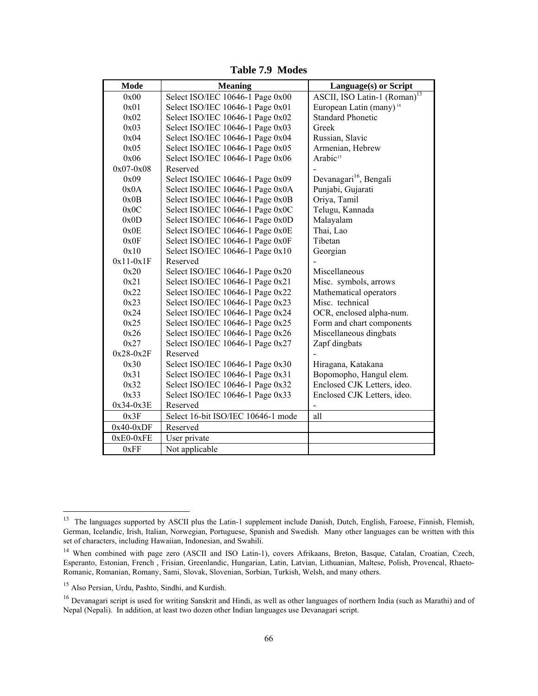| Mode          | <b>Meaning</b>                     | Language(s) or Script                    |
|---------------|------------------------------------|------------------------------------------|
| 0x00          | Select ISO/IEC 10646-1 Page 0x00   | ASCII, ISO Latin-1 (Roman) <sup>13</sup> |
| 0x01          | Select ISO/IEC 10646-1 Page 0x01   | European Latin (many) <sup>14</sup>      |
| 0x02          | Select ISO/IEC 10646-1 Page 0x02   | <b>Standard Phonetic</b>                 |
| 0x03          | Select ISO/IEC 10646-1 Page 0x03   | Greek                                    |
| 0x04          | Select ISO/IEC 10646-1 Page 0x04   | Russian, Slavic                          |
| 0x05          | Select ISO/IEC 10646-1 Page 0x05   | Armenian, Hebrew                         |
| 0x06          | Select ISO/IEC 10646-1 Page 0x06   | Arabic <sup>15</sup>                     |
| $0x07 - 0x08$ | Reserved                           |                                          |
| 0x09          | Select ISO/IEC 10646-1 Page 0x09   | Devanagari <sup>16</sup> , Bengali       |
| 0x0A          | Select ISO/IEC 10646-1 Page 0x0A   | Punjabi, Gujarati                        |
| 0x0B          | Select ISO/IEC 10646-1 Page 0x0B   | Oriya, Tamil                             |
| 0x0C          | Select ISO/IEC 10646-1 Page 0x0C   | Telugu, Kannada                          |
| 0x0D          | Select ISO/IEC 10646-1 Page 0x0D   | Malayalam                                |
| 0x0E          | Select ISO/IEC 10646-1 Page 0x0E   | Thai, Lao                                |
| 0x0F          | Select ISO/IEC 10646-1 Page 0x0F   | Tibetan                                  |
| 0x10          | Select ISO/IEC 10646-1 Page 0x10   | Georgian                                 |
| $0x11-0x1F$   | Reserved                           |                                          |
| 0x20          | Select ISO/IEC 10646-1 Page 0x20   | Miscellaneous                            |
| 0x21          | Select ISO/IEC 10646-1 Page 0x21   | Misc. symbols, arrows                    |
| 0x22          | Select ISO/IEC 10646-1 Page 0x22   | Mathematical operators                   |
| 0x23          | Select ISO/IEC 10646-1 Page 0x23   | Misc. technical                          |
| 0x24          | Select ISO/IEC 10646-1 Page 0x24   | OCR, enclosed alpha-num.                 |
| 0x25          | Select ISO/IEC 10646-1 Page 0x25   | Form and chart components                |
| 0x26          | Select ISO/IEC 10646-1 Page 0x26   | Miscellaneous dingbats                   |
| 0x27          | Select ISO/IEC 10646-1 Page 0x27   | Zapf dingbats                            |
| $0x28-0x2F$   | Reserved                           |                                          |
| 0x30          | Select ISO/IEC 10646-1 Page 0x30   | Hiragana, Katakana                       |
| 0x31          | Select ISO/IEC 10646-1 Page 0x31   | Bopomopho, Hangul elem.                  |
| 0x32          | Select ISO/IEC 10646-1 Page 0x32   | Enclosed CJK Letters, ideo.              |
| 0x33          | Select ISO/IEC 10646-1 Page 0x33   | Enclosed CJK Letters, ideo.              |
| $0x34-0x3E$   | Reserved                           |                                          |
| 0x3F          | Select 16-bit ISO/IEC 10646-1 mode | all                                      |
| $0x40-0xDF$   | Reserved                           |                                          |
| $0xE0-0xFE$   | User private                       |                                          |
| 0xFF          | Not applicable                     |                                          |

**Table 7.9 Modes** 

 $\overline{a}$ 

<sup>&</sup>lt;sup>13</sup> The languages supported by ASCII plus the Latin-1 supplement include Danish, Dutch, English, Faroese, Finnish, Flemish, German, Icelandic, Irish, Italian, Norwegian, Portuguese, Spanish and Swedish. Many other languages can be written with this set of characters, including Hawaiian, Indonesian, and Swahili.

<sup>&</sup>lt;sup>14</sup> When combined with page zero (ASCII and ISO Latin-1), covers Afrikaans, Breton, Basque, Catalan, Croatian, Czech, Esperanto, Estonian, French , Frisian, Greenlandic, Hungarian, Latin, Latvian, Lithuanian, Maltese, Polish, Provencal, Rhaeto-Romanic, Romanian, Romany, Sami, Slovak, Slovenian, Sorbian, Turkish, Welsh, and many others.

<sup>15</sup> Also Persian, Urdu, Pashto, Sindhi, and Kurdish.

<sup>&</sup>lt;sup>16</sup> Devanagari script is used for writing Sanskrit and Hindi, as well as other languages of northern India (such as Marathi) and of Nepal (Nepali). In addition, at least two dozen other Indian languages use Devanagari script.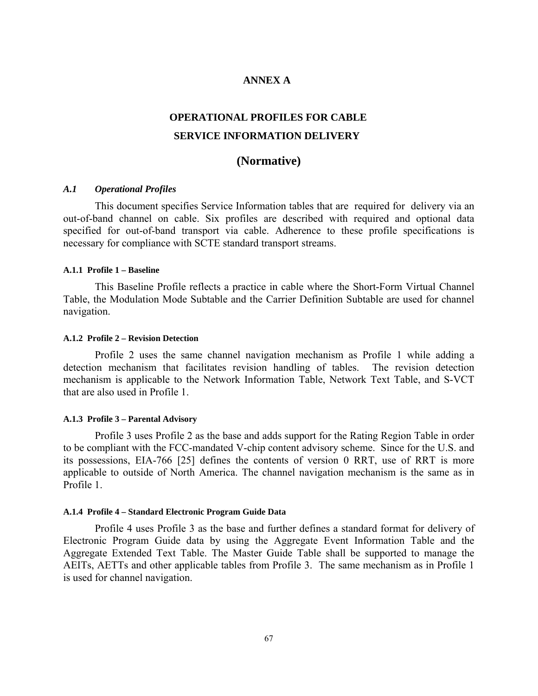# **ANNEX A**

# **OPERATIONAL PROFILES FOR CABLE SERVICE INFORMATION DELIVERY**

# **(Normative)**

### *A.1 Operational Profiles*

This document specifies Service Information tables that are required for delivery via an out-of-band channel on cable. Six profiles are described with required and optional data specified for out-of-band transport via cable. Adherence to these profile specifications is necessary for compliance with SCTE standard transport streams.

#### **A.1.1 Profile 1 – Baseline**

This Baseline Profile reflects a practice in cable where the Short-Form Virtual Channel Table, the Modulation Mode Subtable and the Carrier Definition Subtable are used for channel navigation.

#### **A.1.2 Profile 2 – Revision Detection**

Profile 2 uses the same channel navigation mechanism as Profile 1 while adding a detection mechanism that facilitates revision handling of tables. The revision detection mechanism is applicable to the Network Information Table, Network Text Table, and S-VCT that are also used in Profile 1.

#### **A.1.3 Profile 3 – Parental Advisory**

Profile 3 uses Profile 2 as the base and adds support for the Rating Region Table in order to be compliant with the FCC-mandated V-chip content advisory scheme. Since for the U.S. and its possessions, EIA-766 [25] defines the contents of version 0 RRT, use of RRT is more applicable to outside of North America. The channel navigation mechanism is the same as in Profile 1

#### **A.1.4 Profile 4 – Standard Electronic Program Guide Data**

Profile 4 uses Profile 3 as the base and further defines a standard format for delivery of Electronic Program Guide data by using the Aggregate Event Information Table and the Aggregate Extended Text Table. The Master Guide Table shall be supported to manage the AEITs, AETTs and other applicable tables from Profile 3. The same mechanism as in Profile 1 is used for channel navigation.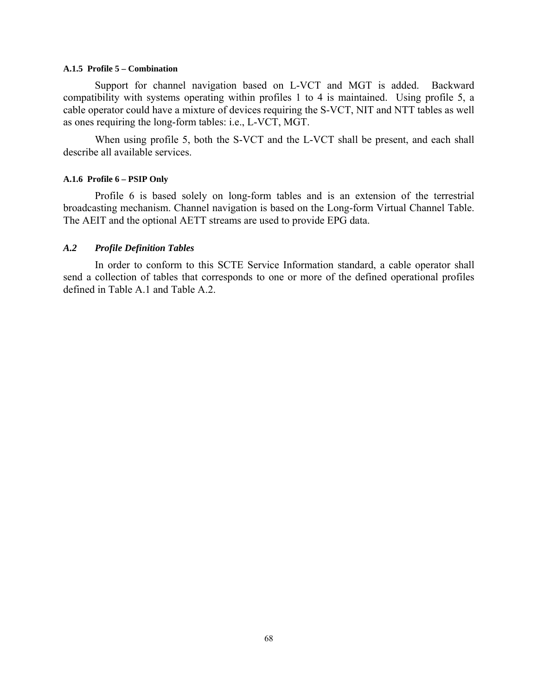#### **A.1.5 Profile 5 – Combination**

Support for channel navigation based on L-VCT and MGT is added. Backward compatibility with systems operating within profiles 1 to 4 is maintained. Using profile 5, a cable operator could have a mixture of devices requiring the S-VCT, NIT and NTT tables as well as ones requiring the long-form tables: i.e., L-VCT, MGT.

When using profile 5, both the S-VCT and the L-VCT shall be present, and each shall describe all available services.

### **A.1.6 Profile 6 – PSIP Only**

Profile 6 is based solely on long-form tables and is an extension of the terrestrial broadcasting mechanism. Channel navigation is based on the Long-form Virtual Channel Table. The AEIT and the optional AETT streams are used to provide EPG data.

# *A.2 Profile Definition Tables*

In order to conform to this SCTE Service Information standard, a cable operator shall send a collection of tables that corresponds to one or more of the defined operational profiles defined in Table A.1 and Table A.2.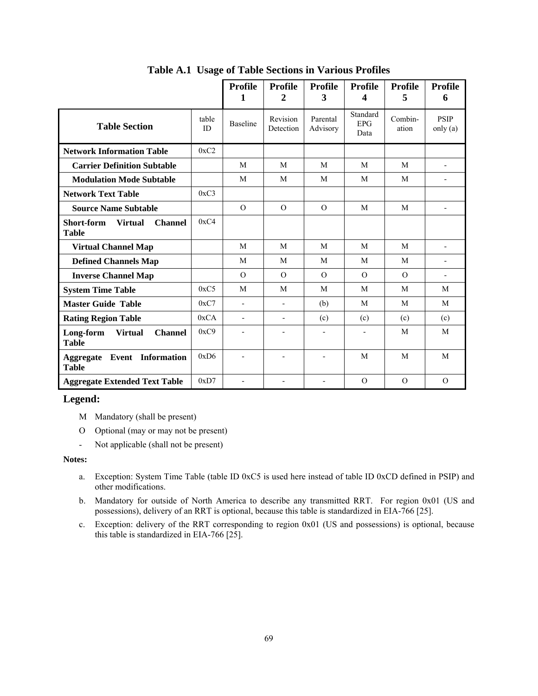|                                                                |             | <b>Profile</b><br>1      | <b>Profile</b><br>2   | <b>Profile</b><br>3  | <b>Profile</b><br>4            | <b>Profile</b><br>5 | <b>Profile</b><br>6       |
|----------------------------------------------------------------|-------------|--------------------------|-----------------------|----------------------|--------------------------------|---------------------|---------------------------|
| <b>Table Section</b>                                           | table<br>ID | <b>Baseline</b>          | Revision<br>Detection | Parental<br>Advisory | Standard<br><b>EPG</b><br>Data | Combin-<br>ation    | <b>PSIP</b><br>only $(a)$ |
| <b>Network Information Table</b>                               | 0xC2        |                          |                       |                      |                                |                     |                           |
| <b>Carrier Definition Subtable</b>                             |             | M                        | M                     | M                    | M                              | M                   | $\overline{\phantom{a}}$  |
| <b>Modulation Mode Subtable</b>                                |             | M                        | M                     | M                    | M                              | M                   | $\blacksquare$            |
| <b>Network Text Table</b>                                      | 0xC3        |                          |                       |                      |                                |                     |                           |
| <b>Source Name Subtable</b>                                    |             | $\Omega$                 | $\Omega$              | $\Omega$             | M                              | M                   |                           |
| Short-form<br><b>Virtual</b><br><b>Channel</b><br><b>Table</b> | 0xC4        |                          |                       |                      |                                |                     |                           |
| <b>Virtual Channel Map</b>                                     |             | M                        | M                     | M                    | M                              | M                   | $\blacksquare$            |
| <b>Defined Channels Map</b>                                    |             | M                        | M                     | M                    | M                              | M                   | $\blacksquare$            |
| <b>Inverse Channel Map</b>                                     |             | $\Omega$                 | $\Omega$              | $\Omega$             | $\Omega$                       | $\Omega$            | $\blacksquare$            |
| <b>System Time Table</b>                                       | 0xC5        | M                        | M                     | M                    | M                              | M                   | M                         |
| <b>Master Guide Table</b>                                      | 0xC7        | $\overline{\phantom{0}}$ | $\blacksquare$        | (b)                  | M                              | M                   | M                         |
| <b>Rating Region Table</b>                                     | 0xCA        | $\overline{\phantom{0}}$ | $\blacksquare$        | (c)                  | (c)                            | (c)                 | (c)                       |
| Long-form<br><b>Virtual</b><br><b>Channel</b><br><b>Table</b>  | 0xC9        |                          |                       |                      | $\overline{\phantom{0}}$       | M                   | M                         |
| <b>Aggregate Event Information</b><br><b>Table</b>             | 0xD6        |                          |                       |                      | M                              | M                   | M                         |
| <b>Aggregate Extended Text Table</b>                           | 0xD7        |                          |                       |                      | $\Omega$                       | $\Omega$            | $\mathcal{O}$             |

**Table A.1 Usage of Table Sections in Various Profiles** 

# **Legend:**

- M Mandatory (shall be present)
- O Optional (may or may not be present)
- Not applicable (shall not be present)

#### **Notes:**

- a. Exception: System Time Table (table ID 0xC5 is used here instead of table ID 0xCD defined in PSIP) and other modifications.
- b. Mandatory for outside of North America to describe any transmitted RRT. For region 0x01 (US and possessions), delivery of an RRT is optional, because this table is standardized in EIA-766 [25].
- c. Exception: delivery of the RRT corresponding to region 0x01 (US and possessions) is optional, because this table is standardized in EIA-766 [25].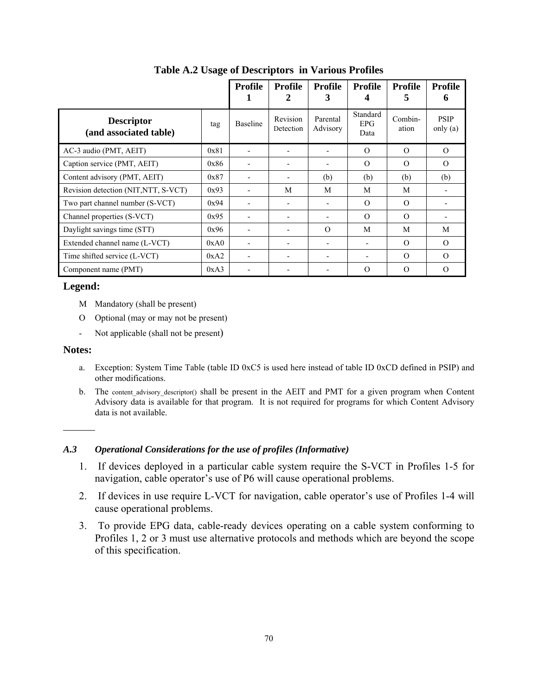|                                             |      | Profile                  | <b>Profile</b><br>2      | <b>Profile</b><br>3      | Profile                        | <b>Profile</b><br>5 | <b>Profile</b><br>h       |
|---------------------------------------------|------|--------------------------|--------------------------|--------------------------|--------------------------------|---------------------|---------------------------|
| <b>Descriptor</b><br>(and associated table) | tag  | <b>Baseline</b>          | Revision<br>Detection    | Parental<br>Advisory     | Standard<br><b>EPG</b><br>Data | Combin-<br>ation    | <b>PSIP</b><br>only $(a)$ |
| AC-3 audio (PMT, AEIT)                      | 0x81 |                          |                          |                          | $\Omega$                       | $\Omega$            | $\Omega$                  |
| Caption service (PMT, AEIT)                 | 0x86 |                          | $\overline{\phantom{a}}$ | ۰                        | $\Omega$                       | $\Omega$            | $\Omega$                  |
| Content advisory (PMT, AEIT)                | 0x87 |                          | -                        | (b)                      | (b)                            | (b)                 | (b)                       |
| Revision detection (NIT, NTT, S-VCT)        | 0x93 | -                        | M                        | M                        | M                              | M                   |                           |
| Two part channel number (S-VCT)             | 0x94 |                          | $\overline{\phantom{a}}$ |                          | $\Omega$                       | $\Omega$            |                           |
| Channel properties (S-VCT)                  | 0x95 | $\overline{\phantom{0}}$ | -                        | $\overline{\phantom{0}}$ | $\Omega$                       | $\Omega$            |                           |
| Daylight savings time (STT)                 | 0x96 |                          | $\overline{\phantom{a}}$ | $\Omega$                 | M                              | M                   | M                         |
| Extended channel name (L-VCT)               | 0xA0 | -                        | $\overline{\phantom{0}}$ |                          |                                | $\Omega$            | $\Omega$                  |
| Time shifted service (L-VCT)                | 0xA2 | -                        | -                        |                          |                                | $\Omega$            | $\Omega$                  |
| Component name (PMT)                        | 0xA3 |                          |                          |                          | $\Omega$                       | $\Omega$            | $\Omega$                  |

**Table A.2 Usage of Descriptors in Various Profiles** 

# **Legend:**

- M Mandatory (shall be present)
- O Optional (may or may not be present)
- Not applicable (shall not be present)

# **Notes:**

- a. Exception: System Time Table (table ID 0xC5 is used here instead of table ID 0xCD defined in PSIP) and other modifications.
- b. The content\_advisory\_descriptor() shall be present in the AEIT and PMT for a given program when Content Advisory data is available for that program. It is not required for programs for which Content Advisory data is not available.

# *A.3 Operational Considerations for the use of profiles (Informative)*

- 1. If devices deployed in a particular cable system require the S-VCT in Profiles 1-5 for navigation, cable operator's use of P6 will cause operational problems.
- 2. If devices in use require L-VCT for navigation, cable operator's use of Profiles 1-4 will cause operational problems.
- 3. To provide EPG data, cable-ready devices operating on a cable system conforming to Profiles 1, 2 or 3 must use alternative protocols and methods which are beyond the scope of this specification.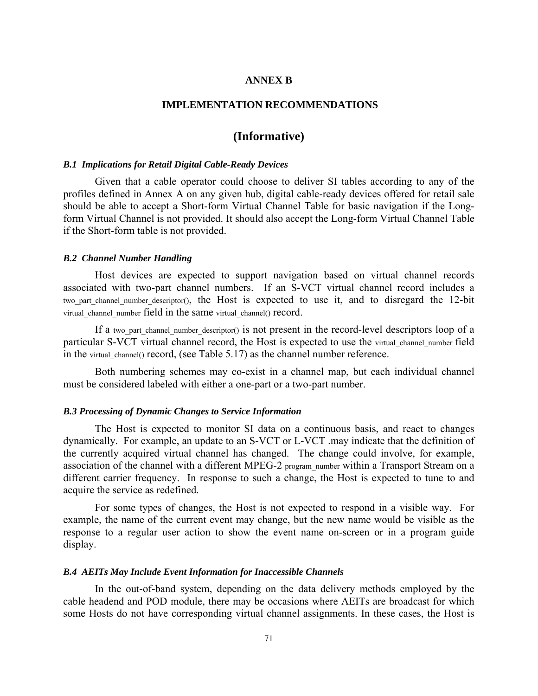# **ANNEX B**

## **IMPLEMENTATION RECOMMENDATIONS**

# **(Informative)**

# *B.1 Implications for Retail Digital Cable-Ready Devices*

Given that a cable operator could choose to deliver SI tables according to any of the profiles defined in Annex A on any given hub, digital cable-ready devices offered for retail sale should be able to accept a Short-form Virtual Channel Table for basic navigation if the Longform Virtual Channel is not provided. It should also accept the Long-form Virtual Channel Table if the Short-form table is not provided.

#### *B.2 Channel Number Handling*

Host devices are expected to support navigation based on virtual channel records associated with two-part channel numbers. If an S-VCT virtual channel record includes a two part channel number descriptor(), the Host is expected to use it, and to disregard the 12-bit virtual channel number field in the same virtual channel() record.

If a two part channel number descriptor() is not present in the record-level descriptors loop of a particular S-VCT virtual channel record, the Host is expected to use the virtual channel number field in the virtual channel() record, (see Table 5.17) as the channel number reference.

Both numbering schemes may co-exist in a channel map, but each individual channel must be considered labeled with either a one-part or a two-part number.

### *B.3 Processing of Dynamic Changes to Service Information*

The Host is expected to monitor SI data on a continuous basis, and react to changes dynamically. For example, an update to an S-VCT or L-VCT .may indicate that the definition of the currently acquired virtual channel has changed. The change could involve, for example, association of the channel with a different MPEG-2 program number within a Transport Stream on a different carrier frequency. In response to such a change, the Host is expected to tune to and acquire the service as redefined.

For some types of changes, the Host is not expected to respond in a visible way. For example, the name of the current event may change, but the new name would be visible as the response to a regular user action to show the event name on-screen or in a program guide display.

#### *B.4 AEITs May Include Event Information for Inaccessible Channels*

In the out-of-band system, depending on the data delivery methods employed by the cable headend and POD module, there may be occasions where AEITs are broadcast for which some Hosts do not have corresponding virtual channel assignments. In these cases, the Host is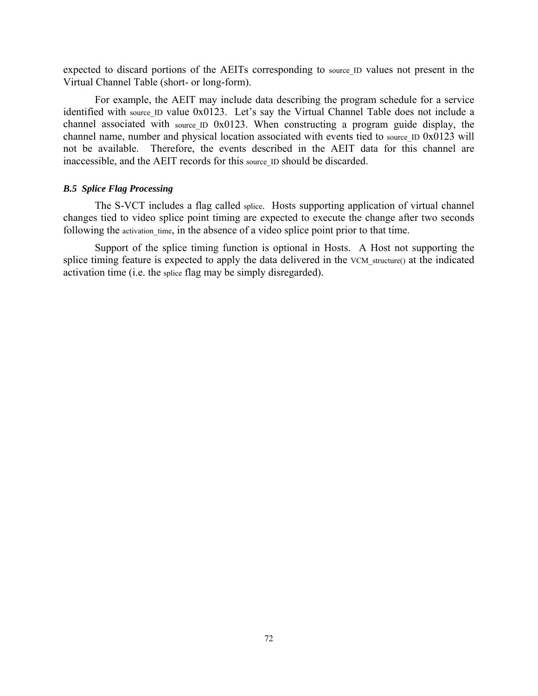expected to discard portions of the AEITs corresponding to source ID values not present in the Virtual Channel Table (short- or long-form).

For example, the AEIT may include data describing the program schedule for a service identified with source ID value 0x0123. Let's say the Virtual Channel Table does not include a channel associated with source ID 0x0123. When constructing a program guide display, the channel name, number and physical location associated with events tied to source ID 0x0123 will not be available. Therefore, the events described in the AEIT data for this channel are inaccessible, and the AEIT records for this source ID should be discarded.

# *B.5 Splice Flag Processing*

The S-VCT includes a flag called splice. Hosts supporting application of virtual channel changes tied to video splice point timing are expected to execute the change after two seconds following the activation time, in the absence of a video splice point prior to that time.

Support of the splice timing function is optional in Hosts. A Host not supporting the splice timing feature is expected to apply the data delivered in the VCM structure() at the indicated activation time (i.e. the splice flag may be simply disregarded).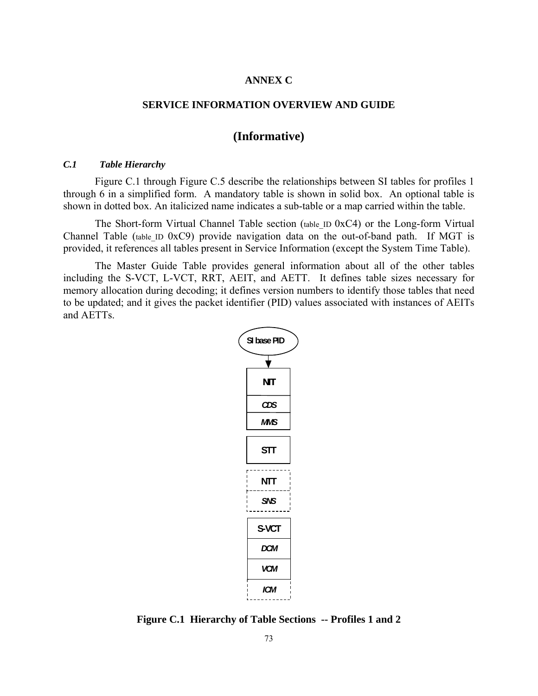# **ANNEX C**

### **SERVICE INFORMATION OVERVIEW AND GUIDE**

# **(Informative)**

### *C.1 Table Hierarchy*

Figure C.1 through Figure C.5 describe the relationships between SI tables for profiles 1 through 6 in a simplified form. A mandatory table is shown in solid box. An optional table is shown in dotted box. An italicized name indicates a sub-table or a map carried within the table.

The Short-form Virtual Channel Table section (table ID 0xC4) or the Long-form Virtual Channel Table (table ID 0xC9) provide navigation data on the out-of-band path. If MGT is provided, it references all tables present in Service Information (except the System Time Table).

The Master Guide Table provides general information about all of the other tables including the S-VCT, L-VCT, RRT, AEIT, and AETT. It defines table sizes necessary for memory allocation during decoding; it defines version numbers to identify those tables that need to be updated; and it gives the packet identifier (PID) values associated with instances of AEITs and AETTs.



**Figure C.1 Hierarchy of Table Sections -- Profiles 1 and 2**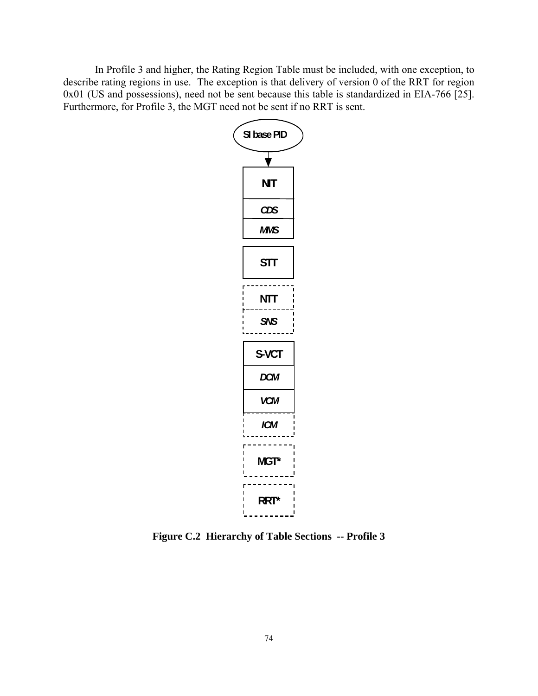In Profile 3 and higher, the Rating Region Table must be included, with one exception, to describe rating regions in use. The exception is that delivery of version 0 of the RRT for region 0x01 (US and possessions), need not be sent because this table is standardized in EIA-766 [25]. Furthermore, for Profile 3, the MGT need not be sent if no RRT is sent.



**Figure C.2 Hierarchy of Table Sections -- Profile 3**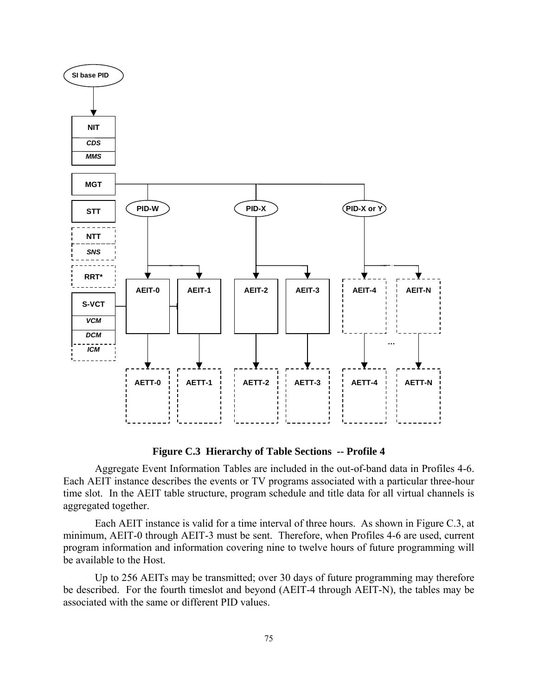

**Figure C.3 Hierarchy of Table Sections -- Profile 4** 

Aggregate Event Information Tables are included in the out-of-band data in Profiles 4-6. Each AEIT instance describes the events or TV programs associated with a particular three-hour time slot. In the AEIT table structure, program schedule and title data for all virtual channels is aggregated together.

Each AEIT instance is valid for a time interval of three hours. As shown in Figure C.3, at minimum, AEIT-0 through AEIT-3 must be sent. Therefore, when Profiles 4-6 are used, current program information and information covering nine to twelve hours of future programming will be available to the Host.

Up to 256 AEITs may be transmitted; over 30 days of future programming may therefore be described. For the fourth timeslot and beyond (AEIT-4 through AEIT-N), the tables may be associated with the same or different PID values.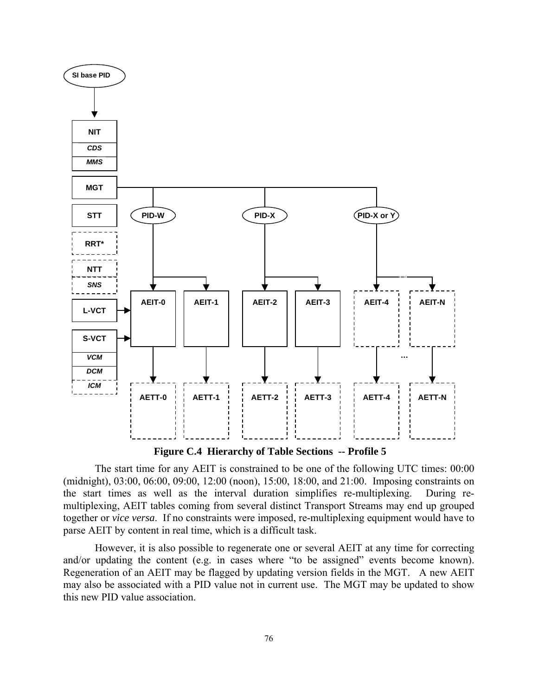

 **Figure C.4 Hierarchy of Table Sections -- Profile 5**

The start time for any AEIT is constrained to be one of the following UTC times: 00:00 (midnight), 03:00, 06:00, 09:00, 12:00 (noon), 15:00, 18:00, and 21:00. Imposing constraints on the start times as well as the interval duration simplifies re-multiplexing. During remultiplexing, AEIT tables coming from several distinct Transport Streams may end up grouped together or *vice versa*. If no constraints were imposed, re-multiplexing equipment would have to parse AEIT by content in real time, which is a difficult task.

However, it is also possible to regenerate one or several AEIT at any time for correcting and/or updating the content (e.g. in cases where "to be assigned" events become known). Regeneration of an AEIT may be flagged by updating version fields in the MGT. A new AEIT may also be associated with a PID value not in current use. The MGT may be updated to show this new PID value association.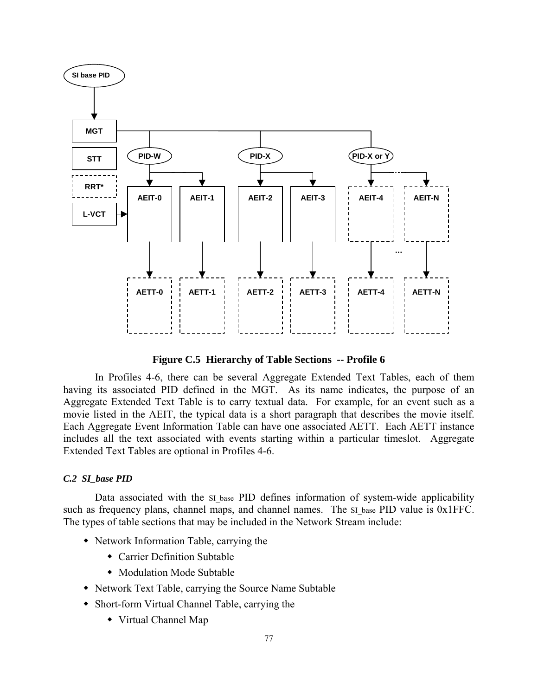

**Figure C.5 Hierarchy of Table Sections -- Profile 6** 

In Profiles 4-6, there can be several Aggregate Extended Text Tables, each of them having its associated PID defined in the MGT. As its name indicates, the purpose of an Aggregate Extended Text Table is to carry textual data. For example, for an event such as a movie listed in the AEIT, the typical data is a short paragraph that describes the movie itself. Each Aggregate Event Information Table can have one associated AETT. Each AETT instance includes all the text associated with events starting within a particular timeslot. Aggregate Extended Text Tables are optional in Profiles 4-6.

# *C.2 SI\_base PID*

Data associated with the SI base PID defines information of system-wide applicability such as frequency plans, channel maps, and channel names. The SI base PID value is 0x1FFC. The types of table sections that may be included in the Network Stream include:

- Network Information Table, carrying the
	- Carrier Definition Subtable
	- Modulation Mode Subtable
- Network Text Table, carrying the Source Name Subtable
- Short-form Virtual Channel Table, carrying the
	- Virtual Channel Map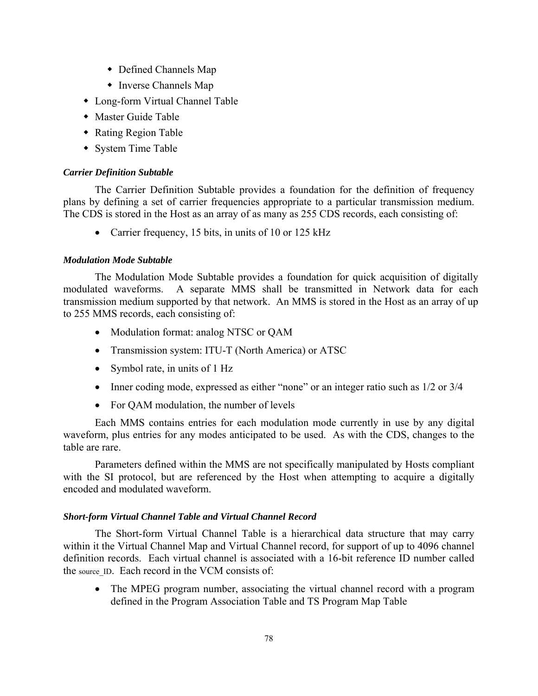- Defined Channels Map
- Inverse Channels Map
- Long-form Virtual Channel Table
- Master Guide Table
- Rating Region Table
- System Time Table

# *Carrier Definition Subtable*

The Carrier Definition Subtable provides a foundation for the definition of frequency plans by defining a set of carrier frequencies appropriate to a particular transmission medium. The CDS is stored in the Host as an array of as many as 255 CDS records, each consisting of:

• Carrier frequency, 15 bits, in units of 10 or 125 kHz

# *Modulation Mode Subtable*

The Modulation Mode Subtable provides a foundation for quick acquisition of digitally modulated waveforms. A separate MMS shall be transmitted in Network data for each transmission medium supported by that network. An MMS is stored in the Host as an array of up to 255 MMS records, each consisting of:

- Modulation format: analog NTSC or QAM
- Transmission system: ITU-T (North America) or ATSC
- Symbol rate, in units of 1 Hz
- Inner coding mode, expressed as either "none" or an integer ratio such as  $1/2$  or  $3/4$
- For QAM modulation, the number of levels

Each MMS contains entries for each modulation mode currently in use by any digital waveform, plus entries for any modes anticipated to be used. As with the CDS, changes to the table are rare.

Parameters defined within the MMS are not specifically manipulated by Hosts compliant with the SI protocol, but are referenced by the Host when attempting to acquire a digitally encoded and modulated waveform.

# *Short-form Virtual Channel Table and Virtual Channel Record*

The Short-form Virtual Channel Table is a hierarchical data structure that may carry within it the Virtual Channel Map and Virtual Channel record, for support of up to 4096 channel definition records. Each virtual channel is associated with a 16-bit reference ID number called the source ID. Each record in the VCM consists of:

• The MPEG program number, associating the virtual channel record with a program defined in the Program Association Table and TS Program Map Table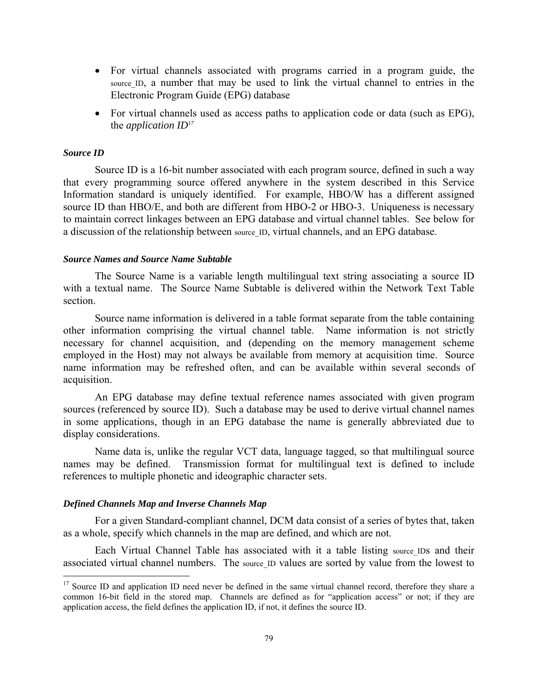- For virtual channels associated with programs carried in a program guide, the source ID, a number that may be used to link the virtual channel to entries in the Electronic Program Guide (EPG) database
- For virtual channels used as access paths to application code or data (such as EPG), the *application ID17*

#### *Source ID*

<u>.</u>

Source ID is a 16-bit number associated with each program source, defined in such a way that every programming source offered anywhere in the system described in this Service Information standard is uniquely identified. For example, HBO/W has a different assigned source ID than HBO/E, and both are different from HBO-2 or HBO-3. Uniqueness is necessary to maintain correct linkages between an EPG database and virtual channel tables. See below for a discussion of the relationship between source ID, virtual channels, and an EPG database.

#### *Source Names and Source Name Subtable*

The Source Name is a variable length multilingual text string associating a source ID with a textual name. The Source Name Subtable is delivered within the Network Text Table section.

Source name information is delivered in a table format separate from the table containing other information comprising the virtual channel table. Name information is not strictly necessary for channel acquisition, and (depending on the memory management scheme employed in the Host) may not always be available from memory at acquisition time. Source name information may be refreshed often, and can be available within several seconds of acquisition.

An EPG database may define textual reference names associated with given program sources (referenced by source ID). Such a database may be used to derive virtual channel names in some applications, though in an EPG database the name is generally abbreviated due to display considerations.

Name data is, unlike the regular VCT data, language tagged, so that multilingual source names may be defined. Transmission format for multilingual text is defined to include references to multiple phonetic and ideographic character sets.

#### *Defined Channels Map and Inverse Channels Map*

For a given Standard-compliant channel, DCM data consist of a series of bytes that, taken as a whole, specify which channels in the map are defined, and which are not.

Each Virtual Channel Table has associated with it a table listing source\_IDs and their associated virtual channel numbers. The source ID values are sorted by value from the lowest to

<sup>&</sup>lt;sup>17</sup> Source ID and application ID need never be defined in the same virtual channel record, therefore they share a common 16-bit field in the stored map. Channels are defined as for "application access" or not; if they are application access, the field defines the application ID, if not, it defines the source ID.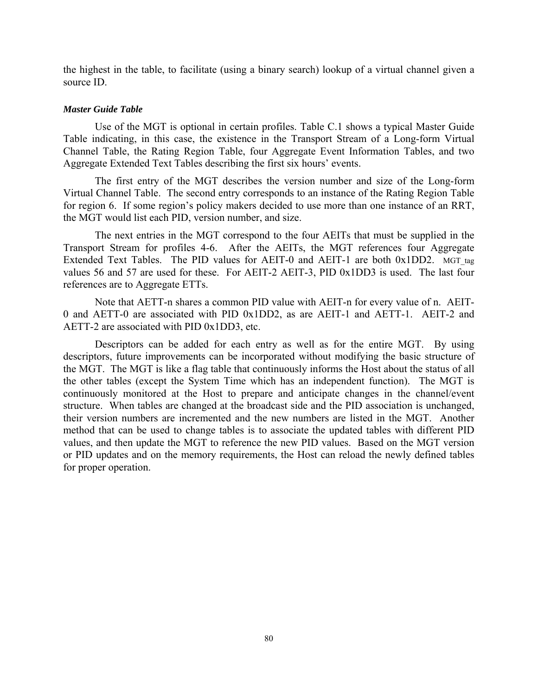the highest in the table, to facilitate (using a binary search) lookup of a virtual channel given a source ID.

#### *Master Guide Table*

Use of the MGT is optional in certain profiles. Table C.1 shows a typical Master Guide Table indicating, in this case, the existence in the Transport Stream of a Long-form Virtual Channel Table, the Rating Region Table, four Aggregate Event Information Tables, and two Aggregate Extended Text Tables describing the first six hours' events.

The first entry of the MGT describes the version number and size of the Long-form Virtual Channel Table. The second entry corresponds to an instance of the Rating Region Table for region 6. If some region's policy makers decided to use more than one instance of an RRT, the MGT would list each PID, version number, and size.

The next entries in the MGT correspond to the four AEITs that must be supplied in the Transport Stream for profiles 4-6. After the AEITs, the MGT references four Aggregate Extended Text Tables. The PID values for AEIT-0 and AEIT-1 are both  $0x1DD2$ . MGT tag values 56 and 57 are used for these. For AEIT-2 AEIT-3, PID 0x1DD3 is used. The last four references are to Aggregate ETTs.

Note that AETT-n shares a common PID value with AEIT-n for every value of n. AEIT-0 and AETT-0 are associated with PID 0x1DD2, as are AEIT-1 and AETT-1. AEIT-2 and AETT-2 are associated with PID 0x1DD3, etc.

Descriptors can be added for each entry as well as for the entire MGT. By using descriptors, future improvements can be incorporated without modifying the basic structure of the MGT. The MGT is like a flag table that continuously informs the Host about the status of all the other tables (except the System Time which has an independent function). The MGT is continuously monitored at the Host to prepare and anticipate changes in the channel/event structure. When tables are changed at the broadcast side and the PID association is unchanged, their version numbers are incremented and the new numbers are listed in the MGT. Another method that can be used to change tables is to associate the updated tables with different PID values, and then update the MGT to reference the new PID values. Based on the MGT version or PID updates and on the memory requirements, the Host can reload the newly defined tables for proper operation.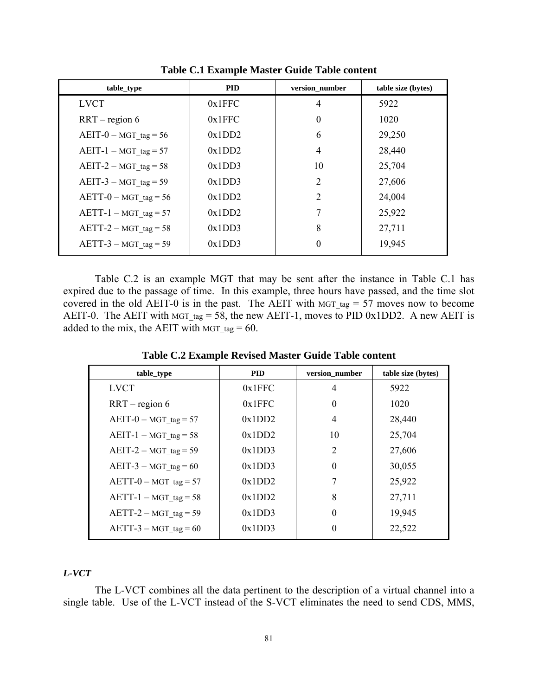| table_type              | <b>PID</b> | version_number   | table size (bytes) |
|-------------------------|------------|------------------|--------------------|
| <b>LVCT</b>             | 0x1FFC     | 4                | 5922               |
| $RRT -$ region 6        | 0x1FFC     | $\boldsymbol{0}$ | 1020               |
| $AEIT-0-MGT$ tag = 56   | 0x1DD2     | 6                | 29,250             |
| $AEIT-1-MGT$ tag = 57   | 0x1DD2     | 4                | 28,440             |
| $AEIT-2-MGT$ tag = 58   | 0x1DD3     | 10               | 25,704             |
| $AEIT-3-MGT$ tag = 59   | 0x1DD3     | 2                | 27,606             |
| $AETT-0-MGT$ tag = 56   | 0x1DD2     | $\overline{2}$   | 24,004             |
| $AETT-1 - MGT$ tag = 57 | 0x1DD2     | 7                | 25,922             |
| $AETT-2-MGT$ tag = 58   | 0x1DD3     | 8                | 27,711             |
| $AETT-3-MGT$ tag = 59   | 0x1DD3     | $\theta$         | 19,945             |

**Table C.1 Example Master Guide Table content** 

Table C.2 is an example MGT that may be sent after the instance in Table C.1 has expired due to the passage of time. In this example, three hours have passed, and the time slot covered in the old AEIT-0 is in the past. The AEIT with MGT tag  $= 57$  moves now to become AEIT-0. The AEIT with MGT tag = 58, the new AEIT-1, moves to PID 0x1DD2. A new AEIT is added to the mix, the AEIT with  $MGT_{tag} = 60$ .

| table_type              | <b>PID</b> | version_number | table size (bytes) |
|-------------------------|------------|----------------|--------------------|
| <b>LVCT</b>             | 0x1FFC     | 4              | 5922               |
| $RRT -$ region 6        | 0x1FFC     | $\Omega$       | 1020               |
| $AEIT-0-MGT$ tag = 57   | 0x1DD2     | $\overline{4}$ | 28,440             |
| $AEIT-1-MGT$ tag = 58   | 0x1DD2     | 10             | 25,704             |
| $AEIT-2-MGT$ tag = 59   | 0x1DD3     | 2              | 27,606             |
| $AEIT-3-MGT$ tag = 60   | 0x1DD3     | $\Omega$       | 30,055             |
| $AETT-0-MGT$ tag = 57   | 0x1DD2     | 7              | 25,922             |
| $AETT-1 - MGT$ tag = 58 | 0x1DD2     | 8              | 27,711             |
| $AETT-2-MGT$ tag = 59   | 0x1DD3     | $\Omega$       | 19,945             |
| $AETT-3 - MGT$ tag = 60 | 0x1DD3     |                | 22,522             |

**Table C.2 Example Revised Master Guide Table content** 

#### *L-VCT*

The L-VCT combines all the data pertinent to the description of a virtual channel into a single table. Use of the L-VCT instead of the S-VCT eliminates the need to send CDS, MMS,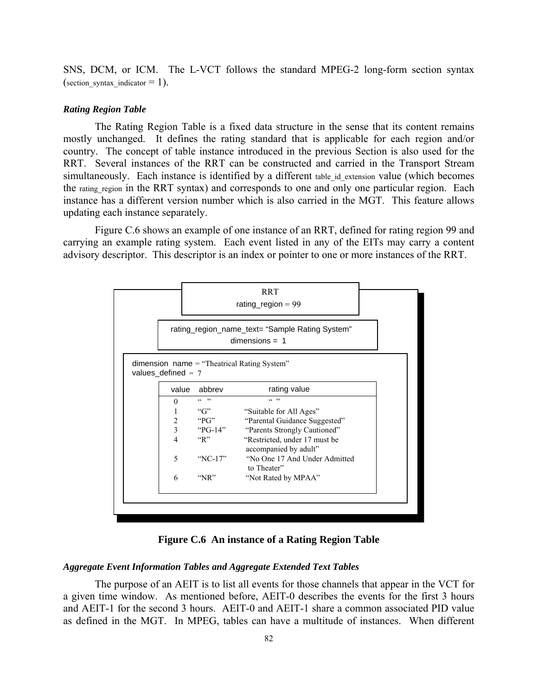SNS, DCM, or ICM. The L-VCT follows the standard MPEG-2 long-form section syntax (section\_syntax\_indicator  $= 1$ ).

#### *Rating Region Table*

The Rating Region Table is a fixed data structure in the sense that its content remains mostly unchanged. It defines the rating standard that is applicable for each region and/or country. The concept of table instance introduced in the previous Section is also used for the RRT. Several instances of the RRT can be constructed and carried in the Transport Stream simultaneously. Each instance is identified by a different table id extension value (which becomes the rating region in the RRT syntax) and corresponds to one and only one particular region. Each instance has a different version number which is also carried in the MGT. This feature allows updating each instance separately.

Figure C.6 shows an example of one instance of an RRT, defined for rating region 99 and carrying an example rating system. Each event listed in any of the EITs may carry a content advisory descriptor. This descriptor is an index or pointer to one or more instances of the RRT.



**Figure C.6 An instance of a Rating Region Table** 

#### *Aggregate Event Information Tables and Aggregate Extended Text Tables*

The purpose of an AEIT is to list all events for those channels that appear in the VCT for a given time window. As mentioned before, AEIT-0 describes the events for the first 3 hours and AEIT-1 for the second 3 hours. AEIT-0 and AEIT-1 share a common associated PID value as defined in the MGT. In MPEG, tables can have a multitude of instances. When different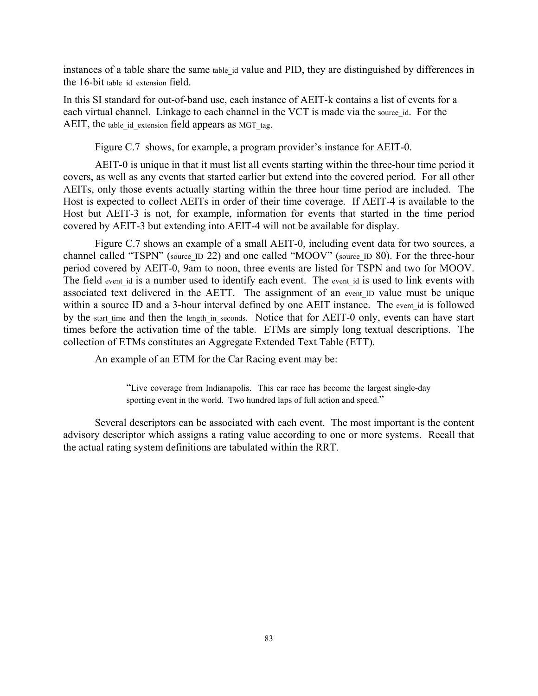instances of a table share the same table id value and PID, they are distinguished by differences in the 16-bit table\_id\_extension field.

In this SI standard for out-of-band use, each instance of AEIT-k contains a list of events for a each virtual channel. Linkage to each channel in the VCT is made via the source id. For the AEIT, the table id extension field appears as MGT tag.

Figure C.7 shows, for example, a program provider's instance for AEIT-0.

AEIT-0 is unique in that it must list all events starting within the three-hour time period it covers, as well as any events that started earlier but extend into the covered period. For all other AEITs, only those events actually starting within the three hour time period are included. The Host is expected to collect AEITs in order of their time coverage. If AEIT-4 is available to the Host but AEIT-3 is not, for example, information for events that started in the time period covered by AEIT-3 but extending into AEIT-4 will not be available for display.

Figure C.7 shows an example of a small AEIT-0, including event data for two sources, a channel called "TSPN" (source\_ID 22) and one called "MOOV" (source\_ID 80). For the three-hour period covered by AEIT-0, 9am to noon, three events are listed for TSPN and two for MOOV. The field event id is a number used to identify each event. The event id is used to link events with associated text delivered in the AETT. The assignment of an event ID value must be unique within a source ID and a 3-hour interval defined by one AEIT instance. The event id is followed by the start time and then the length in seconds. Notice that for AEIT-0 only, events can have start times before the activation time of the table. ETMs are simply long textual descriptions. The collection of ETMs constitutes an Aggregate Extended Text Table (ETT).

An example of an ETM for the Car Racing event may be:

"Live coverage from Indianapolis. This car race has become the largest single-day sporting event in the world. Two hundred laps of full action and speed."

Several descriptors can be associated with each event. The most important is the content advisory descriptor which assigns a rating value according to one or more systems. Recall that the actual rating system definitions are tabulated within the RRT.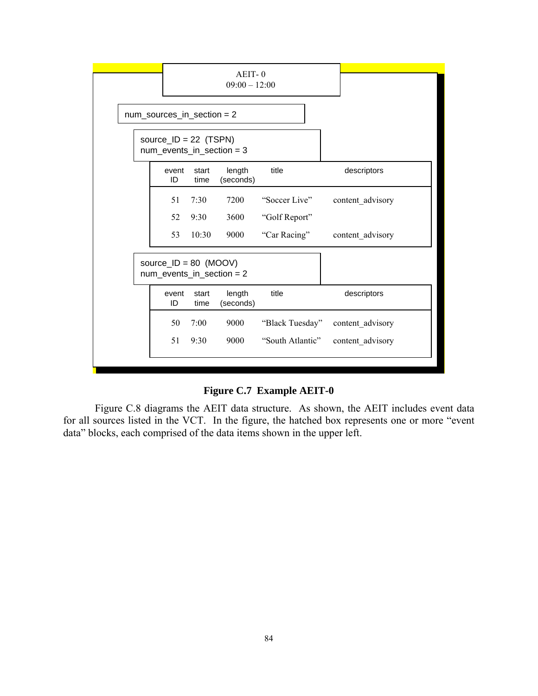|                                |                                                        | AEIT-0<br>$09:00 - 12:00$ |                             |                  |                  |
|--------------------------------|--------------------------------------------------------|---------------------------|-----------------------------|------------------|------------------|
| $num\_sources_in\_section = 2$ |                                                        |                           |                             |                  |                  |
|                                | source_ID = 22 $(TSPN)$<br>$num_events_in_section = 3$ |                           |                             |                  |                  |
|                                | event<br>ID                                            | start<br>time             | length<br>(seconds)         | title            | descriptors      |
|                                | 51                                                     | 7:30                      | 7200                        | "Soccer Live"    | content advisory |
|                                | 52                                                     | 9:30                      | 3600                        | "Golf Report"    |                  |
|                                | 53                                                     | 10:30                     | 9000                        | "Car Racing"     | content advisory |
|                                | source_ID = $80$ (MOOV)                                |                           | num events in section = $2$ |                  |                  |
|                                | event<br>ID                                            | start<br>time             | length<br>(seconds)         | title            | descriptors      |
|                                | 50                                                     | 7:00                      | 9000                        | "Black Tuesday"  | content advisory |
|                                | 51                                                     | 9:30                      | 9000                        | "South Atlantic" | content advisory |
|                                |                                                        |                           |                             |                  |                  |

**Figure C.7 Example AEIT-0** 

Figure C.8 diagrams the AEIT data structure. As shown, the AEIT includes event data for all sources listed in the VCT. In the figure, the hatched box represents one or more "event data" blocks, each comprised of the data items shown in the upper left.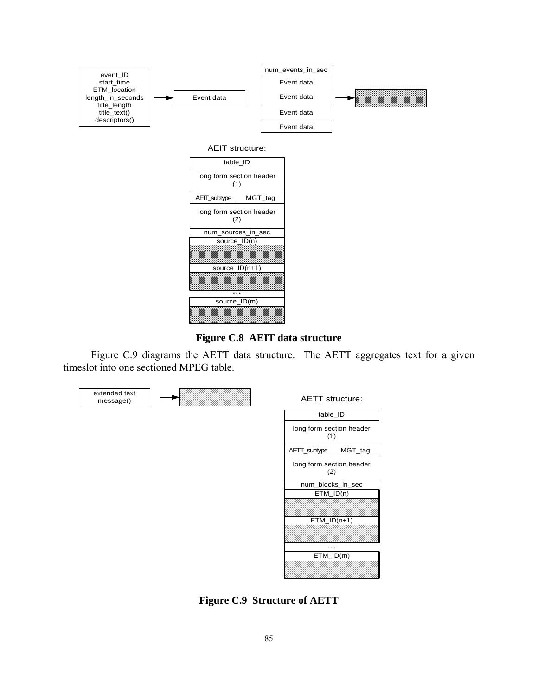



Figure C.9 diagrams the AETT data structure. The AETT aggregates text for a given timeslot into one sectioned MPEG table.



**Figure C.9 Structure of AETT**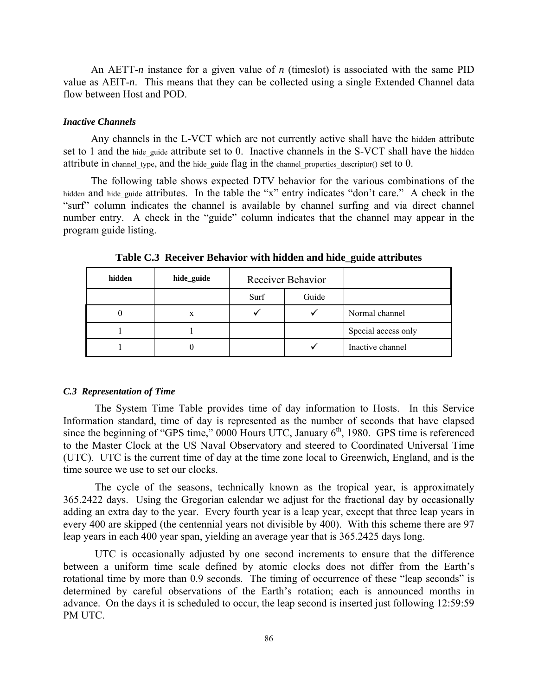An AETT-*n* instance for a given value of *n* (timeslot) is associated with the same PID value as AEIT-*n*. This means that they can be collected using a single Extended Channel data flow between Host and POD.

# *Inactive Channels*

Any channels in the L-VCT which are not currently active shall have the hidden attribute set to 1 and the hide guide attribute set to 0. Inactive channels in the S-VCT shall have the hidden attribute in channel type, and the hide guide flag in the channel properties descriptor() set to  $0$ .

The following table shows expected DTV behavior for the various combinations of the hidden and hide guide attributes. In the table the "x" entry indicates "don't care." A check in the "surf" column indicates the channel is available by channel surfing and via direct channel number entry. A check in the "guide" column indicates that the channel may appear in the program guide listing.

| hidden | hide_guide | Receiver Behavior |       |                     |
|--------|------------|-------------------|-------|---------------------|
|        |            | Surf              | Guide |                     |
|        | x          |                   |       | Normal channel      |
|        |            |                   |       | Special access only |
|        |            |                   |       | Inactive channel    |

**Table C.3 Receiver Behavior with hidden and hide\_guide attributes** 

#### *C.3 Representation of Time*

The System Time Table provides time of day information to Hosts. In this Service Information standard, time of day is represented as the number of seconds that have elapsed since the beginning of "GPS time,"  $0000$  Hours UTC, January  $6<sup>th</sup>$ , 1980. GPS time is referenced to the Master Clock at the US Naval Observatory and steered to Coordinated Universal Time (UTC). UTC is the current time of day at the time zone local to Greenwich, England, and is the time source we use to set our clocks.

The cycle of the seasons, technically known as the tropical year, is approximately 365.2422 days. Using the Gregorian calendar we adjust for the fractional day by occasionally adding an extra day to the year. Every fourth year is a leap year, except that three leap years in every 400 are skipped (the centennial years not divisible by 400). With this scheme there are 97 leap years in each 400 year span, yielding an average year that is 365.2425 days long.

UTC is occasionally adjusted by one second increments to ensure that the difference between a uniform time scale defined by atomic clocks does not differ from the Earth's rotational time by more than 0.9 seconds. The timing of occurrence of these "leap seconds" is determined by careful observations of the Earth's rotation; each is announced months in advance. On the days it is scheduled to occur, the leap second is inserted just following 12:59:59 PM UTC.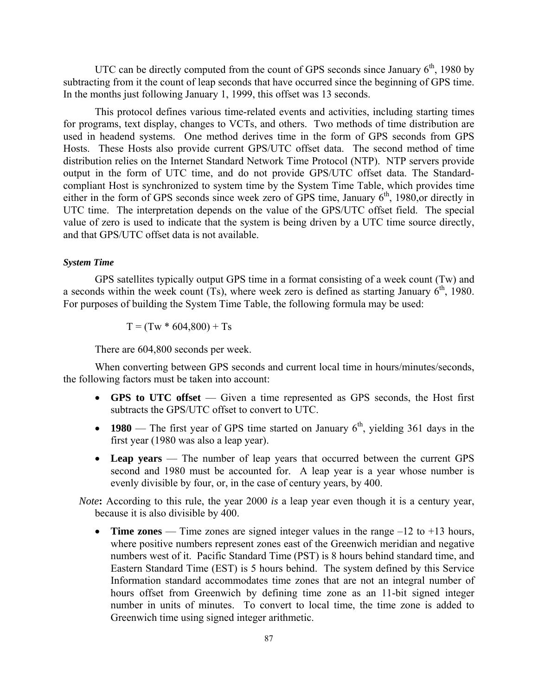UTC can be directly computed from the count of GPS seconds since January  $6<sup>th</sup>$ , 1980 by subtracting from it the count of leap seconds that have occurred since the beginning of GPS time. In the months just following January 1, 1999, this offset was 13 seconds.

This protocol defines various time-related events and activities, including starting times for programs, text display, changes to VCTs, and others. Two methods of time distribution are used in headend systems. One method derives time in the form of GPS seconds from GPS Hosts. These Hosts also provide current GPS/UTC offset data. The second method of time distribution relies on the Internet Standard Network Time Protocol (NTP). NTP servers provide output in the form of UTC time, and do not provide GPS/UTC offset data. The Standardcompliant Host is synchronized to system time by the System Time Table, which provides time either in the form of GPS seconds since week zero of GPS time, January  $6<sup>th</sup>$ , 1980,or directly in UTC time. The interpretation depends on the value of the GPS/UTC offset field. The special value of zero is used to indicate that the system is being driven by a UTC time source directly, and that GPS/UTC offset data is not available.

#### *System Time*

GPS satellites typically output GPS time in a format consisting of a week count (Tw) and a seconds within the week count  $(Ts)$ , where week zero is defined as starting January  $6<sup>th</sup>$ , 1980. For purposes of building the System Time Table, the following formula may be used:

 $T = (Tw * 604,800) + Ts$ 

There are 604,800 seconds per week.

When converting between GPS seconds and current local time in hours/minutes/seconds, the following factors must be taken into account:

- **GPS to UTC offset** Given a time represented as GPS seconds, the Host first subtracts the GPS/UTC offset to convert to UTC.
- **1980** The first year of GPS time started on January  $6<sup>th</sup>$ , yielding 361 days in the first year (1980 was also a leap year).
- **Leap years** The number of leap years that occurred between the current GPS second and 1980 must be accounted for. A leap year is a year whose number is evenly divisible by four, or, in the case of century years, by 400.

*Note*: According to this rule, the year 2000 *is* a leap year even though it is a century year, because it is also divisible by 400.

• **Time zones** — Time zones are signed integer values in the range –12 to +13 hours, where positive numbers represent zones east of the Greenwich meridian and negative numbers west of it. Pacific Standard Time (PST) is 8 hours behind standard time, and Eastern Standard Time (EST) is 5 hours behind. The system defined by this Service Information standard accommodates time zones that are not an integral number of hours offset from Greenwich by defining time zone as an 11-bit signed integer number in units of minutes. To convert to local time, the time zone is added to Greenwich time using signed integer arithmetic.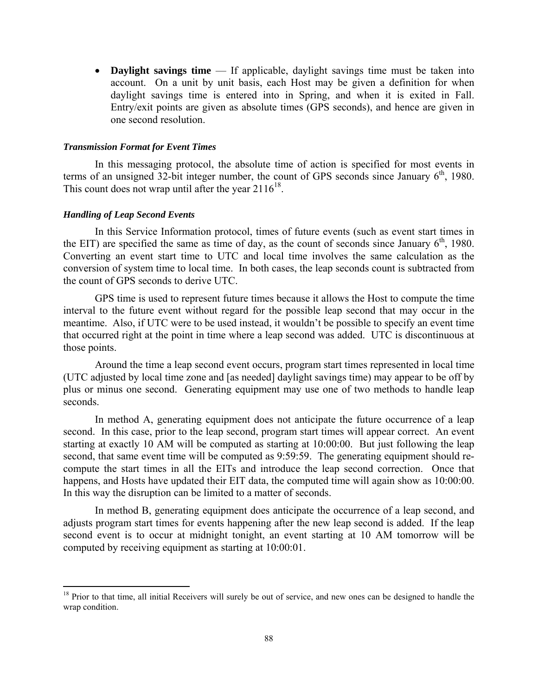• **Daylight savings time** — If applicable, daylight savings time must be taken into account. On a unit by unit basis, each Host may be given a definition for when daylight savings time is entered into in Spring, and when it is exited in Fall. Entry/exit points are given as absolute times (GPS seconds), and hence are given in one second resolution.

#### *Transmission Format for Event Times*

In this messaging protocol, the absolute time of action is specified for most events in terms of an unsigned 32-bit integer number, the count of GPS seconds since January  $6<sup>th</sup>$ , 1980. This count does not wrap until after the year  $2116^{18}$ .

### *Handling of Leap Second Events*

 $\overline{a}$ 

In this Service Information protocol, times of future events (such as event start times in the EIT) are specified the same as time of day, as the count of seconds since January  $6<sup>th</sup>$ , 1980. Converting an event start time to UTC and local time involves the same calculation as the conversion of system time to local time. In both cases, the leap seconds count is subtracted from the count of GPS seconds to derive UTC.

GPS time is used to represent future times because it allows the Host to compute the time interval to the future event without regard for the possible leap second that may occur in the meantime. Also, if UTC were to be used instead, it wouldn't be possible to specify an event time that occurred right at the point in time where a leap second was added. UTC is discontinuous at those points.

Around the time a leap second event occurs, program start times represented in local time (UTC adjusted by local time zone and [as needed] daylight savings time) may appear to be off by plus or minus one second. Generating equipment may use one of two methods to handle leap seconds.

In method A, generating equipment does not anticipate the future occurrence of a leap second. In this case, prior to the leap second, program start times will appear correct. An event starting at exactly 10 AM will be computed as starting at 10:00:00. But just following the leap second, that same event time will be computed as 9:59:59. The generating equipment should recompute the start times in all the EITs and introduce the leap second correction. Once that happens, and Hosts have updated their EIT data, the computed time will again show as 10:00:00. In this way the disruption can be limited to a matter of seconds.

In method B, generating equipment does anticipate the occurrence of a leap second, and adjusts program start times for events happening after the new leap second is added. If the leap second event is to occur at midnight tonight, an event starting at 10 AM tomorrow will be computed by receiving equipment as starting at 10:00:01.

 $18$  Prior to that time, all initial Receivers will surely be out of service, and new ones can be designed to handle the wrap condition.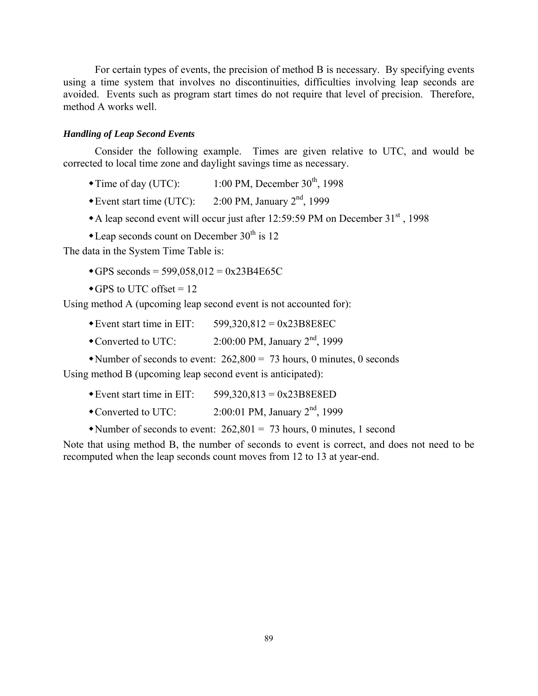For certain types of events, the precision of method B is necessary. By specifying events using a time system that involves no discontinuities, difficulties involving leap seconds are avoided. Events such as program start times do not require that level of precision. Therefore, method A works well.

#### *Handling of Leap Second Events*

Consider the following example. Times are given relative to UTC, and would be corrected to local time zone and daylight savings time as necessary.

- Time of day (UTC):  $1:00 \text{ PM}$ , December  $30^{\text{th}}$ , 1998
- Event start time (UTC):  $2:00 \text{ PM}$ , January  $2^{\text{nd}}$ , 1999
- A leap second event will occur just after 12:59:59 PM on December  $31<sup>st</sup>$ , 1998
- $\triangle$ Leap seconds count on December 30<sup>th</sup> is 12

The data in the System Time Table is:

- $\triangleleft$ GPS seconds = 599,058,012 = 0x23B4E65C
- $\blacktriangleright$  GPS to UTC offset = 12

Using method A (upcoming leap second event is not accounted for):

- Event start time in EIT:  $599,320,812 = 0x23B8E8EC$
- Converted to UTC:  $2:00:00 \text{ PM}$ , January  $2^{\text{nd}}$ , 1999
- Number of seconds to event:  $262,800 = 73$  hours, 0 minutes, 0 seconds

Using method B (upcoming leap second event is anticipated):

- Event start time in EIT:  $599,320,813 = 0x23B8E8ED$
- Converted to UTC:  $2:00:01$  PM, January  $2<sup>nd</sup>$ , 1999
- Number of seconds to event:  $262,801 = 73$  hours, 0 minutes, 1 second

Note that using method B, the number of seconds to event is correct, and does not need to be recomputed when the leap seconds count moves from 12 to 13 at year-end.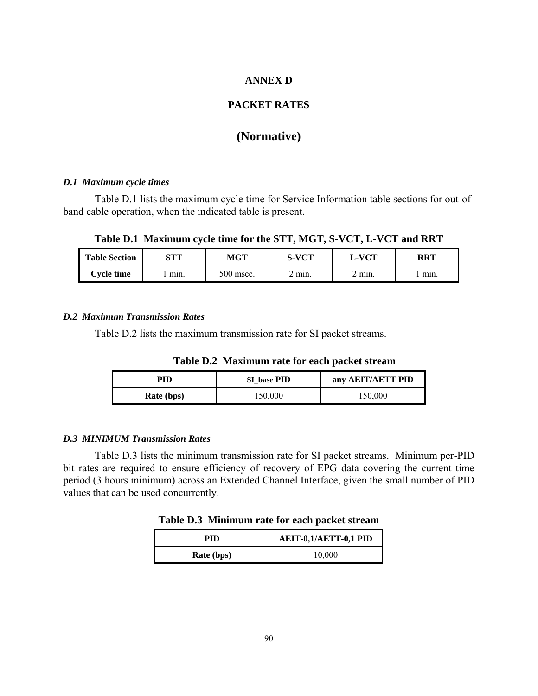# **ANNEX D**

# **PACKET RATES**

# **(Normative)**

#### *D.1 Maximum cycle times*

Table D.1 lists the maximum cycle time for Service Information table sections for out-ofband cable operation, when the indicated table is present.

**Table D.1 Maximum cycle time for the STT, MGT, S-VCT, L-VCT and RRT** 

| <b>Table Section</b> | STT  | MGT       | S-VCT  | L-VCT | RRT  |
|----------------------|------|-----------|--------|-------|------|
| <b>Cvcle time</b>    | min. | 500 msec. | 2 mın. | min.  | min. |

### *D.2 Maximum Transmission Rates*

Table D.2 lists the maximum transmission rate for SI packet streams.

 **Table D.2 Maximum rate for each packet stream** 

| PID               | SI base PID | any AEIT/AETT PID |
|-------------------|-------------|-------------------|
| <b>Rate (bps)</b> | 150,000     | 150,000           |

#### *D.3 MINIMUM Transmission Rates*

Table D.3 lists the minimum transmission rate for SI packet streams. Minimum per-PID bit rates are required to ensure efficiency of recovery of EPG data covering the current time period (3 hours minimum) across an Extended Channel Interface, given the small number of PID values that can be used concurrently.

**Table D.3 Minimum rate for each packet stream** 

| PID        | AEIT-0,1/AETT-0,1 PID |
|------------|-----------------------|
| Rate (bps) | 10,000                |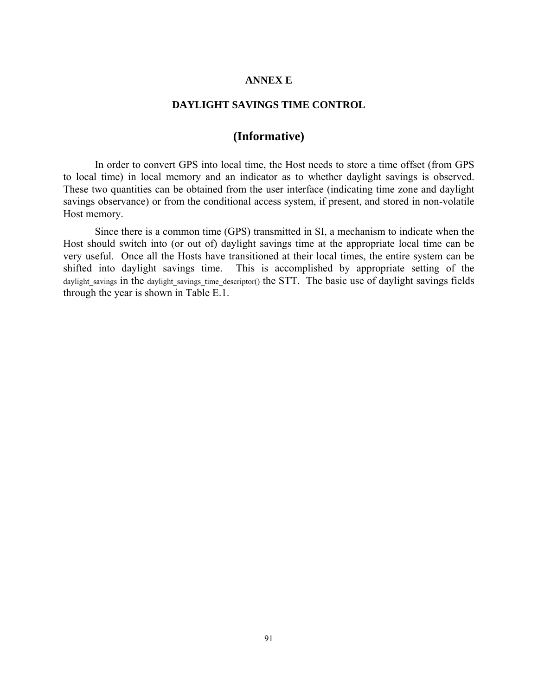# **ANNEX E**

### **DAYLIGHT SAVINGS TIME CONTROL**

# **(Informative)**

In order to convert GPS into local time, the Host needs to store a time offset (from GPS to local time) in local memory and an indicator as to whether daylight savings is observed. These two quantities can be obtained from the user interface (indicating time zone and daylight savings observance) or from the conditional access system, if present, and stored in non-volatile Host memory.

Since there is a common time (GPS) transmitted in SI, a mechanism to indicate when the Host should switch into (or out of) daylight savings time at the appropriate local time can be very useful. Once all the Hosts have transitioned at their local times, the entire system can be shifted into daylight savings time. This is accomplished by appropriate setting of the daylight savings in the daylight savings time descriptor() the STT. The basic use of daylight savings fields through the year is shown in Table E.1.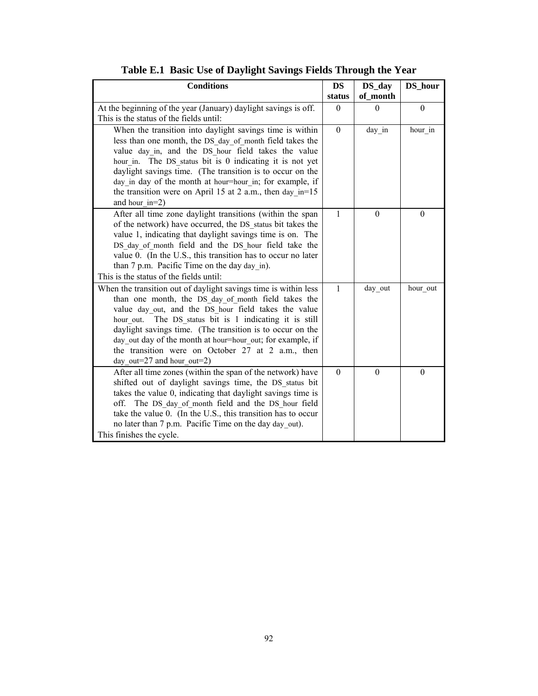| <b>Conditions</b>                                                                                                                                                                                                                                                                                                                                                                                                                                          | <b>DS</b>    | DS_day           | DS_hour  |
|------------------------------------------------------------------------------------------------------------------------------------------------------------------------------------------------------------------------------------------------------------------------------------------------------------------------------------------------------------------------------------------------------------------------------------------------------------|--------------|------------------|----------|
|                                                                                                                                                                                                                                                                                                                                                                                                                                                            | status       | of_month         |          |
| At the beginning of the year (January) daylight savings is off.<br>This is the status of the fields until:                                                                                                                                                                                                                                                                                                                                                 | $\theta$     | $\Omega$         | $\theta$ |
| When the transition into daylight savings time is within<br>less than one month, the DS day of month field takes the<br>value day in, and the DS hour field takes the value<br>hour in. The DS status bit is 0 indicating it is not yet<br>daylight savings time. (The transition is to occur on the<br>day in day of the month at hour=hour in; for example, if<br>the transition were on April 15 at 2 a.m., then day_in=15<br>and hour $in=2$ )         | $\Omega$     | day in           | hour in  |
| After all time zone daylight transitions (within the span<br>of the network) have occurred, the DS status bit takes the<br>value 1, indicating that daylight savings time is on. The<br>DS day of month field and the DS hour field take the<br>value 0. (In the U.S., this transition has to occur no later<br>than 7 p.m. Pacific Time on the day day in).<br>This is the status of the fields until:                                                    | 1            | $\boldsymbol{0}$ | $\theta$ |
| When the transition out of daylight savings time is within less<br>than one month, the DS day of month field takes the<br>value day out, and the DS hour field takes the value<br>The DS_status bit is 1 indicating it is still<br>hour out.<br>daylight savings time. (The transition is to occur on the<br>day out day of the month at hour=hour out; for example, if<br>the transition were on October 27 at 2 a.m., then<br>day out=27 and hour out=2) | $\mathbf{1}$ | day out          | hour out |
| After all time zones (within the span of the network) have<br>shifted out of daylight savings time, the DS status bit<br>takes the value 0, indicating that daylight savings time is<br>off. The DS day of month field and the DS hour field<br>take the value 0. (In the U.S., this transition has to occur<br>no later than 7 p.m. Pacific Time on the day day out).<br>This finishes the cycle.                                                         | $\theta$     | $\theta$         | $\theta$ |

**Table E.1 Basic Use of Daylight Savings Fields Through the Year**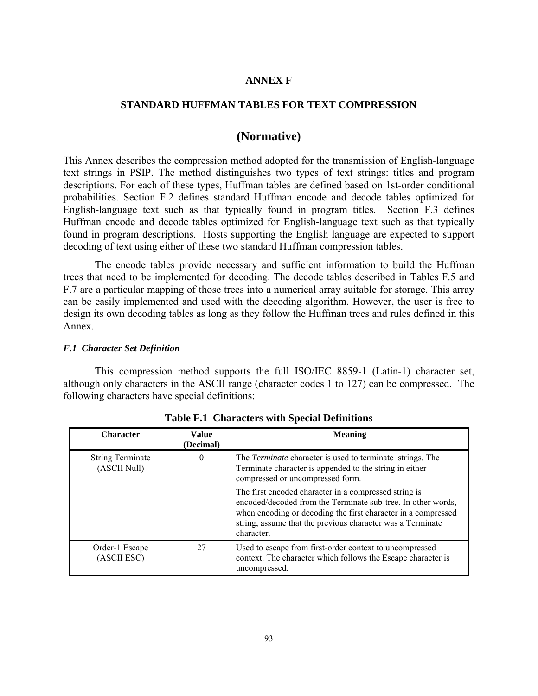# **ANNEX F**

## **STANDARD HUFFMAN TABLES FOR TEXT COMPRESSION**

# **(Normative)**

This Annex describes the compression method adopted for the transmission of English-language text strings in PSIP. The method distinguishes two types of text strings: titles and program descriptions. For each of these types, Huffman tables are defined based on 1st-order conditional probabilities. Section F.2 defines standard Huffman encode and decode tables optimized for English-language text such as that typically found in program titles. Section F.3 defines Huffman encode and decode tables optimized for English-language text such as that typically found in program descriptions. Hosts supporting the English language are expected to support decoding of text using either of these two standard Huffman compression tables.

The encode tables provide necessary and sufficient information to build the Huffman trees that need to be implemented for decoding. The decode tables described in Tables F.5 and F.7 are a particular mapping of those trees into a numerical array suitable for storage. This array can be easily implemented and used with the decoding algorithm. However, the user is free to design its own decoding tables as long as they follow the Huffman trees and rules defined in this Annex.

### *F.1 Character Set Definition*

This compression method supports the full ISO/IEC 8859-1 (Latin-1) character set, although only characters in the ASCII range (character codes 1 to 127) can be compressed. The following characters have special definitions:

| <b>Character</b>                        | <b>Value</b><br>(Decimal) | <b>Meaning</b>                                                                                                                                                                                                                                                     |
|-----------------------------------------|---------------------------|--------------------------------------------------------------------------------------------------------------------------------------------------------------------------------------------------------------------------------------------------------------------|
| <b>String Terminate</b><br>(ASCII Null) | $\theta$                  | The <i>Terminate</i> character is used to terminate strings. The<br>Terminate character is appended to the string in either<br>compressed or uncompressed form.                                                                                                    |
|                                         |                           | The first encoded character in a compressed string is<br>encoded/decoded from the Terminate sub-tree. In other words,<br>when encoding or decoding the first character in a compressed<br>string, assume that the previous character was a Terminate<br>character. |
| Order-1 Escape<br>(ASCII ESC)           | 27                        | Used to escape from first-order context to uncompressed<br>context. The character which follows the Escape character is<br>uncompressed.                                                                                                                           |

**Table F.1 Characters with Special Definitions**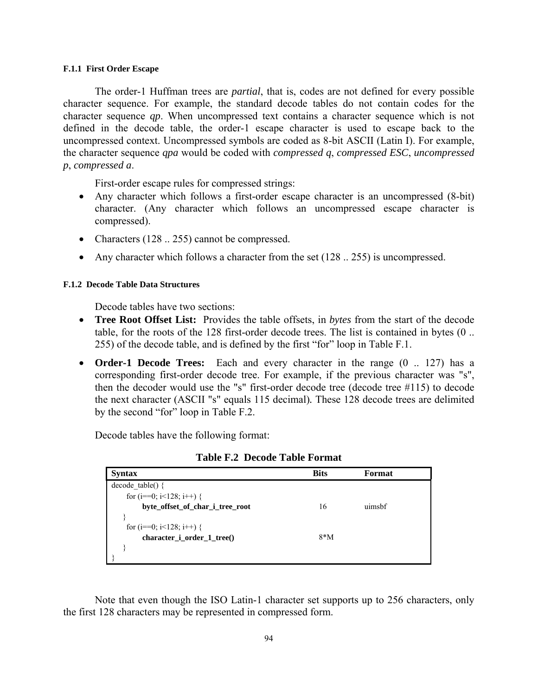#### **F.1.1 First Order Escape**

The order-1 Huffman trees are *partial*, that is, codes are not defined for every possible character sequence. For example, the standard decode tables do not contain codes for the character sequence *qp*. When uncompressed text contains a character sequence which is not defined in the decode table, the order-1 escape character is used to escape back to the uncompressed context. Uncompressed symbols are coded as 8-bit ASCII (Latin I). For example, the character sequence *qpa* would be coded with *compressed q*, *compressed ESC*, *uncompressed p*, *compressed a*.

First-order escape rules for compressed strings:

- Any character which follows a first-order escape character is an uncompressed (8-bit) character. (Any character which follows an uncompressed escape character is compressed).
- Characters (128 .. 255) cannot be compressed.
- Any character which follows a character from the set  $(128 \dots 255)$  is uncompressed.

#### **F.1.2 Decode Table Data Structures**

Decode tables have two sections:

- **Tree Root Offset List:** Provides the table offsets, in *bytes* from the start of the decode table, for the roots of the 128 first-order decode trees. The list is contained in bytes (0 .. 255) of the decode table, and is defined by the first "for" loop in Table F.1.
- **Order-1 Decode Trees:** Each and every character in the range (0 .. 127) has a corresponding first-order decode tree. For example, if the previous character was "s", then the decoder would use the "s" first-order decode tree (decode tree #115) to decode the next character (ASCII "s" equals 115 decimal)*.* These 128 decode trees are delimited by the second "for" loop in Table F.2.

Decode tables have the following format:

| <b>Syntax</b>                     | <b>Bits</b> | Format |
|-----------------------------------|-------------|--------|
| $decode$ table() {                |             |        |
| for ( $i=0$ ; $i<128$ ; $i++$ ) { |             |        |
| byte_offset_of_char_i_tree_root   | 16          | uimsbf |
|                                   |             |        |
| for $(i == 0; i < 128; i++)$ {    |             |        |
| character_i_order_1_tree()        | $8*M$       |        |
|                                   |             |        |
|                                   |             |        |

**Table F.2 Decode Table Format** 

Note that even though the ISO Latin-1 character set supports up to 256 characters, only the first 128 characters may be represented in compressed form.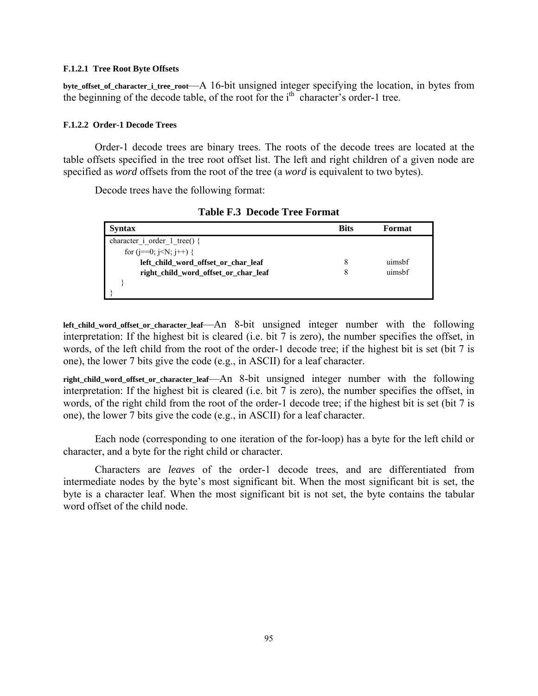#### **F.1.2.1 Tree Root Byte Offsets**

**byte\_offset\_of\_character\_i\_tree\_root**—A 16-bit unsigned integer specifying the location, in bytes from the beginning of the decode table, of the root for the  $i<sup>th</sup>$  character's order-1 tree.

#### **F.1.2.2 Order-1 Decode Trees**

Order-1 decode trees are binary trees. The roots of the decode trees are located at the table offsets specified in the tree root offset list. The left and right children of a given node are specified as *word* offsets from the root of the tree (a *word* is equivalent to two bytes).

Decode trees have the following format:

| <b>Syntax</b>                        | <b>Bits</b> | Format |
|--------------------------------------|-------------|--------|
| character i order 1 tree() {         |             |        |
| for $(i == 0; i < N; i++)$ {         |             |        |
| left_child_word_offset_or_char_leaf  |             | uimsbf |
| right child word offset or char leaf |             | uimsbf |
|                                      |             |        |
|                                      |             |        |

**Table F.3 Decode Tree Format** 

**left\_child\_word\_offset\_or\_character\_leaf**—An 8-bit unsigned integer number with the following interpretation: If the highest bit is cleared (i.e. bit 7 is zero), the number specifies the offset, in words, of the left child from the root of the order-1 decode tree; if the highest bit is set (bit 7 is one), the lower 7 bits give the code (e.g., in ASCII) for a leaf character.

**right\_child\_word\_offset\_or\_character\_leaf**—An 8-bit unsigned integer number with the following interpretation: If the highest bit is cleared (i.e. bit 7 is zero), the number specifies the offset, in words, of the right child from the root of the order-1 decode tree; if the highest bit is set (bit 7 is one), the lower 7 bits give the code (e.g., in ASCII) for a leaf character.

Each node (corresponding to one iteration of the for-loop) has a byte for the left child or character, and a byte for the right child or character.

Characters are *leaves* of the order-1 decode trees, and are differentiated from intermediate nodes by the byte's most significant bit. When the most significant bit is set, the byte is a character leaf. When the most significant bit is not set, the byte contains the tabular word offset of the child node.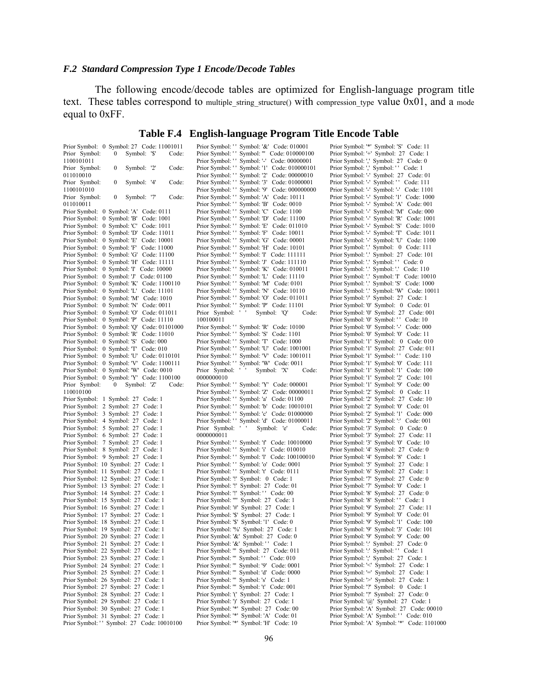# *F.2 Standard Compression Type 1 Encode/Decode Tables*

The following encode/decode tables are optimized for English-language program title text. These tables correspond to multiple\_string\_structure() with compression\_type value 0x01, and a mode equal to 0xFF.

# **Table F.4 English-language Program Title Encode Table**

| Prior Symbol: 0 Symbol: 27 Code: 11001011                                         | Prior Symbol: '' Symbol: '&' Code: 010001                                        | Prior Symbol: '*' Symbol: 'S' Code: 11                                                |
|-----------------------------------------------------------------------------------|----------------------------------------------------------------------------------|---------------------------------------------------------------------------------------|
| Prior Symbol:<br>Symbol: '\$'<br>$\mathbf{0}$<br>Code:                            | Prior Symbol: "Symbol: " Code: 010000100                                         | Prior Symbol: '+' Symbol: 27 Code: 1                                                  |
| 1100101011                                                                        | Prior Symbol: '' Symbol: '-' Code: 00000001                                      | Prior Symbol: ',' Symbol: 27 Code: 0                                                  |
| Prior Symbol:<br>0<br>Symbol: '2'<br>Code:                                        | Prior Symbol: ''<br>Symbol: '1' Code: 010000101                                  | Prior Symbol: ',' Symbol: '' Code: 1                                                  |
| 011010010                                                                         | Prior Symbol: '' Symbol: '2' Code: 00000010                                      | Prior Symbol: '-' Symbol: 27 Code: 01                                                 |
| Prior Symbol:<br>0<br>Symbol: '4'<br>Code:                                        | Prior Symbol: '' Symbol: '3' Code: 01000001                                      | Prior Symbol: '-' Symbol: '' Code: 111                                                |
| 1100101010                                                                        | Prior Symbol: '' Symbol: '9' Code: 000000000                                     | Prior Symbol: '-' Symbol: '-' Code: 1101                                              |
| Prior Symbol:<br>Symbol: '7'<br>$\bf{0}$<br>Code:                                 | Prior Symbol: ''<br>Symbol: 'A' Code: 10111                                      | Prior Symbol: '-' Symbol: '1' Code: 1000                                              |
| 011010011                                                                         | Prior Symbol: ''<br>Symbol: 'B' Code: 0010                                       | Prior Symbol: '-' Symbol: 'A' Code: 001                                               |
| Prior Symbol: 0 Symbol: 'A' Code: 0111                                            | Prior Symbol: '' Symbol: 'C' Code: 1100                                          | Prior Symbol: '-' Symbol: 'M' Code: 000                                               |
| Prior Symbol: 0 Symbol: 'B' Code: 1001                                            | Prior Symbol: '' Symbol: 'D' Code: 11100                                         | Prior Symbol: '-' Symbol: 'R' Code: 1001                                              |
| Prior Symbol: 0 Symbol: 'C' Code: 1011                                            | Symbol: 'E' Code: 011010<br>Prior Symbol: ''                                     | Prior Symbol: '-' Symbol: 'S' Code: 1010                                              |
| Prior Symbol: 0 Symbol: 'D' Code: 11011                                           | Prior Symbol: ''<br>Symbol: 'F' Code: 10011                                      | Prior Symbol: '-' Symbol: 'T' Code: 1011                                              |
|                                                                                   |                                                                                  |                                                                                       |
| Prior Symbol: 0 Symbol: 'E' Code: 10001                                           | Prior Symbol: '' Symbol: 'G' Code: 00001                                         | Prior Symbol: '-' Symbol: 'U' Code: 1100                                              |
| Prior Symbol: 0 Symbol: 'F' Code: 11000                                           | Prior Symbol: '' Symbol: 'H' Code: 10101                                         | Prior Symbol: '.' Symbol: 0 Code: 111                                                 |
| Prior Symbol: 0 Symbol: 'G' Code: 11100                                           | Prior Symbol: '' Symbol: 'I' Code: 111111                                        | Prior Symbol: '.' Symbol: 27 Code: 101                                                |
| Prior Symbol: 0 Symbol: 'H' Code: 11111                                           | Prior Symbol: '' Symbol: 'J' Code: 111110                                        | Prior Symbol: '.' Symbol: '' Code: 0                                                  |
| Prior Symbol: 0 Symbol: T Code: 10000                                             | Prior Symbol: '' Symbol: 'K' Code: 010011                                        | Prior Symbol: '.' Symbol: '.' Code: 110                                               |
| Prior Symbol: 0 Symbol: 'J' Code: 01100                                           | Prior Symbol: '' Symbol: 'L' Code: 11110                                         | Prior Symbol: '.' Symbol: 'I' Code: 10010                                             |
| Prior Symbol: 0 Symbol: 'K' Code: 1100110                                         | Prior Symbol: '' Symbol: 'M' Code: 0101                                          | Prior Symbol: '.' Symbol: 'S' Code: 1000                                              |
| Prior Symbol: 0 Symbol: 'L' Code: 11101                                           | Prior Symbol: '' Symbol: 'N' Code: 10110                                         | Prior Symbol: '.' Symbol: 'W' Code: 10011                                             |
| Prior Symbol: 0 Symbol: 'M' Code: 1010                                            | Prior Symbol: '' Symbol: 'O' Code: 011011                                        | Prior Symbol: '/' Symbol: 27 Code: 1                                                  |
| Prior Symbol: 0 Symbol: 'N' Code: 0011                                            | Prior Symbol: '' Symbol: 'P' Code: 11101                                         | Prior Symbol: '0' Symbol: 0 Code: 01                                                  |
| Prior Symbol: 0 Symbol: 'O' Code: 011011                                          | Prior Symbol: ' '<br>Symbol: 'Q'<br>Code:                                        | Prior Symbol: '0' Symbol: 27 Code: 001                                                |
| Prior Symbol: 0 Symbol: 'P' Code: 11110                                           | 100100011                                                                        | Prior Symbol: '0' Symbol: '' Code: 10                                                 |
| Prior Symbol: 0 Symbol: 'Q' Code: 01101000                                        | Prior Symbol: '' Symbol: 'R' Code: 10100                                         | Prior Symbol: '0' Symbol: '-' Code: 000                                               |
| Prior Symbol: 0 Symbol: 'R' Code: 11010                                           | Prior Symbol: '' Symbol: 'S' Code: 1101                                          | Prior Symbol: '0' Symbol: '0' Code: 11                                                |
| Prior Symbol: 0 Symbol: 'S' Code: 000                                             | Prior Symbol: '' Symbol: 'T' Code: 1000                                          | Prior Symbol: '1' Symbol: 0 Code: 010                                                 |
| Prior Symbol: 0 Symbol: 'T' Code: 010                                             | Prior Symbol: '' Symbol: 'U' Code: 1001001                                       | Prior Symbol: '1' Symbol: 27 Code: 011                                                |
| Prior Symbol: 0 Symbol: 'U' Code: 0110101                                         | Prior Symbol: '' Symbol: 'V' Code: 1001011                                       | Prior Symbol: '1' Symbol: '' Code: 110                                                |
| Prior Symbol: 0 Symbol: 'V' Code: 1100111                                         | Prior Symbol: '' Symbol: 'W' Code: 0011                                          | Prior Symbol: '1' Symbol: '0' Code: 111                                               |
| Prior Symbol: 0 Symbol: 'W' Code: 0010                                            | Prior Symbol: ''<br>Symbol: 'X'<br>Code:                                         | Prior Symbol: '1' Symbol: '1' Code: 100                                               |
| Prior Symbol: 0 Symbol: 'Y' Code: 1100100                                         | 0000000010                                                                       | Prior Symbol: '1' Symbol: '2' Code: 101                                               |
| Prior Symbol:<br>$\bf{0}$<br>Symbol: 'Z'<br>Code:                                 | Prior Symbol: '' Symbol: 'Y' Code: 000001                                        | Prior Symbol: '1' Symbol: '9' Code: 00                                                |
| 110010100                                                                         | Prior Symbol: '' Symbol: 'Z' Code: 00000011                                      | Prior Symbol: '2' Symbol: 0 Code: 11                                                  |
| Prior Symbol: 1 Symbol: 27 Code: 1                                                | Prior Symbol: '' Symbol: 'a' Code: 01100                                         | Prior Symbol: '2' Symbol: 27 Code: 10                                                 |
|                                                                                   |                                                                                  |                                                                                       |
| Prior Symbol: 2 Symbol: 27 Code: 1                                                | Prior Symbol: '' Symbol: 'b' Code: 10010101                                      | Prior Symbol: '2' Symbol: '0' Code: 01                                                |
| Prior Symbol: 3 Symbol: 27 Code: 1                                                | Prior Symbol: '' Symbol: 'c' Code: 01000000                                      | Prior Symbol: '2' Symbol: '1' Code: 000                                               |
| Prior Symbol: 4 Symbol: 27 Code: 1                                                | Prior Symbol: '' Symbol: 'd' Code: 01000011                                      | Prior Symbol: '2' Symbol: ':' Code: 001                                               |
| Prior Symbol: 5 Symbol: 27 Code: 1                                                | Prior Symbol: ' '<br>Symbol: 'e'<br>Code:                                        | Prior Symbol: '3' Symbol: 0 Code: 0                                                   |
| Prior Symbol: 6 Symbol: 27 Code: 1                                                | 0000000011                                                                       | Prior Symbol: '3' Symbol: 27 Code: 11                                                 |
| Prior Symbol: 7 Symbol: 27 Code: 1                                                | Prior Symbol: '' Symbol: 'f' Code: 10010000                                      | Prior Symbol: '3' Symbol: '0' Code: 10                                                |
| Prior Symbol: 8 Symbol: 27 Code: 1                                                | Prior Symbol: '' Symbol: 'i' Code: 010010                                        | Prior Symbol: '4' Symbol: 27 Code: 0                                                  |
| Prior Symbol: 9 Symbol: 27 Code: 1                                                | Prior Symbol: '' Symbol: 'I' Code: 100100010                                     | Prior Symbol: '4' Symbol: '8' Code: 1                                                 |
| Prior Symbol: 10 Symbol: 27 Code: 1                                               | Prior Symbol: '' Symbol: 'o' Code: 0001                                          | Prior Symbol: '5' Symbol: 27 Code: 1                                                  |
| Prior Symbol: 11 Symbol: 27 Code: 1                                               | Prior Symbol: '' Symbol: 't' Code: 0111                                          | Prior Symbol: '6' Symbol: 27 Code: 1                                                  |
| Prior Symbol: 12 Symbol: 27 Code: 1                                               | Prior Symbol: '!' Symbol: 0 Code: 1                                              | Prior Symbol: '7' Symbol: 27 Code: 0                                                  |
| Prior Symbol: 13 Symbol: 27 Code: 1                                               | Prior Symbol: '!' Symbol: 27 Code: 01                                            | Prior Symbol: '7' Symbol: '0' Code: 1                                                 |
| Prior Symbol: 14 Symbol: 27 Code: 1                                               | Prior Symbol: "! Symbol: " Code: 00                                              | Prior Symbol: '8' Symbol: 27 Code: 0                                                  |
| Prior Symbol: 15 Symbol: 27 Code: 1                                               | Prior Symbol: "" Symbol: 27 Code: 1                                              | Prior Symbol: '8' Symbol: '' Code: 1                                                  |
| Prior Symbol: 16 Symbol: 27 Code: 1                                               | Prior Symbol: '#' Symbol: 27 Code: 1                                             | Prior Symbol: '9' Symbol: 27 Code: 11                                                 |
| Prior Symbol: 17 Symbol: 27 Code: 1                                               | Prior Symbol: '\$' Symbol: 27 Code: 1                                            | Prior Symbol: '9' Symbol: '0' Code: 01                                                |
| Prior Symbol: 18 Symbol: 27 Code: 1                                               | Prior Symbol: '\$' Symbol: '1' Code: 0                                           | Prior Symbol: '9' Symbol: '1' Code: 100                                               |
| Prior Symbol: 19 Symbol: 27 Code: 1                                               | Prior Symbol: '%' Symbol: 27 Code: 1                                             | Prior Symbol: '9' Symbol: '3' Code: 101                                               |
| Prior Symbol: 20 Symbol: 27 Code: 1                                               | Prior Symbol: '&' Symbol: 27 Code: 0                                             | Prior Symbol: '9' Symbol: '9' Code: 00                                                |
| Prior Symbol: 21 Symbol: 27 Code: 1                                               | Prior Symbol: '&' Symbol: '' Code: 1                                             | Prior Symbol: ":' Symbol: 27 Code: 0                                                  |
| Prior Symbol: 22 Symbol: 27 Code: 1                                               | Prior Symbol: "' Symbol: 27 Code: 011                                            | Prior Symbol: "' Symbol: " Code: 1                                                    |
| Prior Symbol: 23 Symbol: 27 Code: 1                                               | Prior Symbol: "' Symbol: '' Code: 010                                            | Prior Symbol: ';' Symbol: 27 Code: 1                                                  |
| Prior Symbol: 24 Symbol: 27 Code: 1                                               | Prior Symbol: "' Symbol: '9' Code: 0001                                          | Prior Symbol: '<' Symbol: 27 Code: 1                                                  |
| Prior Symbol: 25 Symbol: 27 Code: 1                                               |                                                                                  | Prior Symbol: '=' Symbol: 27 Code: 1                                                  |
| Prior Symbol: 26 Symbol: 27 Code: 1                                               |                                                                                  |                                                                                       |
|                                                                                   | Prior Symbol: "' Symbol: 'd' Code: 0000                                          |                                                                                       |
|                                                                                   | Prior Symbol: "' Symbol: 's' Code: 1                                             | Prior Symbol: '>' Symbol: 27 Code: 1                                                  |
| Prior Symbol: 27 Symbol: 27 Code: 1                                               | Prior Symbol: "' Symbol: 't' Code: 001                                           | Prior Symbol: '?' Symbol: 0 Code: 1                                                   |
| Prior Symbol: 28 Symbol: 27 Code: 1                                               | Prior Symbol: '(' Symbol: 27 Code: 1                                             | Prior Symbol: '?' Symbol: 27 Code: 0                                                  |
| Prior Symbol: 29 Symbol: 27 Code: 1                                               | Prior Symbol: ')' Symbol: 27 Code: 1                                             | Prior Symbol: '@' Symbol: 27 Code: 1                                                  |
| Prior Symbol: 30 Symbol: 27 Code: 1                                               | Prior Symbol: '*' Symbol: 27 Code: 00                                            | Prior Symbol: 'A' Symbol: 27 Code: 00010                                              |
| Prior Symbol: 31 Symbol: 27 Code: 1<br>Prior Symbol: '' Symbol: 27 Code: 10010100 | Prior Symbol: '*' Symbol: 'A' Code: 01<br>Prior Symbol: '*' Symbol: 'H' Code: 10 | Prior Symbol: 'A' Symbol: '' Code: 010<br>Prior Symbol: 'A' Symbol: '*' Code: 1101000 |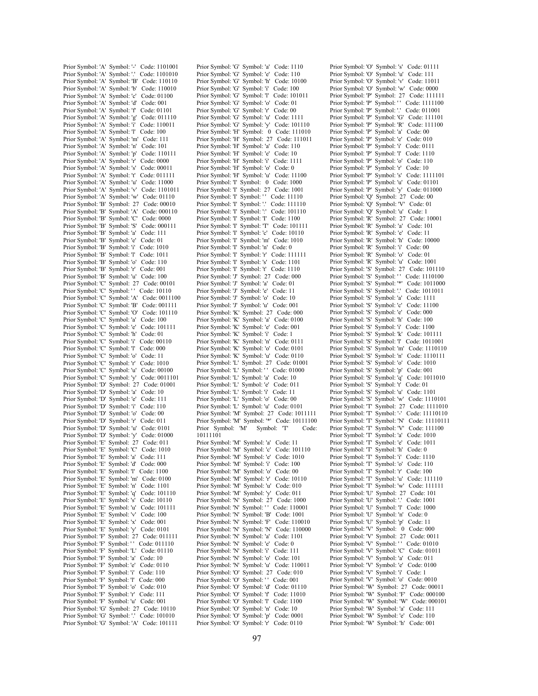Prior Symbol: 'A' Symbol: '-' Code: 1101001 Prior Symbol: 'A' Symbol: '.' Code: 1101010 Prior Symbol: 'A' Symbol: 'B' Code: 110110 Prior Symbol: 'A' Symbol: 'b' Code: 110010 Prior Symbol: 'A' Symbol: 'c' Code: 01100 Prior Symbol: 'A' Symbol: 'd' Code: 001 Prior Symbol: 'A' Symbol: 'f' Code: 01101 Prior Symbol: 'A' Symbol: 'g' Code: 011110 Prior Symbol: 'A' Symbol: 'i' Code: 110011 Prior Symbol: 'A' Symbol: 'l' Code: 100 Prior Symbol: 'A' Symbol: 'm' Code: 111 Prior Symbol: 'A' Symbol: 'n' Code: 101 Prior Symbol: 'A' Symbol: 'p' Code: 110111 Prior Symbol: 'A' Symbol: 'r' Code: 0000 Prior Symbol: 'A' Symbol: 's' Code: 00011 Prior Symbol: 'A' Symbol: 't' Code: 011111 Prior Symbol: 'A' Symbol: 'u' Code: 11000 Prior Symbol: 'A' Symbol: 'v' Code: 1101011 Prior Symbol: 'A' Symbol: 'w' Code: 01110 Prior Symbol: 'B' Symbol: 27 Code: 00010 Prior Symbol: 'B' Symbol: 'A' Code: 000110 Prior Symbol: 'B' Symbol: 'C' Code: 0000 Prior Symbol: 'B' Symbol: 'S' Code: 000111 Prior Symbol: 'B' Symbol: 'a' Code: 111 Prior Symbol: 'B' Symbol: 'e' Code: 01 Prior Symbol: 'B' Symbol: 'i' Code: 1010 Prior Symbol: 'B' Symbol: 'l' Code: 1011 Prior Symbol: 'B' Symbol: 'o' Code: 110 Prior Symbol: 'B' Symbol: 'r' Code: 001 Prior Symbol: 'B' Symbol: 'u' Code: 100 Prior Symbol: 'C' Symbol: 27 Code: 00101 Prior Symbol: 'C' Symbol: '' Code: 10110 Prior Symbol: 'C' Symbol: 'A' Code: 0011100 Prior Symbol: 'C' Symbol: 'B' Code: 001111 Prior Symbol: 'C' Symbol: 'O' Code: 101110 Prior Symbol: 'C' Symbol: 'a' Code: 100 Prior Symbol: 'C' Symbol: 'e' Code: 101111 Prior Symbol: 'C' Symbol: 'h' Code: 01 Prior Symbol: 'C' Symbol: 'i' Code: 00110 Prior Symbol: 'C' Symbol: 'l' Code: 000 Prior Symbol: 'C' Symbol: 'o' Code: 11 Prior Symbol: 'C' Symbol: 'r' Code: 1010 Prior Symbol: 'C' Symbol: 'u' Code: 00100 Prior Symbol: 'C' Symbol: 'y' Code: 0011101 Prior Symbol: 'D' Symbol: 27 Code: 01001 Prior Symbol: 'D' Symbol: 'a' Code: 10 Prior Symbol: 'D' Symbol: 'e' Code: 111 Prior Symbol: 'D' Symbol: 'i' Code: 110 Prior Symbol: 'D' Symbol: 'o' Code: 00 Prior Symbol: 'D' Symbol: 'r' Code: 011 Prior Symbol: 'D' Symbol: 'u' Code: 0101 Prior Symbol: 'D' Symbol: 'y' Code: 01000 Prior Symbol: 'E' Symbol: 27 Code: 011 Prior Symbol: 'E' Symbol: 'C' Code: 1010 Prior Symbol: 'E' Symbol: 'a' Code: 111 Prior Symbol: 'E' Symbol: 'd' Code: 000 Prior Symbol: 'E' Symbol: 'l' Code: 1100 Prior Symbol: 'E' Symbol: 'm' Code: 0100 Prior Symbol: 'E' Symbol: 'n' Code: 1101 Prior Symbol: 'E' Symbol: 'q' Code: 101110 Prior Symbol: 'E' Symbol: 's' Code: 10110 Prior Symbol: 'E' Symbol: 'u' Code: 101111 Prior Symbol: 'E' Symbol: 'v' Code: 100 Prior Symbol: 'E' Symbol: 'x' Code: 001 Prior Symbol: 'E' Symbol: 'y' Code: 0101 Prior Symbol: 'F' Symbol: 27 Code: 011111 Prior Symbol: 'F' Symbol: '' Code: 011110 Prior Symbol: 'F' Symbol: 'L' Code: 01110 Prior Symbol: 'F' Symbol: 'a' Code: 10 Prior Symbol: 'F' Symbol: 'e' Code: 0110 Prior Symbol: 'F' Symbol: 'i' Code: 110 Prior Symbol: 'F' Symbol: 'l' Code: 000 Prior Symbol: 'F' Symbol: 'o' Code: 010 Prior Symbol: 'F' Symbol: 'r' Code: 111 Prior Symbol: 'F' Symbol: 'u' Code: 001 Prior Symbol: 'G' Symbol: 27 Code: 10110 Prior Symbol: 'G' Symbol: '.' Code: 101010 Prior Symbol: 'G' Symbol: 'A' Code: 101111

Prior Symbol: 'G' Symbol: 'a' Code: 1110 Prior Symbol: 'G' Symbol: 'e' Code: 110 Prior Symbol: 'G' Symbol: 'h' Code: 10100 Prior Symbol: 'G' Symbol: 'i' Code: 100 Prior Symbol: 'G' Symbol: 'l' Code: 101011 Prior Symbol: 'G' Symbol: 'o' Code: 01 Prior Symbol: 'G' Symbol: 'r' Code: 00 Prior Symbol: 'G' Symbol: 'u' Code: 1111 Prior Symbol: 'G' Symbol: 'y' Code: 101110 Prior Symbol: 'H' Symbol: 0 Code: 111010 Prior Symbol: 'H' Symbol: 27 Code: 111011 Prior Symbol: 'H' Symbol: 'a' Code: 110 Prior Symbol: 'H' Symbol: 'e' Code: 10 Prior Symbol: 'H' Symbol: 'i' Code: 1111 Prior Symbol: 'H' Symbol: 'o' Code: 0 Prior Symbol: 'H' Symbol: 'u' Code: 11100 Prior Symbol: 'I' Symbol: 0 Code: 1000 Prior Symbol: T Symbol: 27 Code: 1001 Prior Symbol: 'I' Symbol: '' Code: 11110 Prior Symbol: 'I' Symbol: '.' Code: 111110 Prior Symbol: 'I' Symbol: ':' Code: 101110 Prior Symbol: 'I' Symbol: 'I' Code: 1100 Prior Symbol: 'I' Symbol: 'T' Code: 101111 Prior Symbol: 'I' Symbol: 'c' Code: 10110 Prior Symbol: 'I' Symbol: 'm' Code: 1010 Prior Symbol: 'I' Symbol: 'n' Code: 0 Prior Symbol: 'I' Symbol: 'r' Code: 111111 Prior Symbol: 'I' Symbol: 's' Code: 1101 Prior Symbol: 'I' Symbol: 't' Code: 1110 Prior Symbol: 'J' Symbol: 27 Code: 000 Prior Symbol: 'J' Symbol: 'a' Code: 01 Prior Symbol: 'J' Symbol: 'e' Code: 11 Prior Symbol: 'I' Symbol: 'o' Code: 10 Prior Symbol: 'J' Symbol: 'u' Code: 001 Prior Symbol: 'K' Symbol: 27 Code: 000 Prior Symbol: 'K' Symbol: 'a' Code: 0100 Prior Symbol: 'K' Symbol: 'e' Code: 001 Prior Symbol: 'K' Symbol: 'i' Code: 1 Prior Symbol: 'K' Symbol: 'n' Code: 0111 Prior Symbol: 'K' Symbol: 'o' Code: 0101 Prior Symbol: 'K' Symbol: 'u' Code: 0110 Prior Symbol: 'L' Symbol: 27 Code: 01001 Prior Symbol: 'L' Symbol: '' Code: 01000 Prior Symbol: 'L' Symbol: 'a' Code: 10 Prior Symbol: 'L' Symbol: 'e' Code: 011 Prior Symbol: 'L' Symbol: 'i' Code: 11 Prior Symbol: 'L' Symbol: 'o' Code: 00 Prior Symbol: 'L' Symbol: 'u' Code: 0101 Prior Symbol: 'M' Symbol: 27 Code: 1011111 Prior Symbol: 'M' Symbol: '\*' Code: 10111100 Prior Symbol: 'M' Symbol: 'T' Code: 10111101 Prior Symbol: 'M' Symbol: 'a' Code: 11 Prior Symbol: 'M' Symbol: 'c' Code: 101110 Prior Symbol: 'M' Symbol: 'e' Code: 1010 Prior Symbol: 'M' Symbol: 'i' Code: 100 Prior Symbol: 'M' Symbol: 'o' Code: 00 Prior Symbol: 'M' Symbol: 'r' Code: 10110 Prior Symbol: 'M' Symbol: 'u' Code: 010 Prior Symbol: 'M' Symbol: 'y' Code: 011 Prior Symbol: 'N' Symbol: 27 Code: 1000 Prior Symbol: 'N' Symbol: '' Code: 110001 Prior Symbol: 'N' Symbol: 'B' Code: 1001 Prior Symbol: 'N' Symbol: 'F' Code: 110010 Prior Symbol: 'N' Symbol: 'N' Code: 110000 Prior Symbol: 'N' Symbol: 'a' Code: 1101 Prior Symbol: 'N' Symbol: 'e' Code: 0 Prior Symbol: 'N' Symbol: 'i' Code: 111 Prior Symbol: 'N' Symbol: 'o' Code: 101 Prior Symbol: 'N' Symbol: 'u' Code: 110011 Prior Symbol: 'O' Symbol: 27 Code: 010 Prior Symbol: 'O' Symbol: '' Code: 001 Prior Symbol: 'O' Symbol: 'd' Code: 01110 Prior Symbol: 'O' Symbol: 'f' Code: 11010 Prior Symbol: 'O' Symbol: 'l' Code: 1100 Prior Symbol: 'O' Symbol: 'n' Code: 10 Prior Symbol: 'O' Symbol: 'p' Code: 0001 Prior Symbol: 'O' Symbol: 'r' Code: 0110

Prior Symbol: 'O' Symbol: 's' Code: 01111 Prior Symbol: 'O' Symbol: 'u' Code: 111 Prior Symbol: 'O' Symbol: 'v' Code: 11011 Prior Symbol: 'O' Symbol: 'w' Code: 0000 Prior Symbol: 'P' Symbol: 27 Code: 111111 Prior Symbol: 'P' Symbol: '' Code: 1111100 Prior Symbol: 'P' Symbol: '.' Code: 011001 Prior Symbol: 'P' Symbol: 'G' Code: 111101 Prior Symbol: 'P' Symbol: 'R' Code: 111100 Prior Symbol: 'P' Symbol: 'a' Code: 00 Prior Symbol: 'P' Symbol: 'e' Code: 010 Prior Symbol: 'P' Symbol: 'i' Code: 0111 Prior Symbol: 'P' Symbol: 'l' Code: 1110 Prior Symbol: 'P' Symbol: 'o' Code: 110 Prior Symbol: 'P' Symbol: 'r' Code: 10 Prior Symbol: 'P' Symbol: 's' Code: 1111101 Prior Symbol: 'P' Symbol: 'u' Code: 01101 Prior Symbol: 'P' Symbol: 'y' Code: 011000 Prior Symbol: 'Q' Symbol: 27 Code: 00 Prior Symbol: 'Q' Symbol: 'V' Code: 01 Prior Symbol: 'Q' Symbol: 'u' Code: 1 Prior Symbol: 'R' Symbol: 27 Code: 10001 Prior Symbol: 'R' Symbol: 'a' Code: 101 Prior Symbol: 'R' Symbol: 'e' Code: 11 Prior Symbol: 'R' Symbol: 'h' Code: 10000 Prior Symbol: 'R' Symbol: 'i' Code: 00 Prior Symbol: 'R' Symbol: 'o' Code: 01 Prior Symbol: 'R' Symbol: 'u' Code: 1001 Prior Symbol: 'S' Symbol: 27 Code: 101110 Prior Symbol: 'S' Symbol: '' Code: 1110100 Prior Symbol: 'S' Symbol: '\*' Code: 1011000 Prior Symbol: 'S' Symbol: '.' Code: 1011011 Prior Symbol: 'S' Symbol: 'a' Code: 1111 Prior Symbol: 'S' Symbol: 'c' Code: 11100 Prior Symbol: 'S' Symbol: 'e' Code: 000 Prior Symbol: 'S' Symbol: 'h' Code: 100 Prior Symbol: 'S' Symbol: 'i' Code: 1100 Prior Symbol: 'S' Symbol: 'k' Code: 101111 Prior Symbol: 'S' Symbol: 'l' Code: 1011001 Prior Symbol: 'S' Symbol: 'm' Code: 1110110 Prior Symbol: 'S' Symbol: 'n' Code: 1110111 Prior Symbol: 'S' Symbol: 'o' Code: 1010 Prior Symbol: 'S' Symbol: 'p' Code: 001 Prior Symbol: 'S' Symbol: 'q' Code: 1011010 Prior Symbol: 'S' Symbol: 't' Code: 01 Prior Symbol: 'S' Symbol: 'u' Code: 1101 Prior Symbol: 'S' Symbol: 'w' Code: 1110101 Prior Symbol: 'T' Symbol: 27 Code: 1111010 Prior Symbol: 'T' Symbol: '-' Code: 11110110 Prior Symbol: 'T' Symbol: 'N' Code: 11110111 Prior Symbol: 'T' Symbol: 'V' Code: 111100 Prior Symbol: 'T' Symbol: 'a' Code: 1010 Prior Symbol: 'T' Symbol: 'e' Code: 1011 Prior Symbol: 'T' Symbol: 'h' Code: 0 Prior Symbol: 'T' Symbol: 'i' Code: 1110 Prior Symbol: 'T' Symbol: 'o' Code: 110 Prior Symbol: 'T' Symbol: 'r' Code: 100 Prior Symbol: 'T' Symbol: 'u' Code: 111110 Prior Symbol: 'T' Symbol: 'w' Code: 111111 Prior Symbol: 'U' Symbol: 27 Code: 101 Prior Symbol: 'U' Symbol: '.' Code: 1001 Prior Symbol: 'U' Symbol: 'l' Code: 1000 Prior Symbol: 'U' Symbol: 'n' Code: 0 Prior Symbol: 'U' Symbol: 'p' Code: 11 Prior Symbol: 'V' Symbol: 0 Code: 000 Prior Symbol: 'V' Symbol: 27 Code: 0011 Prior Symbol: 'V' Symbol: '' Code: 01010 Prior Symbol: 'V' Symbol: 'C' Code: 01011 Prior Symbol: 'V' Symbol: 'a' Code: 011 Prior Symbol: 'V' Symbol: 'e' Code: 0100 Prior Symbol: 'V' Symbol: 'i' Code: 1 Prior Symbol: 'V' Symbol: 'o' Code: 0010 Prior Symbol: 'W' Symbol: 27 Code: 00011 Prior Symbol: 'W' Symbol: 'F' Code: 000100 Prior Symbol: 'W' Symbol: 'W' Code: 000101 Prior Symbol: 'W' Symbol: 'a' Code: 111 Prior Symbol: 'W' Symbol: 'e' Code: 110 Prior Symbol: 'W' Symbol: 'h' Code: 001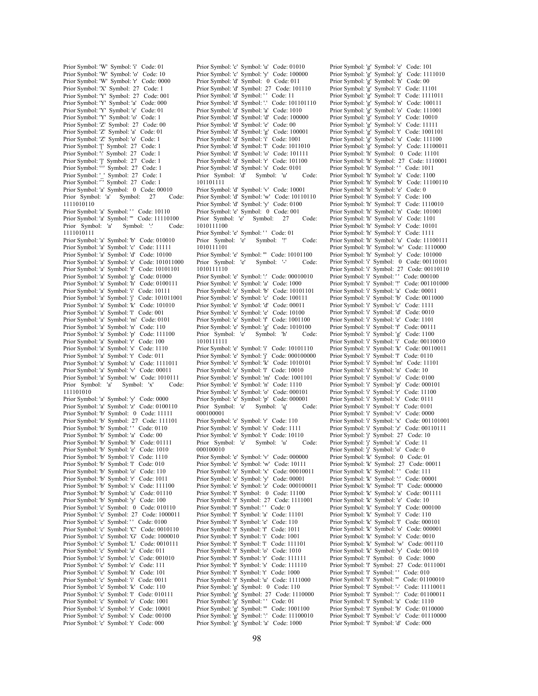Prior Symbol: 'W' Symbol: 'i' Code: 01 Prior Symbol: 'W' Symbol: 'o' Code: 10 Prior Symbol: 'W' Symbol: 'r' Code: 0000 Prior Symbol: 'X' Symbol: 27 Code: 1 Prior Symbol: 'Y' Symbol: 27 Code: 001 Prior Symbol: 'Y' Symbol: 'a' Code: 000 Prior Symbol: 'Y' Symbol: 'e' Code: 01 Prior Symbol: 'Y' Symbol: 'o' Code: 1 Prior Symbol: 'Z' Symbol: 27 Code: 00 Prior Symbol: 'Z' Symbol: 'a' Code: 01 Prior Symbol: 'Z' Symbol: 'o' Code: 1 Prior Symbol: '[' Symbol: 27 Code: 1 Prior Symbol:  $\sqrt{ }$  Symbol: 27 Code: 1 Prior Symbol: ']' Symbol: 27 Code: 1 Prior Symbol: '^' Symbol: 27 Code: 1 Prior Symbol: ' ' Symbol: 27 Code: 1 Prior Symbol: " Symbol: 27 Code: 1 Prior Symbol: 'a' Symbol: 0 Code: 00010 Prior Symbol: 'a' Symbol: 27 Code: 1111010110 Prior Symbol: 'a' Symbol: '' Code: 10110 Prior Symbol: 'a' Symbol: "" Code: 11110100<br>Prior Symbol: 'a' Symbol: ':' Code Prior Symbol: 'a' Symbol: ':' Code: 1111010111 Prior Symbol: 'a' Symbol: 'b' Code: 010010 Prior Symbol: 'a' Symbol: 'c' Code: 11111 Prior Symbol: 'a' Symbol: 'd' Code: 10100 Prior Symbol: 'a' Symbol: 'e' Code: 101011000 Prior Symbol: 'a' Symbol: 'f' Code: 10101101 Prior Symbol: 'a' Symbol: 'g' Code: 01000 Prior Symbol: 'a' Symbol: 'h' Code: 0100111 Prior Symbol: 'a' Symbol: 'i' Code: 10111 Prior Symbol: 'a' Symbol: 'j' Code: 101011001 Prior Symbol: 'a' Symbol: 'k' Code: 101010 Prior Symbol: 'a' Symbol: 'l' Code: 001 Prior Symbol: 'a' Symbol: 'm' Code: 0101 Prior Symbol: 'a' Symbol: 'n' Code: 110 Prior Symbol: 'a' Symbol: 'p' Code: 111100 Prior Symbol: 'a' Symbol: 'r' Code: 100 Prior Symbol: 'a' Symbol: 's' Code: 1110 Prior Symbol: 'a' Symbol: 't' Code: 011 Prior Symbol: 'a' Symbol: 'u' Code: 1111011 Prior Symbol: 'a' Symbol: 'v' Code: 00011 Prior Symbol: 'a' Symbol: 'w' Code: 1010111 Prior Symbol: 'a' Symbol: 'x' Code: 111101010 Prior Symbol: 'a' Symbol: 'y' Code: 0000 Prior Symbol: 'a' Symbol: 'z' Code: 0100110 Prior Symbol: 'b' Symbol: 0 Code: 11111 Prior Symbol: 'b' Symbol: 27 Code: 111101 Prior Symbol: 'b' Symbol: '' Code: 0110 Prior Symbol: 'b' Symbol: 'a' Code: 00 Prior Symbol: 'b' Symbol: 'b' Code: 01111 Prior Symbol: 'b' Symbol: 'e' Code: 1010 Prior Symbol: 'b' Symbol: 'i' Code: 1110 Prior Symbol: 'b' Symbol: 'l' Code: 010 Prior Symbol: 'b' Symbol: 'o' Code: 110 Prior Symbol: 'b' Symbol: 'r' Code: 1011 Prior Symbol: 'b' Symbol: 's' Code: 111100 Prior Symbol: 'b' Symbol: 'u' Code: 01110 Prior Symbol: 'b' Symbol: 'y' Code: 100 Prior Symbol: 'c' Symbol: 0 Code: 010110 Prior Symbol: 'c' Symbol: 27 Code: 1000011 Prior Symbol: 'c' Symbol: '' Code: 0100 Prior Symbol: 'c' Symbol: 'C' Code: 0010110 Prior Symbol: 'c' Symbol: 'G' Code: 1000010 Prior Symbol: 'c' Symbol: 'L' Code: 0010111 Prior Symbol: 'c' Symbol: 'a' Code: 011 Prior Symbol: 'c' Symbol: 'c' Code: 001010 Prior Symbol: 'c' Symbol: 'e' Code: 111 Prior Symbol: 'c' Symbol: 'h' Code: 101 Prior Symbol: 'c' Symbol: 'i' Code: 0011 Prior Symbol: 'c' Symbol: 'k' Code: 110 Prior Symbol: 'c' Symbol: 'l' Code: 010111 Prior Symbol: 'c' Symbol: 'o' Code: 1001 Prior Symbol: 'c' Symbol: 'r' Code: 10001 Prior Symbol: 'c' Symbol: 's' Code: 00100 Prior Symbol: 'c' Symbol: 't' Code: 000

Prior Symbol: 'c' Symbol: 'u' Code: 01010 Prior Symbol: 'c' Symbol: 'y' Code: 100000 Prior Symbol: 'd' Symbol: 0 Code: 011 Prior Symbol: 'd' Symbol: 27 Code: 101110 Prior Symbol: 'd' Symbol: '' Code: 11 Prior Symbol: 'd' Symbol: '.' Code: 101101110 Prior Symbol: 'd' Symbol: 'a' Code: 1010 Prior Symbol: 'd' Symbol: 'd' Code: 100000 Prior Symbol: 'd' Symbol: 'e' Code: 00 Prior Symbol: 'd' Symbol: 'g' Code: 100001 Prior Symbol: 'd' Symbol: 'i' Code: 1001 Prior Symbol: 'd' Symbol: 'l' Code: 1011010 Prior Symbol: 'd' Symbol: 'o' Code: 101111 Prior Symbol: 'd' Symbol: 'r' Code: 101100 Prior Symbol: 'd' Symbol: 's' Code: 0101 Prior Symbol: 'd' Symbol: 'u' Code: 101101111 Prior Symbol: 'd' Symbol: 'v' Code: 10001 Prior Symbol: 'd' Symbol: 'w' Code: 10110110 Prior Symbol: 'd' Symbol: 'y' Code: 0100 Prior Symbol: 'e' Symbol: 0 Code: 001<br>Prior Symbol: 'e' Symbol: 27 Prior Symbol: 'e' Symbol: 27 Code: 1010111100 Prior Symbol: 'e' Symbol: '' Code: 01 Prior Symbol: 'e' Symbol: '!' Code: 1010111101 Prior Symbol: 'e' Symbol: '" Code: 10101100<br>Prior Symbol: 'e' Symbol: '-' Code Prior Symbol: 'e' Symbol: '-' Code: 1010111110 Prior Symbol: 'e' Symbol: ':' Code: 00010010 Prior Symbol: 'e' Symbol: 'a' Code: 1000 Prior Symbol: 'e' Symbol: 'b' Code: 10101101 Prior Symbol: 'e' Symbol: 'c' Code: 100111 Prior Symbol: 'e' Symbol: 'd' Code: 00011 Prior Symbol: 'e' Symbol: 'e' Code: 10100 Prior Symbol: 'e' Symbol: 'f' Code: 1001100 Prior Symbol: 'e' Symbol: 'g' Code: 1010100 Prior Symbol: 'e' 1010111111 Prior Symbol: 'e' Symbol: 'i' Code: 10101110 Prior Symbol: 'e' Symbol: 'j' Code: 000100000 Prior Symbol: 'e' Symbol: 'k' Code: 1010101 Prior Symbol: 'e' Symbol: 'l' Code: 10010 Prior Symbol: 'e' Symbol: 'm' Code: 1001101 Prior Symbol: 'e' Symbol: 'n' Code: 1110 Prior Symbol: 'e' Symbol: 'o' Code: 000101 Prior Symbol: 'e' Symbol: 'p' Code: 000001<br>Prior Symbol: 'e' Symbol: 'q' Co Prior Symbol: 'e' Symbol: 'q' Code: 000100001 Prior Symbol: 'e' Symbol: 'r' Code: 110 Prior Symbol: 'e' Symbol: 's' Code: 1111 Prior Symbol: 'e' Symbol: 't' Code: 10110 Prior Symbol: 'e' Symbol: 'u' Code: 000100010 Prior Symbol: 'e' Symbol: 'v' Code: 000000 Prior Symbol: 'e' Symbol: 'w' Code: 10111 Prior Symbol: 'e' Symbol: 'x' Code: 00010011 Prior Symbol: 'e' Symbol: 'y' Code: 00001 Prior Symbol: 'e' Symbol: 'z' Code: 000100011 Prior Symbol: 'f' Symbol: 0 Code: 11100 Prior Symbol: 'f' Symbol: 27 Code: 1111001 Prior Symbol: 'f' Symbol: '' Code: 0 Prior Symbol: 'f' Symbol: 'a' Code: 11101 Prior Symbol: 'f' Symbol: 'e' Code: 110 Prior Symbol: 'f' Symbol: 'f' Code: 1011 Prior Symbol: 'f' Symbol: 'i' Code: 1001 Prior Symbol: 'f' Symbol: 'l' Code: 111101 Prior Symbol: 'f' Symbol: 'o' Code: 1010 Prior Symbol: 'f' Symbol: 'r' Code: 111111 Prior Symbol: 'f' Symbol: 's' Code: 111110 Prior Symbol: 'f' Symbol: 't' Code: 1000 Prior Symbol: 'f' Symbol: 'u' Code: 1111000 Prior Symbol: 'g' Symbol: 0 Code: 110 Prior Symbol: 'g' Symbol: 27 Code: 1110000 Prior Symbol: 'g' Symbol: '' Code: 01 Prior Symbol: 'g' Symbol: ''' Code: 1001100 Prior Symbol: 'g' Symbol: ':' Code: 11100010 Prior Symbol: 'g' Symbol: 'a' Code: 1000

Prior Symbol: 'g' Symbol: 'e' Code: 101 Prior Symbol: 'g' Symbol: 'g' Code: 1111010 Prior Symbol: 'g' Symbol: 'h' Code: 00 Prior Symbol: 'g' Symbol: 'i' Code: 11101 Prior Symbol: 'g' Symbol: 'l' Code: 1111011 Prior Symbol: 'g' Symbol: 'n' Code: 100111 Prior Symbol: 'g' Symbol: 'o' Code: 111001 Prior Symbol: 'g' Symbol: 'r' Code: 10010 Prior Symbol: 'g' Symbol: 's' Code: 11111 Prior Symbol: 'g' Symbol: 't' Code: 1001101 Prior Symbol: 'g' Symbol: 'u' Code: 111100 Prior Symbol: 'g' Symbol: 'y' Code: 11100011 Prior Symbol: 'h' Symbol: 0 Code: 11101 Prior Symbol: 'h' Symbol: 27 Code: 1110001 Prior Symbol: 'h' Symbol: '' Code: 1011 Prior Symbol: 'h' Symbol: 'a' Code: 1100 Prior Symbol: 'h' Symbol: 'b' Code: 11100110 Prior Symbol: 'h' Symbol: 'e' Code: 0 Prior Symbol: 'h' Symbol: 'i' Code: 100 Prior Symbol: 'h' Symbol: 'l' Code: 1110010 Prior Symbol: 'h' Symbol: 'n' Code: 101001 Prior Symbol: 'h' Symbol: 'o' Code: 1101 Prior Symbol: 'h' Symbol: 'r' Code: 10101 Prior Symbol: 'h' Symbol: 't' Code: 1111 Prior Symbol: 'h' Symbol: 'u' Code: 11100111 Prior Symbol: 'h' Symbol: 'w' Code: 1110000 Prior Symbol: 'h' Symbol: 'y' Code: 101000 Prior Symbol: 'i' Symbol: 0 Code: 00110101 Prior Symbol: 'i' Symbol: 27 Code: 00110110 Prior Symbol: 'i' Symbol: '' Code: 000100 Prior Symbol: 'i' Symbol: '!' Code: 001101000 Prior Symbol: 'i' Symbol: 'a' Code: 00011 Prior Symbol: 'i' Symbol: 'b' Code: 0011000 Prior Symbol: 'i' Symbol: 'c' Code: 1111 Prior Symbol: 'i' Symbol: 'd' Code: 0010 Prior Symbol: 'i' Symbol: 'e' Code: 1101 Prior Symbol: 'i' Symbol: 'f' Code: 00111 Prior Symbol: 'i' Symbol: 'g' Code: 1100 Prior Symbol: 'i' Symbol: 'i' Code: 00110010 Prior Symbol: 'i' Symbol: 'k' Code: 00110011 Prior Symbol: 'i' Symbol: 'l' Code: 0110 Prior Symbol: 'i' Symbol: 'm' Code: 11101 Prior Symbol: 'i' Symbol: 'n' Code: 10 Prior Symbol: 'i' Symbol: 'o' Code: 0100 Prior Symbol: 'i' Symbol: 'p' Code: 000101 Prior Symbol: 'i' Symbol: 'r' Code: 11100 Prior Symbol: 'i' Symbol: 's' Code: 0111 Prior Symbol: 'i' Symbol: 't' Code: 0101 Prior Symbol: 'i' Symbol: 'v' Code: 0000 Prior Symbol: 'i' Symbol: 'x' Code: 001101001 Prior Symbol: 'i' Symbol: 'z' Code: 00110111 Prior Symbol: 'j' Symbol: 27 Code: 10 Prior Symbol: 'j' Symbol: 'a' Code: 11 Prior Symbol: 'j' Symbol: 'o' Code: 0 Prior Symbol: 'k' Symbol: 0 Code: 01 Prior Symbol: 'k' Symbol: 27 Code: 00011 Prior Symbol: 'k' Symbol: '' Code: 111 Prior Symbol: 'k' Symbol: ':' Code: 00001 Prior Symbol: 'k' Symbol: 'T' Code: 000000 Prior Symbol: 'k' Symbol: 'a' Code: 001111 Prior Symbol: 'k' Symbol: 'e' Code: 10 Prior Symbol: 'k' Symbol: 'f' Code: 000100 Prior Symbol: 'k' Symbol: 'i' Code: 110 Prior Symbol: 'k' Symbol: 'l' Code: 000101 Prior Symbol: 'k' Symbol: 'o' Code: 000001 Prior Symbol: 'k' Symbol: 's' Code: 0010 Prior Symbol: 'k' Symbol: 'w' Code: 001110 Prior Symbol: 'k' Symbol: 'y' Code: 00110 Prior Symbol: 'l' Symbol: 0 Code: 1000 Prior Symbol: 'l' Symbol: 27 Code: 0111001 Prior Symbol: 'l' Symbol: '' Code: 010 Prior Symbol: 'l' Symbol: '' Code: 01100010 Prior Symbol: 'l' Symbol: '-' Code: 11110011 Prior Symbol: 'l' Symbol: ':' Code: 01100011 Prior Symbol: 'l' Symbol: 'a' Code: 1110 Prior Symbol: 'l' Symbol: 'b' Code: 0110000 Prior Symbol: 'l' Symbol: 'c' Code: 01110000 Prior Symbol: 'l' Symbol: 'd' Code: 000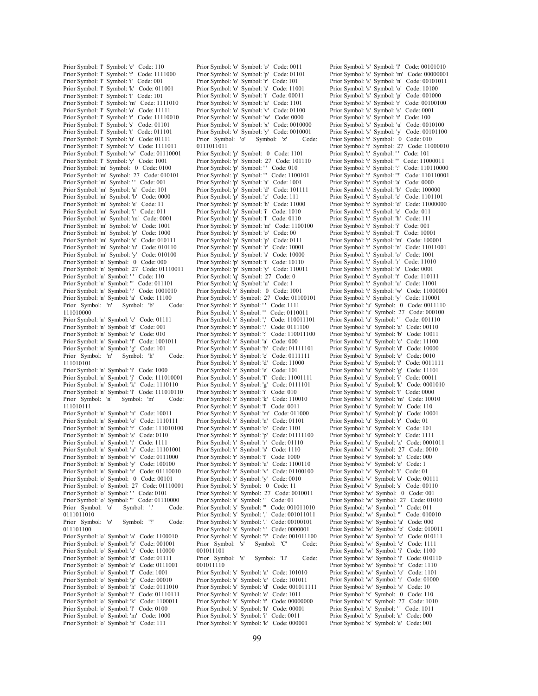Prior Symbol: 'l' Symbol: 'e' Code: 110 Prior Symbol: 'l' Symbol: 'f' Code: 1111000 Prior Symbol: 'l' Symbol: 'i' Code: 001 Prior Symbol: 'l' Symbol: 'k' Code: 011001 Prior Symbol: 'l' Symbol: 'l' Code: 101 Prior Symbol: 'l' Symbol: 'm' Code: 1111010 Prior Symbol: 'l' Symbol: 'o' Code: 11111 Prior Symbol: 'l' Symbol: 'r' Code: 11110010 Prior Symbol: 'l' Symbol: 's' Code: 01101 Prior Symbol: 'l' Symbol: 't' Code: 011101 Prior Symbol: 'l' Symbol: 'u' Code: 01111 Prior Symbol: 'l' Symbol: 'v' Code: 1111011 Prior Symbol: 'l' Symbol: 'w' Code: 01110001 Prior Symbol: 'l' Symbol: 'y' Code: 1001 Prior Symbol: 'm' Symbol: 0 Code: 0100 Prior Symbol: 'm' Symbol: 27 Code: 010101 Prior Symbol: 'm' Symbol: '' Code: 001 Prior Symbol: 'm' Symbol: 'a' Code: 101 Prior Symbol: 'm' Symbol: 'b' Code: 0000 Prior Symbol: 'm' Symbol: 'e' Code: 11 Prior Symbol: 'm' Symbol: 'i' Code: 011 Prior Symbol: 'm' Symbol: 'm' Code: 0001 Prior Symbol: 'm' Symbol: 'o' Code: 1001 Prior Symbol: 'm' Symbol: 'p' Code: 1000 Prior Symbol: 'm' Symbol: 's' Code: 010111 Prior Symbol: 'm' Symbol: 'u' Code: 010110 Prior Symbol: 'm' Symbol: 'y' Code: 010100 Prior Symbol: 'n' Symbol: 0 Code: 000 Prior Symbol: 'n' Symbol: 27 Code: 01110011 Prior Symbol: 'n' Symbol: '' Code: 110 Prior Symbol: 'n' Symbol: ''' Code: 011101 Prior Symbol: 'n' Symbol: ':' Code: 1001010 Prior Symbol: 'n' Symbol: 'a' Code: 11100 Prior Symbol: 'n' Symbol: 'b' Code: 111010000 Prior Symbol: 'n' Symbol: 'c' Code: 01111 Prior Symbol: 'n' Symbol: 'd' Code: 001 Prior Symbol: 'n' Symbol: 'e' Code: 010 Prior Symbol: 'n' Symbol: 'f' Code: 1001011 Prior Symbol: 'n' Symbol: 'g' Code: 101 Prior Symbol: 'n' Symbol: 'h' Code: 111010101 Prior Symbol: 'n' Symbol: 'i' Code: 1000 Prior Symbol: 'n' Symbol: 'j' Code: 111010001 Prior Symbol: 'n' Symbol: 'k' Code: 1110110 Prior Symbol: 'n' Symbol: 'l' Code: 111010110 Prior Symbol: 'n' Symbol: 'm' Code: 111010111 Prior Symbol: 'n' Symbol: 'n' Code: 10011 Prior Symbol: 'n' Symbol: 'o' Code: 1110111 Prior Symbol: 'n' Symbol: 'r' Code: 111010100 Prior Symbol: 'n' Symbol: 's' Code: 0110 Prior Symbol: 'n' Symbol: 't' Code: 1111 Prior Symbol: 'n' Symbol: 'u' Code: 11101001 Prior Symbol: 'n' Symbol: 'v' Code: 0111000 Prior Symbol: 'n' Symbol: 'y' Code: 100100 Prior Symbol: 'n' Symbol: 'z' Code: 01110010 Prior Symbol: 'o' Symbol: 0 Code: 00101 Prior Symbol: 'o' Symbol: 27 Code: 01110001 Prior Symbol: 'o' Symbol: '' Code: 0101 Prior Symbol: 'o' Symbol: ''' Code: 01110000<br>Prior Symbol: 'o' Symbol: '' Code: 01110000 Prior Symbol: 'o' 0111011010 Prior Symbol: 'o' Symbol: '?' Code: 011101100 Prior Symbol: 'o' Symbol: 'a' Code: 1100010 Prior Symbol: 'o' Symbol: 'b' Code: 001001 Prior Symbol: 'o' Symbol: 'c' Code: 110000 Prior Symbol: 'o' Symbol: 'd' Code: 01111 Prior Symbol: 'o' Symbol: 'e' Code: 0111001 Prior Symbol: 'o' Symbol: 'f' Code: 1001 Prior Symbol: 'o' Symbol: 'g' Code: 00010 Prior Symbol: 'o' Symbol: 'h' Code: 0111010 Prior Symbol: 'o' Symbol: 'i' Code: 01110111 Prior Symbol: 'o' Symbol: 'k' Code: 1100011 Prior Symbol: 'o' Symbol: 'l' Code: 0100 Prior Symbol: 'o' Symbol: 'm' Code: 1000 Prior Symbol: 'o' Symbol: 'n' Code: 111

Prior Symbol: 'o' Symbol: 'o' Code: 0011 Prior Symbol: 'o' Symbol: 'p' Code: 01101 Prior Symbol: 'o' Symbol: 'r' Code: 101 Prior Symbol: 'o' Symbol: 's' Code: 11001 Prior Symbol: 'o' Symbol: 't' Code: 00011 Prior Symbol: 'o' Symbol: 'u' Code: 1101 Prior Symbol: 'o' Symbol: 'v' Code: 01100 Prior Symbol: 'o' Symbol: 'w' Code: 0000 Prior Symbol: 'o' Symbol: 'x' Code: 0010000 Prior Symbol: 'o' Symbol: 'y' Code: 0010001<br>Prior Symbol: 'o' Symbol: 'z' Code: Prior Symbol: 'o' 0111011011 Prior Symbol: 'p' Symbol: 0 Code: 1101 Prior Symbol: 'p' Symbol: 27 Code: 101110 Prior Symbol: 'p' Symbol: '' Code: 010 Prior Symbol: 'p' Symbol: "" Code: 1100101 Prior Symbol: 'p' Symbol: 'a' Code: 1001 Prior Symbol: 'p' Symbol: 'd' Code: 101111 Prior Symbol: 'p' Symbol: 'e' Code: 111 Prior Symbol: 'p' Symbol: 'h' Code: 11000 Prior Symbol: 'p' Symbol: 'i' Code: 1010 Prior Symbol: 'p' Symbol: 'l' Code: 0110 Prior Symbol: 'p' Symbol: 'm' Code: 1100100 Prior Symbol: 'p' Symbol: 'o' Code: 00 Prior Symbol: 'p' Symbol: 'p' Code: 0111 Prior Symbol: 'p' Symbol: 'r' Code: 10001 Prior Symbol: 'p' Symbol: 's' Code: 10000 Prior Symbol: 'p' Symbol: 't' Code: 10110 Prior Symbol: 'p' Symbol: 'y' Code: 110011 Prior Symbol: 'q' Symbol: 27 Code: 0 Prior Symbol: 'q' Symbol: 'u' Code: 1 Prior Symbol: 'r' Symbol: 0 Code: 1001 Prior Symbol: 'r' Symbol: 27 Code: 01100101 Prior Symbol: 'r' Symbol: 'r' Code: 011 Prior Symbol: 'r' Symbol: '" Code: 0110011<br>Prior Symbol: 'r' Symbol: ',' Code: 110011101 Prior Symbol: 'r' Symbol: ',' Prior Symbol: 'r' Symbol: '.' Code: 0111100 Prior Symbol: 'r' Symbol: ':' Code: 110011100 Prior Symbol: 'r' Symbol: 'a' Code: 000 Prior Symbol: 'r' Symbol: 'b' Code: 01111101 Prior Symbol: 'r' Symbol: 'c' Code: 0111111 Prior Symbol: 'r' Symbol: 'd' Code: 11000 Prior Symbol: 'r' Symbol: 'e' Code: 101 Prior Symbol: 'r' Symbol: 'f' Code: 11001111 Prior Symbol: 'r' Symbol: 'g' Code: 0111101 Prior Symbol: 'r' Symbol: 'i' Code: 010 Prior Symbol: 'r' Symbol: 'k' Code: 110010 Prior Symbol: 'r' Symbol: 'l' Code: 0011 Prior Symbol: 'r' Symbol: 'm' Code: 011000 Prior Symbol: 'r' Symbol: 'n' Code: 01101 Prior Symbol: 'r' Symbol: 'o' Code: 1101 Prior Symbol: 'r' Symbol: 'p' Code: 01111100 Prior Symbol: 'r' Symbol: 'r' Code: 01110 Prior Symbol: 'r' Symbol: 's' Code: 1110 Prior Symbol: 'r' Symbol: 't' Code: 1000 Prior Symbol: 'r' Symbol: 'u' Code: 1100110 Prior Symbol: 'r' Symbol: 'v' Code: 01100100 Prior Symbol: 'r' Symbol: 'y' Code: 0010 Prior Symbol: 's' Symbol: 0 Code: 11 Prior Symbol: 's' Symbol: 27 Code: 0010011 Prior Symbol: 's' Symbol: '' Code: 01 Prior Symbol: 's' Symbol: ''' Code: 001011010<br>Prior Symbol: 's' Symbol: ',' Code: 001011011 Prior Symbol: 's' Symbol: ',' Prior Symbol: 's' Symbol: '.' Code: 00100101 Prior Symbol: 's' Symbol: ':' Code: 0000001 Prior Symbol: 's' Symbol: '?' Code: 001011100<br>Prior Symbol: 's' Symbol: 'C' Code: Prior Symbol: 's' Symbol: 'C' Code: 001011101 Prior Symbol: 's' Symbol: 'H' Code: 001011110 Prior Symbol: 's' Symbol: 'a' Code: 101010 Prior Symbol: 's' Symbol: 'c' Code: 101011 Prior Symbol: 's' Symbol: 'd' Code: 001011111 Prior Symbol: 's' Symbol: 'e' Code: 1011 Prior Symbol: 's' Symbol: 'f' Code: 00000000 Prior Symbol: 's' Symbol: 'h' Code: 00001 Prior Symbol: 's' Symbol: 'i' Code: 0011 Prior Symbol: 's' Symbol: 'k' Code: 000001

Prior Symbol: 's' Symbol: 'l' Code: 00101010 Prior Symbol: 's' Symbol: 'm' Code: 00000001 Prior Symbol: 's' Symbol: 'n' Code: 00101011 Prior Symbol: 's' Symbol: 'o' Code: 10100 Prior Symbol: 's' Symbol: 'p' Code: 001000 Prior Symbol: 's' Symbol: 'r' Code: 00100100 Prior Symbol: 's' Symbol: 's' Code: 0001 Prior Symbol: 's' Symbol: 't' Code: 100 Prior Symbol: 's' Symbol: 'u' Code: 0010100 Prior Symbol: 's' Symbol: 'y' Code: 00101100 Prior Symbol: 't' Symbol: 0 Code: 010 Prior Symbol: 't' Symbol: 27 Code: 11000010 Prior Symbol: 't' Symbol: '' Code: 101 Prior Symbol: 't' Symbol: ''' Code: 11000011 Prior Symbol: 't' Symbol: ':' Code: 110110000 Prior Symbol: 't' Symbol: '?' Code: 110110001 Prior Symbol: 't' Symbol: 'a' Code: 0000 Prior Symbol: 't' Symbol: 'b' Code: 100000 Prior Symbol: 't' Symbol: 'c' Code: 1101101 Prior Symbol: 't' Symbol: 'd' Code: 11000000 Prior Symbol: 't' Symbol: 'e' Code: 011 Prior Symbol: 't' Symbol: 'h' Code: 111 Prior Symbol: 't' Symbol: 'i' Code: 001 Prior Symbol: 't' Symbol: 'l' Code: 10001 Prior Symbol: 't' Symbol: 'm' Code: 100001 Prior Symbol: 't' Symbol: 'n' Code: 11011001 Prior Symbol: 't' Symbol: 'o' Code: 1001 Prior Symbol: 't' Symbol: 'r' Code: 11010 Prior Symbol: 't' Symbol: 's' Code: 0001 Prior Symbol: 't' Symbol: 't' Code: 110111 Prior Symbol: 't' Symbol: 'u' Code: 11001 Prior Symbol: 't' Symbol: 'w' Code: 11000001 Prior Symbol: 't' Symbol: 'y' Code: 110001 Prior Symbol: 'u' Symbol: 0 Code: 0011110 Prior Symbol: 'u' Symbol: 27 Code: 000100 Prior Symbol: 'u' Symbol: '' Code: 001110 Prior Symbol: 'u' Symbol: 'a' Code: 00110 Prior Symbol: 'u' Symbol: 'b' Code: 10011 Prior Symbol: 'u' Symbol: 'c' Code: 11100 Prior Symbol: 'u' Symbol: 'd' Code: 10000 Prior Symbol: 'u' Symbol: 'e' Code: 0010 Prior Symbol: 'u' Symbol: 'f' Code: 0011111 Prior Symbol: 'u' Symbol: 'g' Code: 11101 Prior Symbol: 'u' Symbol: 'i' Code: 00011 Prior Symbol: 'u' Symbol: 'k' Code: 0001010 Prior Symbol: 'u' Symbol: 'l' Code: 0000 Prior Symbol: 'u' Symbol: 'm' Code: 10010 Prior Symbol: 'u' Symbol: 'n' Code: 110 Prior Symbol: 'u' Symbol: 'p' Code: 10001 Prior Symbol: 'u' Symbol: 'r' Code: 01 Prior Symbol: 'u' Symbol: 's' Code: 101 Prior Symbol: 'u' Symbol: 't' Code: 1111 Prior Symbol: 'u' Symbol: 'z' Code: 0001011 Prior Symbol: 'v' Symbol: 27 Code: 0010 Prior Symbol: 'v' Symbol: 'a' Code: 000 Prior Symbol: 'v' Symbol: 'e' Code: 1 Prior Symbol: 'v' Symbol: 'i' Code: 01 Prior Symbol: 'v' Symbol: 'o' Code: 00111 Prior Symbol: 'v' Symbol: 's' Code: 00110 Prior Symbol: 'w' Symbol: 0 Code: 001 Prior Symbol: 'w' Symbol: 27 Code: 01010 Prior Symbol: 'w' Symbol: '' Code: 011 Prior Symbol: 'w' Symbol: " Code: 010010 Prior Symbol: 'w' Symbol: 'a' Code: 000 Prior Symbol: 'w' Symbol: 'b' Code: 010011 Prior Symbol: 'w' Symbol: 'c' Code: 010111 Prior Symbol: 'w' Symbol: 'e' Code: 1111 Prior Symbol: 'w' Symbol: 'i' Code: 1100 Prior Symbol: 'w' Symbol: 'l' Code: 010110 Prior Symbol: 'w' Symbol: 'n' Code: 1110 Prior Symbol: 'w' Symbol: 'o' Code: 1101 Prior Symbol: 'w' Symbol: 'r' Code: 01000 Prior Symbol: 'w' Symbol: 's' Code: 10 Prior Symbol: 'x' Symbol: 0 Code: 110 Prior Symbol: 'x' Symbol: 27 Code: 1010 Prior Symbol: 'x' Symbol: '' Code: 1011 Prior Symbol: 'x' Symbol: 'a' Code: 000 Prior Symbol: 'x' Symbol: 'e' Code: 001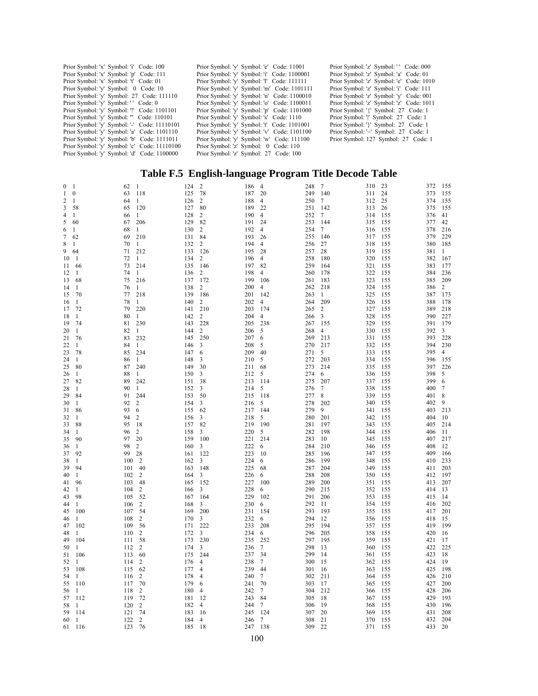| Prior Symbol: 'x' Symbol: 'i' Code: 100      | Prior Symbol: 'v' Symbol: 'e' Code: 11001   | Prior Symbol: 'z' Symbol: '' Code: 000   |
|----------------------------------------------|---------------------------------------------|------------------------------------------|
| Prior Symbol: 'x' Symbol: 'p' Code: 111      | Prior Symbol: 'v' Symbol: 'i' Code: 1100001 | Prior Symbol: 'z' Symbol: 'a' Code: 01   |
| Prior Symbol: 'x' Symbol: 't' Code: 01       | Prior Symbol: 'v' Symbol: 'l' Code: 111111  | Prior Symbol: 'z' Symbol: 'e' Code: 1010 |
| Prior Symbol: 'v' Symbol: 0 Code: 10         | Prior Symbol: 'v' Symbol: 'm' Code: 1101111 | Prior Symbol: 'z' Symbol: 'i' Code: 111  |
| Prior Symbol: 'v' Symbol: 27 Code: 111110    | Prior Symbol: 'v' Symbol: 'n' Code: 1100010 | Prior Symbol: 'z' Symbol: 'y' Code: 001  |
| Prior Symbol: 'v' Symbol: '' Code: 0         | Prior Symbol: 'y' Symbol: 'o' Code: 1100011 | Prior Symbol: 'z' Symbol: 'z' Code: 1011 |
| Prior Symbol: 'v' Symbol: '!' Code: 1101101  | Prior Symbol: 'v' Symbol: 'p' Code: 1101000 | Prior Symbol: '{' Symbol: 27 Code: 1     |
| Prior Symbol: 'v' Symbol: ''' Code: 110101   | Prior Symbol: 'v' Symbol: 's' Code: 1110    | Prior Symbol: "I Symbol: 27 Code: 1      |
| Prior Symbol: 'v' Symbol: '-' Code: 11110101 | Prior Symbol: 'v' Symbol: 't' Code: 1101001 | Prior Symbol: '}' Symbol: 27 Code: 1     |
| Prior Symbol: 'v' Symbol: 'a' Code: 1101110  | Prior Symbol: 'v' Symbol: 'v' Code: 1101100 | Prior Symbol: '~' Symbol: 27 Code: 1     |
| Prior Symbol: 'v' Symbol: 'b' Code: 1111011  | Prior Symbol: 'v' Symbol: 'w' Code: 111100  | Prior Symbol: 127 Symbol: 27 Code: 1     |
| Prior Symbol: 'v' Symbol: 'c' Code: 11110100 | Prior Symbol: 'z' Symbol: 0 Code: 110       |                                          |
| Prior Symbol: 'v' Symbol: 'd' Code: 1100000  | Prior Symbol: 'z' Symbol: 27 Code: 100      |                                          |

## **Table F.5 English-language Program Title Decode Table**

| $\mathbf{0}$ | 1            | 62         | $\mathbf{1}$   | 124        | $\sqrt{2}$     | 186        | $\overline{4}$ | 248        | $\overline{7}$ | 310        | 23         | 372        | 155            |
|--------------|--------------|------------|----------------|------------|----------------|------------|----------------|------------|----------------|------------|------------|------------|----------------|
| 1            | $\mathbf{0}$ | 63         | 118            | 125        | 78             | 187        | 20             | 249        | 140            | 311        | 24         | 373        | 155            |
| 2            | $\mathbf{1}$ | 64         | 1              | 126        | 2              | 188        | 4              | 250        | $\overline{7}$ | 312        | 25         | 374        | 155            |
| 3            | 58           | 65         | 120            | 127        | 80             | 189        | 22             | 251        | 142            | 313        | 26         | 375        | 155            |
| 4            | 1            | 66         | 1              | 128        | 2              | 190        | $\overline{4}$ | 252        | $\overline{7}$ | 314        | 155        | 376        | 41             |
| 5            | 60           | 67         | 206            | 129        | 82             | 191        | 24             | 253        | 144            | 315        | 155        | 377        | 42             |
| 6            | 1            | 68         | 1              | 130        | 2              | 192        | 4              | 254        | $\overline{7}$ | 316        | 155        | 378        | 216            |
| 7            | 62           | 69         | 210            | 131        | 84             | 193        | 26             | 255        | 146            | 317        | 155        | 379        | 229            |
| 8            | $\mathbf{1}$ | 70         | 1              | 132        | 2              | 194        | $\overline{4}$ | 256        | 27             | 318        | 155        | 380        | 185            |
| 9            | 64           | 71         | 212            | 133        | 126            | 195        | 28             | 257        | 28             | 319        | 155        | 381        | 1              |
| 10           | -1           | 72         | 1              | 134        | 2              | 196        | $\overline{4}$ | 258        | 180            | 320        | 155        | 382        | 167            |
| 11           | 66<br>1      | 73         | 214            | 135        | 146            | 197        | 82             | 259        | 164            | 321        | 155        | 383        | 177            |
| 12<br>13     | 68           | 74<br>75   | 1<br>216       | 136<br>137 | 2<br>172       | 198<br>199 | 4<br>106       | 260<br>261 | 178<br>183     | 322<br>323 | 155<br>155 | 384<br>385 | 236<br>209     |
| 14           | -1           | 76         | $\mathbf{1}$   | 138        | $\overline{2}$ | 200        | $\overline{4}$ | 262        | 218            | 324        | 155        | 386        | 2              |
| 15           | 70           | 77         | 218            | 139        | 186            | 201        | 142            | 263        | 1              | 325        | 155        | 387        | 173            |
| 16           | 1            | 78         | 1              | 140        | 2              | 202        | $\overline{4}$ | 264        | 209            | 326        | 155        | 388        | 178            |
| 17           | 72           | 79         | 220            | 141        | 210            | 203        | 174            | 265        | 2              | 327        | 155        | 389        | 218            |
| 18           | -1           | 80         | $\mathbf{1}$   | 142        | 2              | 204        | $\overline{4}$ | 266        | 3              | 328        | 155        | 390        | 227            |
| 19           | 74           | 81         | 230            | 143        | 228            | 205        | 238            | 267        | 155            | 329        | 155        | 391        | 179            |
| 20           | 1            | 82         | $\mathbf{1}$   | 144        | 2              | 206        | 5              | 268        | $\overline{4}$ | 330        | 155        | 392        | 3              |
| 21           | 76           | 83         | 232            | 145        | 250            | 207        | 6              | 269        | 213            | 331        | 155        | 393        | 228            |
| 22           | 1            | 84         | 1              | 146        | 3              | 208        | 5              | 270        | 217            | 332        | 155        | 394        | 230            |
| 23           | 78           | 85         | 234            | 147        | 6              | 209        | 40             | 271        | 5              | 333        | 155        | 395        | $\overline{4}$ |
| 24           | 1            | 86         | $\mathbf{1}$   | 148        | 3              | 210        | 5              | 272        | 203            | 334        | 155        | 396        | 155            |
| 25           | 80           | 87         | 240            | 149        | 30             | 211        | 68             | 273        | 214            | 335        | 155        | 397        | 226            |
| 26           | 1            | 88         | 1              | 150        | 3              | 212        | 5              | 274        | 6              | 336        | 155        | 398        | 5              |
| 27           | 82           | 89         | 242            | 151        | 38             | 213        | 114            | 275        | 207            | 337        | 155        | 399        | 6              |
| 28           | 1            | 90         | $\mathbf{1}$   | 152        | 3              | 214        | 5              | 276        | 7              | 338        | 155        | 400        | 7              |
| 29           | 84           | 91         | 244            | 153        | 50             | 215        | 118            | 277        | 8              | 339        | 155        | 401        | 8              |
| 30           | 1            | 92         | 2              | 154        | 3              | 216        | 5              | 278        | 202            | 340        | 155        | 402        | 9              |
| 31           | 86           | 93         | 6              | 155        | 62             | 217        | 144            | 279        | 9              | 341        | 155        | 403        | 213            |
| 32           | 1            | 94         | 2              | 156        | 3              | 218        | 5              | 280        | 201            | 342        | 155        | 404        | 10             |
| 33           | 88           | 95         | 18             | 157        | 82             | 219        | 190            | 281        | 197            | 343        | 155        | 405        | 214            |
| 34           | 1            | 96         | 2              | 158        | 3              | 220        | 5              | 282        | 198            | 344        | 155        | 406        | 11             |
| 35           | 90           | 97         | 20             | 159        | 100            | 221        | 214            | 283        | 10             | 345        | 155        | 407        | 217            |
| 36           | 1            | 98         | 2              | 160        | 3              | 222        | 6              | 284        | 210            | 346        | 155        | 408        | 12             |
| 37           | 92           | 99         | 28             | 161        | 122            | 223        | 10             | 285        | 196            | 347        | 155        | 409        | 166            |
| 38           | 1            | 100        | $\overline{c}$ | 162        | 3              | 224        | 6              | 286        | 199            | 348        | 155        | 410        | 233            |
| 39           | 94           | 101        | 40             | 163        | 148            | 225        | 68             | 287        | 204            | 349        | 155        | 411        | 203            |
| 40           | $\mathbf{1}$ | 102        | $\overline{2}$ | 164        | 3              | 226        | 6              | 288        | 208            | 350        | 155        | 412        | 197            |
| 41           | 96           | 103        | 48             | 165        | 152            | 227        | 100            | 289        | 200            | 351        | 155        | 413        | 207            |
| 42           | 1            | 104        | $\overline{c}$ | 166        | 3              | 228        | 6              | 290        | 215            | 352        | 155        | 414        | 13             |
| 43           | 98           | 105        | 52             | 167        | 164            | 229        | 102            | 291        | 206            | 353        | 155        | 415        | 14             |
| 44           | $\mathbf{1}$ | 106        | 2              | 168        | 3              | 230        | 6              | 292        | 11             | 354        | 155        | 416        | 202            |
| 45           | 100          | 107        | 54             | 169        | 200            | 231        | 154            | 293        | 193            | 355        | 155        | 417        | 201            |
| 46           | 1            | 108        | $\overline{c}$ | 170        | 3              | 232        | 6              | 294        | 12             | 356        | 155        | 418        | 15             |
| 47           | 102          | 109        | 56             | 171        | 222            | 233        | 208            | 295        | 194            | 357        | 155        | 419        | 199            |
| 48           | 1            | 110        | 2              | 172        | 3              | 234        | 6              | 296        | 205            | 358        | 155        | 420        | 16             |
| 49           | 104          | 111        | 58             | 173        | 230            | 235        | 252            | 297        | 195            | 359        | 155        | 421        | 17             |
| 50           | $\mathbf{1}$ | 112        | $\overline{c}$ | 174        | 3              | 236        | 7              | 298        | 13             | 360        | 155        | 422        | 225            |
| 51           | 106          | 113        | 60             | 175        | 244            | 237        | 34             | 299        | 14             | 361        | 155        | 423        | 18             |
| 52           | 1            | 114        | 2              | 176        | $\overline{4}$ | 238        | 7              | 300        | 15             | 362        | 155        | 424        | 19             |
| 53           | 108          | 115        | 62             | 177        | 4              | 239        | 44             | 301        | 16             | 363        | 155        | 425        | 198            |
| 54           | 1            | 116        | 2              | 178        | 4              | 240        | $\overline{7}$ | 302        | 211            | 364        | 155        | 426        | 210            |
| 55           | 110          | 117        | 70             | 179        | 6              | 241        | 70             | 303        | 17             | 365        | 155        | 427        | 200            |
| 56           | 1            | 118        | 2              | 180        | 4              | 242        | 7              | 304        | 212            | 366        | 155        | 428<br>429 | 206            |
| 57           | 112<br>1     | 119<br>120 | 72             | 181<br>182 | 12<br>4        | 243<br>244 | 84<br>$\tau$   | 305<br>306 | 18<br>19       | 367<br>368 | 155<br>155 | 430        | 193<br>196     |
| 58<br>59     | 114          | 121        | 2<br>74        |            | 16             | 245        | 124            | 307        | 20             | 369        | 155        | 431        | 208            |
| 60           | -1           | 122        | $\overline{c}$ | 183<br>184 | 4              | 246        | 7              | 308        | 21             | 370        | 155        | 432        | 204            |
| 61           | 116          | 123        | 76             | 185        | 18             | 247        | 138            | 309        | 22             | 371        | 155        | 433        | 20             |
|              |              |            |                |            |                |            |                |            |                |            |            |            |                |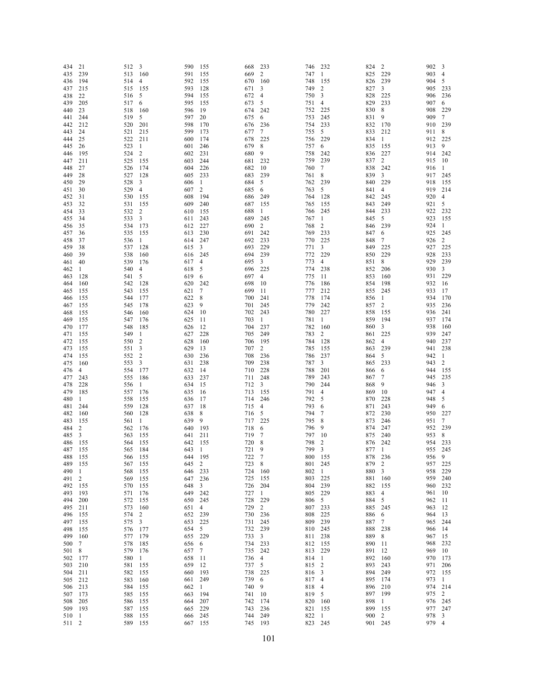| 434        | 21             | 512        | $\overline{\mathbf{3}}$ | 590        | 155            | 668        | 233                     | 746        | 232            | 824        | $\overline{c}$ | 902        | 3              |
|------------|----------------|------------|-------------------------|------------|----------------|------------|-------------------------|------------|----------------|------------|----------------|------------|----------------|
| 435        | 239            | 513        | 160                     | 591        | 155            | 669        | $\overline{2}$          | 747        | -1             | 825        | 229            | 903        | $\overline{4}$ |
| 436        | 194            | 514        | $\overline{4}$          | 592        | 155            | 670        | 160                     | 748        | 155            | 826        | 239            | 904        | 5              |
| 437        | 215            | 515        | 155                     | 593        | 128            | 671        | 3                       | 749        | $\overline{c}$ | 827        | 3              | 905        | 233            |
| 438        | 22             | 516        | 5                       | 594        | 155            | 672        | $\overline{4}$          | 750        | 3              | 828        | 225            | 906        | 236            |
| 439        | 205            | 517        | 6                       | 595        | 155            | 673        | 5                       | 751        | 4              | 829        | 233            | 907        | 6              |
| 440        | 23             | 518        | 160                     | 596        | 19             | 674        | 242                     | 752        | 225            | 830        | 8              | 908        | 229            |
| 441        | 244            | 519        | 5                       | 597        | 20             | 675        | 6                       | 753        | 245            | 831        | 9              | 909        | 7              |
| 442        | 212            | 520        | 201                     | 598        | 170            | 676        | 236                     | 754        | 233            | 832        | 170            | 910        | 239            |
| 443        | 24             | 521        | 215                     | 599        | 173            | 677        | 7                       | 755        | 5              | 833        | 212            | 911        | 8              |
| 444        | 25             | 522        | 211                     | 600        | 174            | 678        | 225                     | 756        | 229            | 834        | 1              | 912        | 225            |
| 445        | 26             | 523        | 1                       | 601        | 246            | 679        | 8                       | 757        | 6              | 835        | 155            | 913        | 9              |
| 446        | 195            | 524        | 2                       | 602        | 231            | 680        | 9                       | 758        | 242            | 836        | 227            | 914        | 242            |
| 447        | 211            | 525        | 155                     | 603        | 244            | 681        | 232                     | 759        | 239            | 837        | $\overline{c}$ | 915        | -10            |
| 448        | 27             | 526        | 174                     | 604        | 226            | 682        | 10                      | 760        | 7              | 838        | 242            | 916        | 1              |
| 449        | 28             | 527        | 128                     | 605        | 233            | 683        | 239                     | 761        | 8              | 839        | 3              | 917        | 245            |
| 450        | 29             | 528        | 3                       | 606        | -1             | 684        | 5                       | 762        | 239            | 840        | 229            | 918        | 155            |
| 451        | 30             | 529        | 4                       | 607        | 2              | 685        | 6                       | 763        | 5              | 841        | 4              | 919        | 214            |
| 452        | 31             | 530        | 155                     | 608        | 194            | 686        | 249                     | 764        | 128            | 842        | 245            | 920        | $\overline{4}$ |
| 453        | 32             | 531        | 155                     | 609        | 240            | 687        | 155                     | 765        | 155            | 843        | 249            | 921        | 5              |
| 454        | 33             | 532        | 2                       | 610        | 155            | 688        | 1                       | 766        | 245            | 844        | 233            | 922        | 232            |
| 455        | 34             | 533        | 3                       | 611        | 243            | 689        | 245                     | 767        | -1             | 845        | 5              | 923        | 155            |
| 456        | 35             | 534        | 173                     | 612        | 227            | 690        | $\overline{2}$          | 768        | 2              | 846        | 239            | 924        | $\mathbf{1}$   |
| 457        | 36             | 535        | 155                     | 613        | 230            | 691        | 242                     | 769        | 233<br>225     | 847        | 6<br>7         | 925        | 245            |
| 458        | 37             | 536        | 1                       | 614        | 247            | 692        | 233                     | 770        |                | 848        |                | 926        | $\overline{c}$ |
| 459        | 38             | 537        | 128                     | 615        | 3              | 693        | 229<br>239              | 771        | 3              | 849        | 225<br>229     | 927<br>928 | 225            |
| 460        | 39             | 538        | 160                     | 616        | 245            | 694        |                         | 772        | 229            | 850        |                | 929        | 233<br>239     |
| 461        | 40             | 539        | 176                     | 617        | 4              | 695        | 3                       | 773        | 4              | 851        | 8              | 930        |                |
| 462        | 1              | 540<br>541 | 4<br>5                  | 618        | 5              | 696        | 225                     | 774        | 238            | 852        | 206            | 931        | 3              |
| 463        | 128<br>160     | 542        |                         | 619        | 6<br>242       | 697<br>698 | $\overline{4}$<br>10    | 775<br>776 | 11<br>186      | 853<br>854 | 160<br>198     | 932        | 229<br>16      |
| 464        |                | 543        | 128                     | 620        |                | 699        | 11                      | 777        |                |            |                | 933        |                |
| 465<br>466 | 155<br>155     | 544        | 155<br>177              | 621<br>622 | 7<br>8         | 700        | 241                     | 778        | 212<br>174     | 855<br>856 | 245<br>1       | 934        | 17<br>170      |
| 467        | 155            | 545        | 178                     | 623        | 9              | 701        | 245                     | 779        | 242            | 857        | 2              | 935        | 236            |
| 468        | 155            | 546        | 160                     | 624        | 10             | 702        | 243                     | 780        | 227            | 858        | 155            | 936        | 241            |
| 469        | 155            | 547        | 176                     | 625        | 11             | 703        | -1                      | 781        | 1              | 859        | 194            | 937        | 174            |
| 470        | 177            | 548        | 185                     | 626        | 12             | 704        | 237                     | 782        | 160            | 860        | 3              | 938        | 160            |
| 471        | 155            | 549        | 1                       | 627        | 228            | 705        | 249                     | 783        | 2              | 861        | 225            | 939        | 247            |
| 472        | 155            | 550        | 2                       | 628        | 160            | 706        | 195                     | 784        | 128            | 862        | 4              | 940        | 237            |
| 473        | 155            | 551        | 3                       | 629        | 13             | 707        | 2                       | 785        | 155            | 863        | 239            | 941        | 238            |
| 474        | 155            | 552        | 2                       | 630        | 236            | 708        | 236                     | 786        | 237            | 864        | 5              | 942        | -1             |
| 475        | 160            | 553        | 3                       | 631        | 238            | 709        | 238                     | 787        | 3              | 865        | 233            | 943        | 2              |
| 476        | 4              | 554        | 177                     | 632        | 14             | 710        | 228                     | 788        | 201            | 866        | 6              | 944        | 155            |
| 477        | 243            | 555        | 186                     | 633        | 237            | 711        | 248                     | 789        | 243            | 867        | 7              | 945        | 235            |
| 478        | 228            | 556        | 1                       | 634        | 15             | 712        | $\overline{\mathbf{3}}$ | 790        | 244            | 868        | 9              | 946        | 3              |
| 479        | 185            | 557        | 176                     | 635        | 16             | 713        | 155                     | 791        | $\overline{4}$ | 869        | 10             | 947        | 4              |
| 480        | 1              | 558        | 155                     | 636        | 17             | 714        | 246                     | 792        | 5              | 870        | 228            | 948        | 5              |
| 481        | 244            | 559        | 128                     | 637        | 18             | 715        | 4                       | 793        | 6              | 871        | 243            | 949        | 6              |
| 482        | 160            | 560        | 128                     | 638        | 8              | 716        | 5                       | 794        | 7              | 872        | 230            | 950        | 227            |
| 483        | 155            | 561        | 1                       | 639        | 9              | 717        | 225                     | 795        | 8              | 873        | 246            | 951        | 7              |
| 484        | 2              | 562        | 176                     | 640        | 193            | 718        | 6                       | 796        | 9              | 874        | 247            | 952        | 239            |
| 485        | 3              | 563        | 155                     | 641        | 211            | 719        | 7                       | 797        | 10             | 875        | 240            | 953        | 8              |
| 486        | 155            | 564        | 155                     | 642        | 155            | 720        | 8                       | 798        | $\overline{c}$ | 876        | 242            | 954        | 233            |
| 487        | 155            | 565        | 184                     | 643        | 1              | 721        | 9                       | 799        | 3              | 877        | -1             | 955        | 245            |
| 488        | 155            | 566 155    |                         | 644        | 195            | 722        | $\overline{7}$          | 800 155    |                | 878        | 236            | 956 9      |                |
| 489        | 155            | 567 155    |                         | 645        | 2              | 723 8      |                         | 801 245    |                | 879 2      |                | 957 225    |                |
| 490        | 1              | 568        | 155                     | 646        | 233            | 724 160    |                         | 802        | $\overline{1}$ | 880        | 3              | 958        | 229            |
| 491        | 2              | 569        | 155                     | 647        | 236            | 725        | 155                     | 803        | 225            | 881        | 160            | 959 240    |                |
| 492        | 155            | 570        | 155                     | 648        | 3              | 726 204    |                         | 804 239    |                | 882        | 155            | 960 232    |                |
| 493        | 193            | 571        | 176                     | 649        | 242            | 727 1      |                         | 805        | 229            | 883        | $\overline{4}$ | 961 10     |                |
| 494        | 200            | 572        | 155                     | 650        | 245            | 728        | 229                     | 806        | 5              | 884        | 5              | 962 11     |                |
| 495        | 211            | 573        | - 160                   | 651        | $\overline{4}$ | 729        | 2                       | 807 233    |                | 885        | 245            | 963 12     |                |
| 496        | 155            | 574        | 2                       | 652        | 239            | 730 236    |                         | 808        | 225            | 886        | 6              | 964 13     |                |
| 497        | 155            | 575        | 3                       | 653        | 225            | 731        | 245                     | 809        | 239            | 887        | 7              | 965 244    |                |
| 498        | 155            | 576        | 177                     | 654 5      |                | 732 239    |                         | 810 245    |                | 888        | 238            | 966 14     |                |
| 499        | 160            | 577        | 179                     | 655        | 229            | 733 3      |                         | 811 238    |                | 889        | 8              | 967 15     |                |
| 500        | 7              | 578        | 185                     | 656        | 6              | 734 233    |                         | 812 155    |                | 890        | 11             | 968 232    |                |
| 501        | 8              | 579        | 176                     | 657        | 7              | 735 242    |                         | 813 229    |                | 891        | 12             | 969 10     |                |
| 502        | 177            | 580        | $\mathbf{1}$            | 658        | -11            | 736        | $\overline{4}$          | 814 1      |                | 892        | 160            | 970 173    |                |
| 503        | 210            | 581        | 155                     | 659        | 12             | 737        | 5                       | 815 2      |                | 893        | 243            | 971 206    |                |
| 504        | 211            | 582        | -155                    | 660        | 193            | 738 225    |                         | 816 3      |                | 894        | 249            | 972 155    |                |
| 505        | 212            | 583        | 160                     | 661        | 249            | 739        | - 6                     | 817 4      |                | 895        | 174            | 973 1      |                |
| 506        | 213            | 584        | 155                     | 662        | -1             | 740        | 9                       | 818        | $\overline{4}$ | 896        | 210            | 974 214    |                |
| 507        | 173            | 585        | 155                     | 663        | 194            | 741 10     |                         | 819 5      |                | 897        | 199            | 975 2      |                |
| 508        | 205            | 586        | 155                     | 664        | 207            | 742        | 174                     | 820 160    |                | 898        | $\mathbf{1}$   | 976 245    |                |
| 509        | 193            | 587        | 155                     | 665        | 229            | 743        | 236                     | 821 155    |                | 899        | 155            | 977 247    |                |
| 510        | -1             | 588        | 155                     | 666        | 245            | 744        | 249                     | 822 1      |                | 900 2      |                | 978 3      |                |
| 511        | $\overline{2}$ | 589 155    |                         | 667 155    |                | 745 193    |                         | 823 245    |                | 901 245    |                | 979 4      |                |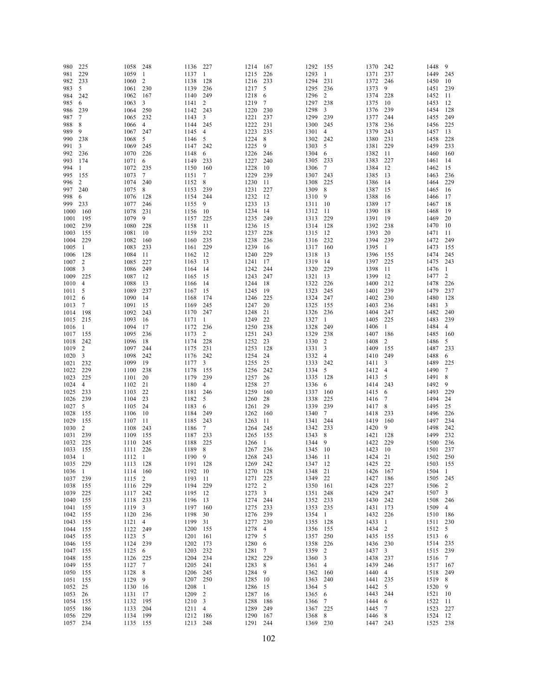| 980      | 225            | 1058        | 248            | 1136     | - 227          | 1214     | 167            | 1292     | - 155                   | 1370     | 242            | 1448     | 9              |
|----------|----------------|-------------|----------------|----------|----------------|----------|----------------|----------|-------------------------|----------|----------------|----------|----------------|
| 981      | 229            | 1059        | -1             | 1137     | -1             | 1215     | 226            | 1293     | -1                      | 1371     | 237            | 1449     | 245            |
| 982      | 233            | 1060        | 2              | 1138     | 128            | 1216     | 233            | 1294 231 |                         | 1372     | 246            | 1450     | 10             |
| 983      | 5              | 1061        | 230            | 1139     | 236            | 1217     | 5              | 1295     | 236                     | 1373     | 9              | 1451     | 239            |
| 984      | 242            | 1062        | 167            | 1140     | 249            | 1218     | 6              | 1296     | $\overline{c}$          | 1374     | 228            | 1452     | 11             |
| 985      | 6              | 1063        | 3              | 1141     | 2              | 1219     | 7              | 1297 238 |                         | 1375     | 10             | 1453     | 12             |
|          | 239            |             |                | 1142 243 |                | 1220     |                | 1298     |                         | 1376     |                | 1454     | 128            |
| 986      |                | 1064        | 250            |          |                |          | 230            |          | 3                       |          | 239            |          |                |
| 987      | 7              | 1065        | 232            | 1143     | 3              | 1221     | 237            | 1299 239 |                         | 1377     | 244            | 1455     | 249            |
| 988      | 8              | 1066        | $\overline{4}$ | 1144 245 |                | 1222     | 231            | 1300     | 245                     | 1378     | 236            | 1456     | 225            |
| 989      | 9              | 1067        | 247            | 1145     | 4              | 1223     | 235            | 1301     | $\overline{4}$          | 1379     | 243            | 1457     | 13             |
| 990      | 238            | 1068        | 5              | 1146     | 5              | 1224     | 8              | 1302 242 |                         | 1380     | 231            | 1458     | 228            |
| 991      | 3              | 1069        | - 245          | 1147 242 |                | 1225     | 9              | 1303     | 5                       | 1381     | 229            | 1459     | 233            |
| 992      | 236            | 1070        | 226            | 1148     | 6              | 1226     | 246            | 1304 6   |                         | 1382     | -11            | 1460     | 160            |
| 993      | 174            | 1071        | 6              | 1149     | 233            | 1227     | 240            | 1305 233 |                         | 1383     | 227            | 1461     | 14             |
|          | 1              | 1072        | 235            |          |                | 1228     |                |          |                         |          | 12             | 1462     | 15             |
| 994      |                |             |                | 1150     | 160            |          | 10             | 1306     | $\overline{7}$          | 1384     |                |          |                |
| 995      | 155            | 1073        | 7              | 1151     | 7              | 1229     | 239            | 1307     | 243                     | 1385     | 13             | 1463     | 236            |
| 996      | 2              | 1074        | 240            | 1152 8   |                | 1230     | 11             | 1308     | 225                     | 1386     | -14            | 1464     | 229            |
| 997      | 240            | 1075        | 8              | 1153     | 239            | 1231     | 227            | 1309     | 8                       | 1387     | 15             | 1465     | 16             |
| 998      | 6              | 1076        | 128            | 1154     | 244            | 1232     | 12             | 1310     | 9                       | 1388     | 16             | 1466     | 17             |
| 999      | 233            | 1077        | 246            | 1155     | 9              | 1233     | 13             | 1311     | 10                      | 1389     | 17             | 1467     | 18             |
| 1000     | 160            | 1078        | 231            | 1156     | 10             | 1234     | 14             | 1312     | - 11                    | 1390     | -18            | 1468     | 19             |
| 1001     | 195            | 1079        | 9              | 1157     | 225            | 1235     | 249            | 1313     | 229                     | 1391     | 19             | 1469     | 20             |
| 1002     | 239            | 1080 228    |                | 1158     | 11             | 1236     | 15             | 1314     | 128                     | 1392     | 238            | 1470     | 10             |
|          |                | 1081        | 10             | 1159     | 232            | 1237     | 228            | 1315     | 12                      | 1393     | 20             | 1471     | 11             |
| 1003     | 155            |             |                |          |                |          |                |          |                         |          |                |          |                |
| 1004     | 229            | 1082        | - 160          | 1160     | 235            | 1238     | 236            | 1316     | 232                     | 1394 239 |                | 1472     | 249            |
| 1005     | -1             | 1083        | 233            | 1161     | 229            | 1239     | 16             | 1317     | 160                     | 1395     | -1             | 1473     | 155            |
| 1006     | 128            | 1084        | -11            | 1162     | 12             | 1240     | 229            | 1318     | 13                      | 1396     | 155            | 1474     | 245            |
| 1007     | $\overline{c}$ | 1085        | 227            | 1163     | 13             | 1241     | 17             | 1319     | 14                      | 1397     | 225            | 1475     | 243            |
| 1008     | 3              | 1086        | 249            | 1164     | 14             | 1242     | 244            | 1320     | 229                     | 1398     | -11            | 1476     | -1             |
| 1009     | 225            | 1087        | 12             | 1165     | 15             | 1243     | 247            | 1321     | 13                      | 1399     | 12             | 1477     | 2              |
| 1010     | $\overline{4}$ | 1088        | 13             | 1166     | 14             | 1244     | 18             | 1322     | 226                     | 1400 212 |                | 1478     | 226            |
| 1011     | 5              | 1089        | 237            | 1167     | 15             | 1245     | 19             | 1323     | 245                     | 1401     | 239            | 1479     | 237            |
|          |                |             |                |          |                |          |                |          |                         | 1402 230 |                |          |                |
| 1012     | 6              | 1090        | -14            | 1168     | 174            | 1246     | 225            | 1324     | 247                     |          |                | 1480     | 128            |
| 1013     | 7              | 1091        | -15            | 1169     | 245            | 1247     | 20             | 1325     | 155                     | 1403     | 236            | 1481     | $\mathbf{3}$   |
| 1014     | 198            | 1092        | 243            | 1170 247 |                | 1248     | 21             | 1326     | 236                     | 1404     | 247            | 1482     | 240            |
| 1015     | 215            | 1093        | 16             | 1171     | -1             | 1249     | 22             | 1327     | -1                      | 1405     | 225            | 1483     | 239            |
| 1016     | -1             | 1094        | -17            | 1172 236 |                | 1250     | 238            | 1328     | 249                     | 1406     | 1              | 1484     | $\overline{4}$ |
| 1017     | 155            | 1095        | 236            | 1173     | 2              | 1251     | 243            | 1329 238 |                         | 1407     | 186            | 1485     | - 160          |
| 1018     | 242            | 1096        | 18             | 1174     | 228            | 1252     | 23             | 1330     | $\overline{2}$          | 1408     | $\overline{c}$ | 1486     | 5              |
| 1019     | 2              | 1097        | 244            | 1175     | 231            | 1253     | 128            | 1331     | $\overline{\mathbf{3}}$ | 1409     | 155            | 1487     | 233            |
| 1020     | 3              | 1098        | 242            | 1176     | 242            | 1254     | 24             | 1332     | $\overline{4}$          | 1410     | 249            | 1488     | 6              |
| 1021     | 232            | 1099        | -19            | 1177     | 3              |          | 25             | 1333 242 |                         | 1411     | 3              | 1489     | 225            |
|          |                |             |                |          |                | 1255     |                |          |                         |          |                |          |                |
| 1022     | 229            | 1100        | 238            | 1178     | 155            | 1256     | 242            | 1334     | 5                       | 1412     | 4              | 1490     | $\tau$         |
| 1023     | 225            | 1101        | - 20           | 1179     | 239            | 1257     | 26             | 1335     | 128                     | 1413     | 5              | 1491     | 8              |
| 1024     | $\overline{4}$ | 1102 21     |                | 1180     | $\overline{4}$ | 1258     | 27             | 1336     | 6                       | 1414     | 243            | 1492     | 9              |
| 1025     | 233            | 1103        | 22             | 1181 246 |                | 1259     | 160            | 1337     | 160                     | 1415 6   |                | 1493     | 229            |
| 1026     | 239            | 1104        | 23             | 1182     | 5              | 1260     | 28             | 1338     | 225                     | 1416     | 7              | 1494     | 24             |
| 1027     | 5              | 1105 24     |                | 1183     | 6              | 1261     | 29             | 1339     | 239                     | 1417     | 8              | 1495     | 25             |
| 1028     | 155            | 1106        | - 10           | 1184     | 249            | 1262     | 160            | 1340     | 7                       | 1418 233 |                | 1496     | 226            |
| 1029     | 155            | 1107 11     |                | 1185     | 243            | 1263     | 11             | 1341     | 244                     | 1419     | 160            | 1497     | 234            |
| 1030     | 2              | 1108        | 243            | 1186     | 7              | 1264     |                | 1342     | 233                     | 1420     | 9              | 1498     | 242            |
|          |                |             |                |          |                |          | 245            |          |                         |          |                |          |                |
| 1031     | 239            | 1109        | 155            | 1187     | 233            | 1265     | 155            | 1343     | 8                       | 1421     | 128            | 1499     | 232            |
| 1032     | 225            | 1110 245    |                | 1188     | 225            | 1266     | -1             | 1344     | 9                       | 1422     | 229            | 1500     | 236            |
| 1033     | 155            | 1111 226    |                | 1189     | 8              | 1267     | 236            | 1345 10  |                         | 1423     | 10             | 1501     | 237            |
| 1034     | $\overline{1}$ | 1112 1      |                | 1190     | 9              | 1268 243 |                | 1346 11  |                         | 1424 21  |                | 1502 250 |                |
| 1035 229 |                | 1113 128    |                | 1191 128 |                | 1269 242 |                | 1347 12  |                         | 1425 22  |                | 1503 155 |                |
| 1036 1   |                | 1114 160    |                | 1192 10  |                | 1270 128 |                | 1348 21  |                         | 1426     | 167            | 1504 1   |                |
| 1037 239 |                | 1115 2      |                | 1193 11  |                | 1271     | 225            | 1349 22  |                         | 1427     | 186            | 1505 245 |                |
| 1038     | 155            | 1116 229    |                | 1194 229 |                | 1272 2   |                | 1350 161 |                         | 1428     | 227            | 1506 2   |                |
| 1039 225 |                | 1117 242    |                | 1195 12  |                | 1273 3   |                | 1351 248 |                         | 1429 247 |                | 1507 3   |                |
|          |                |             |                |          |                |          |                | 1352 233 |                         |          |                |          |                |
| 1040 155 |                | 1118 233    |                | 1196 13  |                | 1274 244 |                |          |                         | 1430 242 |                | 1508 246 |                |
| 1041     | 155            | 1119 3      |                | 1197 160 |                | 1275 233 |                | 1353 235 |                         | 1431 173 |                | 1509 4   |                |
| 1042 155 |                | 1120 236    |                | 1198 30  |                | 1276     | 239            | 1354 1   |                         | 1432 226 |                | 1510 186 |                |
| 1043 155 |                | 1121 4      |                | 1199 31  |                | 1277     | 230            | 1355 128 |                         | 1433 1   |                | 1511 230 |                |
| 1044 155 |                | 1122 249    |                | 1200 155 |                | 1278     | $\overline{4}$ | 1356 155 |                         | 1434 2   |                | 1512 5   |                |
| 1045 155 |                | 1123 5      |                | 1201     | - 161          | 1279 5   |                | 1357 250 |                         | 1435 155 |                | 1513 6   |                |
| 1046 155 |                | 1124 239    |                | 1202 173 |                | 1280 6   |                | 1358 226 |                         | 1436 230 |                | 1514 235 |                |
| 1047 155 |                | $1125 \t 6$ |                | 1203 232 |                | 1281     | $\overline{7}$ | 1359 2   |                         | 1437 3   |                | 1515 239 |                |
| 1048 155 |                | 1126 225    |                | 1204 234 |                | 1282 229 |                | 1360 3   |                         | 1438 237 |                | 1516 7   |                |
| 1049 155 |                |             |                | 1205 241 |                | 1283 8   |                | 1361 4   |                         | 1439 246 |                | 1517 167 |                |
|          |                | 1127 7      |                |          |                |          |                |          |                         |          |                |          |                |
| 1050 155 |                | 1128 8      |                | 1206 245 |                | 1284     | 9              | 1362 160 |                         | 1440 4   |                | 1518 249 |                |
| 1051 155 |                | 1129 9      |                | 1207 250 |                | 1285 10  |                | 1363 240 |                         | 1441 235 |                | 1519 8   |                |
| 1052 25  |                | 1130 16     |                | 1208 1   |                | 1286     | - 15           | 1364 5   |                         | 1442     | 5              | 1520 9   |                |
| 1053 26  |                | 1131 17     |                | 1209 2   |                | 1287     | 16             | 1365 6   |                         | 1443     | 244            | 1521 10  |                |
| 1054 155 |                | 1132 195    |                | 1210 3   |                | 1288     | 186            | 1366 7   |                         | 1444     | 6              | 1522 11  |                |
| 1055 186 |                | 1133 204    |                | 1211 4   |                | 1289     | 249            | 1367 225 |                         | 1445     | $\overline{7}$ | 1523 227 |                |
| 1056 229 |                | 1134 199    |                | 1212 186 |                | 1290 167 |                | 1368 8   |                         | 1446 8   |                | 1524 12  |                |
| 1057 234 |                | 1135 155    |                | 1213 248 |                | 1291 244 |                | 1369 230 |                         | 1447 243 |                | 1525 238 |                |
|          |                |             |                |          |                |          |                |          |                         |          |                |          |                |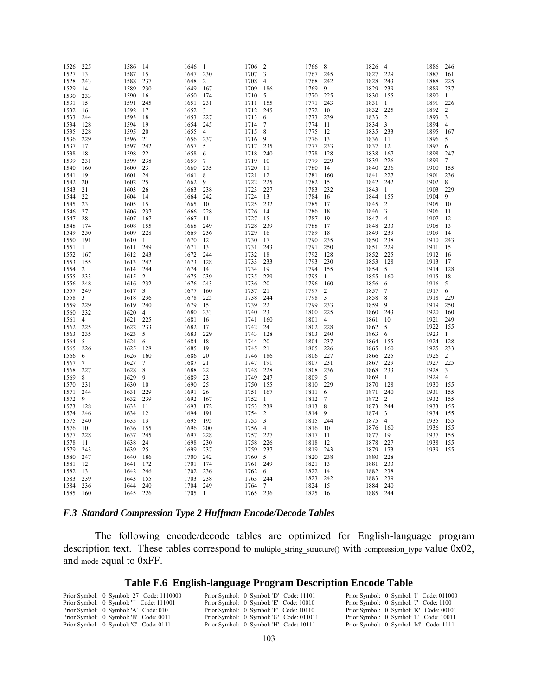| 1526 | 225    | 1586     | 14             | 1646 | -1             | 1706 | 2              | 1766 | 8              | 1826 | 4               | 1886 | 246            |
|------|--------|----------|----------------|------|----------------|------|----------------|------|----------------|------|-----------------|------|----------------|
| 1527 | 13     | 1587     | 15             | 1647 | 230            | 1707 | 3              | 1767 | 245            | 1827 | 229             | 1887 | 161            |
| 1528 | 243    | 1588     | 237            | 1648 | 2              | 1708 | 4              | 1768 | 242            | 1828 | 243             | 1888 | 225            |
| 1529 | 14     | 1589     | 230            | 1649 | 167            | 1709 | 186            | 1769 | 9              | 1829 | 239             | 1889 | 237            |
| 1530 | 233    | 1590     | 16             | 1650 | 174            | 1710 | 5              | 1770 | 225            | 1830 | 155             | 1890 | -1             |
| 1531 | 15     | 1591     | 245            | 1651 | 231            | 1711 | 155            | 1771 | 243            | 1831 | -1              | 1891 | 226            |
| 1532 | 16     | 1592     | 17             | 1652 | 3              | 1712 | 245            | 1772 | 10             | 1832 | 225             | 1892 | 2              |
| 1533 | 244    | 1593     | 18             | 1653 | 227            | 1713 | 6              | 1773 | 239            | 1833 | 2               | 1893 | 3              |
| 1534 | 128    | 1594     | 19             | 1654 | 245            | 1714 | 7              | 1774 | 11             | 1834 | 3               | 1894 | $\overline{4}$ |
| 1535 | 228    | 1595     | 20             | 1655 | 4              | 1715 | 8              | 1775 | 12             | 1835 | 233             | 1895 | 167            |
| 1536 | 229    | 1596     | 21             | 1656 | 237            | 1716 | 9              | 1776 | 13             | 1836 | 11              | 1896 | 5              |
| 1537 | 17     | 1597     | 242            | 1657 | 5              | 1717 | 235            | 1777 | 233            | 1837 | 12              | 1897 | 6              |
| 1538 | 18     | 1598     | 22             | 1658 | 6              | 1718 | 240            | 1778 | 128            | 1838 | 167             | 1898 | 247            |
| 1539 | 231    | 1599     | 238            | 1659 | 7              | 1719 | 10             | 1779 | 229            | 1839 | 226             | 1899 | 7              |
| 1540 | 160    | 1600     | 23             | 1660 | 235            | 1720 | 11             | 1780 | 14             | 1840 | 236             | 1900 | 155            |
| 1541 | 19     | 1601     | 24             | 1661 | 8              | 1721 | 12             | 1781 | 160            | 1841 | 227             | 1901 | 236            |
| 1542 | 20     | 1602     | 25             | 1662 | 9              | 1722 | 225            | 1782 | 15             | 1842 | 242             | 1902 | 8              |
|      |        |          |                |      |                |      |                |      |                |      |                 |      |                |
| 1543 | 21     | 1603     | 26             | 1663 | 238            | 1723 | 227            | 1783 | 232            | 1843 | -1              | 1903 | 229            |
| 1544 | 22     | 1604     | 14             | 1664 | 242            | 1724 | 13             | 1784 | 16             | 1844 | 155             | 1904 | 9              |
| 1545 | 23     | 1605     | 15             | 1665 | 10             | 1725 | 232            | 1785 | 17             | 1845 | 2               | 1905 | 10             |
| 1546 | 27     | 1606     | 237            | 1666 | 228            | 1726 | 14             | 1786 | 18             | 1846 | 3               | 1906 | 11             |
| 1547 | 28     | 1607     | 167            | 1667 | 11             | 1727 | 15             | 1787 | 19             | 1847 | $\overline{4}$  | 1907 | 12             |
| 1548 | 174    | 1608     | 155            | 1668 | 249            | 1728 | 239            | 1788 | 17             | 1848 | 233             | 1908 | 13             |
| 1549 | 250    | 1609     | 228            | 1669 | 236            | 1729 | 16             | 1789 | 18             | 1849 | 239             | 1909 | 14             |
| 1550 | 191    | 1610     | -1             | 1670 | 12             | 1730 | 17             | 1790 | 235            | 1850 | 238             | 1910 | 243            |
| 1551 | 1      | 1611     | 249            | 1671 | 13             | 1731 | 243            | 1791 | 250            | 1851 | 229             | 1911 | 15             |
| 1552 | 167    | 1612     | 243            | 1672 | 244            | 1732 | 18             | 1792 | 128            | 1852 | 225             | 1912 | -16            |
| 1553 | 155    | 1613     | 242            | 1673 | 128            | 1733 | 233            | 1793 | 230            | 1853 | 128             | 1913 | 17             |
| 1554 | 2      | 1614 244 |                | 1674 | 14             | 1734 | 19             | 1794 | 155            | 1854 | 5               | 1914 | 128            |
| 1555 | 233    | 1615     | 2              | 1675 | 239            | 1735 | 229            | 1795 | 1              | 1855 | 160             | 1915 | -18            |
| 1556 | 248    | 1616 232 |                | 1676 | 243            | 1736 | 20             | 1796 | 160            | 1856 | 6               | 1916 | 5              |
| 1557 | 249    | 1617     | 3              | 1677 | 160            | 1737 | 21             | 1797 | $\overline{c}$ | 1857 | $7\phantom{.0}$ | 1917 | 6              |
| 1558 | 3      | 1618     | 236            | 1678 | 225            | 1738 | 244            | 1798 | 3              | 1858 | 8               | 1918 | 229            |
| 1559 | 229    | 1619     | 240            | 1679 | 15             | 1739 | 22             | 1799 | 233            | 1859 | 9               | 1919 | 250            |
| 1560 | 232    | 1620     | $\overline{4}$ | 1680 | 233            | 1740 | 23             | 1800 | 225            | 1860 | 243             | 1920 | 160            |
| 1561 | 4      | 1621     | 225            | 1681 | 16             | 1741 | 160            | 1801 | 4              | 1861 | 10              | 1921 | 249            |
| 1562 | 225    | 1622     | 233            | 1682 | 17             | 1742 | 24             | 1802 | 228            | 1862 | 5               | 1922 | 155            |
| 1563 | 235    | 1623     | 5              | 1683 | 229            | 1743 | 128            | 1803 | 240            | 1863 | 6               | 1923 | $\mathbf{1}$   |
| 1564 | 5      | 1624     | 6              | 1684 | 18             | 1744 | 20             | 1804 | 237            | 1864 | 155             | 1924 | 128            |
| 1565 | 226    | 1625     | 128            | 1685 | 19             | 1745 | 21             | 1805 | 226            | 1865 | 160             | 1925 | 233            |
| 1566 | 6      | 1626     | 160            | 1686 | 20             | 1746 | 186            | 1806 | 227            | 1866 | 225             | 1926 | 2              |
| 1567 | $\tau$ | 1627     | 7              | 1687 | 21             | 1747 | 191            | 1807 | 231            | 1867 | 229             | 1927 | 225            |
| 1568 | 227    | 1628     | 8              | 1688 | 22             | 1748 | 228            | 1808 | 236            | 1868 | 233             | 1928 | 3              |
| 1569 | 8      | 1629     | 9              | 1689 | 23             | 1749 | 247            | 1809 | 5              | 1869 | -1              | 1929 | $\overline{4}$ |
| 1570 | 231    | 1630     | 10             | 1690 | 25             | 1750 | 155            | 1810 | 229            | 1870 | 128             | 1930 | 155            |
| 1571 | 244    | 1631     | 229            | 1691 | 26             | 1751 | 167            | 1811 | 6              | 1871 | 240             | 1931 | 155            |
| 1572 | 9      | 1632     | 239            | 1692 | 167            | 1752 | $\mathbf{1}$   | 1812 | 7              | 1872 | 2               | 1932 | 155            |
| 1573 | 128    | 1633     | 11             | 1693 | 172            | 1753 | 238            | 1813 | 8              | 1873 | 244             | 1933 | 155            |
| 1574 | 246    | 1634     | 12             | 1694 | 191            | 1754 | 2              | 1814 | 9              | 1874 | 3               | 1934 | 155            |
| 1575 | 240    | 1635     | 13             | 1695 | 195            | 1755 | 3              | 1815 | 244            | 1875 | $\overline{4}$  | 1935 | 155            |
| 1576 | 10     | 1636     | 155            | 1696 | 200            | 1756 | $\overline{4}$ | 1816 | 10             | 1876 | 160             | 1936 | 155            |
| 1577 | 228    | 1637     | 245            | 1697 | 228            | 1757 | 227            | 1817 | 11             | 1877 | 19              | 1937 | 155            |
| 1578 | 11     | 1638     | 24             | 1698 | 230            | 1758 | 226            | 1818 | 12             | 1878 | 227             | 1938 | 155            |
| 1579 | 243    | 1639     | 25             | 1699 | 237            | 1759 | 237            | 1819 | 243            | 1879 | 173             | 1939 | 155            |
| 1580 | 247    | 1640     | 186            | 1700 | 242            | 1760 | 5              |      | 238            | 1880 | 228             |      |                |
|      |        |          |                |      |                |      |                | 1820 |                |      |                 |      |                |
| 1581 | 12     | 1641     | 172            | 1701 | 174            | 1761 | 249            | 1821 | 13             | 1881 | 233             |      |                |
| 1582 | 13     | 1642     | 246            | 1702 | 236            | 1762 | 6              | 1822 | 14             | 1882 | 238             |      |                |
| 1583 | 239    | 1643     | 155            | 1703 | 238            | 1763 | 244            | 1823 | 242            | 1883 | 239             |      |                |
| 1584 | 236    | 1644     | 240            | 1704 | 249            | 1764 | 7              | 1824 | 15             | 1884 | 240             |      |                |
| 1585 | 160    | 1645     | 226            | 1705 | $\overline{1}$ | 1765 | 236            | 1825 | 16             | 1885 | 244             |      |                |

## *F.3 Standard Compression Type 2 Huffman Encode/Decode Tables*

The following encode/decode tables are optimized for English-language program description text. These tables correspond to multiple\_string\_structure() with compression\_type value  $0x02$ , and mode equal to 0xFF.

## **Table F.6 English-language Program Description Encode Table**

| Prior Symbol: 0 Symbol: 27 Code: 1110000 | Prior Symbol: 0 Symbol: 'D' Code: 11101  | Prior Symbol: 0 Symbol: T Code: 011000  |  |
|------------------------------------------|------------------------------------------|-----------------------------------------|--|
| Prior Symbol: 0 Symbol: "" Code: 111001  | Prior Symbol: 0 Symbol: 'E' Code: 10010  | Prior Symbol: 0 Symbol: 'J' Code: 1100  |  |
| Prior Symbol: 0 Symbol: 'A' Code: 010    | Prior Symbol: 0 Symbol: 'F' Code: 10110  | Prior Symbol: 0 Symbol: 'K' Code: 00101 |  |
| Prior Symbol: 0 Symbol: 'B' Code: 0011   | Prior Symbol: 0 Symbol: 'G' Code: 011011 | Prior Symbol: 0 Symbol: 'L' Code: 10011 |  |
| Prior Symbol: 0 Symbol: 'C' Code: 0111   | Prior Symbol: 0 Symbol: 'H' Code: 10111  | Prior Symbol: 0 Symbol: 'M' Code: 1111  |  |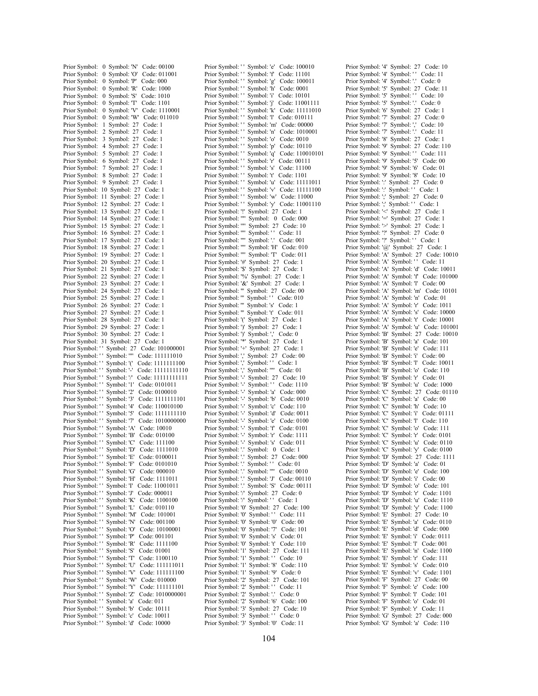| Symbol: 'N'<br>Prior Symbol:<br>Code: 00100<br>0                                            |
|---------------------------------------------------------------------------------------------|
| Prior Symbol:<br>Symbol: 'O'<br>Code: 011001<br>0                                           |
| Prior Symbol:<br>Symbol: 'P'<br>Code: 000<br>0                                              |
| Prior Symbol:<br>0<br>Symbol: 'R'<br>Code: 1000                                             |
| Prior Symbol:<br>0<br>Symbol: 'S'<br>Code: 1010                                             |
| Symbol: 'T'<br>Prior Symbol:<br>0<br>Code: 1101                                             |
| Prior Symbol:<br>0<br>Symbol: 'V'<br>Code: 1110001                                          |
| Symbol: 'W'<br>Prior Symbol:<br>0<br>Code: 011010                                           |
| Prior Symbol:<br>1<br>27<br>Code: 1<br>Symbol:                                              |
| $\overline{c}$<br>Prior Symbol:<br>27<br>Code: 1<br>Symbol:                                 |
| Prior Symbol:<br>3<br>27<br>Code: 1<br>Symbol:                                              |
| Prior Symbol:<br>4<br>Symbol:<br>27<br>Code: 1<br>27                                        |
| 5<br>Code: 1<br>Prior Symbol:<br>Symbol:<br>27<br>Code: 1                                   |
| Prior Symbol:<br>6<br>Symbol:<br>7                                                          |
| Prior Symbol:<br>Symbol:<br>27<br>Code: 1<br>Prior Symbol:<br>8<br>27<br>Code: 1<br>Symbol: |
| 9<br>27<br>Code: 1                                                                          |
| Prior Symbol:<br>Symbol:<br>Prior Symbol:<br>27<br>Code: 1<br>10<br>Symbol:                 |
| Prior Symbol:<br>11<br>Symbol:<br>27<br>Code: 1                                             |
| Prior Symbol:<br>12<br>27<br>Code: 1<br>Symbol:                                             |
| Prior Symbol:<br>13<br>Code: 1<br>Symbol:<br>27                                             |
| Prior Symbol:<br>14<br>27<br>Code: 1<br>Symbol:                                             |
| Prior Symbol:<br>15<br>Symbol:<br>27<br>Code: 1                                             |
| Prior Symbol:<br>16<br>27<br>Code: 1<br>Symbol:                                             |
| Prior Symbol:<br>17<br>27<br>Code: 1<br>Symbol:                                             |
| Prior Symbol:<br>18<br>Code: 1<br>Symbol:<br>27                                             |
| Prior Symbol:<br>19<br>Symbol:<br>27<br>Code: 1                                             |
| Prior Symbol:<br>20<br>27<br>Code: 1<br>Symbol:                                             |
| Prior Symbol:<br>21<br>Symbol:<br>27<br>Code: 1                                             |
| Prior Symbol:<br>22<br>27<br>Code: 1<br>Symbol:                                             |
| Prior Symbol:<br>23<br>Symbol:<br>27<br>Code: 1                                             |
| Prior Symbol:<br>Symbol:<br>27<br>Code: 1<br>24                                             |
| 25<br>27<br>Prior Symbol:<br>Code: 1<br>Symbol:                                             |
| Prior Symbol:<br>27<br>Code: 1<br>26<br>Symbol:                                             |
| Prior Symbol:<br>27<br>Symbol:<br>27<br>Code: 1                                             |
| Prior Symbol:<br>28<br>Symbol:<br>27<br>Code: 1                                             |
| Prior Symbol:<br>29<br>Symbol:<br>27<br>Code: 1                                             |
| Prior Symbol:<br>30<br>Symbol:<br>27<br>Code: 1                                             |
|                                                                                             |
| 31<br>27<br>Code: 1<br>Prior Symbol:<br>Symbol:                                             |
| Prior Symbol: ''<br>Symbol: 27<br>Code: 101000001                                           |
| Prior Symbol: ''<br>Symbol: ""<br>Code: 111111010                                           |
| Prior Symbol: ''<br>Symbol: '('<br>Code: 1111111100                                         |
| Prior Symbol: ''<br>Symbol: '-'<br>Code: 11111111110                                        |
| Prior Symbol: ''<br>Code: 11111111111<br>Symbol: '/'                                        |
| Prior Symbol: ''<br>Symbol: '1'<br>Code: 0101011                                            |
| Prior Symbol: ''<br>Symbol: '2'<br>Code: 0100010                                            |
| Prior Symbol: ''<br>Symbol: '3'<br>Code: 1111111101                                         |
| Prior Symbol: ''<br>Symbol: '4'<br>Code: 110010100                                          |
| Prior Symbol: ''<br>Symbol: '5'<br>Code: 1111111110                                         |
| Prior Symbol: ''<br>Symbol: '7'<br>Code: 1010000000                                         |
| Prior Symbol: ''<br>Symbol: 'A'<br>Code: 10010                                              |
| Prior Symbol: ''<br>Code: 010100<br>Symbol: 'B'                                             |
| Prior Symbol: ''<br>Symbol: 'C'<br>Code: 111100                                             |
| Prior Symbol: ''<br>Symbol: 'D'<br>Code: 1111010                                            |
| Prior Symbol: ''<br>Symbol: 'E'<br>Code: 0100011                                            |
| Prior Symbol: ''<br>Code: 0101010<br>Symbol: 'F'                                            |
| Prior Symbol: ''<br>Symbol: 'G'<br>Code: 000010                                             |
| Prior Symbol: ''<br>Symbol: 'H'<br>Code: 1111011                                            |
| Prior Symbol: ''<br>Code: 11001011<br>Symbol: 'I'                                           |
| Prior Symbol: ''<br>Symbol: 'J'<br>Code: 000011                                             |
| Prior Symbol: ''<br>Symbol: 'K'<br>Code: 1100100                                            |
| Prior Symbol: ''<br>Symbol: 'L'<br>Code: 010110                                             |
| Prior Symbol: ''<br>Symbol: 'M'<br>Code: 101001                                             |
| Prior Symbol: ''<br>Symbol: 'N'<br>Code: 001100                                             |
| Prior Symbol: ''<br>Code: 10100001<br>Symbol: 'O'                                           |
| Prior Symbol: ''<br>Symbol: 'P'<br>Code: 001101                                             |
| Prior Symbol: ''<br>Code: 1111100<br>Symbol: 'R'                                            |
| Prior Symbol: ''<br>Symbol: 'S'<br>Code: 01001                                              |
| Prior Symbol: ''<br>Symbol: 'T'<br>Code: 1100110                                            |
| Prior Symbol: ''<br>Symbol: 'U'<br>Code: 111111011                                          |
| Prior Symbol: ''<br>Symbol: 'V'<br>Code: 111111100                                          |
| Prior Symbol: ''<br>Code: 010000<br>Symbol: 'W'                                             |
| Prior Symbol: ''<br>Symbol: 'Y'<br>Code: 111111101                                          |
| Prior Symbol: ''<br>Code: 1010000001<br>Symbol: 'Z'<br>Code: 011                            |
| Prior Symbol: ''<br>Symbol: 'a'<br>Prior Symbol: ''<br>Symbol: 'b'<br>Code: 10111           |
| Prior Symbol: ''<br>Symbol: 'c'<br>Code: 10011                                              |
| Prior Symbol: ''<br>Symbol: 'd'<br>Code: 10000                                              |

Prior Symbol: '' Symbol: 'e' Code: 100010 Prior Symbol: '' Symbol: 'f' Code: 11101 Prior Symbol: '' Symbol: 'g' Code: 100011 Prior Symbol: '' Symbol: 'h' Code: 0001<br>Prior Symbol: '' Symbol: 'i' Code: 10101 Prior Symbol: '' Symbol: 'i' Code: 10101<br>Prior Symbol: '' Symbol: 'j' Code: 11001 Prior Symbol: '' Symbol: 'j' Code: 11001111<br>Prior Symbol: '' Symbol: 'k' Code: 11111010 Prior Symbol: '' Symbol: 'k' Code: 11111010<br>Prior Symbol: '' Symbol: 'I' Code: 010111 Prior Symbol: '' Symbol: 'l' Code: 010111<br>Prior Symbol: '' Symbol: 'm' Code: 00000 Symbol: 'm' Code: 00000 Prior Symbol: '' Symbol: 'n' Code: 1010001 Prior Symbol: '' Symbol: 'o' Code: 0010 Prior Symbol: '' Symbol: 'p' Code: 10110 Prior Symbol: '' Symbol: 'q' Code: 110010101 Prior Symbol: '' Symbol: 'r' Code: 00111 Prior Symbol: '' Symbol: 's' Code: 11100<br>Prior Symbol: '' Symbol: 't' Code: 1101 Symbol: 't' Code: 1101 Prior Symbol: '' Symbol: 'u' Code: 11111011 Prior Symbol: '' Symbol: 'v' Code: 111111100 Prior Symbol: '' Symbol: 'w' Code: 11000 Prior Symbol: '' Symbol: 'y' Code: 11001110 Prior Symbol: '!' Symbol: 27 Code: 1 Prior Symbol: '"' Symbol: 0 Code: 000 Prior Symbol: '"' Symbol: 27 Code: 10 Prior Symbol: "" Symbol: '' Code: 11 Prior Symbol: '"' Symbol: '.' Code: 001 Prior Symbol: '"' Symbol: 'H' Code: 010 Prior Symbol: '"' Symbol: 'T' Code: 011 Prior Symbol: '#' Symbol: 27 Code: 1 Prior Symbol: '\$' Symbol: 27 Code: 1 Prior Symbol: '%' Symbol: 27 Code: 1 Prior Symbol: '&' Symbol: 27 Code: 1 Prior Symbol: "' Symbol: 27 Code: 00 Prior Symbol: '' Symbol: '' Code: 010 Prior Symbol: "'' Symbol: 's' Code: 1 Prior Symbol: "'' Symbol: 't' Code: 011 Prior Symbol: '(' Symbol: 27 Code: 1 Prior Symbol: ')' Symbol: 27 Code: 1 Prior Symbol: ')' Symbol: ',' Code: 0 Prior Symbol: '\*' Symbol: 27 Code: 1 Prior Symbol: '+' Symbol: 27 Code: 1 Prior Symbol: ',' Symbol: 27 Code: 00 Prior Symbol: ',' Symbol: '' Code: 1 Prior Symbol: ',' Symbol: ''" Code: 01 Prior Symbol: '-' Symbol: 27 Code: 10 Prior Symbol: '-' Symbol: '' Code: 1110 Prior Symbol: '-' Symbol: 'a' Code: 000 Prior Symbol: '-' Symbol: 'b' Code: 0010 Prior Symbol: '-' Symbol: 'c' Code: 110 Prior Symbol: '-' Symbol: 'd' Code: 0011 Prior Symbol: '-' Symbol: 'e' Code: 0100 Prior Symbol: '-' Symbol: 'f' Code: 0101 Prior Symbol: '-' Symbol: 'r' Code: 1111 Prior Symbol: '-' Symbol: 's' Code: 011 Prior Symbol: '.' Symbol: 0 Code: 1<br>Prior Symbol: '.' Symbol: 27 Code: 0 Prior Symbol: '.' Symbol: 27 Code: 000 Prior Symbol: '.' Symbol: '' Code: 01 Prior Symbol: '.' Symbol: ''" Code: 0010 Prior Symbol: '.' Symbol: 'J' Code: 00110<br>Prior Symbol: '.' Symbol: 'S' Code: 00111  $Symbol: 'S'$  Code: 00111 Prior Symbol: '/' Symbol: 27 Code: 0 Prior Symbol: '/' Symbol: '' Code: 1 Prior Symbol: '0' Symbol: 27 Code: 100 Prior Symbol: '0' Symbol: '' Code: 111 Prior Symbol: '0' Symbol: '0' Code: 00 Prior Symbol: '0' Symbol: '7' Code: 101 Prior Symbol: '0' Symbol: 's' Code: 01 Prior Symbol: '0' Symbol: 't' Code: 110 Prior Symbol: '1' Symbol: 27 Code: 111 Prior Symbol: '1' Symbol: '' Code: 10 Prior Symbol: '1' Symbol: '8' Code: 110 Prior Symbol: '1' Symbol: '9' Code: 0 Prior Symbol: '2' Symbol: 27 Code: 101 Prior Symbol: '2' Symbol: '' Code: 11 Prior Symbol: '2' Symbol: '.' Code: 0 Prior Symbol: '2' Symbol: '6' Code: 100 Prior Symbol: '3' Symbol: 27 Code: 10 Prior Symbol: '3' Symbol: '' Code: 0 Prior Symbol: '3' Symbol: '0' Code: 11

Prior Symbol: '4' Symbol: 27 Code: 10 Prior Symbol: '4' Symbol: '' Code: 11 Prior Symbol: '4' Symbol: '.' Code: 0 Prior Symbol: '5' Symbol: 27 Code: 11 Prior Symbol: '5' Symbol: '' Code: 10 Prior Symbol: '5' Symbol: '.' Code: 0 Prior Symbol: '6' Symbol: 27 Code: 1 Prior Symbol: '7' Symbol: 27 Code: 0 Prior Symbol: '7' Symbol: ',' Code: 10 Prior Symbol: '7' Symbol: '.' Code: 11 Prior Symbol: '8' Symbol: 27 Code: 1 Prior Symbol: '9' Symbol: 27 Code: 110 Prior Symbol: '9' Symbol: '' Code: 111 Prior Symbol: '9' Symbol: '5' Code: 00 Prior Symbol: '9' Symbol: '6' Code: 01 Prior Symbol: '9' Symbol: '8' Code: 10 Prior Symbol: ':' Symbol: 27 Code: 0 Prior Symbol: ':' Symbol: '' Code: 1 Prior Symbol: ';' Symbol: 27 Code: 0 Prior Symbol: ';' Symbol: '' Code: 1 Prior Symbol: '<' Symbol: 27 Code: 1 Prior Symbol: '=' Symbol: 27 Code: 1 Prior Symbol: '>' Symbol: 27 Code: 1 Prior Symbol: '?' Symbol: 27 Code: 0 Prior Symbol: '?' Symbol: '' Code: 1 Prior Symbol: '@' Symbol: 27 Code: 1 Prior Symbol: 'A' Symbol: 27 Code: 10010 Prior Symbol: 'A' Symbol: '' Code: 11 Prior Symbol: 'A' Symbol: 'd' Code: 10011 Prior Symbol: 'A' Symbol: 'f' Code: 101000 Prior Symbol: 'A' Symbol: 'l' Code: 00 Prior Symbol: 'A' Symbol: 'm' Code: 10101 Prior Symbol: 'A' Symbol: 'n' Code: 01 Prior Symbol: 'A' Symbol: 'r' Code: 1011 Prior Symbol: 'A' Symbol: 's' Code: 10000 Prior Symbol: 'A' Symbol: 't' Code: 10001 Prior Symbol: 'A' Symbol: 'u' Code: 101001 Prior Symbol: 'B' Symbol: 27 Code: 10010 Prior Symbol: 'B' Symbol: 'a' Code: 101 Prior Symbol: 'B' Symbol: 'e' Code: 111 Prior Symbol: 'B' Symbol: 'i' Code: 00 Prior Symbol: 'B' Symbol: 'l' Code: 10011 Prior Symbol: 'B' Symbol: 'o' Code: 110 Prior Symbol: 'B' Symbol: 'r' Code: 01 Prior Symbol: 'B' Symbol: 'u' Code: 1000 Prior Symbol: 'C' Symbol: 27 Code: 01110 Prior Symbol: 'C' Symbol: 'a' Code: 00 Prior Symbol: 'C' Symbol: 'h' Code: 10 Prior Symbol: 'C' Symbol: 'i' Code: 01111 Prior Symbol: 'C' Symbol: 'l' Code: 110 Prior Symbol: 'C' Symbol: 'o' Code: 111 Prior Symbol: 'C' Symbol: 'r' Code: 0101 Prior Symbol: 'C' Symbol: 'u' Code: 0110 Prior Symbol: 'C' Symbol: 'y' Code: 0100 Prior Symbol: 'D' Symbol: 27 Code: 1111 Prior Symbol: 'D' Symbol: 'a' Code: 01 Prior Symbol: 'D' Symbol: 'e' Code: 100 Prior Symbol: 'D' Symbol: 'i' Code: 00 Prior Symbol: 'D' Symbol: 'o' Code: 101 Prior Symbol: 'D' Symbol: 'r' Code: 1101 Prior Symbol: 'D' Symbol: 'u' Code: 1110 Prior Symbol: 'D' Symbol: 'y' Code: 1100 Prior Symbol: 'E' Symbol: 27 Code: 10 Prior Symbol: 'E' Symbol: 'a' Code: 0110 Prior Symbol: 'E' Symbol: 'd' Code: 000 Prior Symbol: 'E' Symbol: 'i' Code: 0111 Prior Symbol: 'E' Symbol: 'l' Code: 001 Prior Symbol: 'E' Symbol: 'n' Code: 1100 Prior Symbol: 'E' Symbol: 'r' Code: 111 Prior Symbol: 'E' Symbol: 's' Code: 010 Prior Symbol: 'E' Symbol: 'v' Code: 1101 Prior Symbol: 'F' Symbol: 27 Code: 00 Prior Symbol: 'F' Symbol: 'e' Code: 100 Prior Symbol: 'F' Symbol: 'l' Code: 101 Prior Symbol: 'F' Symbol: 'o' Code: 01 Prior Symbol: 'F' Symbol: 'r' Code: 11 Prior Symbol: 'G' Symbol: 27 Code: 000 Prior Symbol: 'G' Symbol: 'a' Code: 110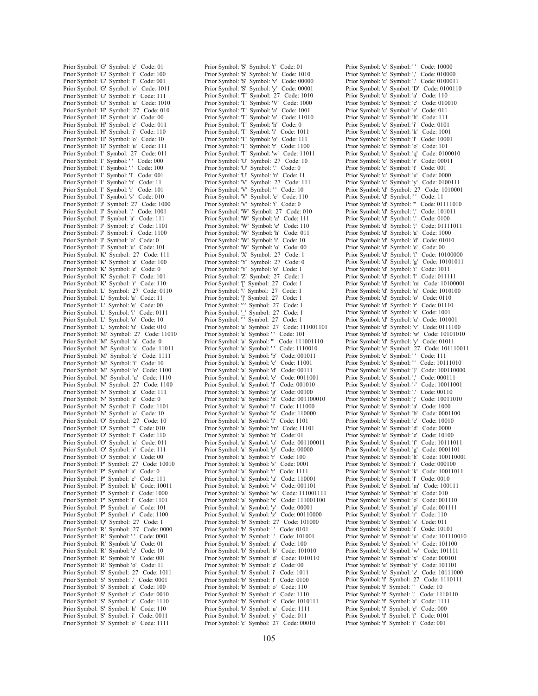Prior Symbol: 'G' Symbol: 'e' Code: 01 Prior Symbol: 'G' Symbol: 'i' Code: 100 Prior Symbol: 'G' Symbol: 'l' Code: 001 Prior Symbol: 'G' Symbol: 'o' Code: 1011 Prior Symbol: 'G' Symbol: 'r' Code: 111 Prior Symbol: 'G' Symbol: 'u' Code: 1010 Prior Symbol: 'H' Symbol: 27 Code: 010 Prior Symbol: 'H' Symbol: 'a' Code: 00 Prior Symbol: 'H' Symbol: 'e' Code: 011 Prior Symbol: 'H' Symbol: 'i' Code: 110 Prior Symbol: 'H' Symbol: 'o' Code: 10 Prior Symbol: 'H' Symbol: 'u' Code: 111 Prior Symbol: 'I' Symbol: 27 Code: 011 Prior Symbol: 'I' Symbol: '' Code: 000 Prior Symbol: 'I' Symbol: '.' Code: 100 Prior Symbol: 'I' Symbol: 'I' Code: 001 Prior Symbol: 'I' Symbol: 'n' Code: 11 Prior Symbol: 'I' Symbol: 'r' Code: 101 Prior Symbol: 'I' Symbol: 's' Code: 010 Prior Symbol: 'J' Symbol: 27 Code: 1000 Prior Symbol: 'J' Symbol: '.' Code: 1001 Prior Symbol: 'J' Symbol: 'a' Code: 111 Prior Symbol: 'J' Symbol: 'e' Code: 1101 Prior Symbol: 'J' Symbol: 'i' Code: 1100 Prior Symbol: 'J' Symbol: 'o' Code: 0 Prior Symbol: 'J' Symbol: 'u' Code: 101 Prior Symbol: 'K' Symbol: 27 Code: 111 Prior Symbol: 'K' Symbol: 'a' Code: 100 Prior Symbol: 'K' Symbol: 'e' Code: 0 Prior Symbol: 'K' Symbol: 'i' Code: 101 Prior Symbol: 'K' Symbol: 'r' Code: 110 Prior Symbol: 'L' Symbol: 27 Code: 0110 Prior Symbol: 'L' Symbol: 'a' Code: 11 Prior Symbol: 'L' Symbol: 'e' Code: 00 Prior Symbol: 'L' Symbol: 'i' Code: 0111 Prior Symbol: 'L' Symbol: 'o' Code: 10 Prior Symbol: 'L' Symbol: 'u' Code: 010 Prior Symbol: 'M' Symbol: 27 Code: 11010 Prior Symbol: 'M' Symbol: 'a' Code: 0 Prior Symbol: 'M' Symbol: 'c' Code: 11011 Prior Symbol: 'M' Symbol: 'e' Code: 1111 Prior Symbol: 'M' Symbol: 'i' Code: 10 Prior Symbol: 'M' Symbol: 'o' Code: 1100 Prior Symbol: 'M' Symbol: 'u' Code: 1110 Prior Symbol: 'N' Symbol: 27 Code: 1100 Prior Symbol: 'N' Symbol: 'a' Code: 111 Prior Symbol: 'N' Symbol: 'e' Code: 0 Prior Symbol: 'N' Symbol: 'i' Code: 1101 Prior Symbol: 'N' Symbol: 'o' Code: 10 Prior Symbol: 'O' Symbol: 27 Code: 10 Prior Symbol: 'O' Symbol: ''' Code: 010 Prior Symbol: 'O' Symbol: 'l' Code: 110 Prior Symbol: 'O' Symbol: 'n' Code: 011 Prior Symbol: 'O' Symbol: 'r' Code: 111 Prior Symbol: 'O' Symbol: 's' Code: 00 Prior Symbol: 'P' Symbol: 27 Code: 10010 Prior Symbol: 'P' Symbol: 'a' Code: 0 Prior Symbol: 'P' Symbol: 'e' Code: 111 Prior Symbol: 'P' Symbol: 'h' Code: 10011 Prior Symbol: 'P' Symbol: 'i' Code: 1000 Prior Symbol: 'P' Symbol: 'l' Code: 1101 Prior Symbol: 'P' Symbol: 'o' Code: 101 Prior Symbol: 'P' Symbol: 'r' Code: 1100 Prior Symbol: 'Q' Symbol: 27 Code: 1 Prior Symbol: 'R' Symbol: 27 Code: 0000 Prior Symbol: 'R' Symbol: '.' Code: 0001 Prior Symbol: 'R' Symbol: 'a' Code: 01 Prior Symbol: 'R' Symbol: 'e' Code: 10 Prior Symbol: 'R' Symbol: 'i' Code: 001 Prior Symbol: 'R' Symbol: 'o' Code: 11 Prior Symbol: 'S' Symbol: 27 Code: 1011 Prior Symbol: 'S' Symbol: '.' Code: 0001 Prior Symbol: 'S' Symbol: 'a' Code: 100 Prior Symbol: 'S' Symbol: 'c' Code: 0010 Prior Symbol: 'S' Symbol: 'e' Code: 1110 Prior Symbol: 'S' Symbol: 'h' Code: 110 Prior Symbol: 'S' Symbol: 'i' Code: 0011 Prior Symbol: 'S' Symbol: 'o' Code: 1111

Prior Symbol: 'S' Symbol: 't' Code: 01 Prior Symbol: 'S' Symbol: 'u' Code: 1010 Prior Symbol: 'S' Symbol: 'v' Code: 00000 Prior Symbol: 'S' Symbol: 'y' Code: 00001 Prior Symbol: 'T' Symbol: 27 Code: 1010 Prior Symbol: 'T' Symbol: 'V' Code: 1000 Prior Symbol: 'T' Symbol: 'a' Code: 1001 Prior Symbol: 'T' Symbol: 'e' Code: 11010 Prior Symbol: 'T' Symbol: 'h' Code: 0 Prior Symbol: 'T' Symbol: 'i' Code: 1011 Prior Symbol: 'T' Symbol: 'o' Code: 111 Prior Symbol: 'T' Symbol: 'r' Code: 1100 Prior Symbol: 'T' Symbol: 'w' Code: 11011 Prior Symbol: 'U' Symbol: 27 Code: 10 Prior Symbol: 'U' Symbol: '.' Code: 0 Prior Symbol: 'U' Symbol: 'n' Code: 11 Prior Symbol: 'V' Symbol: 27 Code: 111 Prior Symbol: 'V' Symbol: '' Code: 10 Prior Symbol: 'V' Symbol: 'e' Code: 110 Prior Symbol: 'V' Symbol: 'i' Code: 0 Prior Symbol: 'W' Symbol: 27 Code: 010 Prior Symbol: 'W' Symbol: 'a' Code: 111 Prior Symbol: 'W' Symbol: 'e' Code: 110 Prior Symbol: 'W' Symbol: 'h' Code: 011 Prior Symbol: 'W' Symbol: 'i' Code: 10 Prior Symbol: 'W' Symbol: 'o' Code: 00 Prior Symbol: 'X' Symbol: 27 Code: 1 Prior Symbol: 'Y' Symbol: 27 Code: 0 Prior Symbol: 'Y' Symbol: 'o' Code: 1 Prior Symbol: 'Z' Symbol: 27 Code: 1 Prior Symbol: '[' Symbol: 27 Code: 1 Prior Symbol: '\' Symbol: 27 Code: 1 Prior Symbol: ']' Symbol: 27 Code: 1 Prior Symbol: '^' Symbol: 27 Code: 1 Prior Symbol: ' Symbol: 27 Code: 1 Prior Symbol:  $\frac{1}{27}$  Symbol: 27 Code: 1 Prior Symbol: 'a' Symbol: 27 Code: 111001101 Prior Symbol: 'a' Symbol: '' Code: 101 Prior Symbol: 'a' Symbol: '" Code: 111001110 Prior Symbol: 'a' Symbol: '.' Code: 1110010 Prior Symbol: 'a' Symbol: 'b' Code: 001011 Prior Symbol: 'a' Symbol: 'c' Code: 11001 Prior Symbol: 'a' Symbol: 'd' Code: 00111 Prior Symbol: 'a' Symbol: 'e' Code: 0011001 Prior Symbol: 'a' Symbol: 'f' Code: 001010 Prior Symbol: 'a' Symbol: 'g' Code: 00100 Prior Symbol: 'a' Symbol: 'h' Code: 001100010 Prior Symbol: 'a' Symbol: 'i' Code: 111000 Prior Symbol: 'a' Symbol: 'k' Code: 110000 Prior Symbol: 'a' Symbol: 'l' Code: 1101 Prior Symbol: 'a' Symbol: 'm' Code: 11101 Prior Symbol: 'a' Symbol: 'n' Code: 01 Prior Symbol: 'a' Symbol: 'o' Code: 001100011 Prior Symbol: 'a' Symbol: 'p' Code: 00000 Prior Symbol: 'a' Symbol: 'r' Code: 100 Prior Symbol: 'a' Symbol: 's' Code: 0001 Prior Symbol: 'a' Symbol: 't' Code: 1111 Prior Symbol: 'a' Symbol: 'u' Code: 110001 Prior Symbol: 'a' Symbol: 'v' Code: 001101 Prior Symbol: 'a' Symbol: 'w' Code: 111001111 Prior Symbol: 'a' Symbol: 'x' Code: 111001100 Prior Symbol: 'a' Symbol: 'y' Code: 00001 Prior Symbol: 'a' Symbol: 'z' Code: 00110000 Prior Symbol: 'b' Symbol: 27 Code: 101000 Prior Symbol: 'b' Symbol: '' Code: 0101 Prior Symbol: 'b' Symbol: '.' Code: 0101 Prior Symbol: 'b' Symbol: 'a' Code: 100 Prior Symbol: 'b' Symbol: 'b' Code: 101010 Prior Symbol: 'b' Symbol: 'd' Code: 1010110 Prior Symbol: 'b' Symbol: 'e' Code: 00 Prior Symbol: 'b' Symbol: 'i' Code: 1011 Prior Symbol: 'b' Symbol: 'l' Code: 0100 Prior Symbol: 'b' Symbol: 'o' Code: 110 Prior Symbol: 'b' Symbol: 'r' Code: 1110 Prior Symbol: 'b' Symbol: 's' Code: 1010111 Prior Symbol: 'b' Symbol: 'u' Code: 1111 Prior Symbol: 'b' Symbol: 'y' Code: 011 Prior Symbol: 'c' Symbol: 27 Code: 00010

Prior Symbol: 'c' Symbol: '' Code: 10000 Prior Symbol: 'c' Symbol: ',' Code: 010000 Prior Symbol: 'c' Symbol: '.' Code: 0100011 Prior Symbol: 'c' Symbol: 'D' Code: 0100110 Prior Symbol: 'c' Symbol: 'a' Code: 110 Prior Symbol: 'c' Symbol: 'c' Code: 010010 Prior Symbol: 'c' Symbol: 'e' Code: 011 Prior Symbol: 'c' Symbol: 'h' Code: 111 Prior Symbol: 'c' Symbol: 'i' Code: 0101 Prior Symbol: 'c' Symbol: 'k' Code: 1001 Prior Symbol: 'c' Symbol: 'l' Code: 10001 Prior Symbol: 'c' Symbol: 'o' Code: 101 Prior Symbol: 'c' Symbol: 'q' Code: 0100010 Prior Symbol: 'c' Symbol: 'r' Code: 00011 Prior Symbol: 'c' Symbol: 't' Code: 001 Prior Symbol: 'c' Symbol: 'u' Code: 0000 Prior Symbol: 'c' Symbol: 'y' Code: 0100111 Prior Symbol: 'd' Symbol: 27 Code: 1010001 Prior Symbol: 'd' Symbol: '' Code: 11 Prior Symbol: 'd' Symbol: ''' Code: 01111010 Prior Symbol: 'd' Symbol: ',' Code: 101011 Prior Symbol: 'd' Symbol: '.' Code: 0100 Prior Symbol: 'd' Symbol: ';' Code: 01111011 Prior Symbol: 'd' Symbol: 'a' Code: 1000 Prior Symbol: 'd' Symbol: 'd' Code: 01010 Prior Symbol: 'd' Symbol: 'e' Code: 00 Prior Symbol: 'd' Symbol: 'f' Code: 10100000 Prior Symbol: 'd' Symbol: 'g' Code: 10101011 Prior Symbol: 'd' Symbol: 'i' Code: 1011 Prior Symbol: 'd' Symbol: 'l' Code: 011111 Prior Symbol: 'd' Symbol: 'm' Code: 10100001 Prior Symbol: 'd' Symbol: 'n' Code: 1010100 Prior Symbol: 'd' Symbol: 'o' Code: 0110 Prior Symbol: 'd' Symbol: 'r' Code: 01110 Prior Symbol: 'd' Symbol: 's' Code: 1001 Prior Symbol: 'd' Symbol: 'u' Code: 101001 Prior Symbol: 'd' Symbol: 'v' Code: 0111100 Prior Symbol: 'd' Symbol: 'w' Code: 10101010 Prior Symbol: 'd' Symbol: 'y' Code: 01011 Prior Symbol: 'e' Symbol: 27 Code: 101110011 Prior Symbol: 'e' Symbol: '' Code: 111 Prior Symbol: 'e' Symbol: ''' Code: 10111010 Prior Symbol: 'e' Symbol: ')' Code: 100110000 Prior Symbol: 'e' Symbol: ',' Code: 000111 Prior Symbol: 'e' Symbol: '-' Code: 10011001 Prior Symbol: 'e' Symbol: '.' Code: 00110 Prior Symbol: 'e' Symbol: ';' Code: 10011010 Prior Symbol: 'e' Symbol: 'a' Code: 1000 Prior Symbol: 'e' Symbol: 'b' Code: 0001100 Prior Symbol: 'e' Symbol: 'c' Code: 10010 Prior Symbol: 'e' Symbol: 'd' Code: 0000 Prior Symbol: 'e' Symbol: 'e' Code: 10100 Prior Symbol: 'e' Symbol: 'f' Code: 10111011 Prior Symbol: 'e' Symbol: 'g' Code: 0001101 Prior Symbol: 'e' Symbol: 'h' Code: 100110001 Prior Symbol: 'e' Symbol: 'i' Code: 000100 Prior Symbol: 'e' Symbol: 'k' Code: 10011011 Prior Symbol: 'e' Symbol: 'l' Code: 0010 Prior Symbol: 'e' Symbol: 'm' Code: 100111 Prior Symbol: 'e' Symbol: 'n' Code: 010 Prior Symbol: 'e' Symbol: 'o' Code: 001110 Prior Symbol: 'e' Symbol: 'p' Code: 001111 Prior Symbol: 'e' Symbol: 'r' Code: 110 Prior Symbol: 'e' Symbol: 's' Code: 011 Prior Symbol: 'e' Symbol: 't' Code: 10101 Prior Symbol: 'e' Symbol: 'u' Code: 101110010 Prior Symbol: 'e' Symbol: 'v' Code: 101100 Prior Symbol: 'e' Symbol: 'w' Code: 101111 Prior Symbol: 'e' Symbol: 'x' Code: 000101 Prior Symbol: 'e' Symbol: 'y' Code: 101101 Prior Symbol: 'e' Symbol: 'z' Code: 10111000 Prior Symbol: 'f' Symbol: 27 Code: 1110111 Prior Symbol: 'f' Symbol: '' Code: 10 Prior Symbol: 'f' Symbol: '.' Code: 1110110 Prior Symbol: 'f' Symbol: 'a' Code: 1111 Prior Symbol: 'f' Symbol: 'e' Code: 000 Prior Symbol: 'f' Symbol: 'f' Code: 0101 Prior Symbol: 'f' Symbol: 'i' Code: 001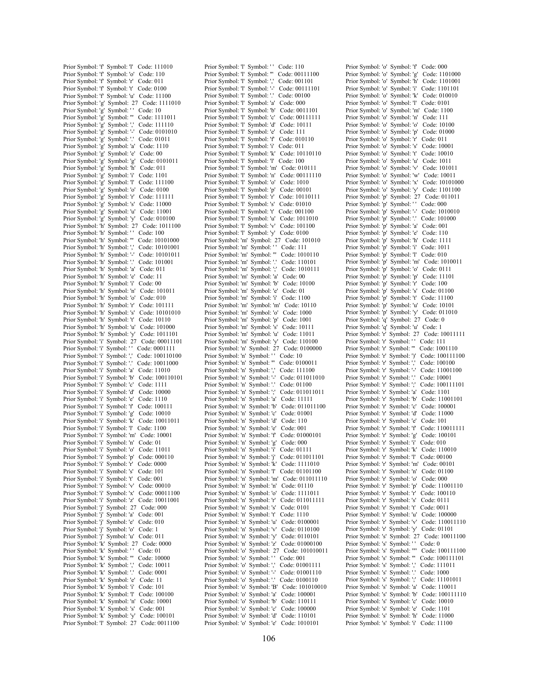Prior Symbol: 'f' Symbol: 'l' Code: 111010 Prior Symbol: 'f' Symbol: 'o' Code: 110 Prior Symbol: 'f' Symbol: 'r' Code: 011 Prior Symbol: 'f' Symbol: 't' Code: 0100 Prior Symbol: 'f' Symbol: 'u' Code: 11100 Prior Symbol: 'g' Symbol: 27 Code: 1111010 Prior Symbol: 'g' Symbol: '' Code: 10 Prior Symbol: 'g' Symbol: '" Code: 1111011 Prior Symbol: 'g' Symbol: ',' Code: 111110 Prior Symbol: '5' Symbol: '-' Code: 0101010 Prior Symbol: 'g' Symbol: '.' Code: 01011 Prior Symbol: 'g' Symbol: 'a' Code: 1110 Prior Symbol: 'g' Symbol: 'e' Code: 00 Prior Symbol: 'g' Symbol: 'g' Code: 0101011 Prior Symbol: 'g' Symbol: 'h' Code: 011 Prior Symbol: 'g' Symbol: 'i' Code: 1101 Prior Symbol: 'g' Symbol: 'l' Code: 111100 Prior Symbol: 'g' Symbol: 'o' Code: 0100 Prior Symbol: 'g' Symbol: 'r' Code: 111111 Prior Symbol: 'g' Symbol: 's' Code: 11000 Prior Symbol: 'g' Symbol: 'u' Code: 11001 Prior Symbol: 'g' Symbol: 'y' Code: 010100 Prior Symbol: 'h' Symbol: 27 Code: 1011100 Prior Symbol: 'h' Symbol: '' Code: 100 Prior Symbol: 'h' Symbol: ''' Code: 10101000 Prior Symbol: 'h' Symbol: ',' Code: 10101001 Prior Symbol: 'h' Symbol: '-' Code: 10101011 Prior Symbol: 'h' Symbol: '.' Code: 101001 Prior Symbol: 'h' Symbol: 'a' Code: 011 Prior Symbol: 'h' Symbol: 'e' Code: 11 Prior Symbol: 'h' Symbol: 'i' Code: 00 Prior Symbol: 'h' Symbol: 'n' Code: 101011 Prior Symbol: 'h' Symbol: 'o' Code: 010 Prior Symbol: 'h' Symbol: 'r' Code: 101111 Prior Symbol: 'h' Symbol: 's' Code: 10101010 Prior Symbol: 'h' Symbol: 't' Code: 10110 Prior Symbol: 'h' Symbol: 'u' Code: 101000 Prior Symbol: 'h' Symbol: 'y' Code: 1011101 Prior Symbol: 'i' Symbol: 27 Code: 00011101 Prior Symbol: 'i' Symbol: '' Code: 0001111 Prior Symbol: 'i' Symbol: ',' Code: 100110100 Prior Symbol: 'i' Symbol: '.' Code: 10011000 Prior Symbol: 'i' Symbol: 'a' Code: 11010 Prior Symbol: 'i' Symbol: 'b' Code: 100110101 Prior Symbol: 'i' Symbol: 'c' Code: 1111 Prior Symbol: 'i' Symbol: 'd' Code: 10000 Prior Symbol: 'i' Symbol: 'e' Code: 1110 Prior Symbol: 'i' Symbol: 'f' Code: 100111 Prior Symbol: 'i' Symbol: 'g' Code: 10010 Prior Symbol: 'i' Symbol: 'k' Code: 10011011 Prior Symbol: 'i' Symbol: 'l' Code: 1100 Prior Symbol: 'i' Symbol: 'm' Code: 10001 Prior Symbol: 'i' Symbol: 'n' Code: 01 Prior Symbol: 'i' Symbol: 'o' Code: 11011 Prior Symbol: 'i' Symbol: 'p' Code: 000110 Prior Symbol: 'i' Symbol: 'r' Code: 0000 Prior Symbol: 'i' Symbol: 's' Code: 101 Prior Symbol: 'i' Symbol: 't' Code: 001 Prior Symbol: 'i' Symbol: 'v' Code: 00010 Prior Symbol: 'i' Symbol: 'x' Code: 00011100 Prior Symbol: 'i' Symbol: 'z' Code: 10011001 Prior Symbol: 'j' Symbol: 27 Code: 000 Prior Symbol: 'j' Symbol: 'a' Code: 001 Prior Symbol: 'j' Symbol: 'e' Code: 010 Prior Symbol: 'j' Symbol: 'o' Code: 1 Prior Symbol: 'j' Symbol: 'u' Code: 011 Prior Symbol: 'k' Symbol: 27 Code: 0000 Prior Symbol: 'k' Symbol: '' Code: 01 Prior Symbol: 'k' Symbol: '" Code: 10000 Prior Symbol: 'k' Symbol: ',' Code: 10011 Prior Symbol: K Symbol: ; Code: 10011 Prior Symbol: 'k' Symbol: 'e' Code: 11 Prior Symbol: 'k' Symbol: 'i' Code: 101 Prior Symbol: 'k' Symbol: 'l' Code: 100100 Prior Symbol: 'k' Symbol: 'n' Code: 10001 Prior Symbol: 'k' Symbol: 's' Code: 001 Prior Symbol: 'k' Symbol: 'y' Code: 100101 Prior Symbol: 'l' Symbol: 27 Code: 0011100

Prior Symbol: 'l' Symbol: '' Code: 110 Prior Symbol: 'l' Symbol: ''' Code: 00111100 Prior Symbol: 'l' Symbol: ',' Code: 001101 Prior Symbol: 'l' Symbol: '-' Code: 00111101 Prior Symbol: 'l' Symbol: '.' Code: 00100 Prior Symbol: 'l' Symbol: 'a' Code: 000 Prior Symbol: 'l' Symbol: 'b' Code: 0011101 Prior Symbol: 'l' Symbol: 'c' Code: 00111111 Prior Symbol: 'l' Symbol: 'd' Code: 10111 Prior Symbol: 'l' Symbol: 'e' Code: 111 Prior Symbol: 'l' Symbol: 'f' Code: 010110 Prior Symbol: 'l' Symbol: 'i' Code: 011 Prior Symbol: 'l' Symbol: 'k' Code: 10110110 Prior Symbol: 'l' Symbol: 'l' Code: 100 Prior Symbol: 'l' Symbol: 'm' Code: 010111 Prior Symbol: 'l' Symbol: 'n' Code: 00111110 Prior Symbol: 'l' Symbol: 'o' Code: 1010 Prior Symbol: 'l' Symbol: 'p' Code: 00101 Prior Symbol: 'l' Symbol: 'r' Code: 10110111 Prior Symbol: 'l' Symbol: 's' Code: 01010 Prior Symbol: 'l' Symbol: 't' Code: 001100 Prior Symbol: 'l' Symbol: 'u' Code: 1011010 Prior Symbol: 'l' Symbol: 'v' Code: 101100 Prior Symbol: 'l' Symbol: 'y' Code: 0100 Prior Symbol: 'm' Symbol: 27 Code: 101010 Prior Symbol: 'm' Symbol: '' Code: 111 Prior Symbol: 'm' Symbol: ''' Code: 1010110 Prior Symbol: 'm' Symbol: '.' Code: 110101 Prior Symbol: 'm' Symbol: ';' Code: 1010111 Prior Symbol: 'm' Symbol: 'a' Code: 00 Prior Symbol: 'm' Symbol: 'b' Code: 10100 Prior Symbol: 'm' Symbol: 'e' Code: 01 Prior Symbol: 'm' Symbol: 'i' Code: 1100 Prior Symbol: 'm' Symbol: 'm' Code: 10110 Prior Symbol: 'm' Symbol: 'o' Code: 1000 Prior Symbol: 'm' Symbol: 'p' Code: 1001 Prior Symbol: 'm' Symbol: 's' Code: 10111 Prior Symbol: 'm' Symbol: 'u' Code: 11011 Prior Symbol: 'm' Symbol: 'y' Code: 110100 Prior Symbol: 'n' Symbol: 27 Code: 0100000 Prior Symbol: 'n' Symbol: '' Code: 10 Prior Symbol: 'n' Symbol: "' Code: 0100011 Prior Symbol: 'n' Symbol: ',' Code: 111100 Prior Symbol: 'n' Symbol: '-' Code: 011011010 Prior Symbol: 'n' Symbol: '.' Code: 01100 Prior Symbol: 'n' Symbol: ';' Code: 011011011 Prior Symbol: 'n' Symbol: 'a' Code: 11111 Prior Symbol: 'n' Symbol: 'b' Code: 011011100 Prior Symbol: 'n' Symbol: 'c' Code: 01001 Prior Symbol: 'n' Symbol: 'd' Code: 110 Prior Symbol: 'n' Symbol: 'e' Code: 001 Prior Symbol: 'n' Symbol: 'f' Code: 01000101 Prior Symbol: 'n' Symbol: 'g' Code: 000 Prior Symbol: 'n' Symbol: 'i' Code: 01111 Prior Symbol: 'n' Symbol: 'j' Code: 011011101 Prior Symbol: 'n' Symbol: 'k' Code: 1111010 Prior Symbol: 'n' Symbol: 'l' Code: 01101100 Prior Symbol: 'n' Symbol: 'm' Code: 011011110 Prior Symbol: 'n' Symbol: 'n' Code: 01110 Prior Symbol: 'n' Symbol: 'o' Code: 1111011 Prior Symbol: 'n' Symbol: 'r' Code: 011011111 Prior Symbol: 'n' Symbol: 's' Code: 0101 Prior Symbol: 'n' Symbol: 't' Code: 1110 Prior Symbol: 'n' Symbol: 'u' Code: 0100001 Prior Symbol: 'n' Symbol: 'v' Code: 0110100 Prior Symbol: 'n' Symbol: 'y' Code: 0110101 Prior Symbol: 'n' Symbol: 'z' Code: 01000100 Prior Symbol: 'o' Symbol: 27 Code: 101010011 Prior Symbol: 'o' Symbol: '' Code: 001 Prior Symbol: 'o' Symbol: ',' Code: 01001111 Prior Symbol: 'o' Symbol: '-' Code: 01001110 Prior Symbol: 'o' Symbol: '.' Code: 0100110 Prior Symbol: 'o' Symbol: 'B' Code: 101010010 Prior Symbol: 'o' Symbol: 'a' Code: 100001 Prior Symbol: 'o' Symbol: 'b' Code: 110111 Prior Symbol: 'o' Symbol: 'c' Code: 100000 Prior Symbol: 'o' Symbol: 'd' Code: 110101 Prior Symbol: 'o' Symbol: 'e' Code: 1010101

Prior Symbol: 'o' Symbol: 'f' Code: 000 Prior Symbol: 'o' Symbol: 'g' Code: 1101000 Prior Symbol: 'o' Symbol: 'h' Code: 1101001 Prior Symbol: 'o' Symbol: 'i' Code: 1101101 Prior Symbol: 'o' Symbol: 'k' Code: 010010 Prior Symbol: 'o' Symbol: 'l' Code: 0101 Prior Symbol: 'o' Symbol: 'm' Code: 1100 Prior Symbol: 'o' Symbol: 'n' Code: 111 Prior Symbol: 'o' Symbol: 'o' Code: 10100 Prior Symbol: 'o' Symbol: 'p' Code: 01000 Prior Symbol: 'o' Symbol: 'r' Code: 011 Prior Symbol: 'o' Symbol: 's' Code: 10001 Prior Symbol: 'o' Symbol: 't' Code: 10010 Prior Symbol: 'o' Symbol: 'u' Code: 1011 Prior Symbol: 'o' Symbol: 'v' Code: 101011 Prior Symbol: 'o' Symbol: 'w' Code: 10011 Prior Symbol: 'o' Symbol: 'x' Code: 10101000 Prior Symbol: 'o' Symbol: 'y' Code: 1101100 Prior Symbol: 'p' Symbol: 27 Code: 011011 Prior Symbol: 'p' Symbol: '' Code: 000 Prior Symbol: 'p' Symbol: '-' Code: 1010010 Prior Symbol: 'p' Symbol: '.' Code: 101000 Prior Symbol: 'p' Symbol: 'a' Code: 001 Prior Symbol: 'p' Symbol: 'e' Code: 110 Prior Symbol: 'p' Symbol: 'h' Code: 1111 Prior Symbol: 'p' Symbol: 'i' Code: 1011 Prior Symbol: 'p' Symbol: 'l' Code: 010 Prior Symbol: 'p' Symbol: 'm' Code: 1010011 Prior Symbol: 'p' Symbol: 'o' Code: 0111 Prior Symbol: 'p' Symbol: 'p' Code: 11101 Prior Symbol: 'p' Symbol: 'r' Code: 100 Prior Symbol: 'p' Symbol: 's' Code: 01100 Prior Symbol: 'p' Symbol: 't' Code: 11100 Prior Symbol: 'p' Symbol: 'u' Code: 10101 Prior Symbol: 'p' Symbol: 'y' Code: 011010 Prior Symbol: 'q' Symbol: 27 Code: 0 Prior Symbol: 'q' Symbol: 'u' Code: 1 Prior Symbol: 'r' Symbol: 27 Code: 10011111 Prior Symbol: 'r' Symbol: '' Code: 111 Prior Symbol: 'r' Symbol: ''' Code: 1001110 Prior Symbol: 'r' Symbol: ')' Code: 100111100 Prior Symbol: 'r' Symbol: ',' Code: 100100 Prior Symbol: 'r' Symbol: '-' Code: 11001100 Prior Symbol: 'r' Symbol: '.' Code: 10001 Prior Symbol: 'r' Symbol: ';' Code: 100111101 Prior Symbol: 'r' Symbol: 'a' Code: 1101 Prior Symbol: 'r' Symbol: 'b' Code: 11001101 Prior Symbol: 'r' Symbol: 'c' Code: 100001 Prior Symbol: 'r' Symbol: 'd' Code: 11000 Prior Symbol: 'r' Symbol: 'e' Code: 101 Prior Symbol: 'r' Symbol: 'f' Code: 110011111 Prior Symbol: 'r' Symbol: 'g' Code: 100101 Prior Symbol: 'r' Symbol: 'i' Code: 010 Prior Symbol: 'r' Symbol: 'k' Code: 110010 Prior Symbol: 'r' Symbol: 'l' Code: 00100 Prior Symbol: 'r' Symbol: 'm' Code: 00101 Prior Symbol: 'r' Symbol: 'n' Code: 01100 Prior Symbol: 'r' Symbol: 'o' Code: 000 Prior Symbol: 'r' Symbol: 'p' Code: 11001110 Prior Symbol: 'r' Symbol: 'r' Code: 100110 Prior Symbol: 'r' Symbol: 's' Code: 0111 Prior Symbol: 'r' Symbol: 't' Code: 0011 Prior Symbol: 'r' Symbol: 'u' Code: 100000 Prior Symbol: 'r' Symbol: 'v' Code: 110011110 Prior Symbol: 'r' Symbol: 'y' Code: 01101 Prior Symbol: 's' Symbol: 27 Code: 10011100 Prior Symbol: 's' Symbol: '' Code: 0 Prior Symbol: 's' Symbol: '"' Code: 100111100 Prior Symbol: 's' Symbol: "" Code: 100111101 Prior Symbol: 's' Symbol: ',' Code: 111011 Prior Symbol: 's' Symbol: '.' Code: 1000 Prior Symbol: 's' Symbol: ';' Code: 11101011 Prior Symbol: 's' Symbol: 'a' Code: 110011 Prior Symbol: 's' Symbol: 'b' Code: 100111110 Prior Symbol: 's' Symbol: 'c' Code: 10010 Prior Symbol: 's' Symbol: 'e' Code: 1101 Prior Symbol: 's' Symbol: 'h' Code: 11000 Prior Symbol: 's' Symbol: 'i' Code: 11100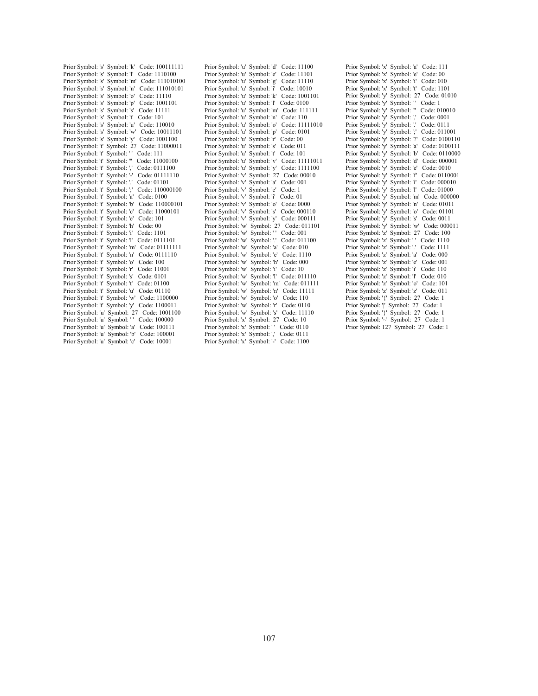Prior Symbol: 's' Symbol: 'k' Code: 100111111 Prior Symbol: 's' Symbol: 'l' Code: 1110100 Prior Symbol: 's' Symbol: 'm' Code: 111010100 Prior Symbol: 's' Symbol: 'n' Code: 111010101 Prior Symbol: 's' Symbol: 'o' Code: 11110 Prior Symbol: 's' Symbol: 'p' Code: 1001101 Prior Symbol: 's' Symbol: 's' Code: 11111 Prior Symbol: 's' Symbol: 't' Code: 101 Prior Symbol: 's' Symbol: 'u' Code: 110010 Prior Symbol: 's' Symbol: 'w' Code: 10011101 Prior Symbol: 's' Symbol: 'y' Code: 1001100 Prior Symbol: 't' Symbol: 27 Code: 11000011 Prior Symbol: 't' Symbol: '' Code: 111 Prior Symbol: 't' Symbol: ''' Code: 11000100 Prior Symbol: 't' Symbol: ',' Code: 0111100 Prior Symbol: 't' Symbol: '-' Code: 01111110 Prior Symbol: 't' Symbol: '.' Code: 01101 Prior Symbol: 't' Symbol: ';' Code: 110000100 Prior Symbol: 't' Symbol: 'a' Code: 0100 Prior Symbol: 't' Symbol: 'b' Code: 110000101 Prior Symbol: 't' Symbol: 'c' Code: 11000101 Prior Symbol: 't' Symbol: 'e' Code: 101 Prior Symbol: 't' Symbol: 'h' Code: 00 Prior Symbol: 't' Symbol: 'i' Code: 1101 Prior Symbol: 't' Symbol: 'l' Code: 0111101 Prior Symbol: 't' Symbol: 'm' Code: 01111111 Prior Symbol: 't' Symbol: 'n' Code: 0111110 Prior Symbol: 't' Symbol: 'o' Code: 100 Prior Symbol: 't' Symbol: 'r' Code: 11001 Prior Symbol: 't' Symbol: 's' Code: 0101 Prior Symbol: 't' Symbol: 't' Code: 01100 Prior Symbol: 't' Symbol: 'u' Code: 01110 Prior Symbol: 't' Symbol: 'w' Code: 1100000 Prior Symbol: 't' Symbol: 'y' Code: 1100011 Prior Symbol: 'u' Symbol: 27 Code: 1001100 Prior Symbol: 'u' Symbol: ' ' Code: 100000 Prior Symbol: 'u' Symbol: 'a' Code: 100111 Prior Symbol: 'u' Symbol: 'b' Code: 100001 Prior Symbol: 'u' Symbol: 'c' Code: 10001

Prior Symbol: 'u' Symbol: 'd' Code: 11100 Prior Symbol: 'u' Symbol: 'e' Code: 11101 Prior Symbol: 'u' Symbol: 'g' Code: 11110 Prior Symbol: 'u' Symbol: 'i' Code: 10010 Prior Symbol: 'u' Symbol: 'k' Code: 1001101 Prior Symbol: 'u' Symbol: 'l' Code: 0100 Prior Symbol: 'u' Symbol: 'm' Code: 111111 Prior Symbol: 'u' Symbol: 'n' Code: 110 Prior Symbol: 'u' Symbol: 'o' Code: 11111010 Prior Symbol: 'u' Symbol: 'p' Code: 0101 Prior Symbol: 'u' Symbol: 'r' Code: 00 Prior Symbol: 'u' Symbol: 's' Code: 011 Prior Symbol: 'u' Symbol: 't' Code: 101 Prior Symbol: 'u' Symbol: 'v' Code: 11111011 Prior Symbol: 'u' Symbol: 'y' Code: 1111100 Prior Symbol: 'v' Symbol: 27 Code: 00010 Prior Symbol: 'v' Symbol: 'a' Code: 001 Prior Symbol: 'v' Symbol: 'e' Code: 1 Prior Symbol: 'v' Symbol: 'i' Code: 01 Prior Symbol: 'v' Symbol: 'o' Code: 0000 Prior Symbol: 'v' Symbol: 's' Code: 000110 Prior Symbol: 'v' Symbol: 'y' Code: 000111 Prior Symbol: 'w' Symbol: 27 Code: 011101 Prior Symbol: 'w' Symbol: '' Code: 001 Prior Symbol: 'w' Symbol: '.' Code: 011100 Prior Symbol: 'w' Symbol: 'a' Code: 010 Prior Symbol: 'w' Symbol: 'e' Code: 1110 Prior Symbol: 'w' Symbol: 'h' Code: 000 Prior Symbol: 'w' Symbol: 'i' Code: 10 Prior Symbol: 'w' Symbol: 'l' Code: 011110 Prior Symbol: 'w' Symbol: 'm' Code: 011111 Prior Symbol: 'w' Symbol: 'n' Code: 11111 Prior Symbol: 'w' Symbol: 'o' Code: 110 Prior Symbol: 'w' Symbol: 'r' Code: 0110 Prior Symbol: 'w' Symbol: 's' Code: 11110 Prior Symbol: 'x' Symbol: 27 Code: 10 Prior Symbol: 'x' Symbol: '' Code: 0110 Prior Symbol: 'x' Symbol: ',' Code: 0111 Prior Symbol: 'x' Symbol: '-' Code: 1100

Prior Symbol: 'x' Symbol: 'a' Code: 111 Prior Symbol: 'x' Symbol: 'e' Code: 00 Prior Symbol: 'x' Symbol: 'i' Code: 010 Prior Symbol: 'x' Symbol: 't' Code: 1101 Prior Symbol: 'y' Symbol: 27 Code: 01010 Prior Symbol: 'y' Symbol: '' Code: 1 Prior Symbol: 'y' Symbol: ''' Code: 010010 Prior Symbol: 'y' Symbol: ',' Code: 0001 Prior Symbol: 'y' Symbol: '.' Code: 0111 Prior Symbol: 'y' Symbol: ';' Code: 011001 Prior Symbol: 'y' Symbol: '?' Code: 0100110 Prior Symbol: 'y' Symbol: 'a' Code: 0100111 Prior Symbol: 'y' Symbol: 'b' Code: 0110000 Prior Symbol: 'y' Symbol: 'd' Code: 000001 Prior Symbol: 'y' Symbol: 'e' Code: 0010 Prior Symbol: 'y' Symbol: 'f' Code: 0110001 Prior Symbol: 'y' Symbol: 'i' Code: 000010 Prior Symbol: 'y' Symbol: 'l' Code: 01000 Prior Symbol: 'y' Symbol: 'm' Code: 000000 Prior Symbol: 'y' Symbol: 'n' Code: 01011 Prior Symbol: 'y' Symbol: 'o' Code: 01101 Prior Symbol: 'y' Symbol: 's' Code: 0011 Prior Symbol: 'y' Symbol: 'w' Code: 000011 Prior Symbol: 'z' Symbol: 27 Code: 100 Prior Symbol: 'z' Symbol: '' Code: 1110 Prior Symbol: 'z' Symbol: '.' Code: 1111 Prior Symbol: 'z' Symbol: 'a' Code: 000 Prior Symbol: 'z' Symbol: 'e' Code: 001 Prior Symbol: 'z' Symbol: 'i' Code: 110 Prior Symbol: 'z' Symbol: 'l' Code: 010 Prior Symbol: 'z' Symbol: 'o' Code: 101 Prior Symbol: 'z' Symbol: 'z' Code: 011 Prior Symbol: '{' Symbol: 27 Code: 1 Prior Symbol: '|' Symbol: 27 Code: 1 Prior Symbol: '}' Symbol: 27 Code: 1 Prior Symbol: '~' Symbol: 27 Code: 1 Prior Symbol: 127 Symbol: 27 Code: 1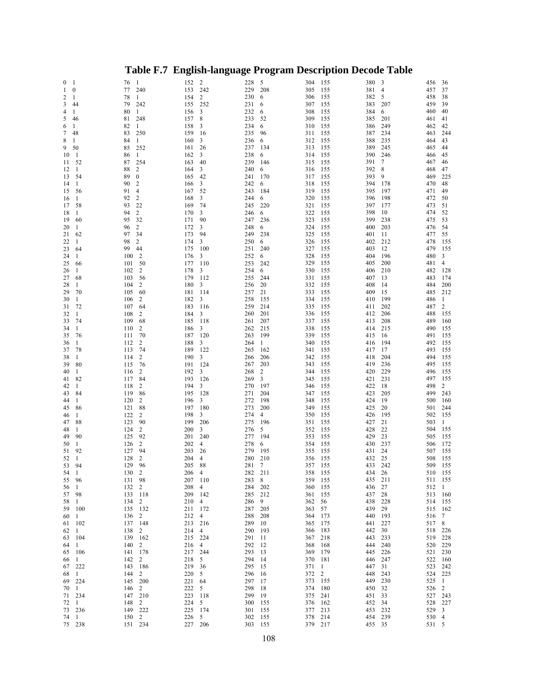| $\bf{0}$<br>-1        |              | 76  | -1               | 152     | $\overline{c}$          | 228 | 5              | 304     | 155          | 380    | 3   | 456     | 36           |
|-----------------------|--------------|-----|------------------|---------|-------------------------|-----|----------------|---------|--------------|--------|-----|---------|--------------|
| $\boldsymbol{0}$<br>1 |              | 77  | 240              | 153     | 242                     | 229 | 208            | 305     | 155          | 381    | 4   | 457     | 37           |
| 2<br>-1               |              | 78  | 1                | 154     | $\overline{\mathbf{c}}$ | 230 | 6              | 306     | 155          | 382    | 5   | 458     | 38           |
|                       | 44           | 79  | 242              | 155     | 252                     | 231 |                | 307     | 155          | 383    | 207 | 459     | 39           |
| 3                     |              |     |                  |         |                         |     | 6              |         |              |        |     |         |              |
| 4<br>1                |              | 80  | -1               | 156     | 3                       | 232 | 6              | 308     | 155          | 384    | 6   | 460     | 40           |
| 5                     | 46           | 81  | 248              | 157     | 8                       | 233 | 52             | 309     | 155          | 385    | 201 | 461     | 41           |
| -1<br>6               |              | 82  | 1                | 158     | 3                       | 234 | 6              | 310     | 155          | 386    | 249 | 462     | 42           |
| 7                     | 48           | 83  | 250              | 159     | -16                     | 235 | 96             | 311     | 155          | 387    | 234 | 463     | 244          |
| 8<br>1                |              | 84  | $\mathbf{1}$     | 160     | 3                       | 236 | 6              | 312     | 155          | 388    | 235 | 464     | 43           |
| 9                     | 50           | 85  | 252              |         | 26                      | 237 |                | 313     |              | 389    | 245 | 465     | 44           |
|                       |              |     |                  | 161     |                         |     | 134            |         | 155          |        |     |         |              |
| 10                    | 1            | 86  | $\mathbf{1}$     | 162     | 3                       | 238 | 6              | 314     | 155          | 390    | 246 | 466     | 45           |
| 11                    | 52           | 87  | 254              | 163     | 40                      | 239 | 146            | 315     | 155          | 391    | 7   | 467     | 46           |
| 12                    | 1            | 88  | 2                | 164     | 3                       | 240 | 6              | 316     | 155          | 392    | 8   | 468     | 47           |
| 13                    | 54           | 89  | $\boldsymbol{0}$ | 165     | 42                      | 241 | 170            | 317     | 155          | 393    | 9   | 469     | 225          |
| 14                    | 1            | 90  | 2                | 166     | 3                       | 242 | 6              | 318     | 155          | 394    | 178 | 470     | 48           |
| 15                    | 56           | 91  | $\overline{4}$   | 167     | 52                      | 243 | 184            | 319     | 155          | 395    | 197 | 471     | 49           |
|                       |              |     |                  |         |                         |     |                |         |              |        |     |         |              |
| 16                    | 1            | 92  | 2                | 168     | 3                       | 244 | 6              | 320     | 155          | 396    | 198 | 472     | 50           |
| 17                    | 58           | 93  | 22               | 169     | 74                      | 245 | 220            | 321     | 155          | 397    | 177 | 473     | 51           |
| 18                    | 1            | 94  | 2                | 170     | 3                       | 246 | 6              | 322     | 155          | 398    | 10  | 474     | 52           |
| 19                    | 60           | 95  | 32               | 171     | 90                      | 247 | 236            | 323     | 155          | 399    | 238 | 475     | 53           |
| 20                    | 1            | 96  | 2                | 172     | 3                       | 248 | 6              | 324     | 155          | 400    | 203 | 476     | 54           |
| 21                    | 62           | 97  | 34               | 173     | 94                      | 249 | 238            | 325     | 155          | 401    | 11  | 477     | 55           |
|                       |              |     |                  |         |                         |     |                |         |              |        |     | 478     | 155          |
| 22                    | 1            | 98  | 2                | 174     | 3                       | 250 | 6              | 326     | 155          | 402    | 212 |         |              |
| 23                    | 64           | 99  | 44               | 175     | 100                     | 251 | 240            | 327     | 155          | 403    | 12  | 479     | 155          |
| 24                    | 1            | 100 | 2                | 176     | 3                       | 252 | 6              | 328     | 155          | 404    | 196 | 480     | 3            |
| 25                    | 66           | 101 | 50               | 177     | 110                     | 253 | 242            | 329     | 155          | 405    | 200 | 481     | 4            |
| 26                    | 1            | 102 | 2                | 178     | 3                       | 254 | 6              | 330     | 155          | 406    | 210 | 482     | 128          |
| 27                    | 68           | 103 | 56               | 179     | 112                     | 255 | 244            | 331     | 155          | 407    | 13  | 483     | 174          |
|                       |              | 104 |                  | 180     |                         |     |                |         |              |        |     | 484     | 200          |
| 28                    | 1            |     | 2                |         | 3                       | 256 | 20             | 332     | 155          | 408    | 14  |         |              |
| 29                    | 70           | 105 | 60               | 181     | 114                     | 257 | 21             | 333     | 155          | 409    | 15  | 485     | 212          |
| 30                    | 1            | 106 | 2                | 182     | 3                       | 258 | 155            | 334     | 155          | 410    | 199 | 486     | 1            |
| 31                    | 72           | 107 | 64               | 183     | 116                     | 259 | 214            | 335     | 155          | 411    | 202 | 487     | 2            |
| 32                    | 1            | 108 | 2                | 184     | 3                       | 260 | 201            | 336     | 155          | 412    | 206 | 488     | 155          |
| 33                    | 74           | 109 | 68               | 185     | 118                     | 261 | 207            | 337     | 155          | 413    | 208 | 489     | 160          |
|                       |              |     |                  |         |                         |     |                |         |              |        |     |         |              |
| 34                    | 1            | 110 | 2                | 186     | 3                       | 262 | 215            | 338     | 155          | 414    | 215 | 490     | 155          |
| 35                    | 76           | 111 | 70               | 187     | 120                     | 263 | 199            | 339     | 155          | 415    | 16  | 491     | 155          |
| 36                    | 1            | 112 | 2                | 188     | 3                       | 264 | 1              | 340     | 155          | 416    | 194 | 492     | 155          |
| 37                    | 78           | 113 | 74               | 189     | 122                     | 265 | 162            | 341     | 155          | 417    | 17  | 493     | 155          |
| 38                    | 1            | 114 | 2                | 190     | 3                       | 266 | 206            | 342     | 155          | 418    | 204 | 494     | 155          |
| 39                    | 80           | 115 | 76               | 191     | 124                     | 267 | 203            | 343     | 155          | 419    | 236 | 495     | 155          |
| 40                    | 1            | 116 | 2                | 192     | 3                       | 268 | $\overline{2}$ | 344     | 155          | 420    | 229 | 496     | 155          |
|                       |              |     |                  |         |                         |     |                |         |              |        |     |         |              |
| 41                    | 82           | 117 | 84               | 193     | 126                     | 269 | 3              | 345     | 155          | 421    | 231 | 497     | 155          |
| 42                    | 1            | 118 | 2                | 194     | 3                       | 270 | 197            | 346     | 155          | 422    | 18  | 498     | 2            |
| 43                    | 84           | 119 | 86               | 195     | 128                     | 271 | 204            | 347     | 155          | 423    | 205 | 499     | 243          |
| 44                    | 1            | 120 | $\overline{2}$   | 196     | 3                       | 272 | 198            | 348     | 155          | 424    | 19  | 500     | 160          |
| 45                    | 86           | 121 | 88               | 197     | 180                     | 273 | 200            | 349     | 155          | 425    | 20  | 501     | 244          |
| 46                    | 1            | 122 | $\overline{2}$   | 198     | 3                       | 274 | 4              | 350     | 155          | 426    | 195 | 502     | 155          |
|                       |              |     |                  |         |                         |     |                |         |              |        |     |         |              |
| 47                    | 88           | 123 | 90               | 199     | 206                     | 275 | 196            | 351     | 155          | 427    | 21  | 503     | $\mathbf{1}$ |
| 48                    | 1            | 124 | $\overline{2}$   | 200     | 3                       | 276 | 5              | 352     | 155          | 428    | 22  | 504     | 155          |
| 49                    | 90           | 125 | 92               | 201     | 240                     | 277 | 194            | 353     | 155          | 429    | 23  | 505     | 155          |
| 50                    | 1            | 126 | $\overline{2}$   | 202     | $\overline{4}$          | 278 | 6              | 354     | 155          | 430    | 237 | 506     | 172          |
| 51                    | 92           | 127 | 94               | 203     | 26                      | 279 | 195            | 355     | 155          | 431    | 24  | 507     | 155          |
| 52                    | 1            | 128 | 2                | 204     | $\overline{4}$          | 280 | 210            | 356     | 155          | 432    | 25  | 508     | 155          |
| 53                    | 94           | 129 | 96               | 205     | 88                      | 281 | $\overline{7}$ | 357 155 |              | 433    | 242 | 509     | 155          |
| 54                    | 1            | 130 | $\overline{c}$   | 206 4   |                         | 282 | 211            | 358 155 |              | 434    | 26  | 510 155 |              |
|                       |              |     |                  |         |                         |     |                |         |              |        |     |         |              |
| 55                    | 96           | 131 | 98               | 207 110 |                         | 283 | 8              | 359     | 155          | 435    | 211 | 511 155 |              |
| 56                    | $\mathbf{1}$ | 132 | 2                | 208     | $\overline{4}$          | 284 | 202            | 360     | 155          | 436    | 27  | 512 1   |              |
| 57                    | 98           | 133 | 118              | 209 142 |                         | 285 | 212            | 361     | 155          | 437    | 28  | 513 160 |              |
| 58                    | $\mathbf{1}$ | 134 | $\overline{c}$   | 210 4   |                         | 286 | 9              | 362     | 56           | 438    | 228 | 514 155 |              |
| 59                    | 100          | 135 | 132              | 211     | 172                     | 287 | 205            | 363     | 57           | 439    | 29  | 515 162 |              |
|                       | $\mathbf{1}$ | 136 | $\overline{c}$   | 212     | $\overline{4}$          | 288 | 208            | 364     | 173          | 440    | 193 | 516 7   |              |
| 60                    |              |     |                  |         |                         |     |                |         |              |        |     |         |              |
| 61                    | 102          | 137 | 148              | 213     | 216                     | 289 | 10             | 365     | 175          | 441    | 227 | 517 8   |              |
| 62                    | $\mathbf{1}$ | 138 | $\overline{c}$   | 214     | 4                       | 290 | 193            | 366     | 183          | 442    | 30  | 518     | 226          |
| 63                    | 104          | 139 | 162              | 215     | 224                     | 291 | 11             | 367     | 218          | 443    | 233 | 519     | 228          |
| 64                    | $\mathbf{1}$ | 140 | 2                | 216     | $\overline{4}$          | 292 | 12             | 368     | 168          | 444    | 240 | 520     | 229          |
| 65                    | 106          | 141 | 178              | 217     | 244                     | 293 | 13             | 369     | 179          | 445    | 226 | 521     | 230          |
| 66                    | $\mathbf{1}$ | 142 | $\overline{c}$   | 218     | 5                       | 294 | 14             | 370     | 181          | 446    | 247 | 522 160 |              |
|                       |              |     |                  |         |                         |     |                |         |              |        |     |         |              |
| 67                    | 222          | 143 | 186              | 219     | 36                      | 295 | 15             | 371     | $\mathbf{1}$ | 447    | 31  | 523     | 242          |
| 68                    | 1            | 144 | $\overline{c}$   | 220     | 5                       | 296 | 16             | 372     | 2            | 448    | 243 | 524 225 |              |
| 69                    | 224          | 145 | 200              | 221     | - 64                    | 297 | 17             | 373     | 155          | 449    | 230 | 525 1   |              |
| 70                    | -1           | 146 | 2                | 222     | 5                       | 298 | 18             | 374     | 180          | 450    | 32  | 526 2   |              |
| 71                    | 234          | 147 | 210              | 223     | 118                     | 299 | 19             | 375     | 241          | 451    | 33  | 527 243 |              |
| 72                    | -1           | 148 | 2                | 224     | 5                       | 300 | 155            | 376     | 162          | 452    | 34  | 528 227 |              |
| 73                    | 236          | 149 | 222              | 225     | 174                     | 301 | 155            | 377     | 213          | 453    | 232 | 529     | 3            |
|                       |              |     |                  |         |                         |     |                |         |              |        |     |         |              |
| 74                    | 1            | 150 | 2                | 226     | 5                       | 302 | 155            | 378     | 214          | 454    | 239 | 530 4   |              |
| 75 238                |              |     | 151 234          | 227 206 |                         |     | 303 155        | 379 217 |              | 455 35 |     | 531 5   |              |

## **Table F.7 English-language Program Description Decode Table**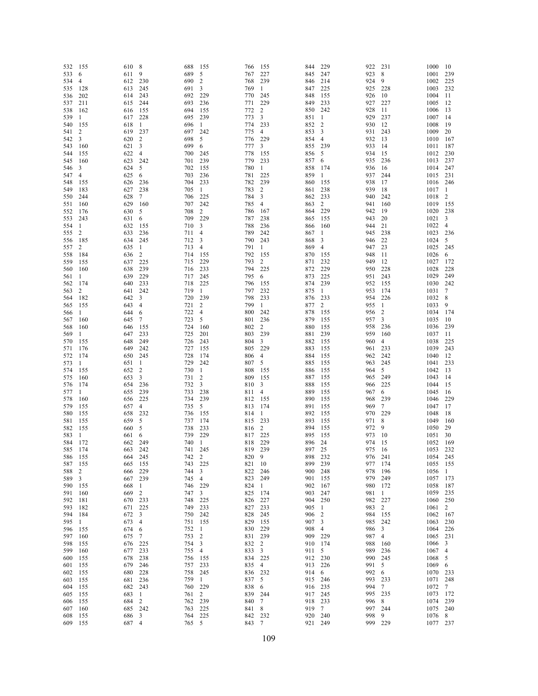| 532        | 155      | 610        | 8              | 688        | 155            | 766        | 155                     | 844        | 229          | 922        | 231                     | 1000         | 10           |
|------------|----------|------------|----------------|------------|----------------|------------|-------------------------|------------|--------------|------------|-------------------------|--------------|--------------|
| 533        | 6        | 611        | 9              | 689        | 5              | 767        | 227                     | 845        | 247          | 923        | 8                       | 1001         | 239          |
| 534        | 4        | 612        | 230            | 690        | $\overline{2}$ | 768        | 239                     | 846        | 214          | 924        | 9                       | 1002         | 225          |
| 535        | 128      | 613        | 245            | 691        | 3              | 769        | 1                       | 847        | 225          | 925        | 228                     | 1003         | 232          |
| 536        | 202      | 614        | 243            | 692        | 229            | 770        | 245                     | 848        | 155          | 926        | 10                      | 1004         | 11           |
| 537        | 211      | 615        | 244            | 693        | 236            | 771        | 229                     | 849        | 233          | 927        | 227                     | 1005         | 12           |
| 538        | 162      | 616        | 155            | 694        | 155            | 772        | 2                       | 850        | 242          | 928        | 11                      | 1006         | 13           |
| 539        | 1        | 617        | 228            | 695        | 239            | 773        | 3                       | 851        | $\mathbf{1}$ | 929        | 237                     | 1007         | 14           |
| 540        | 155      | 618        | $\mathbf{1}$   | 696        | $\mathbf{1}$   | 774        | 233                     | 852        | 2            | 930        | 12                      | 1008         | 19           |
| 541        | 2        | 619        | 237            | 697        | 242            | 775        | $\overline{4}$          | 853        | 3            | 931        | 243                     | 1009         | 20           |
| 542        | 3        | 620        | $\overline{2}$ | 698        | 5              | 776        | 229                     | 854        | 4            | 932        | 13                      | 1010         | 167          |
| 543        | 160      | 621        | 3              | 699        | 6              | 777        | 3                       | 855        | 239          | 933        | 14                      | 1011         | 187          |
| 544        | 155      | 622        | $\overline{4}$ | 700        | 245            | 778        | 155                     | 856        | 5            | 934        | 15                      | 1012         | 230          |
| 545        | 160      | 623        | 242            | 701        | 239            | 779        | 233                     | 857        | 6            | 935        | 236                     | 1013         | 237          |
| 546        | 3        | 624        | 5              | 702        | 155            | 780        | -1                      | 858        | 174          | 936        | 16                      | 1014         | 247          |
| 547        | 4        | 625        | 6              | 703        | 236            | 781        | 225                     | 859        | 1            | 937        | 244                     | 1015         | 231          |
| 548        | 155      | 626        | 236            | 704        | 233            | 782        | 239                     | 860        | 155          | 938        | 17                      | 1016         | 246          |
| 549        | 183      | 627        | 238            | 705        | -1             | 783        | $\overline{c}$          | 861        | 238          | 939        | 18                      | 1017         | $\mathbf{1}$ |
| 550        | 244      | 628        | $\tau$         | 706        | 225            | 784        | 3                       | 862        | 233          | 940        | 242                     | 1018         | 2            |
| 551        | 160      | 629        | 160            | 707        | 242            | 785        | 4                       | 863        | 2            | 941        | 160                     | 1019         | 155          |
| 552        | 176      | 630        | 5              | 708        | 2              | 786        | 167                     | 864        | 229          | 942<br>943 | 19<br>20                | 1020         | 238<br>3     |
| 553        | 243      | 631        | 6              | 709        | 229            | 787<br>788 | 238<br>236              | 865        | 155          | 944        | 21                      | 1021<br>1022 | 4            |
| 554        | 1        | 632        | 155            | 710        | 3              | 789        |                         | 866<br>867 | 160          | 945        |                         |              | 236          |
| 555        | 2        | 633        | 236<br>245     | 711<br>712 | 4<br>3         | 790        | 242<br>243              | 868        | 1<br>3       | 946        | 238<br>22               | 1023<br>1024 | 5            |
| 556        | 185      | 634        | 1              | 713        |                | 791        | -1                      | 869        |              | 947        |                         |              | 245          |
| 557        | 2        | 635        | 2              |            | 4              | 792        |                         |            | 4            | 948        | 23                      | 1025         |              |
| 558        | 184      | 636        |                | 714        | 155            |            | 155                     | 870        | 155          |            | -11                     | 1026         | 6            |
| 559        | 155      | 637        | 225            | 715        | 229            | 793        | 2                       | 871        | 232          | 949        | 12                      | 1027         | 172          |
| 560        | 160      | 638        | 239            | 716        | 233            | 794        | 225                     | 872        | 229          | 950        | 228                     | 1028         | 228          |
| 561        | 1        | 639        | 229            | 717        | 245            | 795        | 6                       | 873        | 225          | 951        | 243                     | 1029         | 249          |
| 562        | 174      | 640        | 233            | 718        | 225            | 796        | 155                     | 874        | 239          | 952        | 155                     | 1030         | 242          |
| 563        | 2        | 641        | 242            | 719        | -1             | 797        | 232                     | 875        | $\mathbf{1}$ | 953        | 174<br>226              | 1031         | 7            |
| 564        | 182      | 642        | 3              | 720        | 239            | 798        | 233                     | 876        | 233          | 954<br>955 | -1                      | 1032<br>1033 | 8<br>9       |
| 565        | 155      | 643        | 4              | 721        | $\overline{2}$ | 799        | 1<br>242                | 877<br>878 | 2<br>155     | 956        | $\overline{c}$          | 1034         | 174          |
| 566        | 1        | 644        | 6              | 722<br>723 | 4<br>5         | 800<br>801 | 236                     | 879        | 155          | 957        | 3                       | 1035         | 10           |
| 567        | 160      | 645<br>646 | 7<br>155       | 724        | 160            | 802        | $\overline{c}$          | 880        | 155          | 958        | 236                     | 1036         | 239          |
| 568<br>569 | 160<br>1 | 647        | 233            | 725        | 201            | 803        | 239                     | 881        | 239          | 959        | 160                     | 1037         | 11           |
| 570        | 155      | 648        | 249            | 726        | 243            | 804        | 3                       | 882        | 155          | 960        | 4                       | 1038         | 225          |
| 571        | 176      | 649        | 242            | 727        | 155            | 805        | 229                     | 883        | 155          | 961        | 233                     | 1039         | 243          |
| 572        | 174      | 650        | 245            | 728        | 174            | 806        | $\overline{4}$          | 884        | 155          | 962        | 242                     | 1040         | 12           |
| 573        | 1        | 651        | -1             | 729        | 242            | 807        | 5                       | 885        | 155          | 963        | 245                     | 1041         | 233          |
| 574        | 155      | 652        | $\overline{c}$ | 730        | -1             | 808        | 155                     | 886        | 155          | 964        | 5                       | 1042         | 13           |
| 575        | 160      | 653        | 3              | 731        | 2              | 809        | 155                     | 887        | 155          | 965        | 249                     | 1043         | 14           |
| 576        | 174      | 654        | 236            | 732        | 3              | 810        | 3                       | 888        | 155          | 966        | 225                     | 1044         | 15           |
| 577        | 1        | 655        | 239            | 733        | 238            | 811        | $\overline{4}$          | 889        | 155          | 967        | 6                       | 1045         | 16           |
| 578        | 160      | 656        | 225            | 734        | 239            | 812        | 155                     | 890        | 155          | 968        | 239                     | 1046         | 229          |
| 579        | 155      | 657        | 4              | 735        | 5              | 813        | 174                     | 891        | 155          | 969        | 7                       | 1047         | 17           |
| 580        | 155      | 658        | 232            | 736        | 155            | 814        | 1                       | 892        | 155          | 970        | 229                     | 1048         | 18           |
| 581        | 155      | 659        | 5              | 737        | 174            | 815        | 233                     | 893        | 155          | 971        | 8                       | 1049         | 160          |
| 582        | 155      | 660        | 5              | 738        | 233            | 816        | 2                       | 894        | 155          | 972        | 9                       | 1050         | 29           |
| 583        | 1        | 661        | 6              | 739        | 229            | 817        | 225                     | 895        | 155          | 973        | 10                      | 1051         | 30           |
| 584        | 172      | 662        | 249            | 740        | $\mathbf{1}$   | 818        | 229                     | 896        | 24           | 974        | 15                      | 1052         | 169          |
| 585        | 174      | 663        | 242            | 741        | 245            | 819        | 239                     | 897        | 25           | 975        | 16                      | 1053         | 232          |
| 586        | 155      | 664        | 245            | 742        | $\overline{2}$ | 820 9      |                         | 898        | 232          | 976        | 241                     | 1054 245     |              |
| 587        | 155      | 665 155    |                | 743        | 225            | 821 10     |                         | 899        | 239          | 977 174    |                         | 1055 155     |              |
| 588        | 2        | 666        | 229            | 744        | 3              | 822        | 246                     | 900        | 248          | 978        | 196                     | 1056         | $\mathbf{1}$ |
| 589        | 3        | 667        | 239            | 745        | 4              | 823        | 249                     | 901        | 155          | 979        | 249                     | 1057         | 173          |
| 590        | 155      | 668        | -1             | 746        | 229            | 824        | -1                      | 902        | 167          | 980        | 172                     | 1058         | - 187        |
| 591        | 160      | 669        | 2              | 747        | 3              | 825        | 174                     | 903        | 247          | 981        | $\overline{1}$          | 1059 235     |              |
| 592        | 181      | 670 233    |                | 748        | 225            | 826        | 227                     | 904        | 250          | 982        | 227                     | 1060 250     |              |
| 593        | 182      | 671 225    |                | 749        | 233            | 827        | 233                     | 905        | 1            | 983        | 2                       | 1061 2       |              |
| 594        | 184      | 672 3      |                | 750        | 242            | 828        | -245                    | 906        | 2            | 984        | 155                     | 1062 167     |              |
| 595        | 1        | 673 4      |                | 751        | 155            | 829        | 155                     | 907        | 3            | 985        | 242                     | 1063 230     |              |
| 596        | 155      | 674        | -6             | 752        | -1             | 830        | 229                     | 908        | 4            | 986        | $\overline{\mathbf{3}}$ | 1064 226     |              |
| 597        | 160      | 675        | $\overline{7}$ | 753        | $\overline{c}$ | 831 239    |                         | 909        | 229          | 987        | $\overline{4}$          | 1065 231     |              |
| 598        | 155      | 676 225    |                | 754        | 3              | 832 2      |                         | 910        | 174          | 988        | 160                     | 1066 3       |              |
| 599        | 160      | 677 233    |                | 755        | 4              | 833        | $\overline{\mathbf{3}}$ | 911        | 5            | 989        | 236                     | 1067 4       |              |
| 600        | 155      | 678        | 238            | 756        | 155            | 834 225    |                         | 912        | 230          | 990        | 245                     | 1068 5       |              |
| 601        | 155      | 679        | 246            | 757        | 233            | 835 4      |                         | 913        | 226          | 991        | 5                       | 1069 6       |              |
| 602        | 155      | 680        | 228            | 758        | 245            | 836 232    |                         | 914        | 6            | 992        | 6                       | 1070 233     |              |
| 603        | 155      | 681        | 236            | 759        | $\mathbf{1}$   | 837 5      |                         | 915        | 246          | 993        | 233                     | 1071 248     |              |
| 604        | 155      | 682 243    |                | 760        | 229            | 838        | - 6                     | 916        | 235          | 994        | 7                       | 1072 7       |              |
| 605        | 155      | 683 1      |                | 761        | 2              | 839 244    |                         | 917        | 245          | 995        | 235                     | 1073 172     |              |
| 606        | 155      | 684        | 2              | 762        | 239            | 840        | $\overline{7}$          | 918        | 233          | 996        | 8                       | 1074 239     |              |
| 607        | 160      | 685 242    |                | 763        | 225            | 841 8      |                         | 919        | 7            | 997        | 244                     | 1075 240     |              |
| 608        | 155      | 686 3      |                | 764        | 225            | 842 232    |                         | 920        | 240          | 998        | 9                       | 1076 8       |              |
| 609 155    |          | 687 4      |                | 765 5      |                | 843 7      |                         | 921        | 249          | 999 229    |                         | 1077 237     |              |
|            |          |            |                |            |                |            |                         |            |              |            |                         |              |              |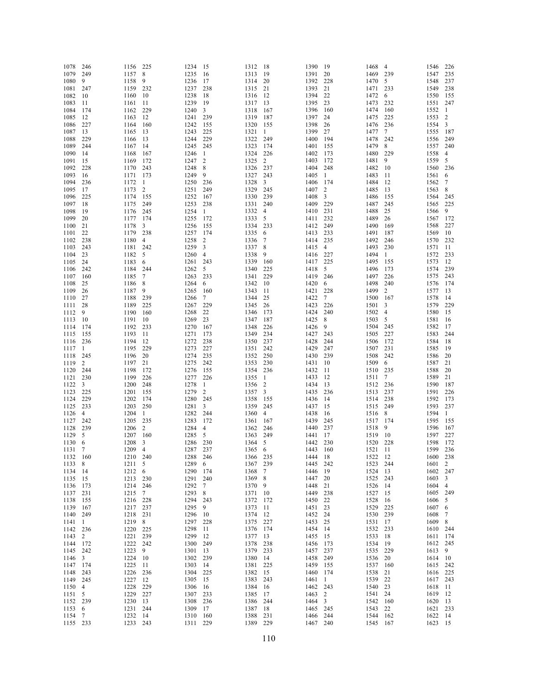| 1078                 | 246            | 1156                 | 225            | 1234                 | 15             | 1312                 | - 18           | 1390 19              |                | 1468                 | $\overline{4}$ | 1546                 | 226          |
|----------------------|----------------|----------------------|----------------|----------------------|----------------|----------------------|----------------|----------------------|----------------|----------------------|----------------|----------------------|--------------|
| 1079                 | 249            | 1157                 | 8              | 1235                 | 16             | 1313                 | 19             | 1391                 | 20             | 1469                 | 239            | 1547                 | 235          |
| 1080                 | 9              | 1158                 | 9              | 1236                 | 17             | 1314                 | 20             | 1392                 | 228            | 1470                 | 5              | 1548                 | 237          |
| 1081                 | 247            | 1159 232             |                | 1237                 | 238            | 1315                 | 21             | 1393                 | 21             | 1471                 | 233            | 1549                 | 238          |
| 1082<br>1083         | 10<br>11       | 1160<br>1161         | - 10<br>-11    | 1238<br>1239         | 18<br>19       | 1316<br>1317         | -12<br>13      | 1394<br>1395         | 22<br>23       | 1472<br>1473         | 6<br>232       | 1550<br>1551         | 155<br>247   |
| 1084                 | 174            | 1162                 | 229            | 1240                 | 3              | 1318                 | 167            | 1396                 | 160            | 1474                 | 160            | 1552                 | $\mathbf{1}$ |
| 1085                 | 12             | 1163                 | 12             | 1241                 | 239            | 1319                 | 187            | 1397                 | 24             | 1475                 | 225            | 1553                 | 2            |
| 1086                 | 227            | 1164                 | 160            | 1242                 | 155            | 1320                 | 155            | 1398                 | 26             | 1476                 | 236            | 1554                 | $\mathbf{3}$ |
| 1087                 | 13             | 1165                 | 13             | 1243                 | 225            | 1321                 | -1             | 1399                 | 27             | 1477                 | 7              | 1555                 | 187          |
| 1088                 | 229            | 1166                 | 13             | 1244                 | 229            | 1322                 | 249            | 1400                 | 194            | 1478                 | 242            | 1556                 | 249          |
| 1089                 | 244            | 1167                 | 14             | 1245                 | 245            | 1323                 | 174            | 1401                 | 155            | 1479                 | 8              | 1557                 | 240          |
| 1090                 | 14             | 1168                 | 167            | 1246                 | -1             | 1324                 | 226<br>2       | 1402                 | 173            | 1480                 | 229<br>9       | 1558<br>1559         | 4<br>5       |
| 1091<br>1092         | 15<br>228      | 1169<br>1170         | 172<br>243     | 1247<br>1248         | 2<br>8         | 1325<br>1326         | 237            | 1403<br>1404         | 172<br>248     | 1481<br>1482         | -10            | 1560                 | 236          |
| 1093                 | 16             | 1171                 | 173            | 1249                 | 9              | 1327                 | 243            | 1405                 | -1             | 1483                 | 11             | 1561                 | 6            |
| 1094                 | 236            | 1172                 | -1             | 1250                 | 236            | 1328                 | 3              | 1406                 | 174            | 1484                 | 12             | 1562                 | 7            |
| 1095                 | 17             | 1173                 | 2              | 1251                 | 249            | 1329                 | 245            | 1407                 | $\overline{2}$ | 1485                 | 13             | 1563                 | 8            |
| 1096                 | 225            | 1174                 | 155            | 1252                 | 167            | 1330                 | 239            | 1408                 | 3              | 1486                 | 155            | 1564                 | 245          |
| 1097                 | 18             | 1175                 | 249            | 1253                 | 238            | 1331                 | 240            | 1409                 | 229            | 1487                 | 245            | 1565                 | 225          |
| 1098<br>1099         | 19<br>20       | 1176                 | 245<br>174     | 1254                 | 1<br>172       | 1332                 | 4<br>5         | 1410                 | 231<br>232     | 1488<br>1489         | 25<br>26       | 1566<br>1567         | 9<br>172     |
| 1100                 | 21             | 1177<br>1178         | 3              | 1255<br>1256         | 155            | 1333<br>1334         | 233            | 1411<br>1412         | 249            | 1490                 | 169            | 1568                 | 227          |
| 1101                 | 22             | 1179                 | 238            | 1257                 | 174            | 1335                 | 6              | 1413                 | 233            | 1491                 | 187            | 1569                 | 10           |
| 1102                 | 238            | 1180                 | $\overline{4}$ | 1258                 | $\overline{c}$ | 1336                 | 7              | 1414                 | 235            | 1492                 | 246            | 1570                 | 232          |
| 1103                 | 243            | 1181                 | - 242          | 1259                 | 3              | 1337                 | 8              | 1415                 | $\overline{4}$ | 1493                 | 230            | 1571                 | 11           |
| 1104                 | 23             | 1182                 | 5              | 1260                 | $\overline{4}$ | 1338                 | 9              | 1416                 | 227            | 1494                 | $\overline{1}$ | 1572                 | 233          |
| 1105                 | 24             | 1183                 | 6              | 1261                 | 243            | 1339                 | 160            | 1417                 | 225            | 1495                 | 155            | 1573                 | 12           |
| 1106                 | 242            | 1184                 | 244            | 1262                 | 5              | 1340                 | 225            | 1418                 | 5              | 1496                 | 173            | 1574                 | 239          |
| 1107<br>1108         | 160<br>25      | 1185<br>1186         | 7<br>8         | 1263<br>1264         | 233<br>6       | 1341<br>1342         | 229<br>10      | 1419<br>1420         | 246<br>6       | 1497<br>1498         | 226<br>240     | 1575<br>1576         | 243<br>174   |
| 1109                 | 26             | 1187                 | 9              | 1265                 | 160            | 1343                 | 11             | 1421                 | 228            | 1499                 | $\overline{2}$ | 1577                 | 13           |
| 1110                 | 27             | 1188                 | 239            | 1266                 | 7              | 1344                 | 25             | 1422                 | 7              | 1500                 | - 167          | 1578                 | 14           |
| 1111                 | 28             | 1189                 | 225            | 1267                 | 229            | 1345                 | 26             | 1423                 | 226            | 1501                 | 3              | 1579                 | 229          |
| 1112                 | 9              | 1190                 | 160            | 1268                 | 22             | 1346                 | 173            | 1424                 | 240            | 1502                 | $\overline{4}$ | 1580                 | 15           |
| 1113                 | 10             | 1191                 | 10             | 1269                 | 23             | 1347                 | 187            | 1425                 | 8              | 1503                 | 5              | 1581                 | 16           |
| 1114                 | 174            | 1192                 | 233            | 1270                 | 167            | 1348                 | 226            | 1426                 | 9              | 1504                 | 245            | 1582                 | 17           |
| 1115<br>1116         | 155<br>236     | 1193<br>1194         | -11<br>12      | 1271<br>1272         | 173<br>238     | 1349<br>1350         | 234<br>237     | 1427<br>1428         | 243<br>244     | 1505<br>1506         | 227<br>172     | 1583<br>1584         | 244<br>18    |
| 1117                 | -1             | 1195                 | 229            | 1273                 | 227            | 1351                 | 242            | 1429                 | 247            | 1507                 | 231            | 1585                 | 19           |
| 1118                 | 245            | 1196                 | 20             | 1274                 | 235            | 1352                 | 250            | 1430                 | 239            | 1508                 | 242            | 1586                 | 20           |
| 1119                 | 2              | 1197                 | 21             | 1275                 | 242            | 1353                 | 230            | 1431                 | 10             | 1509                 | 6              | 1587                 | 21           |
| 1120                 | 244            | 1198                 | 172            | 1276                 | 155            | 1354                 | 236            | 1432                 | 11             | 1510 235             |                | 1588                 | 20           |
| 1121                 | 230            | 1199                 | 226            | 1277                 | 226            | 1355                 | -1             | 1433                 | 12             | 1511                 | 7              | 1589                 | 21           |
| 1122                 | 3              | 1200                 | 248            | 1278                 | -1             | 1356                 | 2              | 1434                 | 13             | 1512                 | 236            | 1590                 | 187          |
| 1123                 | 225            | 1201                 | 155            | 1279                 | $\overline{2}$ | 1357                 | 3              | 1435                 | 236            | 1513                 | 237            | 1591                 | 226          |
| 1124<br>1125         | 229<br>233     | 1202<br>1203         | 174<br>250     | 1280<br>1281         | 245<br>3       | 1358<br>1359         | 155<br>245     | 1436<br>1437         | 14<br>15       | 1514<br>1515         | 238<br>249     | 1592<br>1593         | 173<br>237   |
| 1126                 | $\overline{4}$ | 1204                 | $\overline{1}$ | 1282                 | 244            | 1360                 | $\overline{4}$ | 1438                 | 16             | 1516                 | 8              | 1594                 | -1           |
| 1127                 | 242            | 1205                 | 235            | 1283                 | 172            | 1361                 | 167            | 1439                 | 245            | 1517                 | 174            | 1595                 | 155          |
| 1128                 | 239            | 1206                 | $\overline{c}$ | 1284                 | 4              | 1362                 | 246            | 1440                 | 237            | 1518                 | 9              | 1596                 | 167          |
| 1129                 | 5              | 1207                 | 160            | 1285                 | 5              | 1363                 | 249            | 1441                 | 17             | 1519                 | - 10           | 1597                 | 227          |
| 1130                 | 6              | 1208                 | 3              | 1286                 | 230            | 1364                 | 5              | 1442                 | 230            | 1520                 | 228            | 1598                 | 172          |
| 1131<br>1132 160     | - 7            | 1209<br>1210 240     | $\overline{4}$ | 1287 237<br>1288 246 |                | 1365<br>1366 235     | 6              | 1443<br>1444 18      | 160            | 1521 11<br>1522 12   |                | 1599<br>1600 238     | 236          |
| 1133 8               |                | 1211 5               |                | 1289 6               |                | 1367 239             |                | 1445 242             |                | 1523 244             |                | 1601 2               |              |
| 1134 14              |                | 1212 6               |                | 1290 174             |                | 1368 7               |                | 1446 19              |                | 1524 13              |                | 1602 247             |              |
| 1135 15              |                | 1213 230             |                | 1291 240             |                | 1369 8               |                | 1447 20              |                | 1525                 | 243            | 1603 3               |              |
| 1136 173             |                | 1214 246             |                | 1292 7               |                | 1370 9               |                | 1448 21              |                | 1526 14              |                | 1604 4               |              |
| 1137 231             |                | 1215 7               |                | 1293 8               |                | 1371 10              |                | 1449 238             |                | 1527 15              |                | 1605 249             |              |
| 1138 155             |                | 1216 228             |                | 1294 243             |                | 1372 172             |                | 1450 22              |                | 1528                 | -16            | 1606 5               |              |
| 1139 167<br>1140 249 |                | 1217 237<br>1218 231 |                | 1295 9<br>1296 10    |                | 1373 11<br>1374 12   |                | 1451 23<br>1452 24   |                | 1529<br>1530 239     | 225            | 1607 6<br>1608 7     |              |
| 1141 1               |                | 1219 8               |                | 1297 228             |                | 1375 227             |                | 1453 25              |                | 1531                 | 17             | 1609 8               |              |
| 1142 236             |                | 1220 225             |                | 1298 11              |                | 1376 174             |                | 1454 14              |                | 1532 233             |                | 1610 244             |              |
| 1143 2               |                | 1221                 | 239            | 1299 12              |                | 1377 13              |                | 1455 15              |                | 1533                 | -18            | 1611 174             |              |
| 1144 172             |                | 1222 242             |                | 1300 249             |                | 1378 238             |                | 1456 173             |                | 1534 19              |                | 1612 245             |              |
| 1145 242             |                | 1223 9               |                | 1301 13              |                | 1379 233             |                | 1457 237             |                | 1535 229             |                | 1613 9               |              |
| 1146 3               |                | 1224                 | - 10           | 1302 239             |                | 1380 14              |                | 1458 249             |                | 1536                 | 20             | 1614 10              |              |
| 1147 174<br>1148 243 |                | 1225<br>1226         | 11<br>236      | 1303 14<br>1304 225  |                | 1381 225<br>1382 15  |                | 1459 155<br>1460 174 |                | 1537 160<br>1538 21  |                | 1615 242<br>1616 225 |              |
| 1149 245             |                | 1227                 | 12             | 1305 15              |                | 1383 243             |                | 1461 1               |                | 1539 22              |                | 1617 243             |              |
| 1150 4               |                | 1228                 | 229            | 1306 16              |                | 1384 16              |                | 1462 243             |                | 1540 23              |                | 1618 11              |              |
| 1151 5               |                | 1229                 | 227            | 1307 233             |                | 1385 17              |                | 1463 2               |                | 1541 24              |                | 1619 12              |              |
| 1152 239             |                | 1230 13              |                | 1308 236             |                | 1386 244             |                | 1464 3               |                | 1542 160             |                | 1620 13              |              |
| 11536                |                | 1231 244             |                | 1309 17              |                | 1387 18              |                | 1465 245             |                | 1543 22              |                | 1621 233             |              |
| 1154 7<br>1155 233   |                | 1232 14<br>1233 243  |                | 1310 160<br>1311 229 |                | 1388 231<br>1389 229 |                | 1466 244<br>1467 240 |                | 1544 162<br>1545 167 |                | 1622 14<br>1623 15   |              |
|                      |                |                      |                |                      |                |                      |                |                      |                |                      |                |                      |              |